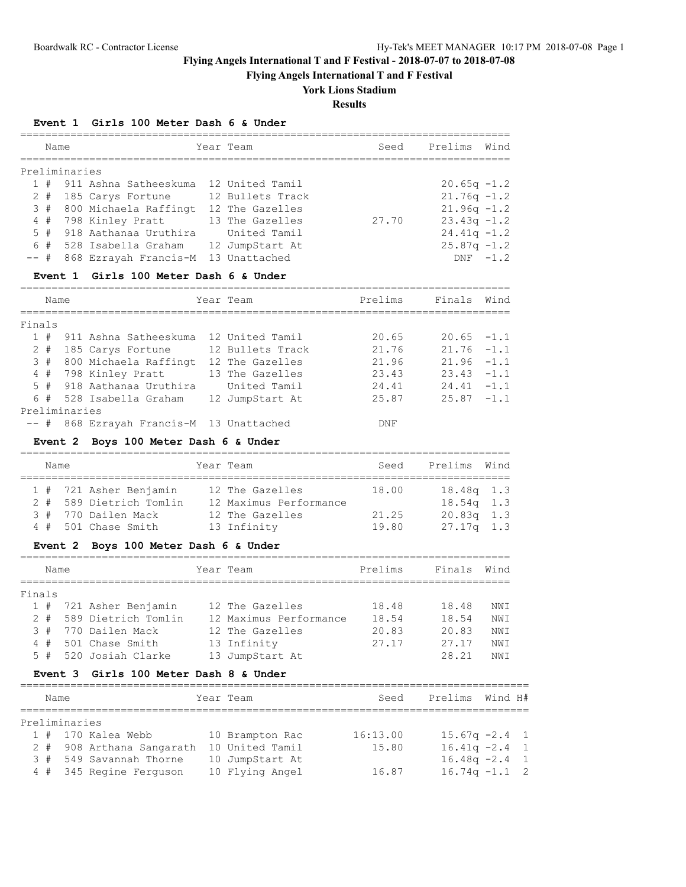**Flying Angels International T and F Festival**

# **York Lions Stadium**

**Results**

### **Event 1 Girls 100 Meter Dash 6 & Under**

|        | Name     |               | =============================<br>============= | Year Team                                 | Seed           | Prelims        | Wind       |
|--------|----------|---------------|------------------------------------------------|-------------------------------------------|----------------|----------------|------------|
|        |          | Preliminaries |                                                |                                           |                |                |            |
|        | 1#       |               | 911 Ashna Satheeskuma                          | 12 United Tamil                           |                | $20.65q -1.2$  |            |
|        | $2$ #    |               | 185 Carys Fortune                              | 12 Bullets Track                          |                | $21.76q -1.2$  |            |
|        | 3#       |               | 800 Michaela Raffingt                          | 12 The Gazelles                           |                | $21.96q -1.2$  |            |
|        | $4$ #    |               | 798 Kinley Pratt                               | 13 The Gazelles                           | 27.70          | $23.43q -1.2$  |            |
| 5      | #        |               | 918 Aathanaa Uruthira                          | United Tamil                              |                | $24.41q -1.2$  |            |
|        | 6 #      |               | 528 Isabella Graham                            | 12 JumpStart At                           |                | $25.87q -1.2$  |            |
| $--$ # |          |               | 868 Ezrayah Francis-M                          | 13 Unattached                             |                |                | $DNF -1.2$ |
|        |          | Event 1       | Girls 100 Meter Dash 6 & Under                 |                                           |                |                |            |
|        | Name     |               |                                                | Year Team                                 | Prelims        | Finals         | Wind       |
| Finals |          |               |                                                |                                           |                |                |            |
|        | 1#       |               | 911 Ashna Satheeskuma                          | 12 United Tamil                           | 20.65          | 20.65          | $-1.1$     |
|        | 2#       |               | 185 Carys Fortune                              | 12 Bullets Track                          | 21.76          | 21.76          | $-1.1$     |
|        | 3#       |               | 800 Michaela Raffingt                          | 12 The Gazelles                           | 21.96          | $21.96 -1.1$   |            |
|        | $4$ #    |               | 798 Kinley Pratt                               | 13 The Gazelles                           | 23.43          | $23.43 -1.1$   |            |
| 5      | #        |               | 918 Aathanaa Uruthira                          | United Tamil                              | 24.41          | $24.41 - 1.1$  |            |
|        | 6 #      |               | 528 Isabella Graham                            | 12 JumpStart At                           | 25.87          | 25.87          | $-1.1$     |
|        |          | Preliminaries |                                                |                                           |                |                |            |
| $--$ # |          |               | 868 Ezrayah Francis-M 13 Unattached            |                                           | DNF            |                |            |
|        |          | Event 2       | Boys 100 Meter Dash 6 & Under                  |                                           |                |                |            |
|        | Name     |               |                                                | Year Team                                 | Seed           | Prelims        | Wind       |
|        | 1#       |               | 721 Asher Benjamin                             | 12 The Gazelles                           | 18.00          | 18.48q 1.3     |            |
|        | $2 +$    |               | 589 Dietrich Tomlin                            | 12 Maximus Performance                    |                | $18.54q$ 1.3   |            |
|        | 3#       |               | 770 Dailen Mack                                | 12 The Gazelles                           | 21.25          | 20.83q         | 1.3        |
|        | 4#       |               | 501 Chase Smith                                | 13 Infinity                               | 19.80          | $27.17q$ 1.3   |            |
|        |          |               | Event 2 Boys 100 Meter Dash 6 & Under          |                                           |                |                |            |
|        | Name     |               |                                                | Year Team                                 | Prelims        | Finals         | Wind       |
|        |          |               |                                                |                                           |                |                |            |
| Finals |          |               |                                                |                                           |                |                |            |
|        |          |               | 1 # 721 Asher Benjamin<br>589 Dietrich Tomlin  | 12 The Gazelles<br>12 Maximus Performance | 18.48          | 18.48          | NWI        |
|        | 2#<br>3# |               | 770 Dailen Mack                                | 12 The Gazelles                           | 18.54<br>20.83 | 18.54          | NWI        |
|        |          |               | 4 # 501 Chase Smith                            | 13 Infinity                               | 27.17          | 20.83<br>27.17 | NWI<br>NWI |
|        |          |               | 5 # 520 Josiah Clarke                          | 13 JumpStart At                           |                | 28.21          | NWI        |
|        |          |               | Event 3 Girls 100 Meter Dash 8 & Under         |                                           |                |                |            |
|        |          |               |                                                |                                           |                |                |            |

 1 # 170 Kalea Webb 10 Brampton Rac 16:13.00 15.67q -2.4 1 2 # 908 Arthana Sangarath 10 United Tamil 15.80 16.41q -2.4 1 3 # 549 Savannah Thorne 10 JumpStart At 16.48q -2.4 1 4 # 345 Regine Ferguson 10 Flying Angel 16.87 16.74q -1.1 2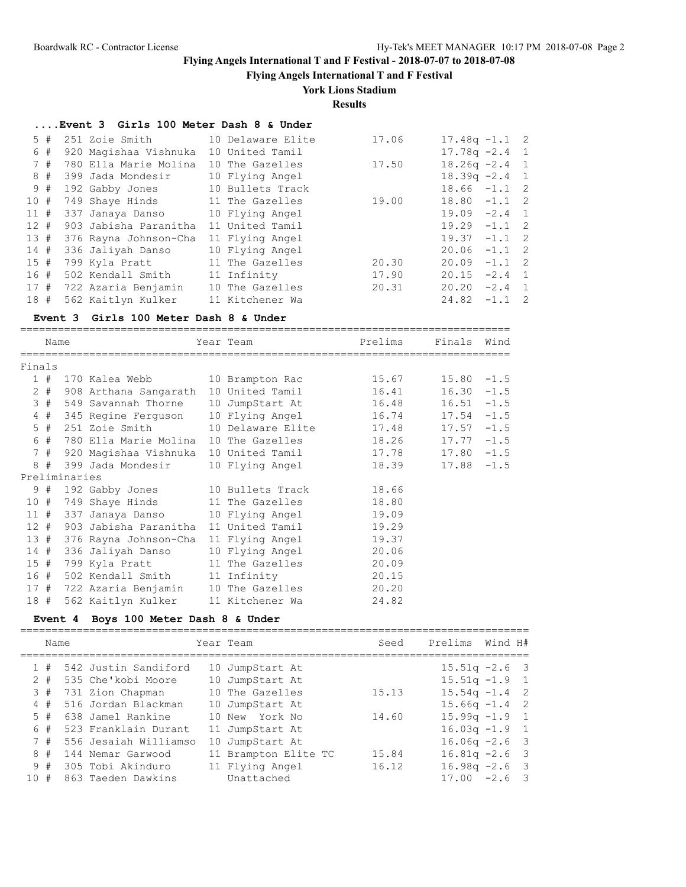**Flying Angels International T and F Festival**

## **York Lions Stadium**

**Results**

### **....Event 3 Girls 100 Meter Dash 8 & Under**

| 5#   |    | 251 Zoie Smith 10 Delaware Elite         |                 | 17.06 | $17.48q - 1.1$ 2 |  |
|------|----|------------------------------------------|-----------------|-------|------------------|--|
|      | 6# | 920 Magishaa Vishnuka                    | 10 United Tamil |       | $17.78q - 2.4$ 1 |  |
| 7#   |    | 780 Ella Marie Molina                    | 10 The Gazelles | 17.50 | $18.26q - 2.4$ 1 |  |
| 8#   |    | 399 Jada Mondesir                        | 10 Flying Angel |       | $18.39q -2.4$ 1  |  |
| 9#   |    | 192 Gabby Jones 10 Bullets Track         |                 |       | $18.66 - 1.1$ 2  |  |
| 10#  |    | 749 Shaye Hinds 11 The Gazelles          |                 | 19.00 | $18.80 -1.1$ 2   |  |
| 11#  |    | 337 Janaya Danso 10 Flying Angel         |                 |       | $19.09 -2.4$ 1   |  |
| 12#  |    | 903 Jabisha Paranitha                    | 11 United Tamil |       | $19.29 -1.1$ 2   |  |
| 13#  |    | 376 Rayna Johnson-Cha                    | 11 Flying Angel |       | $19.37 -1.1$ 2   |  |
| 14 # |    | 336 Jaliyah Danso                        | 10 Flying Angel |       | $20.06 -1.1$ 2   |  |
| 15#  |    | 799 Kyla Pratt                           | 11 The Gazelles | 20.30 | $20.09 -1.1$ 2   |  |
| 16 # |    | 502 Kendall Smith 11 Infinity            |                 | 17.90 | $20.15 -2.4$ 1   |  |
|      |    | 17 # 722 Azaria Benjamin 10 The Gazelles |                 | 20.31 | $20.20 -2.4$ 1   |  |
| 18#  |    | 562 Kaitlyn Kulker                       | 11 Kitchener Wa |       | $24.82 -1.1$ 2   |  |
|      |    |                                          |                 |       |                  |  |

### **Event 3 Girls 100 Meter Dash 8 & Under**

==============================================================================

|        | Name  |               | Year Team                                        | Prelims         | Finals Wind |               |  |
|--------|-------|---------------|--------------------------------------------------|-----------------|-------------|---------------|--|
| Finals |       |               |                                                  |                 |             |               |  |
|        | 1#    |               | 170 Kalea Webb 10 Brampton Rac                   |                 | 15.67       | $15.80 - 1.5$ |  |
|        | $2 +$ |               | 908 Arthana Sangarath 10 United Tamil            |                 | 16.41       | $16.30 - 1.5$ |  |
|        |       |               | 3 # 549 Savannah Thorne 10 JumpStart At 16.48    |                 |             | $16.51 - 1.5$ |  |
|        |       |               | 4 # 345 Regine Ferguson 10 Flying Angel 16.74    |                 |             | $17.54 -1.5$  |  |
|        |       |               | 5 # 251 Zoie Smith 10 Delaware Elite 17.48       |                 |             | $17.57 - 1.5$ |  |
|        | 6 #   |               | 780 Ella Marie Molina 10 The Gazelles 18.26      |                 |             | $17.77 - 1.5$ |  |
|        |       |               | 7 # 920 Magishaa Vishnuka 10 United Tamil 17.78  |                 |             | $17.80 - 1.5$ |  |
|        |       |               | 8 # 399 Jada Mondesir                            | 10 Flying Angel | 18.39       | $17.88 - 1.5$ |  |
|        |       | Preliminaries |                                                  |                 |             |               |  |
|        |       |               | 9 # 192 Gabby Jones 10 Bullets Track 18.66       |                 |             |               |  |
|        |       |               | 10 # 749 Shaye Hinds 11 The Gazelles             |                 | 18.80       |               |  |
|        | 11#   |               | 337 Janaya Danso 10 Flying Angel 19.09           |                 |             |               |  |
|        |       |               | 12 # 903 Jabisha Paranitha 11 United Tamil 19.29 |                 |             |               |  |
|        |       |               | 13 # 376 Rayna Johnson-Cha 11 Flying Angel 19.37 |                 |             |               |  |
|        | 14#   |               | 336 Jaliyah Danso 10 Flying Angel 20.06          |                 |             |               |  |
|        | 15#   |               | 799 Kyla Pratt 11 The Gazelles 20.09             |                 |             |               |  |
|        |       |               | 16 # 502 Kendall Smith 11 Infinity 20.15         |                 |             |               |  |
|        |       |               | 17 # 722 Azaria Benjamin 10 The Gazelles         |                 | 20.20       |               |  |
|        | 18 #  |               | 562 Kaitlyn Kulker                               | 11 Kitchener Wa | 24.82       |               |  |

## **Event 4 Boys 100 Meter Dash 8 & Under**

|       | Name |                       | Year Team            | Seed  | Prelims          | Wind H# |  |
|-------|------|-----------------------|----------------------|-------|------------------|---------|--|
| 1#    |      | 542 Justin Sandiford  | 10 JumpStart At      |       | $15.51q - 2.6$ 3 |         |  |
| $2 +$ |      | 535 Che'kobi Moore    | 10 JumpStart At      |       | $15.51q - 1.9$ 1 |         |  |
| 3#    |      | 731 Zion Chapman      | 10 The Gazelles      | 15.13 | $15.54q - 1.4$ 2 |         |  |
| 4#    |      | 516 Jordan Blackman   | 10 JumpStart At      |       | $15.66q - 1.4$ 2 |         |  |
| $5 +$ |      | 638 Jamel Rankine     | 10 New York No       | 14.60 | $15.99q - 1.9$ 1 |         |  |
| 6#    |      | 523 Franklain Durant  | 11 JumpStart At      |       | $16.03q - 1.9$ 1 |         |  |
| 7#    |      | 556 Jesaiah Williamso | 10 JumpStart At      |       | $16.06q -2.6$ 3  |         |  |
| 8#    |      | 144 Nemar Garwood     | 11 Brampton Elite TC | 15.84 | $16.81q - 2.6$ 3 |         |  |
| 9#    |      | 305 Tobi Akinduro     | 11 Flying Angel      | 16.12 | $16.98q - 2.6$ 3 |         |  |
| 10#   |      | 863 Taeden Dawkins    | Unattached           |       | $17.00 -2.6$ 3   |         |  |
|       |      |                       |                      |       |                  |         |  |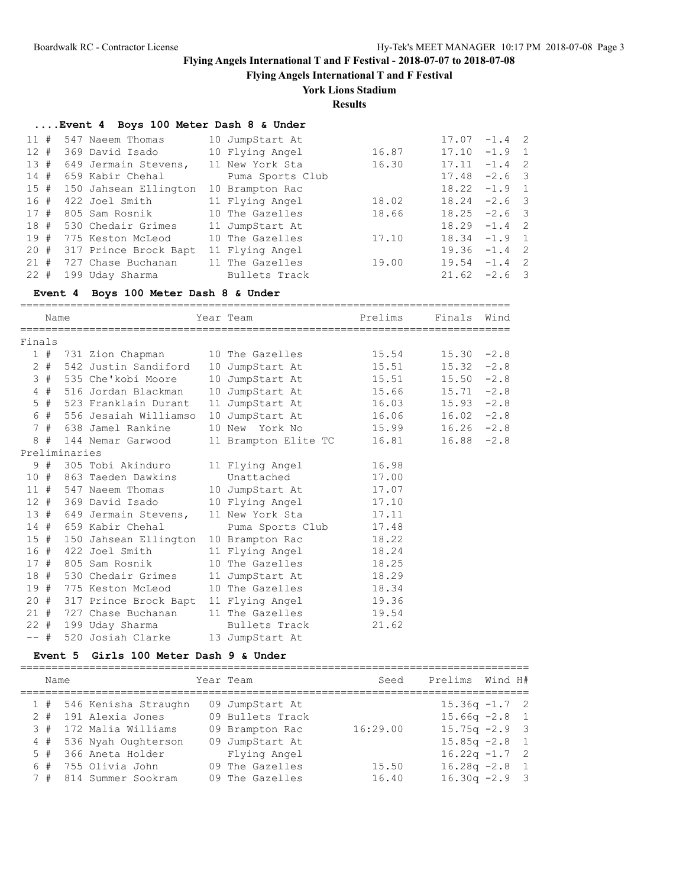**Flying Angels International T and F Festival**

# **York Lions Stadium**

**Results**

## **....Event 4 Boys 100 Meter Dash 8 & Under**

| $11$ # |        | 547 Naeem Thomas      | 10 JumpStart At  |       | 17.07 | $-1.4$ 2        |  |
|--------|--------|-----------------------|------------------|-------|-------|-----------------|--|
| 12#    |        | 369 David Isado       | 10 Flying Angel  | 16.87 |       | $17.10 - 1.9 1$ |  |
|        | 13#    | 649 Jermain Stevens,  | 11 New York Sta  | 16.30 | 17.11 | $-1.4$ 2        |  |
| 14#    |        | 659 Kabir Chehal      | Puma Sports Club |       |       | $17.48 -2.6$ 3  |  |
|        | 15#    | 150 Jahsean Ellington | 10 Brampton Rac  |       |       | $18.22 - 1.9$ 1 |  |
| 16 #   |        | 422 Joel Smith        | 11 Flying Angel  | 18.02 |       | $18.24 -2.6$ 3  |  |
|        | 17#    | 805 Sam Rosnik        | 10 The Gazelles  | 18.66 |       | $18.25 -2.6$ 3  |  |
|        | 18#    | 530 Chedair Grimes    | 11 JumpStart At  |       |       | $18.29 - 1.4$ 2 |  |
| 19#    |        | 775 Keston McLeod     | 10 The Gazelles  | 17.10 |       | $18.34 -1.9$ 1  |  |
|        | $20 +$ | 317 Prince Brock Bapt | 11 Flying Angel  |       |       | $19.36 -1.4$ 2  |  |
| 21#    |        | 727 Chase Buchanan    | 11 The Gazelles  | 19.00 |       | $19.54 -1.4$ 2  |  |
|        | $22$ # | 199 Uday Sharma       | Bullets Track    |       |       | $21.62 -2.6$ 3  |  |

## **Event 4 Boys 100 Meter Dash 8 & Under**

|        | Name   |               |                       | Year Team                                       | Prelims | Finals Wind   |  |
|--------|--------|---------------|-----------------------|-------------------------------------------------|---------|---------------|--|
| Finals |        |               |                       |                                                 |         |               |  |
|        |        |               |                       | 1 # 731 Zion Chapman 10 The Gazelles            | 15.54   | $15.30 -2.8$  |  |
|        | $2 +$  |               |                       | 542 Justin Sandiford 10 JumpStart At            | 15.51   | $15.32 -2.8$  |  |
|        | 3#     |               | 535 Che'kobi Moore    | 10 JumpStart At 15.51                           |         | $15.50 -2.8$  |  |
|        | 4#     |               | 516 Jordan Blackman   | 10 JumpStart At 15.66                           |         | $15.71 - 2.8$ |  |
|        | $5$ #  |               | 523 Franklain Durant  | 11 JumpStart At 16.03                           |         | $15.93 -2.8$  |  |
|        | 6#     |               | 556 Jesaiah Williamso | 10 JumpStart At 16.06                           |         | $16.02 -2.8$  |  |
|        |        |               | 7 # 638 Jamel Rankine | 10 New York No 15.99                            |         | $16.26 -2.8$  |  |
| 8      | #      |               | 144 Nemar Garwood     | 11 Brampton Elite TC 16.81                      |         | $16.88 - 2.8$ |  |
|        |        | Preliminaries |                       |                                                 |         |               |  |
|        | 9#     |               | 305 Tobi Akinduro     | 11 Flying Angel                                 | 16.98   |               |  |
| 10#    |        |               | 863 Taeden Dawkins    | Unattached                                      | 17.00   |               |  |
|        |        |               | 11 # 547 Naeem Thomas | 10 JumpStart At 17.07                           |         |               |  |
|        | 12#    |               | 369 David Isado       | 10 Flying Angel 17.10                           |         |               |  |
|        |        |               |                       | 13 # 649 Jermain Stevens, 11 New York Sta 17.11 |         |               |  |
|        |        |               | 14 # 659 Kabir Chehal | Puma Sports Club 17.48                          |         |               |  |
|        | 15#    |               | 150 Jahsean Ellington | 10 Brampton Rac                                 | 18.22   |               |  |
|        | 16 #   |               | 422 Joel Smith        | 11 Flying Angel                                 | 18.24   |               |  |
|        | 17#    |               | 805 Sam Rosnik        | 10 The Gazelles Theory                          | 18.25   |               |  |
| 18 #   |        |               | 530 Chedair Grimes    | 11 JumpStart At                                 | 18.29   |               |  |
|        | 19#    |               |                       | 775 Keston McLeod 10 The Gazelles               | 18.34   |               |  |
| 20#    |        |               |                       | 317 Prince Brock Bapt 11 Flying Angel           | 19.36   |               |  |
| 21#    |        |               |                       | 727 Chase Buchanan 11 The Gazelles 19.54        |         |               |  |
|        | $22 +$ |               | 199 Uday Sharma       | Bullets Track                                   | 21.62   |               |  |
| $--$ # |        |               | 520 Josiah Clarke     | 13 JumpStart At                                 |         |               |  |

### **Event 5 Girls 100 Meter Dash 9 & Under**

| Name |                          | Year Team        | Seed     | Prelims          | Wind H# |  |
|------|--------------------------|------------------|----------|------------------|---------|--|
|      | 1 # 546 Kenisha Straughn | 09 JumpStart At  |          | $15.36q -1.7$ 2  |         |  |
|      | 2 # 191 Alexia Jones     | 09 Bullets Track |          | $15.66q -2.8$ 1  |         |  |
|      | 3 # 172 Malia Williams   | 09 Brampton Rac  | 16:29.00 | $15.75q -2.9$ 3  |         |  |
|      | 4 # 536 Nyah Oughterson  | 09 JumpStart At  |          | $15.85q - 2.8$ 1 |         |  |
|      | 5 # 366 Aneta Holder     | Flying Angel     |          | $16.22q -1.7$ 2  |         |  |
|      | $6$ # $755$ Olivia John  | 09 The Gazelles  | 15.50    | $16.28q - 2.8$ 1 |         |  |
|      | 7 # 814 Summer Sookram   | 09 The Gazelles  | 16.40    | $16.30q -2.9$ 3  |         |  |
|      |                          |                  |          |                  |         |  |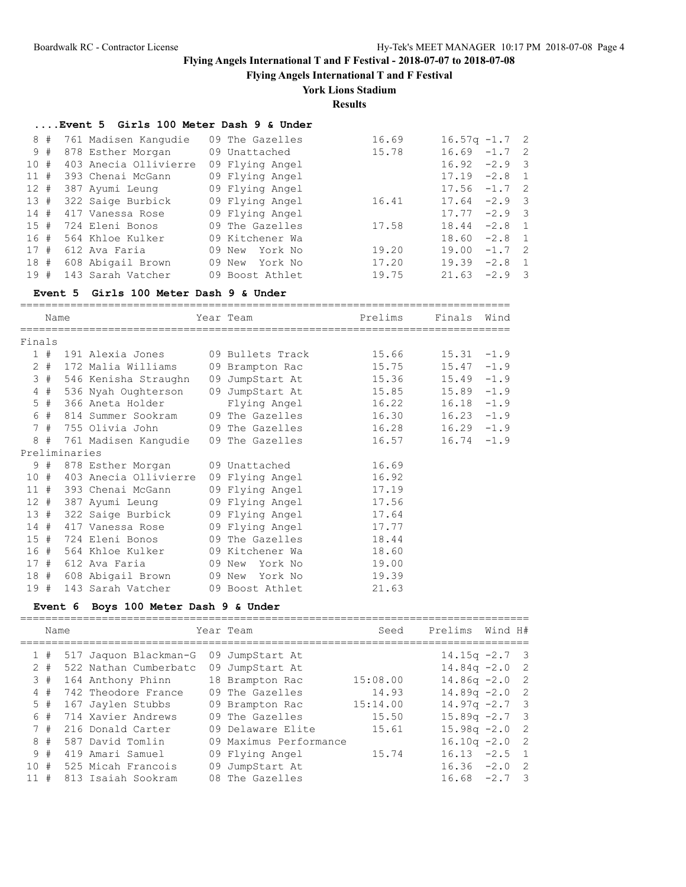**Flying Angels International T and F Festival**

## **York Lions Stadium**

**Results**

| Event 5 Girls 100 Meter Dash 9 & Under |  |  |  |
|----------------------------------------|--|--|--|
|----------------------------------------|--|--|--|

|     | 8# | 761 Madisen Kanqudie  | 09 The Gazelles | 16.69 | $16.57q - 1.7$ 2 |          |  |
|-----|----|-----------------------|-----------------|-------|------------------|----------|--|
|     | 9# | 878 Esther Morgan     | 09 Unattached   | 15.78 | 16.69            | $-1.7$ 2 |  |
| 10# |    | 403 Anecia Ollivierre | 09 Flying Angel |       | 16.92            | $-2.9$ 3 |  |
| 11# |    | 393 Chenai McGann     | 09 Flying Angel |       | 17.19            | $-2.8$ 1 |  |
| 12# |    | 387 Ayumi Leung       | 09 Flying Angel |       | $17.56 -1.7$ 2   |          |  |
| 13# |    | 322 Saige Burbick     | 09 Flying Angel | 16.41 | 17.64            | $-2.9$ 3 |  |
| 14# |    | 417 Vanessa Rose      | 09 Flying Angel |       | 17.77            | $-2.9$ 3 |  |
| 15# |    | 724 Eleni Bonos       | 09 The Gazelles | 17.58 | 18.44            | $-2.8$ 1 |  |
| 16# |    | 564 Khloe Kulker      | 09 Kitchener Wa |       | 18.60            | $-2.8$ 1 |  |
| 17# |    | 612 Ava Faria         | 09 New York No  | 19.20 | 19.00            | $-1.7$ 2 |  |
| 18# |    | 608 Abigail Brown     | 09 New York No  | 17.20 | 19.39            | $-2.8$ 1 |  |
| 19# |    | 143 Sarah Vatcher     | 09 Boost Athlet | 19.75 | 21.63            | $-2.9$ 3 |  |
|     |    |                       |                 |       |                  |          |  |

#### **Event 5 Girls 100 Meter Dash 9 & Under**

|        | Name  |               |                                                 | Year Team       | Prelims | Finals        | Wind |
|--------|-------|---------------|-------------------------------------------------|-----------------|---------|---------------|------|
|        |       |               |                                                 |                 |         |               |      |
| Finals |       |               |                                                 |                 |         |               |      |
|        |       |               | 1 # 191 Alexia Jones 09 Bullets Track           |                 | 15.66   | $15.31 - 1.9$ |      |
|        |       |               | 2 # 172 Malia Williams 09 Brampton Rac          |                 | 15.75   | $15.47 - 1.9$ |      |
|        | 3#    |               | 546 Kenisha Straughn                            | 09 JumpStart At | 15.36   | $15.49 - 1.9$ |      |
|        | $4$ # |               | 536 Nyah Oughterson                             | 09 JumpStart At | 15.85   | $15.89 - 1.9$ |      |
|        | $5$ # |               | 366 Aneta Holder                                | Flying Angel    | 16.22   | $16.18 - 1.9$ |      |
|        |       |               | 6 # 814 Summer Sookram                          | 09 The Gazelles | 16.30   | $16.23 - 1.9$ |      |
|        |       |               | 7 # 755 Olivia John             09 The Gazelles |                 | 16.28   | $16.29 - 1.9$ |      |
|        |       |               | 8 # 761 Madisen Kangudie                        | 09 The Gazelles | 16.57   | $16.74 -1.9$  |      |
|        |       | Preliminaries |                                                 |                 |         |               |      |
|        | 9#    |               | 878 Esther Morgan                               | 09 Unattached   | 16.69   |               |      |
|        | 10#   |               | 403 Anecia Ollivierre 09 Flying Angel           |                 | 16.92   |               |      |
|        |       |               | 11 # 393 Chenai McGann                          | 09 Flying Angel | 17.19   |               |      |
|        |       |               | 12 # 387 Ayumi Leung                            | 09 Flying Angel | 17.56   |               |      |
|        |       |               | 13 # 322 Saige Burbick 09 Flying Angel          |                 | 17.64   |               |      |
| 14#    |       |               | 417 Vanessa Rose                                | 09 Flying Angel | 17.77   |               |      |
|        | 15#   |               | 724 Eleni Bonos                                 | 09 The Gazelles | 18.44   |               |      |
|        |       |               | 16 # 564 Khloe Kulker 09 Kitchener Wa           |                 | 18.60   |               |      |
|        |       |               | 17 # 612 Ava Faria                              | 09 New York No  | 19.00   |               |      |
|        |       |               | 18 # 608 Abigail Brown 09 New York No           |                 | 19.39   |               |      |
| 19#    |       |               | 143 Sarah Vatcher                               | 09 Boost Athlet | 21.63   |               |      |

## **Event 6 Boys 100 Meter Dash 9 & Under**

|       | Name |                       | Year Team              | Seed     | Prelims          | Wind H#  |     |
|-------|------|-----------------------|------------------------|----------|------------------|----------|-----|
| 1#    |      | 517 Jaquon Blackman-G | 09 JumpStart At        |          | $14.15q - 2.7$ 3 |          |     |
| $2 +$ |      | 522 Nathan Cumberbatc | 09 JumpStart At        |          | $14.84q - 2.0$ 2 |          |     |
| 3#    |      | 164 Anthony Phinn     | 18 Brampton Rac        | 15:08.00 | $14.86q - 2.0$ 2 |          |     |
| 4#    |      | 742 Theodore France   | 09 The Gazelles        | 14.93    | $14.89q - 2.02$  |          |     |
| $5$ # |      | 167 Jaylen Stubbs     | 09 Brampton Rac        | 15:14.00 | $14.97q - 2.7$ 3 |          |     |
| 6#    |      | 714 Xavier Andrews    | 09 The Gazelles        | 15.50    | $15.89q -2.7$ 3  |          |     |
| 7#    |      | 216 Donald Carter     | 09 Delaware Elite      | 15.61    | $15.98q - 2.0$ 2 |          |     |
| 8#    |      | 587 David Tomlin      | 09 Maximus Performance |          | $16.10q - 2.02$  |          |     |
| 9#    |      | 419 Amari Samuel      | 09 Flying Angel        | 15.74    | 16.13            | $-2.5$ 1 |     |
| 10#   |      | 525 Micah Francois    | 09 JumpStart At        |          | 16.36            | $-2.0$   | -2  |
| 11    | #    | 813 Isaiah Sookram    | 08 The Gazelles        |          | 16.68            | $-2.7$   | - 3 |
|       |      |                       |                        |          |                  |          |     |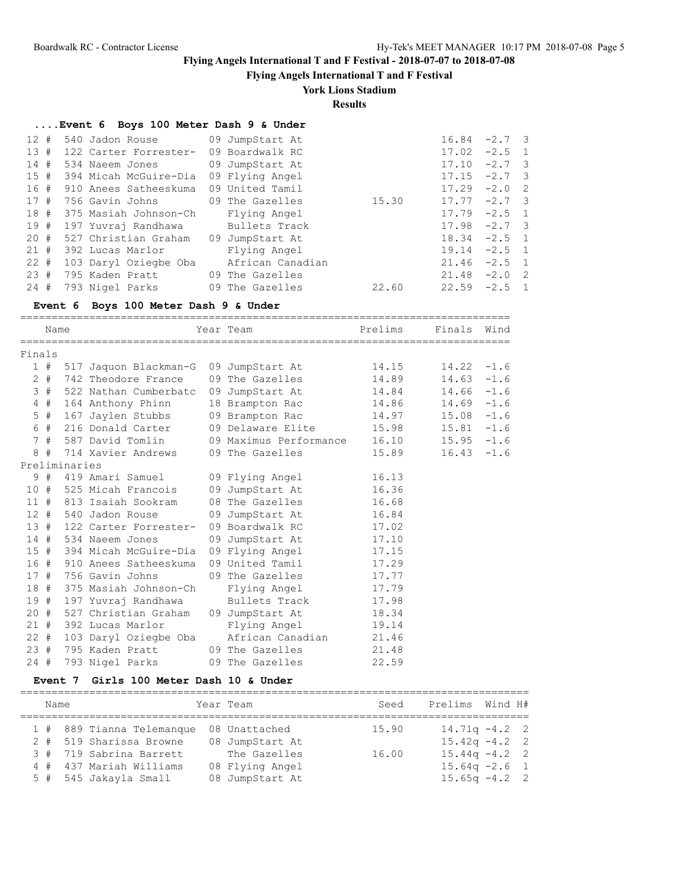**Flying Angels International T and F Festival**

# **York Lions Stadium**

**Results**

| Event 6 Boys 100 Meter Dash 9 & Under |  |  |  |  |  |  |  |  |
|---------------------------------------|--|--|--|--|--|--|--|--|
|---------------------------------------|--|--|--|--|--|--|--|--|

|                       |                                                            |                                                                                                                                                                                                                                                                                | 16.84 |                                                                                                                                                                                                                |
|-----------------------|------------------------------------------------------------|--------------------------------------------------------------------------------------------------------------------------------------------------------------------------------------------------------------------------------------------------------------------------------|-------|----------------------------------------------------------------------------------------------------------------------------------------------------------------------------------------------------------------|
|                       | 09 Boardwalk RC                                            |                                                                                                                                                                                                                                                                                | 17.02 |                                                                                                                                                                                                                |
|                       |                                                            |                                                                                                                                                                                                                                                                                | 17.10 |                                                                                                                                                                                                                |
|                       | 09 Flying Angel                                            |                                                                                                                                                                                                                                                                                |       |                                                                                                                                                                                                                |
|                       |                                                            |                                                                                                                                                                                                                                                                                | 17.29 |                                                                                                                                                                                                                |
|                       |                                                            | 15.30                                                                                                                                                                                                                                                                          |       |                                                                                                                                                                                                                |
|                       | Flying Angel                                               |                                                                                                                                                                                                                                                                                |       |                                                                                                                                                                                                                |
|                       | Bullets Track                                              |                                                                                                                                                                                                                                                                                |       |                                                                                                                                                                                                                |
|                       |                                                            |                                                                                                                                                                                                                                                                                |       |                                                                                                                                                                                                                |
| 392 Lucas Marlor      | Flying Angel                                               |                                                                                                                                                                                                                                                                                | 19.14 |                                                                                                                                                                                                                |
| 103 Daryl Oziegbe Oba | African Canadian                                           |                                                                                                                                                                                                                                                                                |       |                                                                                                                                                                                                                |
|                       |                                                            |                                                                                                                                                                                                                                                                                |       |                                                                                                                                                                                                                |
|                       |                                                            | 22.60                                                                                                                                                                                                                                                                          |       |                                                                                                                                                                                                                |
|                       | 15#<br>394 Micah McGuire-Dia<br>18 # 375 Masiah Johnson-Ch | 540 Jadon Rouse 09 JumpStart At<br>122 Carter Forrester-<br>534 Naeem Jones 09 JumpStart At<br>16 # 910 Anees Satheeskuma 09 United Tamil<br>197 Yuvraj Randhawa<br>527 Christian Graham 09 JumpStart At<br>795 Kaden Pratt 69 The Gazelles<br>793 Nigel Parks 09 The Gazelles |       | $-2.7$ 3<br>$-2.5$ 1<br>$-2.7$ 3<br>$17.15 -2.7$ 3<br>$-2.0$ 2<br>$17.77 - 2.7$ 3<br>$17.79 - 2.5$ 1<br>$17.98 -2.7$ 3<br>$18.34 -2.5$ 1<br>$-2.5$ 1<br>$21.46 -2.5$ 1<br>21.48<br>$-2.0$ 2<br>$22.59 - 2.5$ 1 |

## **Event 6 Boys 100 Meter Dash 9 & Under**

==============================================================================

|        | Name    |               |                                           | Year Team                                         | Prelims | Finals Wind   |        |
|--------|---------|---------------|-------------------------------------------|---------------------------------------------------|---------|---------------|--------|
| Finals |         |               |                                           |                                                   |         |               |        |
|        |         |               | 1 # 517 Jaquon Blackman-G 09 JumpStart At |                                                   | 14.15   | $14.22 - 1.6$ |        |
|        | $2 +$   |               | 742 Theodore France                       | 09 The Gazelles Theory                            | 14.89   | $14.63 - 1.6$ |        |
|        | 3#      |               |                                           | 522 Nathan Cumberbatc 09 JumpStart At             | 14.84   | $14.66 - 1.6$ |        |
|        | 4#      |               | 164 Anthony Phinn                         | 18 Brampton Rac                                   | 14.86   | $14.69 - 1.6$ |        |
|        | 5#      |               | 167 Jaylen Stubbs                         | 09 Brampton Rac 14.97                             |         | 15.08         | $-1.6$ |
|        | 6 #     |               | 216 Donald Carter                         | 09 Delaware Elite                                 | 15.98   | $15.81 - 1.6$ |        |
|        |         |               |                                           | 7 # 587 David Tomlin 09 Maximus Performance 16.10 |         | $15.95 - 1.6$ |        |
|        | 8#      |               | 714 Xavier Andrews                        | 09 The Gazelles                                   | 15.89   | 16.43         | $-1.6$ |
|        |         | Preliminaries |                                           |                                                   |         |               |        |
|        |         |               |                                           | 9 # 419 Amari Samuel       09 Flying Angel        | 16.13   |               |        |
|        | 10#     |               | 525 Micah Francois                        | 09 JumpStart At                                   | 16.36   |               |        |
|        |         |               | 11 # 813 Isaiah Sookram                   | 08 The Gazelles                                   | 16.68   |               |        |
|        |         |               |                                           | 12 # 540 Jadon Rouse 09 JumpStart At              | 16.84   |               |        |
|        | 13#     |               |                                           | 122 Carter Forrester- 09 Boardwalk RC             | 17.02   |               |        |
|        |         |               |                                           | 14 # 534 Naeem Jones 09 JumpStart At              | 17.10   |               |        |
|        | 15#     |               |                                           | 394 Micah McGuire-Dia 09 Flying Angel             | 17.15   |               |        |
|        | 16 #    |               | 910 Anees Satheeskuma                     | 09 United Tamil                                   | 17.29   |               |        |
|        | 17#     |               | 756 Gavin Johns                           | 09 The Gazelles Contract Control                  | 17.77   |               |        |
|        | 18 #    |               | 375 Masiah Johnson-Ch                     | Flying Angel                                      | 17.79   |               |        |
|        | 19#     |               | 197 Yuvraj Randhawa                       | Bullets Track                                     | 17.98   |               |        |
|        | 20#     |               | 527 Christian Graham                      | 09 JumpStart At                                   | 18.34   |               |        |
| 21#    |         |               | 392 Lucas Marlor                          | Flying Angel                                      | 19.14   |               |        |
|        | $22 \#$ |               | 103 Daryl Oziegbe Oba                     | African Canadian 21.46                            |         |               |        |
|        | 23#     |               | 795 Kaden Pratt                           | 09 The Gazelles                                   | 21.48   |               |        |
| $24 +$ |         |               | 793 Nigel Parks                           | 09 The Gazelles                                   | 22.59   |               |        |

#### **Event 7 Girls 100 Meter Dash 10 & Under**

| Name |                           | Year Team       | Seed  | Prelims Wind H#  |  |
|------|---------------------------|-----------------|-------|------------------|--|
|      | 1 # 889 Tianna Telemanque | 08 Unattached   | 15.90 | $14.71q - 4.2$ 2 |  |
|      | 2 # 519 Sharissa Browne   | 08 JumpStart At |       | $15.42q - 4.22$  |  |
|      | 3 # 719 Sabrina Barrett   | The Gazelles    | 16.00 | $15.44q - 4.2$ 2 |  |
|      | 4 # 437 Mariah Williams   | 08 Flying Angel |       | $15.64q -2.6$ 1  |  |
|      | 5 # 545 Jakayla Small     | 08 JumpStart At |       | $15.65q - 4.2$ 2 |  |

=================================================================================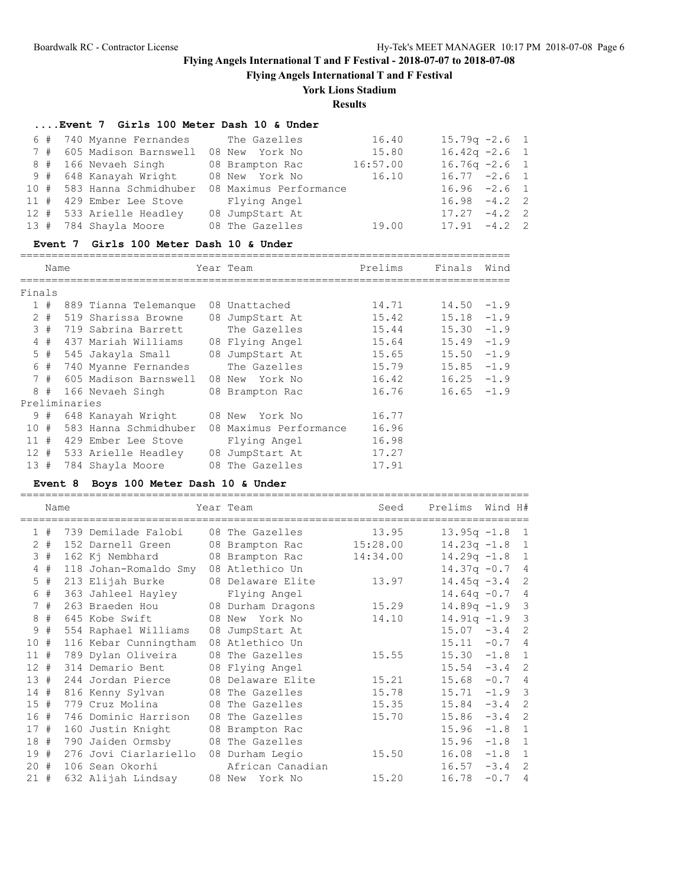**Flying Angels International T and F Festival**

## **York Lions Stadium**

**Results**

### **....Event 7 Girls 100 Meter Dash 10 & Under**

|  | 6 # 740 Myanne Fernandes                 | The Gazelles                                      | 16.40    | $15.79q - 2.6$ 1 |  |
|--|------------------------------------------|---------------------------------------------------|----------|------------------|--|
|  | 7 # 605 Madison Barnswell 08 New York No |                                                   | 15.80    | $16.42q -2.6$ 1  |  |
|  | 8 # 166 Nevaeh Singh                     | 08 Brampton Rac                                   | 16:57.00 | $16.76q -2.6$ 1  |  |
|  |                                          | 9 # 648 Kanayah Wright 08 New York No 16.10       |          | $16.77 - 2.6$ 1  |  |
|  |                                          | 10 # 583 Hanna Schmidhuber 08 Maximus Performance |          | $16.96 -2.6 1$   |  |
|  | 11 # 429 Ember Lee Stove                 | Flying Angel                                      |          | $16.98 - 4.2$ 2  |  |
|  | 12 # 533 Arielle Headley                 | 08 JumpStart At                                   |          | $17.27 - 4.2$ 2  |  |
|  | 13 # 784 Shayla Moore                    | 08 The Gazelles                                   | 19.00    | $17.91 - 4.2$ 2  |  |
|  |                                          |                                                   |          |                  |  |

#### **Event 7 Girls 100 Meter Dash 10 & Under**

==============================================================================

|        | Name  |               |                           |    | Year Team              | Prelims | Finals        | Wind   |
|--------|-------|---------------|---------------------------|----|------------------------|---------|---------------|--------|
| Finals |       |               |                           |    |                        |         |               |        |
|        | 1#    |               | 889 Tianna Telemanque     |    | 08 Unattached          | 14.71   | 14.50         | $-1.9$ |
|        | $2 +$ |               | 519 Sharissa Browne       |    | 08 JumpStart At        | 15.42   | 15.18         | $-1.9$ |
|        | 3#    |               | 719 Sabrina Barrett       |    | The Gazelles           | 15.44   | 15.30         | $-1.9$ |
|        | 4#    |               | 437 Mariah Williams       |    | 08 Flying Angel        | 15.64   | 15.49         | $-1.9$ |
|        | $5$ # |               | 545 Jakayla Small         |    | 08 JumpStart At        | 15.65   | 15.50         | $-1.9$ |
|        | 6#    |               | 740 Myanne Fernandes      |    | The Gazelles           | 15.79   | 15.85         | $-1.9$ |
|        |       |               | 7 # 605 Madison Barnswell |    | 08 New York No         | 16.42   | 16.25         | $-1.9$ |
|        | 8#    |               | 166 Nevaeh Singh          |    | 08 Brampton Rac        | 16.76   | $16.65 - 1.9$ |        |
|        |       | Preliminaries |                           |    |                        |         |               |        |
|        | 9#    |               | 648 Kanayah Wright        |    | 08 New<br>York No      | 16.77   |               |        |
| 10#    |       |               | 583 Hanna Schmidhuber     |    | 08 Maximus Performance | 16.96   |               |        |
| 11#    |       |               | 429 Ember Lee Stove       |    | Flying Angel           | 16.98   |               |        |
| 12#    |       |               | 533 Arielle Headley       | 08 | JumpStart At           | 17.27   |               |        |
| 13#    |       |               | 784 Shayla Moore          |    | 08 The Gazelles        | 17.91   |               |        |

#### **Event 8 Boys 100 Meter Dash 10 & Under**

=================================================================================

|              | Name  |                       | Year Team         | Seed     | Prelims          | Wind H# |                            |
|--------------|-------|-----------------------|-------------------|----------|------------------|---------|----------------------------|
| $\mathbf{1}$ | #     | 739 Demilade Falobi   | 08 The Gazelles   | 13.95    | $13.95q -1.8$    |         | $\overline{1}$             |
| 2            | #     | 152 Darnell Green     | 08 Brampton Rac   | 15:28.00 | $14.23q -1.8$    |         | $\mathbf{1}$               |
| 3            | #     | 162 Kj Nembhard       | 08 Brampton Rac   | 14:34.00 | $14.29q -1.8$    |         | $\mathbf{1}$               |
|              | $4$ # | 118 Johan-Romaldo Smy | 08 Atlethico Un   |          | $14.37q - 0.7$   |         | - 4                        |
| 5            | #     | 213 Elijah Burke      | 08 Delaware Elite | 13.97    | $14.45q - 3.4$   |         | 2                          |
| 6            | #     | 363 Jahleel Hayley    | Flying Angel      |          | $14.64q -0.7$    |         | $\overline{4}$             |
| $7^{\circ}$  | #     | 263 Braeden Hou       | 08 Durham Dragons | 15.29    | $14.89q - 1.9$ 3 |         |                            |
| 8            | #     | 645 Kobe Swift        | 08 New York No    | 14.10    | $14.91q - 1.9$   |         | $\overline{\mathbf{3}}$    |
| 9            | #     | 554 Raphael Williams  | 08 JumpStart At   |          | 15.07            | $-3.4$  | 2                          |
| 10#          |       | 116 Kebar Cunningtham | 08 Atlethico Un   |          | 15.11            | $-0.7$  | $\overline{4}$             |
| 11#          |       | 789 Dylan Oliveira    | 08 The Gazelles   | 15.55    | $15.30 -1.8$     |         | $\mathbf{1}$               |
| 12#          |       | 314 Demario Bent      | 08 Flying Angel   |          | 15.54            | $-3.4$  | 2                          |
| 13           | #     | 244 Jordan Pierce     | 08 Delaware Elite | 15.21    | 15.68            | $-0.7$  | $\overline{4}$             |
| 14#          |       | 816 Kenny Sylvan      | 08 The Gazelles   | 15.78    | 15.71            | $-1.9$  | $\overline{\phantom{a}}$   |
| 15#          |       | 779 Cruz Molina       | 08 The Gazelles   | 15.35    | 15.84            | $-3.4$  | $\overline{\phantom{0}}^2$ |
| 16           | #     | 746 Dominic Harrison  | 08 The Gazelles   | 15.70    | 15.86            | $-3.4$  | 2                          |
| 17           | #     | 160 Justin Knight     | 08 Brampton Rac   |          | 15.96            | $-1.8$  | $\mathbf{1}$               |
| 18 #         |       | 790 Jaiden Ormsby     | 08 The Gazelles   |          | 15.96            | $-1.8$  | 1                          |
| 19           | #     | 276 Jovi Ciarlariello | 08 Durham Legio   | 15.50    | 16.08            | $-1.8$  | $\mathbf{1}$               |
| 20#          |       | 106 Sean Okorhi       | African Canadian  |          | 16.57            | $-3.4$  | 2                          |
| 21#          |       | 632 Alijah Lindsay    | 08 New York No    | 15.20    | 16.78            | $-0.7$  | $\overline{4}$             |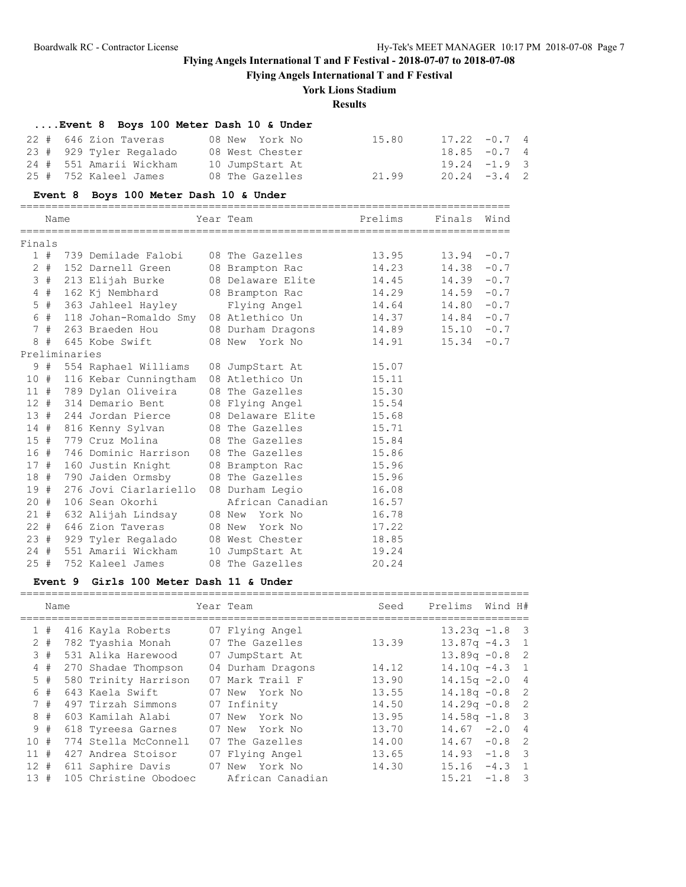**Flying Angels International T and F Festival**

# **York Lions Stadium**

# **Results**

|        |       | <b>Event 8</b> | Boys 100 Meter Dash 10 & Under         |                   |         |               |          |                |
|--------|-------|----------------|----------------------------------------|-------------------|---------|---------------|----------|----------------|
| $22 +$ |       |                | 646 Zion Taveras                       | 08 New York No    | 15.80   | 17.22         | $-0.7$ 4 |                |
|        |       |                | 23 # 929 Tyler Regalado                | 08 West Chester   |         | 18.85         | $-0.7$   | $\overline{4}$ |
|        |       |                | 24 # 551 Amarii Wickham                | 10 JumpStart At   |         | $19.24 - 1.9$ |          | 3              |
| 25#    |       |                | 752 Kaleel James                       | 08 The Gazelles   | 21.99   | 20.24         | $-3.4$   | $\overline{c}$ |
|        |       |                | Event 8 Boys 100 Meter Dash 10 & Under |                   |         |               |          |                |
|        | Name  |                |                                        | Year Team         | Prelims | Finals        | Wind     |                |
| Finals |       |                |                                        |                   |         |               |          |                |
|        | 1#    |                | 739 Demilade Falobi                    | 08 The Gazelles   | 13.95   | 13.94         | $-0.7$   |                |
|        | $2$ # |                | 152 Darnell Green                      | 08 Brampton Rac   | 14.23   | 14.38         | $-0.7$   |                |
|        | 3#    |                | 213 Elijah Burke                       | 08 Delaware Elite | 14.45   | 14.39         | $-0.7$   |                |
|        | $4$ # |                | 162 Kj Nembhard                        | 08 Brampton Rac   | 14.29   | 14.59         | $-0.7$   |                |
|        | $5$ # |                | 363 Jahleel Hayley                     | Flying Angel      | 14.64   | 14.80         | $-0.7$   |                |
|        | 6 #   |                | 118 Johan-Romaldo Smy                  | 08 Atlethico Un   | 14.37   | 14.84         | $-0.7$   |                |
|        | 7#    |                | 263 Braeden Hou                        | 08 Durham Dragons | 14.89   | 15.10         | $-0.7$   |                |
|        | 8#    |                | 645 Kobe Swift                         | 08 New York No    | 14.91   | 15.34         | $-0.7$   |                |
|        |       | Preliminaries  |                                        |                   |         |               |          |                |
|        | 9#    |                | 554 Raphael Williams                   | 08 JumpStart At   | 15.07   |               |          |                |
| 10#    |       |                | 116 Kebar Cunningtham                  | 08 Atlethico Un   | 15.11   |               |          |                |
| 11#    |       |                | 789 Dylan Oliveira                     | 08 The Gazelles   | 15.30   |               |          |                |
| 12#    |       |                | 314 Demario Bent                       | 08 Flying Angel   | 15.54   |               |          |                |
| 13#    |       |                | 244 Jordan Pierce                      | 08 Delaware Elite | 15.68   |               |          |                |
| 14#    |       |                | 816 Kenny Sylvan                       | 08 The Gazelles   | 15.71   |               |          |                |
| 15#    |       |                | 779 Cruz Molina                        | 08 The Gazelles   | 15.84   |               |          |                |
| 16#    |       |                | 746 Dominic Harrison                   | 08 The Gazelles   | 15.86   |               |          |                |
| 17#    |       |                | 160 Justin Knight                      | 08 Brampton Rac   | 15.96   |               |          |                |
| 18#    |       |                | 790 Jaiden Ormsby                      | 08 The Gazelles   | 15.96   |               |          |                |
| 19#    |       |                | 276 Joyi Ciarlariello                  | 08 Durham Legio   | 16.08   |               |          |                |
| 20#    |       |                | 106 Sean Okorhi                        | African Canadian  | 16.57   |               |          |                |
| 21#    |       |                | 632 Alijah Lindsay                     | 08 New York No    | 16.78   |               |          |                |
| $22 +$ |       |                | 646 Zion Taveras                       | 08 New York No    | 17.22   |               |          |                |
| 23#    |       |                | 929 Tyler Regalado                     | 08 West Chester   | 18.85   |               |          |                |
| $24 +$ |       |                | 551 Amarii Wickham                     | 10 JumpStart At   | 19.24   |               |          |                |
| 25#    |       |                | 752 Kaleel James                       | 08 The Gazelles   | 20.24   |               |          |                |

# **Event 9 Girls 100 Meter Dash 11 & Under**

|        | Name  |                       | Year Team         | Seed  | Prelims          | Wind H#  |                            |
|--------|-------|-----------------------|-------------------|-------|------------------|----------|----------------------------|
|        | 1#    | 416 Kayla Roberts     | 07 Flying Angel   |       | $13.23q - 1.8$ 3 |          |                            |
|        | $2 +$ | 782 Tyashia Monah     | 07 The Gazelles   | 13.39 | $13.87q - 4.3$ 1 |          |                            |
|        | 3#    | 531 Alika Harewood    | 07 JumpStart At   |       | $13.89q - 0.8$ 2 |          |                            |
|        | 4#    | 270 Shadae Thompson   | 04 Durham Dragons | 14.12 | $14.10q - 4.3$ 1 |          |                            |
|        | 5#    | 580 Trinity Harrison  | 07 Mark Trail F   | 13.90 | $14.15q - 2.04$  |          |                            |
|        | 6 #   | 643 Kaela Swift       | 07 New York No    | 13.55 | $14.18q - 0.8$ 2 |          |                            |
|        | 7#    | 497 Tirzah Simmons    | 07 Infinity       | 14.50 | $14.29q - 0.8$ 2 |          |                            |
|        | 8#    | 603 Kamilah Alabi     | 07 New York No    | 13.95 | $14.58q - 1.8$ 3 |          |                            |
|        | 9#    | 618 Tyreesa Garnes    | 07 New York No    | 13.70 | $14.67 - 2.0 4$  |          |                            |
| 10#    |       | 774 Stella McConnell  | 07 The Gazelles   | 14.00 | 14.67            | $-0.8$   | $\overline{\phantom{0}}^2$ |
| 11#    |       | 427 Andrea Stoisor    | 07 Flying Angel   | 13.65 | 14.93            | $-1.8$   | $\overline{\phantom{a}}$ 3 |
| $12 +$ |       | 611 Saphire Davis     | 07 New York No    | 14.30 | 15.16            | $-4.3$ 1 |                            |
| 13#    |       | 105 Christine Obodoec | African Canadian  |       | 15.21            | $-1.8$   | - 3                        |
|        |       |                       |                   |       |                  |          |                            |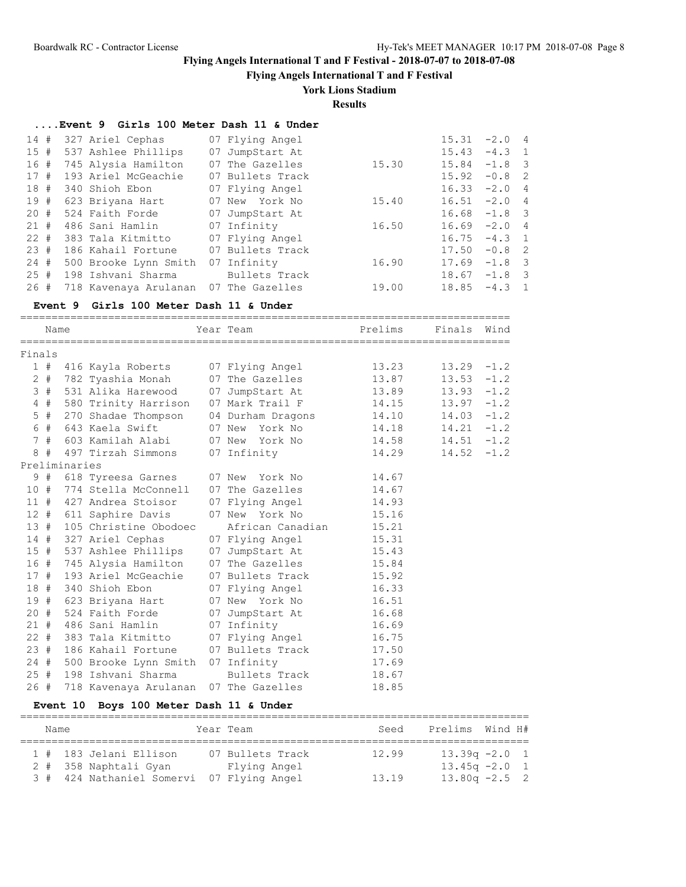**Flying Angels International T and F Festival**

## **York Lions Stadium**

**Results**

| Event 9 Girls 100 Meter Dash 11 & Under |
|-----------------------------------------|
|-----------------------------------------|

| 14# |          | 327 Ariel Cephas                           | 07 Flying Angel  |       | 15.31           | $-2.0$ 4        |  |
|-----|----------|--------------------------------------------|------------------|-------|-----------------|-----------------|--|
| 15# |          | 537 Ashlee Phillips                        | 07 JumpStart At  |       | 15.43           | $-4.3$ 1        |  |
| 16# |          | 745 Alysia Hamilton                        | 07 The Gazelles  | 15.30 | $15.84 -1.8$ 3  |                 |  |
|     | 17#      | 193 Ariel McGeachie                        | 07 Bullets Track |       | 15.92           | $-0.8$ 2        |  |
|     |          | 18 # 340 Shioh Ebon                        | 07 Flying Angel  |       | $16.33 -2.0 4$  |                 |  |
|     | 19#      | 623 Briyana Hart                           | 07 New York No   | 15.40 | $16.51 -2.0 4$  |                 |  |
|     |          | 20 # 524 Faith Forde                       | 07 JumpStart At  |       | $16.68 - 1.8$ 3 |                 |  |
|     | 21#      | 486 Sani Hamlin                            | 07 Infinity      | 16.50 | $16.69 - 2.0 4$ |                 |  |
|     | $22 \pm$ | 383 Tala Kitmitto                          | 07 Flying Angel  |       | $16.75 - 4.3$ 1 |                 |  |
|     | 23#      | 186 Kahail Fortune 07 Bullets Track        |                  |       | 17.50           | $-0.8$ 2        |  |
|     | $24$ #   | 500 Brooke Lynn Smith                      | 07 Infinity      | 16.90 | $17.69 - 1.8$ 3 |                 |  |
| 25# |          | 198 Ishvani Sharma                         | Bullets Track    |       |                 | $18.67 - 1.8$ 3 |  |
|     |          | 26 # 718 Kavenaya Arulanan 07 The Gazelles |                  | 19.00 | 18.85           | $-4.3$ 1        |  |

#### **Event 9 Girls 100 Meter Dash 11 & Under**

==============================================================================

|        | Name   |               |                                      | Year Team                           | Prelims | Finals        | Wind   |
|--------|--------|---------------|--------------------------------------|-------------------------------------|---------|---------------|--------|
| Finals |        |               |                                      |                                     |         |               |        |
|        | 1#     |               | 416 Kayla Roberts 07 Flying Angel    |                                     | 13.23   | $13.29 - 1.2$ |        |
|        | $2 +$  |               | 782 Tyashia Monah                    | 07 The Gazelles                     | 13.87   | $13.53 - 1.2$ |        |
|        | 3#     |               |                                      | 531 Alika Harewood 07 JumpStart At  | 13.89   | $13.93 - 1.2$ |        |
|        | 4#     |               | 580 Trinity Harrison                 | 07 Mark Trail F                     | 14.15   | $13.97 - 1.2$ |        |
|        | $5$ #  |               | 270 Shadae Thompson                  | 04 Durham Dragons                   | 14.10   | $14.03 - 1.2$ |        |
|        | 6 #    |               | 643 Kaela Swift                      | 07 New York No                      | 14.18   | $14.21 - 1.2$ |        |
|        |        |               | 7 # 603 Kamilah Alabi                | 07 New York No                      | 14.58   | $14.51 - 1.2$ |        |
|        | 8#     |               | 497 Tirzah Simmons                   | 07 Infinity                         | 14.29   | 14.52         | $-1.2$ |
|        |        | Preliminaries |                                      |                                     |         |               |        |
|        | 9#     |               |                                      | 618 Tyreesa Garnes 07 New York No   | 14.67   |               |        |
|        | 10#    |               | 774 Stella McConnell 07 The Gazelles |                                     | 14.67   |               |        |
|        |        |               | 11 # 427 Andrea Stoisor              | 07 Flying Angel                     | 14.93   |               |        |
|        | 12#    |               | 611 Saphire Davis                    | 07 New York No                      | 15.16   |               |        |
|        | 13#    |               | 105 Christine Obodoec                | African Canadian                    | 15.21   |               |        |
|        |        |               | 14 # 327 Ariel Cephas                | 07 Flying Angel                     | 15.31   |               |        |
|        |        |               | 15 # 537 Ashlee Phillips             | 07 JumpStart At                     | 15.43   |               |        |
|        | 16#    |               | 745 Alysia Hamilton                  | 07 The Gazelles                     | 15.84   |               |        |
|        | 17#    |               | 193 Ariel McGeachie                  | 07 Bullets Track                    | 15.92   |               |        |
|        | 18 #   |               | 340 Shioh Ebon                       | 07 Flying Angel                     | 16.33   |               |        |
|        |        |               | 19 # 623 Briyana Hart                | 07 New York No                      | 16.51   |               |        |
| 20#    |        |               | 524 Faith Forde                      | 07 JumpStart At                     | 16.68   |               |        |
|        | 21#    |               | 486 Sani Hamlin 07 Infinity          |                                     | 16.69   |               |        |
|        | $22 +$ |               |                                      | 383 Tala Kitmitto 07 Flying Angel   | 16.75   |               |        |
|        | 23#    |               |                                      | 186 Kahail Fortune 07 Bullets Track | 17.50   |               |        |
|        | 24#    |               | 500 Brooke Lynn Smith 07 Infinity    |                                     | 17.69   |               |        |
|        | 25#    |               | 198 Ishvani Sharma                   | Bullets Track                       | 18.67   |               |        |
| 26#    |        |               | 718 Kavenaya Arulanan                | 07 The Gazelles                     | 18.85   |               |        |

### **Event 10 Boys 100 Meter Dash 11 & Under**

| Name |                                           | Year Team        | Seed  | Prelims Wind H#  |  |
|------|-------------------------------------------|------------------|-------|------------------|--|
|      |                                           |                  |       |                  |  |
|      | 1 # 183 Jelani Ellison                    | 07 Bullets Track | 12.99 | $13.39q - 2.0$ 1 |  |
|      | 2 # 358 Naphtali Gyan                     | Flying Angel     |       | $13.45q - 2.0$ 1 |  |
|      | 3 # 424 Nathaniel Somervi 07 Flying Angel |                  | 13.19 | $13.80q -2.5$ 2  |  |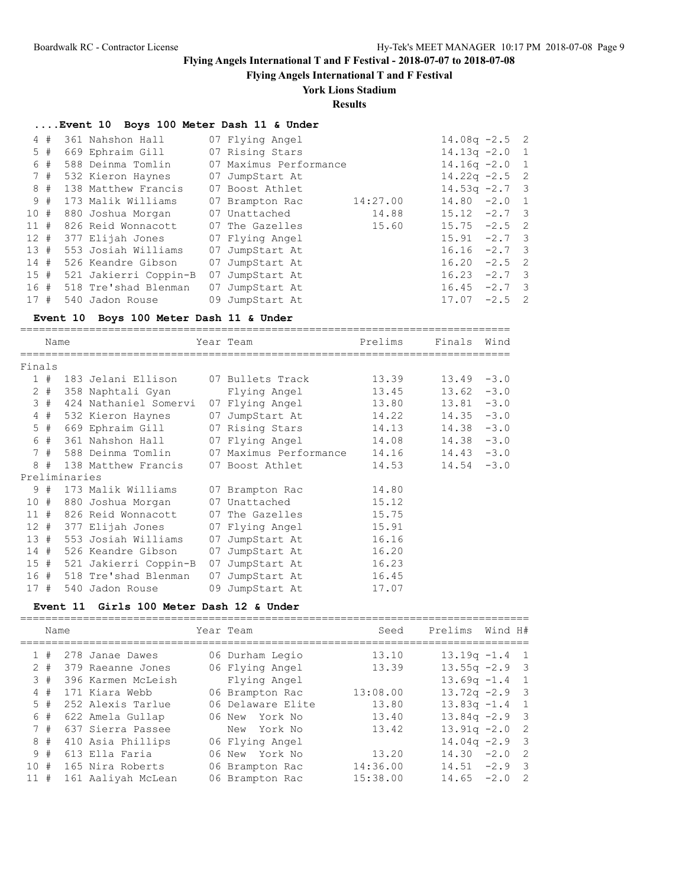**Flying Angels International T and F Festival**

# **York Lions Stadium**

# **Results**

### **....Event 10 Boys 100 Meter Dash 11 & Under**

|     | 4#    | 361 Nahshon Hall          |    | 07 Flying Angel        |          | $14.08q - 2.5$ 2 |          |  |
|-----|-------|---------------------------|----|------------------------|----------|------------------|----------|--|
|     | $5$ # | 669 Ephraim Gill          |    | 07 Rising Stars        |          | $14.13q -2.0$ 1  |          |  |
|     | 6#    | 588 Deinma Tomlin         |    | 07 Maximus Performance |          | $14.16q - 2.0$ 1 |          |  |
|     | 7#    | 532 Kieron Haynes         |    | 07 JumpStart At        |          | $14.22q -2.5$ 2  |          |  |
|     | 8#    | 138 Matthew Francis       |    | 07 Boost Athlet        |          | $14.53q -2.7$ 3  |          |  |
|     | 9#    | 173 Malik Williams        |    | 07 Brampton Rac        | 14:27.00 | $14.80 -2.0 1$   |          |  |
| 10# |       | 880 Joshua Morgan         |    | 07 Unattached          | 14.88    | $15.12 -2.7$ 3   |          |  |
| 11# |       | 826 Reid Wonnacott        |    | 07 The Gazelles        | 15.60    | $15.75 -2.5$ 2   |          |  |
| 12# |       | 377 Elijah Jones          |    | 07 Flying Angel        |          | $15.91 -2.7$ 3   |          |  |
| 13# |       | 553 Josiah Williams       |    | 07 JumpStart At        |          | 16.16            | $-2.7$ 3 |  |
| 14# |       | 526 Keandre Gibson        |    | 07 JumpStart At        |          | 16.20            | $-2.5$ 2 |  |
| 15# |       | 521 Jakierri Coppin-B     | 07 | JumpStart At           |          | $16.23 -2.7$ 3   |          |  |
|     |       | 16 # 518 Tre'shad Blenman |    | 07 JumpStart At        |          | 16.45            | $-2.7$ 3 |  |
| 17# |       | 540 Jadon Rouse           |    | 09 JumpStart At        |          | 17.07            | $-2.5$ 2 |  |

### **Event 10 Boys 100 Meter Dash 11 & Under**

==============================================================================

|        | Name  |               |                                          |    | Year Team                                      | Prelims | Finals        | Wind |
|--------|-------|---------------|------------------------------------------|----|------------------------------------------------|---------|---------------|------|
| Finals |       |               |                                          |    |                                                |         |               |      |
|        | 1#    |               | 183 Jelani Ellison      07 Bullets Track |    |                                                | 13.39   | $13.49 - 3.0$ |      |
|        | $2 +$ |               | 358 Naphtali Gyan                        |    | Flying Angel                                   | 13.45   | $13.62 - 3.0$ |      |
|        | 3#    |               | 424 Nathaniel Somervi                    |    | 07 Flying Angel                                | 13.80   | $13.81 - 3.0$ |      |
|        | 4#    |               | 532 Kieron Haynes                        |    | 07 JumpStart At                                | 14.22   | $14.35 - 3.0$ |      |
|        |       |               |                                          |    | 5 # 669 Ephraim Gill 07 Rising Stars 14.13     |         | $14.38 - 3.0$ |      |
|        | 6#    |               | 361 Nahshon Hall 07 Flying Angel         |    |                                                | 14.08   | $14.38 - 3.0$ |      |
|        | 7#    |               |                                          |    | 588 Deinma Tomlin       07 Maximus Performance | 14.16   | $14.43 - 3.0$ |      |
|        | 8#    |               | 138 Matthew Francis 07 Boost Athlet      |    |                                                | 14.53   | $14.54 - 3.0$ |      |
|        |       | Preliminaries |                                          |    |                                                |         |               |      |
|        |       |               | 9 # 173 Malik Williams                   |    | 07 Brampton Rac                                | 14.80   |               |      |
|        |       |               | 10 # 880 Joshua Morgan                   |    | 07 Unattached                                  | 15.12   |               |      |
|        |       |               | 11 # 826 Reid Wonnacott                  |    | 07 The Gazelles                                | 15.75   |               |      |
|        | 12#   |               | 377 Elijah Jones                         |    | 07 Flying Angel                                | 15.91   |               |      |
| 13#    |       |               | 553 Josiah Williams                      |    | 07 JumpStart At                                | 16.16   |               |      |
|        | 14#   |               | 526 Keandre Gibson                       | 07 | JumpStart At                                   | 16.20   |               |      |
|        | 15#   |               | 521 Jakierri Coppin-B                    | 07 | JumpStart At                                   | 16.23   |               |      |
|        |       |               | 16 # 518 Tre'shad Blenman                |    | 07 JumpStart At                                | 16.45   |               |      |
| 17#    |       |               | 540 Jadon Rouse                          |    | 09 JumpStart At                                | 17.07   |               |      |

#### **Event 11 Girls 100 Meter Dash 12 & Under**

|     | Name  |                    | Year Team         | Seed     | Prelims          | Wind H# |                          |
|-----|-------|--------------------|-------------------|----------|------------------|---------|--------------------------|
|     | 1#    | 278 Janae Dawes    | 06 Durham Legio   | 13.10    | $13.19q - 1.4$ 1 |         |                          |
|     | $2 +$ | 379 Raeanne Jones  | 06 Flying Angel   | 13.39    | $13.55q -2.9$ 3  |         |                          |
|     | 3#    | 396 Karmen McLeish | Flying Angel      |          | $13.69q - 1.4$ 1 |         |                          |
| 4#  |       | 171 Kiara Webb     | 06 Brampton Rac   | 13:08.00 | $13.72q -2.9$ 3  |         |                          |
| 5#  |       | 252 Alexis Tarlue  | 06 Delaware Elite | 13.80    | $13.83q -1.4$ 1  |         |                          |
|     | 6 #   | 622 Amela Gullap   | 06 New York No    | 13.40    | $13.84q - 2.9$ 3 |         |                          |
|     | 7#    | 637 Sierra Passee  | New York No       | 13.42    | $13.91q - 2.02$  |         |                          |
|     | $8 +$ | 410 Asia Phillips  | 06 Flying Angel   |          | $14.04q - 2.9$ 3 |         |                          |
|     | 9#    | 613 Ella Faria     | 06 New York No    | 13.20    | $14.30 -2.0$ 2   |         |                          |
| 10# |       | 165 Nira Roberts   | 06 Brampton Rac   | 14:36.00 | 14.51            | $-2.9$  | $\overline{\phantom{a}}$ |
| 11# |       | 161 Aaliyah McLean | 06 Brampton Rac   | 15:38.00 | 14.65            | $-2.0$  | - 2                      |
|     |       |                    |                   |          |                  |         |                          |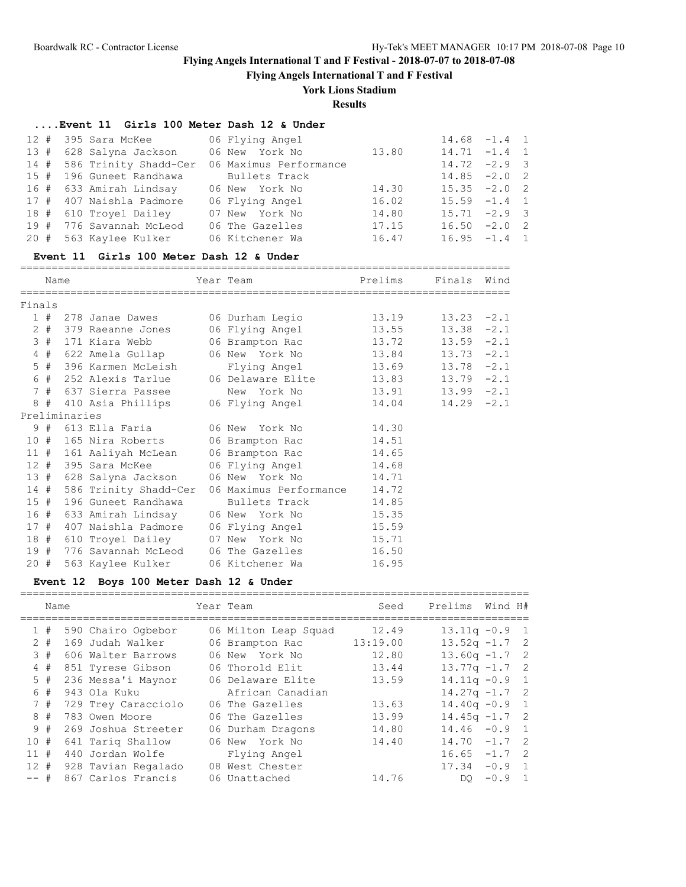**Flying Angels International T and F Festival**

# **York Lions Stadium**

**Results**

## **....Event 11 Girls 100 Meter Dash 12 & Under**

| 12 # 395 Sara McKee 66 Flying Angel    |                        |       | $14.68 - 1.4 1$ |  |
|----------------------------------------|------------------------|-------|-----------------|--|
| 13 #  628 Salyna Jackson               | 06 New York No 13.80   |       | $14.71 - 1.4 1$ |  |
| 14 # 586 Trinity Shadd-Cer             | 06 Maximus Performance |       | $14.72 -2.9$ 3  |  |
| 15 # 196 Guneet Randhawa               | Bullets Track          |       | $14.85 - 2.0$ 2 |  |
| 16 # 633 Amirah Lindsay 06 New York No |                        | 14.30 | $15.35 -2.0$ 2  |  |
| 17 # 407 Naishla Padmore               | 06 Flying Angel        | 16.02 | $15.59 -1.4$ 1  |  |
| 18 # 610 Trovel Dailey                 | 07 New York No         | 14.80 | $15.71 -2.9$ 3  |  |
| 19 # 776 Savannah McLeod               | 06 The Gazelles        | 17.15 | $16.50 -2.0$ 2  |  |
| 20 # 563 Kaylee Kulker                 | 06 Kitchener Wa        | 16.47 | $16.95 -1.4$ 1  |  |

#### **Event 11 Girls 100 Meter Dash 12 & Under**

==============================================================================

|        | Name |               |                       | Year Team                                                         | Prelims | Finals        | Wind   |
|--------|------|---------------|-----------------------|-------------------------------------------------------------------|---------|---------------|--------|
| Finals |      |               |                       |                                                                   |         |               |        |
|        |      |               |                       | 1 # 278 Janae Dawes 06 Durham Legio 13.19                         |         | $13.23 -2.1$  |        |
|        |      |               |                       | 2 # 379 Raeanne Jones 06 Flying Angel 13.55                       |         | 13.38         | $-2.1$ |
|        | 3#   |               |                       | 171 Kiara Webb 06 Brampton Rac 13.72                              |         | $13.59 - 2.1$ |        |
|        |      |               |                       | 4 # 622 Amela Gullap      06 New York No         13.84            |         | $13.73 - 2.1$ |        |
|        | 5#   |               | 396 Karmen McLeish    | Flying Angel 13.69                                                |         | $13.78 - 2.1$ |        |
|        |      |               |                       | 6 # 252 Alexis Tarlue       06 Delaware Elite           13.83     |         | $13.79 - 2.1$ |        |
|        |      |               | 7 # 637 Sierra Passee | New York No 13.91                                                 |         | $13.99 - 2.1$ |        |
|        |      |               |                       | 8 # 410 Asia Phillips 06 Flying Angel                             | 14.04   | 14.29         | $-2.1$ |
|        |      | Preliminaries |                       |                                                                   |         |               |        |
|        |      |               |                       | 9 # 613 Ella Faria             06 New York No               14.30 |         |               |        |
|        |      |               |                       | 10 # 165 Nira Roberts 06 Brampton Rac 14.51                       |         |               |        |
|        |      |               |                       | 11 # 161 Aaliyah McLean 06 Brampton Rac 14.65                     |         |               |        |
|        | 12#  |               |                       | 395 Sara McKee 66 Flying Angel 14.68                              |         |               |        |
|        |      |               |                       |                                                                   | 14.71   |               |        |
|        | 14#  |               |                       | 586 Trinity Shadd-Cer 06 Maximus Performance                      | 14.72   |               |        |
|        | 15#  |               |                       |                                                                   | 14.85   |               |        |
|        |      |               |                       | 16 # 633 Amirah Lindsay 06 New York No 15.35                      |         |               |        |
|        | 17#  |               |                       | 407 Naishla Padmore 06 Flying Angel 15.59                         |         |               |        |
|        | 18 # |               |                       | 610 Troyel Dailey 07 New York No 15.71                            |         |               |        |
|        | 19#  |               |                       | 776 Savannah McLeod    06 The Gazelles                            | 16.50   |               |        |
| 20#    |      |               | 563 Kaylee Kulker     | 06 Kitchener Wa                                                   | 16.95   |               |        |

### **Event 12 Boys 100 Meter Dash 12 & Under**

|        | Name  |                     | Year Team            | Seed     | Prelims          | Wind H#  |                |
|--------|-------|---------------------|----------------------|----------|------------------|----------|----------------|
|        | 1#    | 590 Chairo Ogbebor  | 06 Milton Leap Squad | 12.49    | $13.11q - 0.9$ 1 |          |                |
|        | $2 +$ | 169 Judah Walker    | 06 Brampton Rac      | 13:19.00 | $13.52q - 1.7$ 2 |          |                |
|        | 3#    | 606 Walter Barrows  | 06 New York No       | 12.80    | $13.60q - 1.72$  |          |                |
| 4#     |       | 851 Tyrese Gibson   | 06 Thorold Elit      | 13.44    | $13.77q - 1.7$ 2 |          |                |
|        | $5$ # | 236 Messa'i Maynor  | 06 Delaware Elite    | 13.59    | $14.11q - 0.9$ 1 |          |                |
|        | 6 #   | 943 Ola Kuku        | African Canadian     |          | $14.27q - 1.7$ 2 |          |                |
|        | 7#    | 729 Trey Caracciolo | 06 The Gazelles      | 13.63    | $14.40q - 0.9$ 1 |          |                |
|        | 8#    | 783 Owen Moore      | 06 The Gazelles      | 13.99    | $14.45q - 1.7$ 2 |          |                |
|        | 9#    | 269 Joshua Streeter | 06 Durham Dragons    | 14.80    | $14.46 - 0.9$ 1  |          |                |
| 10#    |       | 641 Tariq Shallow   | 06 New York No       | 14.40    | 14.70            | $-1.7$   | $\overline{2}$ |
| 11     | #     | 440 Jordan Wolfe    | Flying Angel         |          | 16.65            | $-1.7$   | $\overline{2}$ |
| $12 +$ |       | 928 Tavian Regalado | 08 West Chester      |          | 17.34            | $-0.9$ 1 |                |
| -- #   |       | 867 Carlos Francis  | 06 Unattached        | 14.76    | DO               | $-0.9$   | $\overline{1}$ |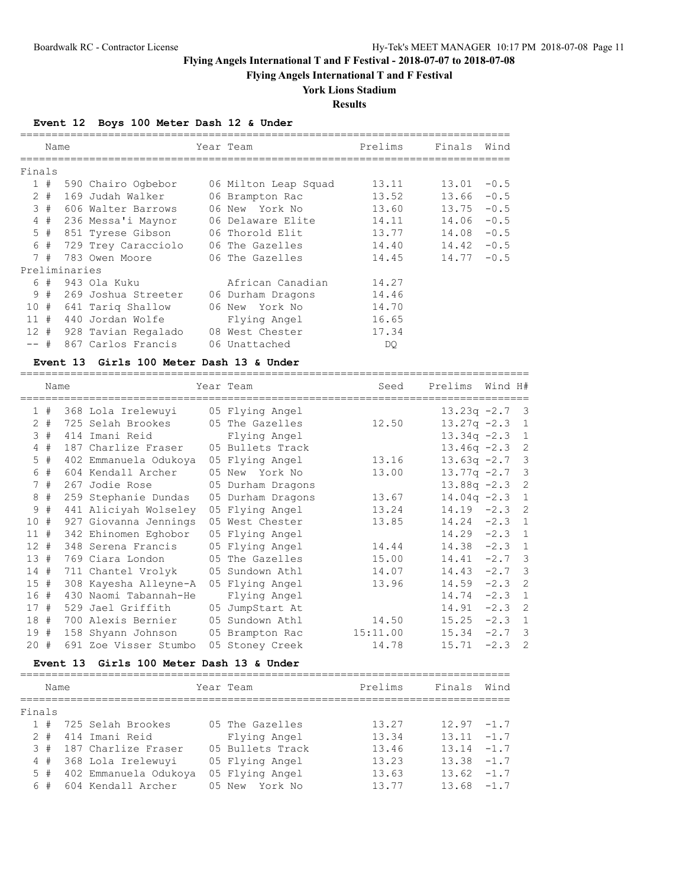**Flying Angels International T and F Festival**

# **York Lions Stadium**

### **Results**

## **Event 12 Boys 100 Meter Dash 12 & Under**

|          | Name  |               |                     |    | Year Team            | Prelims | Finals | Wind   |
|----------|-------|---------------|---------------------|----|----------------------|---------|--------|--------|
| Finals   |       |               |                     |    |                      |         |        |        |
|          |       |               |                     |    |                      |         |        |        |
|          | 1#    |               | 590 Chairo Ogbebor  |    | 06 Milton Leap Squad | 13.11   | 13.01  | $-0.5$ |
|          | $2 +$ |               | 169 Judah Walker    |    | 06 Brampton Rac      | 13.52   | 13.66  | $-0.5$ |
|          | 3#    |               | 606 Walter Barrows  |    | 06 New York No       | 13.60   | 13.75  | $-0.5$ |
|          | 4#    |               | 236 Messa'i Maynor  |    | 06 Delaware Elite    | 14.11   | 14.06  | $-0.5$ |
|          | $5$ # |               | 851 Tyrese Gibson   |    | 06 Thorold Elit      | 13.77   | 14.08  | $-0.5$ |
|          | 6#    |               | 729 Trey Caracciolo |    | 06 The Gazelles      | 14.40   | 14.42  | $-0.5$ |
|          | 7#    |               | 783 Owen Moore      |    | 06 The Gazelles      | 14.45   | 14.77  | $-0.5$ |
|          |       | Preliminaries |                     |    |                      |         |        |        |
|          |       |               | 6 # 943 Ola Kuku    |    | African Canadian     | 14.27   |        |        |
|          | 9#    |               | 269 Joshua Streeter |    | 06 Durham Dragons    | 14.46   |        |        |
| 10 #     |       |               | 641 Tariq Shallow   |    | 06 New York No       | 14.70   |        |        |
| $11 \pm$ |       |               | 440 Jordan Wolfe    |    | Flying Angel         | 16.65   |        |        |
| 12#      |       |               | 928 Tavian Regalado | 08 | West Chester         | 17.34   |        |        |
| $--$ #   |       |               | 867 Carlos Francis  |    | 06 Unattached        | DQ.     |        |        |

#### **Event 13 Girls 100 Meter Dash 13 & Under**

|        | Name  |                       | Year Team         | Seed     | Prelims         | Wind H#  |                            |
|--------|-------|-----------------------|-------------------|----------|-----------------|----------|----------------------------|
|        | 1#    | 368 Lola Irelewuyi    | 05 Flying Angel   |          | $13.23q -2.7$   |          | $\overline{\mathbf{3}}$    |
|        | $2 +$ | 725 Selah Brookes     | 05 The Gazelles   | 12.50    | $13.27q -2.3$   |          | $\overline{1}$             |
|        | 3#    | 414 Imani Reid        | Flying Angel      |          | $13.34q -2.3$ 1 |          |                            |
| 4      | #     | 187 Charlize Fraser   | 05 Bullets Track  |          | $13.46q -2.3$ 2 |          |                            |
| 5      | #     | 402 Emmanuela Odukoya | 05 Flying Angel   | 13.16    | $13.63q -2.7$ 3 |          |                            |
| 6      | #     | 604 Kendall Archer    | 05 New York No    | 13.00    | $13.77q -2.7$ 3 |          |                            |
|        | 7#    | 267 Jodie Rose        | 05 Durham Dragons |          | $13.88q -2.3$   |          | $\overline{2}$             |
| 8      | #     | 259 Stephanie Dundas  | 05 Durham Dragons | 13.67    | $14.04q -2.3$   |          | <sup>1</sup>               |
| 9      | #     | 441 Aliciyah Wolseley | 05 Flying Angel   | 13.24    | $14.19 -2.3$ 2  |          |                            |
| 10     | #     | 927 Giovanna Jennings | 05 West Chester   | 13.85    | $14.24 -2.3$ 1  |          |                            |
| 11#    |       | 342 Ehinomen Eghobor  | 05 Flying Angel   |          | 14.29           | $-2.3$ 1 |                            |
| 12#    |       | 348 Serena Francis    | 05 Flying Angel   | 14.44    | 14.38           | $-2.3$   | $\overline{1}$             |
| 13#    |       | 769 Ciara London      | 05 The Gazelles   | 15.00    | 14.41           | $-2.7$   | $\overline{\mathbf{3}}$    |
| 14#    |       | 711 Chantel Vrolyk    | 05 Sundown Athl   | 14.07    | 14.43           | $-2.7$ 3 |                            |
| 15#    |       | 308 Kayesha Alleyne-A | 05 Flying Angel   | 13.96    | 14.59           | $-2.3$   | $\overline{\phantom{0}}^2$ |
| 16#    |       | 430 Naomi Tabannah-He | Flying Angel      |          | 14.74           | $-2.3$   | $\mathbf{1}$               |
| 17#    |       | 529 Jael Griffith     | 05 JumpStart At   |          | 14.91           | $-2.3$ 2 |                            |
| 18#    |       | 700 Alexis Bernier    | 05 Sundown Athl   | 14.50    | 15.25           | $-2.3$ 1 |                            |
| 19#    |       | 158 Shyann Johnson    | 05 Brampton Rac   | 15:11.00 | 15.34           | $-2.7$ 3 |                            |
| $20 +$ |       | 691 Zoe Visser Stumbo | 05 Stoney Creek   | 14.78    | 15.71           | $-2.3$   | -2                         |

### **Event 13 Girls 100 Meter Dash 13 & Under**

|        | Name  |  |                        |  | Year Team        | Prelims | Finals        | Wind |  |  |  |
|--------|-------|--|------------------------|--|------------------|---------|---------------|------|--|--|--|
|        |       |  |                        |  |                  |         |               |      |  |  |  |
| Finals |       |  |                        |  |                  |         |               |      |  |  |  |
|        | 1#    |  | 725 Selah Brookes      |  | 05 The Gazelles  | 13.27   | $12.97 - 1.7$ |      |  |  |  |
|        | $2 +$ |  | 414 Imani Reid         |  | Flying Angel     | 13.34   | $13.11 - 1.7$ |      |  |  |  |
|        | 3#    |  | 187 Charlize Fraser    |  | 05 Bullets Track | 13.46   | $13.14 - 1.7$ |      |  |  |  |
|        |       |  | 4 # 368 Lola Irelewuyi |  | 05 Flying Angel  | 13.23   | $13.38 - 1.7$ |      |  |  |  |
|        | 5#    |  | 402 Emmanuela Odukoya  |  | 05 Flying Angel  | 13.63   | $13.62 -1.7$  |      |  |  |  |
|        | 6#    |  | 604 Kendall Archer     |  | 05 New York No   | 13.77   | $13.68 - 1.7$ |      |  |  |  |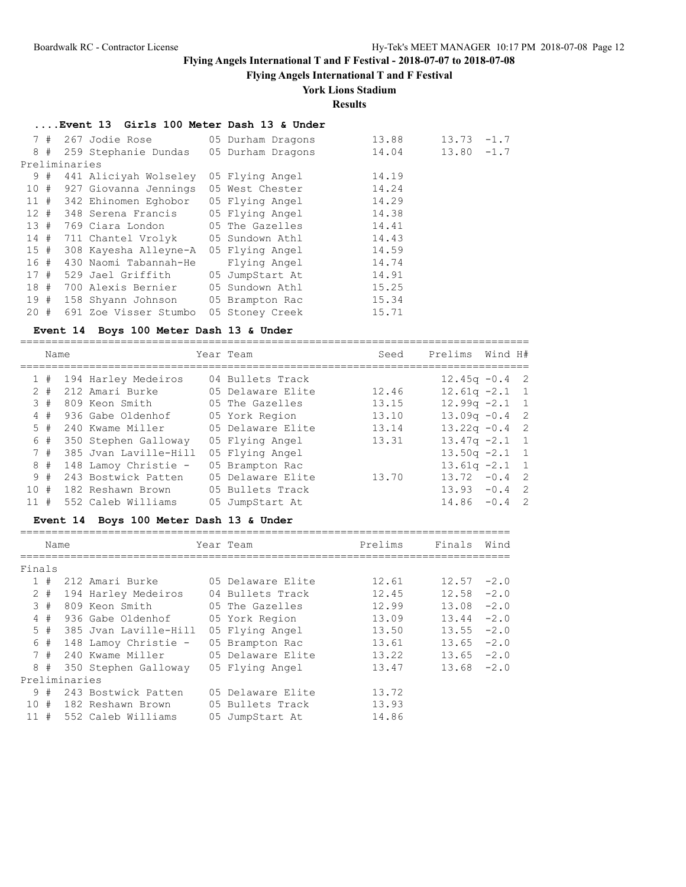**Flying Angels International T and F Festival**

### **York Lions Stadium**

**Results**

### **....Event 13 Girls 100 Meter Dash 13 & Under**

|        | 7# |               | 267 Jodie Rose                              | 05 Durham Dragons | 13.88 | 13.73         | $-1.7$ |
|--------|----|---------------|---------------------------------------------|-------------------|-------|---------------|--------|
|        |    |               | 8 # 259 Stephanie Dundas                    | 05 Durham Dragons | 14.04 | $13.80 - 1.7$ |        |
|        |    | Preliminaries |                                             |                   |       |               |        |
|        | 9# |               | 441 Aliciyah Wolseley                       | 05 Flying Angel   | 14.19 |               |        |
|        |    |               | 10 # 927 Giovanna Jennings 05 West Chester  |                   | 14.24 |               |        |
|        |    |               | 11 # 342 Ehinomen Eghobor                   | 05 Flying Angel   | 14.29 |               |        |
|        |    |               | 12 # 348 Serena Francis 05 Flying Angel     |                   | 14.38 |               |        |
|        |    |               | 13 # 769 Ciara London       05 The Gazelles |                   | 14.41 |               |        |
|        |    |               | 14 # 711 Chantel Vrolyk 05 Sundown Athl     |                   | 14.43 |               |        |
| 15#    |    |               | 308 Kayesha Alleyne-A 05 Flying Angel       |                   | 14.59 |               |        |
| 16 #   |    |               | 430 Naomi Tabannah-He                       | Flying Angel      | 14.74 |               |        |
| 17#    |    |               | 529 Jael Griffith                           | 05 JumpStart At   | 14.91 |               |        |
|        |    |               | 18 # 700 Alexis Bernier 05 Sundown Athl     |                   | 15.25 |               |        |
|        |    |               | 19 # 158 Shyann Johnson 05 Brampton Rac     |                   | 15.34 |               |        |
| $20 +$ |    |               | 691 Zoe Visser Stumbo                       | 05 Stoney Creek   | 15.71 |               |        |

#### **Event 14 Boys 100 Meter Dash 13 & Under**

=================================================================================

|     | Name  |                       | Year Team         | Seed  | Prelims          | Wind H#  |                |
|-----|-------|-----------------------|-------------------|-------|------------------|----------|----------------|
|     | 1#    | 194 Harley Medeiros   | 04 Bullets Track  |       | $12.45q - 0.4$ 2 |          |                |
|     | $2 +$ | 212 Amari Burke       | 05 Delaware Elite | 12.46 | $12.61q - 2.1$ 1 |          |                |
|     | 3#    | 809 Keon Smith        | 05 The Gazelles   | 13.15 | $12.99q -2.1$ 1  |          |                |
|     | 4#    | 936 Gabe Oldenhof     | 05 York Region    | 13.10 | $13.09q - 0.4$ 2 |          |                |
|     | 5#    | 240 Kwame Miller      | 05 Delaware Elite | 13.14 | $13.22q - 0.4$ 2 |          |                |
|     | 6 #   | 350 Stephen Galloway  | 05 Flying Angel   | 13.31 | $13.47q -2.1$ 1  |          |                |
|     | 7#    | 385 Jyan Laville-Hill | 05 Flying Angel   |       | $13.50q -2.1$ 1  |          |                |
|     | 8#    | 148 Lamoy Christie -  | 05 Brampton Rac   |       | $13.61q - 2.1$ 1 |          |                |
|     | 9#    | 243 Bostwick Patten   | 05 Delaware Elite | 13.70 | 13.72            | $-0.4$ 2 |                |
| 10# |       | 182 Reshawn Brown     | 05 Bullets Track  |       | 13.93            | $-0.4$ 2 |                |
| 11# |       | 552 Caleb Williams    | 05 JumpStart At   |       | 14.86            | $-0.4$   | $\overline{2}$ |

## **Event 14 Boys 100 Meter Dash 13 & Under**

|        | Name  |               |                       |  | Year Team         | Prelims | Finals        | Wind   |  |  |  |
|--------|-------|---------------|-----------------------|--|-------------------|---------|---------------|--------|--|--|--|
|        |       |               |                       |  |                   |         |               |        |  |  |  |
| Finals |       |               |                       |  |                   |         |               |        |  |  |  |
|        | 1#    |               | 212 Amari Burke       |  | 05 Delaware Elite | 12.61   | 12.57         | $-2.0$ |  |  |  |
|        | $2 +$ |               | 194 Harley Medeiros   |  | 04 Bullets Track  | 12.45   | 12.58         | $-2.0$ |  |  |  |
|        | 3#    |               | 809 Keon Smith        |  | 05 The Gazelles   | 12.99   | $13.08 - 2.0$ |        |  |  |  |
|        | 4#    |               | 936 Gabe Oldenhof     |  | 05 York Region    | 13.09   | 13.44         | $-2.0$ |  |  |  |
|        | 5#    |               | 385 Jyan Laville-Hill |  | 05 Flying Angel   | 13.50   | 13.55         | $-2.0$ |  |  |  |
|        | 6 #   |               | 148 Lamoy Christie -  |  | 05 Brampton Rac   | 13.61   | 13.65         | $-2.0$ |  |  |  |
|        | 7#    |               | 240 Kwame Miller      |  | 05 Delaware Elite | 13.22   | 13.65         | $-2.0$ |  |  |  |
|        | 8#    |               | 350 Stephen Galloway  |  | 05 Flying Angel   | 13.47   | $13.68 - 2.0$ |        |  |  |  |
|        |       | Preliminaries |                       |  |                   |         |               |        |  |  |  |
|        | 9#    |               | 243 Bostwick Patten   |  | 05 Delaware Elite | 13.72   |               |        |  |  |  |
| 10#    |       |               | 182 Reshawn Brown     |  | 05 Bullets Track  | 13.93   |               |        |  |  |  |
| 11#    |       |               | 552 Caleb Williams    |  | 05 JumpStart At   | 14.86   |               |        |  |  |  |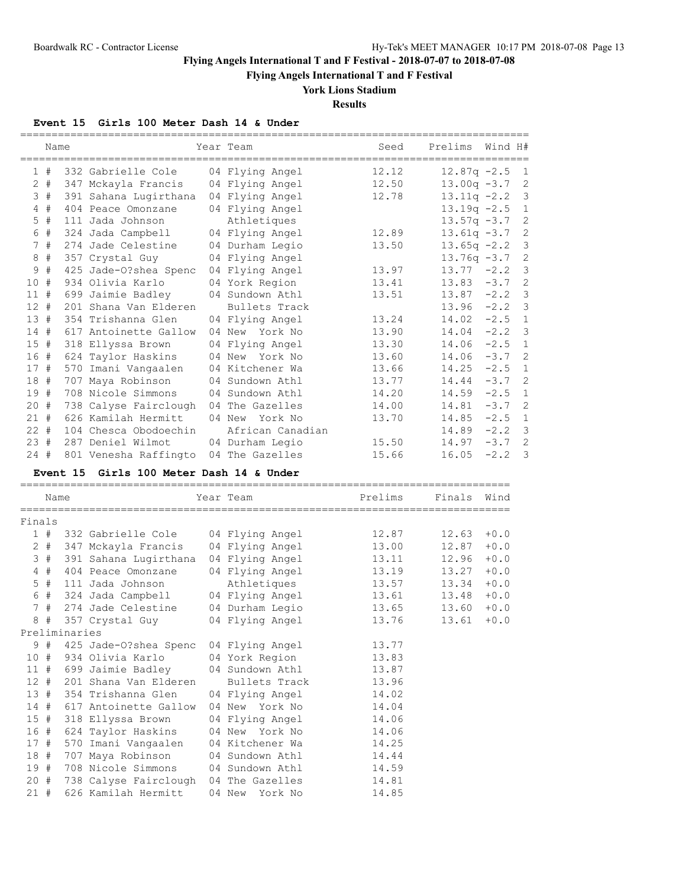**Flying Angels International T and F Festival**

**York Lions Stadium**

**Results**

### **Event 15 Girls 100 Meter Dash 14 & Under**

|                 | Name  | :=========    |                                 | Year Team            | Seed    | Prelims        | Wind H# |                |
|-----------------|-------|---------------|---------------------------------|----------------------|---------|----------------|---------|----------------|
|                 | 1#    |               | 332 Gabrielle Cole              | 04 Flying Angel      | 12.12   | $12.87q - 2.5$ |         | $\mathbf{1}$   |
|                 | $2 +$ |               | 347 Mckayla Francis             | 04 Flying Angel      | 12.50   | $13.00q -3.7$  |         | 2              |
|                 | 3#    |               | 391 Sahana Lugirthana           | 04 Flying Angel      | 12.78   | $13.11q -2.2$  |         | 3              |
|                 | 4#    |               | 404 Peace Omonzane              | 04 Flying Angel      |         | $13.19q - 2.5$ |         | $\mathbf{1}$   |
|                 | $5$ # |               | 111 Jada Johnson                | Athletiques          |         | $13.57q -3.7$  |         | $\overline{c}$ |
|                 | 6 #   |               | 324 Jada Campbell               | 04 Flying Angel      | 12.89   | $13.61q -3.7$  |         | 2              |
|                 | 7#    |               | 274 Jade Celestine              | 04 Durham Legio      | 13.50   | $13.65q -2.2$  |         | 3              |
| 8               | #     |               | 357 Crystal Guy                 | 04 Flying Angel      |         | $13.76q -3.7$  |         | $\overline{c}$ |
| 9               | #     |               | 425 Jade-0?shea Spenc           | 04 Flying Angel      | 13.97   | 13.77          | $-2.2$  | 3              |
| 10#             |       |               | 934 Olivia Karlo                | 04 York Region       | 13.41   | 13.83          | $-3.7$  | $\overline{c}$ |
| 11#             |       |               | 699 Jaimie Badley               | 04 Sundown Athl      | 13.51   | 13.87          | $-2.2$  | 3              |
| 12#             |       |               | 201 Shana Van Elderen           | <b>Bullets Track</b> |         | 13.96          | $-2.2$  | 3              |
| 13#             |       |               | 354 Trishanna Glen              | 04 Flying Angel      | 13.24   | 14.02          | $-2.5$  | 1              |
| 14#             |       |               | 617 Antoinette Gallow           | 04 New York No       | 13.90   | 14.04          | $-2.2$  | 3              |
| $15$ #          |       |               | 318 Ellyssa Brown               | 04 Flying Angel      | 13.30   | 14.06          | $-2.5$  | $\mathbf{1}$   |
| 16#             |       |               | 624 Taylor Haskins              | 04 New York No       | 13.60   | 14.06          | $-3.7$  | $\overline{2}$ |
| 17#             |       |               | 570 Imani Vangaalen             | 04 Kitchener Wa      | 13.66   | 14.25          | $-2.5$  | $\mathbf{1}$   |
| 18 #            |       |               | 707 Maya Robinson               | 04 Sundown Athl      | 13.77   | 14.44          | $-3.7$  | $\overline{2}$ |
| 19 #            |       |               | 708 Nicole Simmons              | 04 Sundown Athl      | 14.20   | 14.59          | $-2.5$  | $\mathbf{1}$   |
| 20#             |       |               | 738 Calyse Fairclough           | 04 The Gazelles      | 14.00   | 14.81          | $-3.7$  | $\overline{c}$ |
| 21#             |       |               | 626 Kamilah Hermitt             | 04 New York No       | 13.70   | 14.85          | $-2.5$  | $\mathbf{1}$   |
| $22 +$          |       |               | 104 Chesca Obodoechin           | African Canadian     |         | 14.89          | $-2.2$  | 3              |
| 23#             |       |               | 287 Deniel Wilmot               | 04 Durham Legio      | 15.50   | 14.97          | $-3.7$  | $\overline{2}$ |
| 24#             |       |               | 801 Venesha Raffingto           | 04 The Gazelles      | 15.66   | 16.05          | $-2.2$  | 3              |
|                 |       | Event 15      | Girls 100 Meter Dash 14 & Under |                      |         |                |         |                |
|                 | Name  |               |                                 | Year Team            | Prelims | Finals         | Wind    |                |
| Finals          |       |               |                                 |                      |         |                |         |                |
|                 | 1#    |               | 332 Gabrielle Cole              | 04 Flying Angel      | 12.87   | 12.63          | $+0.0$  |                |
|                 | $2 +$ |               | 347 Mckayla Francis             | 04 Flying Angel      | 13.00   | 12.87          | $+0.0$  |                |
|                 | 3#    |               | 391 Sahana Lugirthana           | 04 Flying Angel      | 13.11   | 12.96          | $+0.0$  |                |
|                 | 4#    |               | 404 Peace Omonzane              | 04 Flying Angel      | 13.19   | 13.27          | $+0.0$  |                |
|                 | $5$ # |               | 111 Jada Johnson                | Athletiques          | 13.57   | 13.34          | $+0.0$  |                |
|                 | 6 #   |               | 324 Jada Campbell               | 04 Flying Angel      | 13.61   | 13.48          | $+0.0$  |                |
|                 | 7#    |               | 274 Jade Celestine              | 04 Durham Legio      | 13.65   | 13.60          | $+0.0$  |                |
| 8               | #     |               | 357 Crystal Guy                 | 04 Flying Angel      | 13.76   | 13.61          | $+0.0$  |                |
|                 |       | Preliminaries |                                 |                      |         |                |         |                |
| 9               | #     |               | 425 Jade-O?shea Spenc           | 04 Flying Angel      | 13.77   |                |         |                |
| 10 <sup>°</sup> | #     |               | 934 Olivia Karlo                | 04 York Region       | 13.83   |                |         |                |

 11 # 699 Jaimie Badley 04 Sundown Athl 13.87 12 # 201 Shana Van Elderen Bullets Track 13.96

14 # 617 Antoinette Gallow 04 New York No 14.04<br>15 # 318 Ellyssa Brown 04 Flying Angel 14.06<br>16 # 624 Taylor Haskins 04 New York No 14.06 15 # 318 Ellyssa Brown 04 Flying Angel 14.06 16 # 624 Taylor Haskins 04 New York No 14.06 17 # 570 Imani Vangaalen 04 Kitchener Wa 14.25 18 # 707 Maya Robinson 04 Sundown Athl 14.44 19 # 708 Nicole Simmons 04 Sundown Athl 14.59 20 # 738 Calyse Fairclough 04 The Gazelles 14.81 21 # 626 Kamilah Hermitt 04 New York No 14.85

13 # 354 Trishanna Glen 04 Flying Angel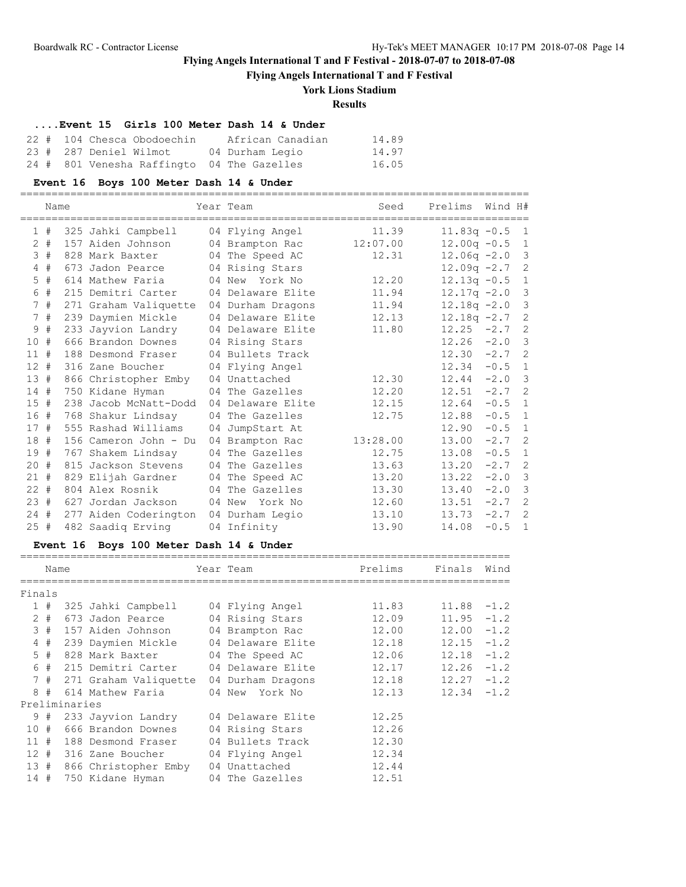**Flying Angels International T and F Festival**

# **York Lions Stadium**

**Results**

### **....Event 15 Girls 100 Meter Dash 14 & Under**

|  | 22 # 104 Chesca Obodoechin                 | African Canadian | 14.89 |
|--|--------------------------------------------|------------------|-------|
|  | 23 # 287 Deniel Wilmot                     | 04 Durham Legio  | 14.97 |
|  | 24 # 801 Venesha Raffingto 04 The Gazelles |                  | 16.05 |

# **Event 16 Boys 100 Meter Dash 14 & Under**

=================================================================================

|        | Name  |                       | Year Team         | Seed     | Prelims        | Wind H#  |                |
|--------|-------|-----------------------|-------------------|----------|----------------|----------|----------------|
|        | 1#    | 325 Jahki Campbell    | 04 Flying Angel   | 11.39    | $11.83q -0.5$  |          | $\overline{1}$ |
|        | $2 +$ | 157 Aiden Johnson     | 04 Brampton Rac   | 12:07.00 | $12.00q -0.5$  |          | $\mathbf{1}$   |
|        | 3#    | 828 Mark Baxter       | 04 The Speed AC   | 12.31    | $12.06q -2.0$  |          | 3              |
|        | 4#    | 673 Jadon Pearce      | 04 Rising Stars   |          | $12.09q -2.7$  |          | $\overline{c}$ |
|        | $5$ # | 614 Mathew Faria      | 04 New York No    | 12.20    | $12.13q -0.5$  |          | $\mathbf{1}$   |
|        | 6#    | 215 Demitri Carter    | 04 Delaware Elite | 11.94    | $12.17q - 2.0$ |          | $\overline{3}$ |
|        | 7#    | 271 Graham Valiquette | 04 Durham Dragons | 11.94    | $12.18q - 2.0$ |          | 3              |
|        | 7#    | 239 Daymien Mickle    | 04 Delaware Elite | 12.13    | $12.18q - 2.7$ |          | $\overline{c}$ |
|        | 9#    | 233 Jayvion Landry    | 04 Delaware Elite | 11.80    | 12.25          | $-2.7$   | $\overline{c}$ |
| 10#    |       | 666 Brandon Downes    | 04 Rising Stars   |          | 12.26          | $-2.0$   | $\mathbf{3}$   |
| 11#    |       | 188 Desmond Fraser    | 04 Bullets Track  |          | 12.30          | $-2.7$   | $\overline{2}$ |
| $12 +$ |       | 316 Zane Boucher      | 04 Flying Angel   |          | 12.34          | $-0.5$ 1 |                |
| 13#    |       | 866 Christopher Emby  | 04 Unattached     | 12.30    | 12.44          | $-2.0$   | $\overline{3}$ |
| 14#    |       | 750 Kidane Hyman      | 04 The Gazelles   | 12.20    | 12.51          | $-2.7$   | $\overline{c}$ |
| 15#    |       | 238 Jacob McNatt-Dodd | 04 Delaware Elite | 12.15    | 12.64          | $-0.5$   | $\mathbf{1}$   |
| 16#    |       | 768 Shakur Lindsay    | 04 The Gazelles   | 12.75    | 12.88          | $-0.5$   | $\mathbf{1}$   |
| 17#    |       | 555 Rashad Williams   | 04 JumpStart At   |          | 12.90          | $-0.5$   | $\mathbf{1}$   |
| 18#    |       | 156 Cameron John - Du | 04 Brampton Rac   | 13:28.00 | 13.00          | $-2.7$   | $\overline{c}$ |
| 19 #   |       | 767 Shakem Lindsay    | 04 The Gazelles   | 12.75    | 13.08          | $-0.5$   | $\mathbf{1}$   |
| 20 #   |       | 815 Jackson Stevens   | 04 The Gazelles   | 13.63    | 13.20          | $-2.7$   | $\overline{c}$ |
| 21#    |       | 829 Elijah Gardner    | 04 The Speed AC   | 13.20    | 13.22          | $-2.0$   | $\overline{3}$ |
| $22 +$ |       | 804 Alex Rosnik       | 04 The Gazelles   | 13.30    | 13.40          | $-2.0$   | $\mathcal{S}$  |
| 23#    |       | 627 Jordan Jackson    | 04 New<br>York No | 12.60    | 13.51          | $-2.7$   | $\overline{c}$ |
| $24 +$ |       | 277 Aiden Coderington | 04 Durham Legio   | 13.10    | 13.73          | $-2.7$   | $\overline{c}$ |
| 25#    |       | 482 Saadig Erving     | 04 Infinity       | 13.90    | 14.08          | $-0.5$   | $\mathbf{1}$   |

## **Event 16 Boys 100 Meter Dash 14 & Under**

|                | Name |               |                                    | Year Team         | Prelims | Finals | Wind   |
|----------------|------|---------------|------------------------------------|-------------------|---------|--------|--------|
| Finals         |      |               |                                    |                   |         |        |        |
|                | 1#   |               | 325 Jahki Campbell 04 Flying Angel |                   | 11.83   | 11.88  | $-1.2$ |
| 2              | #    |               | 673 Jadon Pearce                   | 04 Rising Stars   | 12.09   | 11.95  | $-1.2$ |
|                | 3#   |               | 157 Aiden Johnson                  | 04 Brampton Rac   | 12.00   | 12.00  | $-1.2$ |
| $\overline{4}$ | #    |               | 239 Daymien Mickle                 | 04 Delaware Elite | 12.18   | 12.15  | $-1.2$ |
|                | 5#   |               | 828 Mark Baxter                    | 04 The Speed AC   | 12.06   | 12.18  | $-1.2$ |
| 6              | #    |               | 215 Demitri Carter                 | 04 Delaware Elite | 12.17   | 12.26  | $-1.2$ |
|                | 7#   |               | 271 Graham Valiquette              | 04 Durham Dragons | 12.18   | 12.27  | $-1.2$ |
| 8              | #    |               | 614 Mathew Faria                   | 04 New<br>York No | 12.13   | 12.34  | $-1.2$ |
|                |      | Preliminaries |                                    |                   |         |        |        |
|                | 9#   |               | 233 Jayvion Landry                 | 04 Delaware Elite | 12.25   |        |        |
| 10             | #    |               | 666 Brandon Downes                 | 04 Rising Stars   | 12.26   |        |        |
| 11#            |      |               | 188 Desmond Fraser                 | 04 Bullets Track  | 12.30   |        |        |
| 12#            |      |               | 316 Zane Boucher                   | 04 Flying Angel   | 12.34   |        |        |
| 13#            |      |               | 866 Christopher Emby               | 04 Unattached     | 12.44   |        |        |
| 14#            |      |               | 750 Kidane Hyman                   | 04 The Gazelles   | 12.51   |        |        |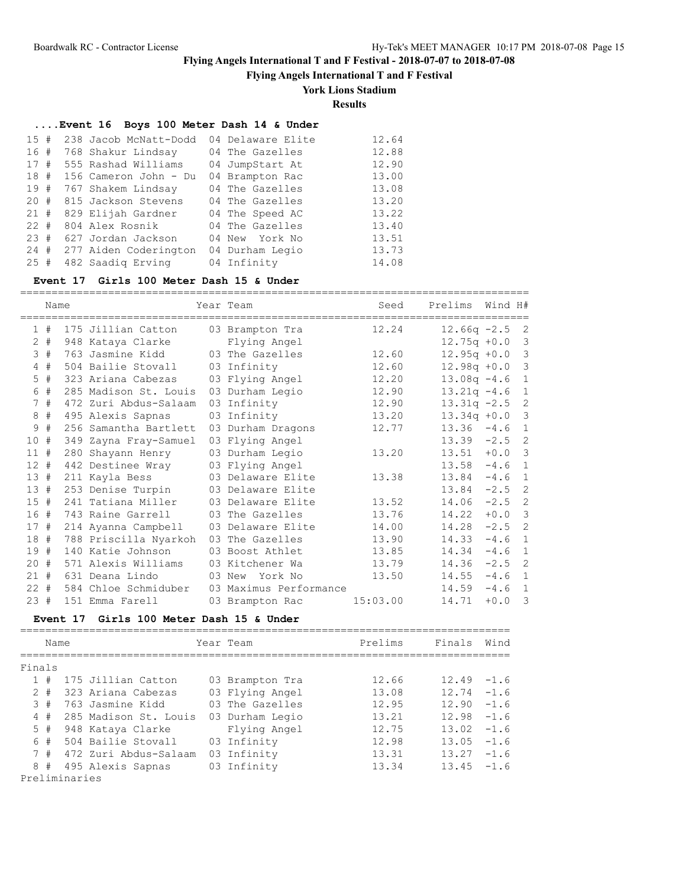===================================

# **Flying Angels International T and F Festival - 2018-07-07 to 2018-07-08**

**Flying Angels International T and F Festival**

## **York Lions Stadium**

**Results**

## **....Event 16 Boys 100 Meter Dash 14 & Under**

| 15#      | 238 Jacob McNatt-Dodd | 04 Delaware Elite | 12.64 |
|----------|-----------------------|-------------------|-------|
| 16#      | 768 Shakur Lindsay    | 04 The Gazelles   | 12.88 |
| 17#      | 555 Rashad Williams   | 04 JumpStart At   | 12.90 |
| 18#      | 156 Cameron John - Du | 04 Brampton Rac   | 13.00 |
| 19#      | 767 Shakem Lindsay    | 04 The Gazelles   | 13.08 |
| $20 +$   | 815 Jackson Stevens   | 04 The Gazelles   | 13.20 |
| 21#      | 829 Elijah Gardner    | 04 The Speed AC   | 13.22 |
| $22 \pm$ | 804 Alex Rosnik       | 04 The Gazelles   | 13.40 |
| $23 \pm$ | 627 Jordan Jackson    | 04 New York No    | 13.51 |
| 24#      | 277 Aiden Coderington | 04 Durham Legio   | 13.73 |
| 25#      | 482 Saadig Erving     | 04 Infinity       | 14.08 |

### **Event 17 Girls 100 Meter Dash 15 & Under**

|                | Name  |                       | Year Team              | Seed     | Prelims        | Wind H# |                |
|----------------|-------|-----------------------|------------------------|----------|----------------|---------|----------------|
| $\mathbf{1}$   | #     | 175 Jillian Catton    | 03 Brampton Tra        | 12.24    | $12.66q -2.5$  |         | -2             |
| $\overline{2}$ | #     | 948 Kataya Clarke     | Flying Angel           |          | $12.75q + 0.0$ |         | 3              |
|                | 3#    | 763 Jasmine Kidd      | 03 The Gazelles        | 12.60    | $12.95q +0.0$  |         | 3              |
|                | 4#    | 504 Bailie Stovall    | 03 Infinity            | 12.60    | $12.98q +0.0$  |         | 3              |
|                | $5$ # | 323 Ariana Cabezas    | 03 Flying Angel        | 12.20    | $13.08q - 4.6$ |         | 1              |
|                | 6 #   | 285 Madison St. Louis | 03 Durham Legio        | 12.90    | $13.21q -4.6$  |         | $\mathbf{1}$   |
| $7^{\circ}$    | #     | 472 Zuri Abdus-Salaam | 03 Infinity            | 12.90    | $13.31q -2.5$  |         | $\overline{c}$ |
| 8              | #     | 495 Alexis Sapnas     | 03 Infinity            | 13.20    | $13.34q +0.0$  |         | $\mathbf{3}$   |
| 9              | #     | 256 Samantha Bartlett | 03 Durham Dragons      | 12.77    | $13.36 - 4.6$  |         | 1              |
| 10#            |       | 349 Zayna Fray-Samuel | 03 Flying Angel        |          | $13.39 -2.5$   |         | $\overline{c}$ |
| 11#            |       | 280 Shayann Henry     | 03 Durham Legio        | 13.20    | 13.51          | $+0.0$  | 3              |
| $12 +$         |       | 442 Destinee Wray     | 03 Flying Angel        |          | 13.58          | $-4.6$  | $\mathbf{1}$   |
| 13#            |       | 211 Kayla Bess        | 03 Delaware Elite      | 13.38    | 13.84          | $-4.6$  | $\mathbf{1}$   |
| 13#            |       | 253 Denise Turpin     | 03 Delaware Elite      |          | 13.84          | $-2.5$  | $\overline{c}$ |
| 15#            |       | 241 Tatiana Miller    | 03 Delaware Elite      | 13.52    | 14.06          | $-2.5$  | $\overline{c}$ |
| 16 #           |       | 743 Raine Garrell     | 03 The Gazelles        | 13.76    | 14.22          | $+0.0$  | $\mathcal{E}$  |
| 17#            |       | 214 Ayanna Campbell   | 03 Delaware Elite      | 14.00    | 14.28          | $-2.5$  | $\overline{c}$ |
| 18#            |       | 788 Priscilla Nyarkoh | 03 The Gazelles        | 13.90    | 14.33          | $-4.6$  | 1              |
| 19 #           |       | 140 Katie Johnson     | 03 Boost Athlet        | 13.85    | 14.34          | $-4.6$  | $\mathbf{1}$   |
| 20#            |       | 571 Alexis Williams   | 03 Kitchener Wa        | 13.79    | 14.36          | $-2.5$  | $\overline{c}$ |
| 21#            |       | 631 Deana Lindo       | 03 New<br>York No      | 13.50    | 14.55          | $-4.6$  | 1              |
| $22 +$         |       | 584 Chloe Schmiduber  | 03 Maximus Performance |          | 14.59          | $-4.6$  | 1              |
| 23#            |       | 151 Emma Farell       | 03 Brampton Rac        | 15:03.00 | 14.71          | $+0.0$  | 3              |

### **Event 17 Girls 100 Meter Dash 15 & Under**

|        | Name  |               |                           | Year Team       | Prelims | Finals        | Wind   |
|--------|-------|---------------|---------------------------|-----------------|---------|---------------|--------|
| Finals |       |               |                           |                 |         |               |        |
|        | 1#    |               | 175 Jillian Catton        | 03 Brampton Tra | 12.66   | $12.49 - 1.6$ |        |
|        | $2 +$ |               | 323 Ariana Cabezas        | 03 Flying Angel | 13.08   | $12.74 - 1.6$ |        |
|        | 3#    |               | 763 Jasmine Kidd          | 03 The Gazelles | 12.95   | 12.90         | $-1.6$ |
|        | 4#    |               | 285 Madison St. Louis     | 03 Durham Legio | 13.21   | $12.98 - 1.6$ |        |
|        | 5#    |               | 948 Kataya Clarke         | Flying Angel    | 12.75   | $13.02 - 1.6$ |        |
|        | 6#    |               | 504 Bailie Stovall        | 03 Infinity     | 12.98   | 13.05         | $-1.6$ |
|        |       |               | 7 # 472 Zuri Abdus-Salaam | 03 Infinity     | 13.31   | 13.27         | $-1.6$ |
| 8      | #     |               | 495 Alexis Sapnas         | 03 Infinity     | 13.34   | $13.45 - 1.6$ |        |
|        |       | Preliminaries |                           |                 |         |               |        |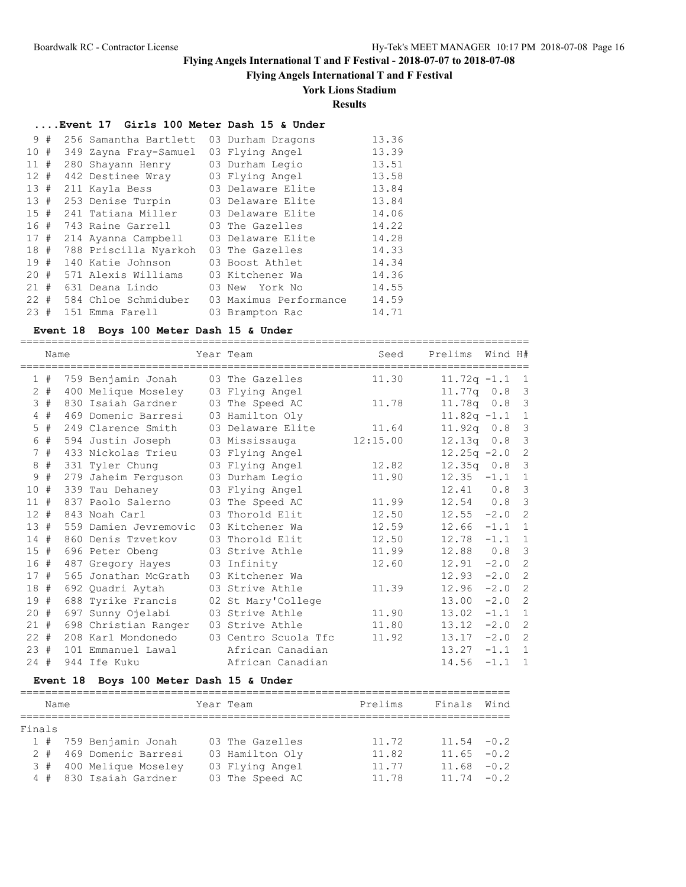**Flying Angels International T and F Festival**

# **York Lions Stadium**

**Results**

### **....Event 17 Girls 100 Meter Dash 15 & Under**

| 9      | # | 256 Samantha Bartlett | 03 Durham Dragons      | 13.36 |
|--------|---|-----------------------|------------------------|-------|
| 10#    |   | 349 Zayna Fray-Samuel | 03 Flying Angel        | 13.39 |
| 11     | # | 280 Shayann Henry     | 03 Durham Legio        | 13.51 |
| 12     | # | 442 Destinee Wray     | 03 Flying Angel        | 13.58 |
| 13#    |   | 211 Kayla Bess        | 03 Delaware Elite      | 13.84 |
| 13#    |   | 253 Denise Turpin     | 03 Delaware Elite      | 13.84 |
| 15#    |   | 241 Tatiana Miller    | 03 Delaware Elite      | 14.06 |
| 16#    |   | 743 Raine Garrell     | 03 The Gazelles        | 14.22 |
| 17#    |   | 214 Ayanna Campbell   | 03 Delaware Elite      | 14.28 |
| 18#    |   | 788 Priscilla Nyarkoh | 03 The Gazelles        | 14.33 |
| 19     | # | 140 Katie Johnson     | 03 Boost Athlet        | 14.34 |
| 20     | # | 571 Alexis Williams   | 03 Kitchener Wa        | 14.36 |
| 21     | # | 631 Deana Lindo       | 03 New<br>York No      | 14.55 |
| $22 +$ |   | 584 Chloe Schmiduber  | 03 Maximus Performance | 14.59 |
| 23     | # | 151 Emma Farell       | 03 Brampton Rac        | 14.71 |

#### **Event 18 Boys 100 Meter Dash 15 & Under**

=================================================================================

|        | Name  |                       | Year Team            | Seed     | Prelims          | Wind H# |                         |
|--------|-------|-----------------------|----------------------|----------|------------------|---------|-------------------------|
|        | 1#    | 759 Benjamin Jonah    | 03 The Gazelles      | 11.30    | $11.72q -1.1$    |         | $\overline{1}$          |
|        | $2$ # | 400 Melique Moseley   | 03 Flying Angel      |          | 11.77q 0.8 3     |         |                         |
|        | 3#    | 830 Isaiah Gardner    | 03 The Speed AC      | 11.78    | 11.78q  0.8  3   |         |                         |
|        | $4$ # | 469 Domenic Barresi   | 03 Hamilton Oly      |          | $11.82q - 1.1$ 1 |         |                         |
|        | $5$ # | 249 Clarence Smith    | 03 Delaware Elite    | 11.64    | 11.92q 0.8 3     |         |                         |
|        | 6 #   | 594 Justin Joseph     | 03 Mississauga       | 12:15.00 | 12.13q  0.8  3   |         |                         |
|        | 7#    | 433 Nickolas Trieu    | 03 Flying Angel      |          | $12.25q -2.0$    |         | 2                       |
|        | 8#    | 331 Tyler Chung       | 03 Flying Angel      | 12.82    | $12.35q$ $0.8$   |         | $\mathcal{E}$           |
|        | 9#    | 279 Jaheim Ferquson   | 03 Durham Legio      | 11.90    | $12.35 -1.1$ 1   |         |                         |
| 10#    |       | 339 Tau Dehaney       | 03 Flying Angel      |          | 12.41            | $0.8$ 3 |                         |
| 11#    |       | 837 Paolo Salerno     | 03 The Speed AC      | 11.99    | $12.54$ 0.8      |         | $\overline{\mathbf{3}}$ |
| $12 +$ |       | 843 Noah Carl         | 03 Thorold Elit      | 12.50    | $12.55 - 2.0$    |         | 2                       |
| 13#    |       | 559 Damien Jevremovic | 03 Kitchener Wa      | 12.59    | 12.66            | $-1.1$  | $\overline{1}$          |
| 14#    |       | 860 Denis Tzvetkov    | 03 Thorold Elit      | 12.50    | 12.78            | $-1.1$  | 1                       |
| 15#    |       | 696 Peter Obeng       | 03 Strive Athle      | 11.99    | 12.88            | $0.8-3$ |                         |
| 16#    |       | 487 Gregory Hayes     | 03 Infinity          | 12.60    | 12.91            | $-2.0$  | 2                       |
| 17#    |       | 565 Jonathan McGrath  | 03 Kitchener Wa      |          | 12.93            | $-2.0$  | 2                       |
| 18#    |       | 692 Quadri Aytah      | 03 Strive Athle      | 11.39    | 12.96            | $-2.0$  | 2                       |
| 19#    |       | 688 Tyrike Francis    | 02 St Mary'College   |          | 13.00            | $-2.0$  | 2                       |
| 20#    |       | 697 Sunny Ojelabi     | 03 Strive Athle      | 11.90    | 13.02            | $-1.1$  | $\overline{1}$          |
| $21 +$ |       | 698 Christian Ranger  | 03 Strive Athle      | 11.80    | 13.12            | $-2.0$  | 2                       |
| $22 +$ |       | 208 Karl Mondonedo    | 03 Centro Scuola Tfc | 11.92    | 13.17            | $-2.0$  | 2                       |
| 23#    |       | 101 Emmanuel Lawal    | African Canadian     |          | 13.27            | $-1.1$  | $\overline{1}$          |
| 24#    |       | 944 Ife Kuku          | African Canadian     |          | 14.56            | $-1.1$  | $\overline{1}$          |

## **Event 18 Boys 100 Meter Dash 15 & Under**

|        | Name |  |                         | Year Team |                 | Prelims | Finals Wind   |  |  |  |  |  |  |
|--------|------|--|-------------------------|-----------|-----------------|---------|---------------|--|--|--|--|--|--|
|        |      |  |                         |           |                 |         |               |  |  |  |  |  |  |
| Finals |      |  |                         |           |                 |         |               |  |  |  |  |  |  |
|        |      |  | 1 # 759 Benjamin Jonah  |           | 03 The Gazelles | 11.72   | $11.54 - 0.2$ |  |  |  |  |  |  |
|        |      |  | 2 # 469 Domenic Barresi |           | 03 Hamilton Oly | 11.82   | $11.65 - 0.2$ |  |  |  |  |  |  |
|        |      |  | 3 # 400 Melique Moseley |           | 03 Flying Angel | 11.77   | $11.68 - 0.2$ |  |  |  |  |  |  |
|        |      |  | 4 # 830 Isaiah Gardner  |           | 03 The Speed AC | 11.78   | $11.74 - 0.2$ |  |  |  |  |  |  |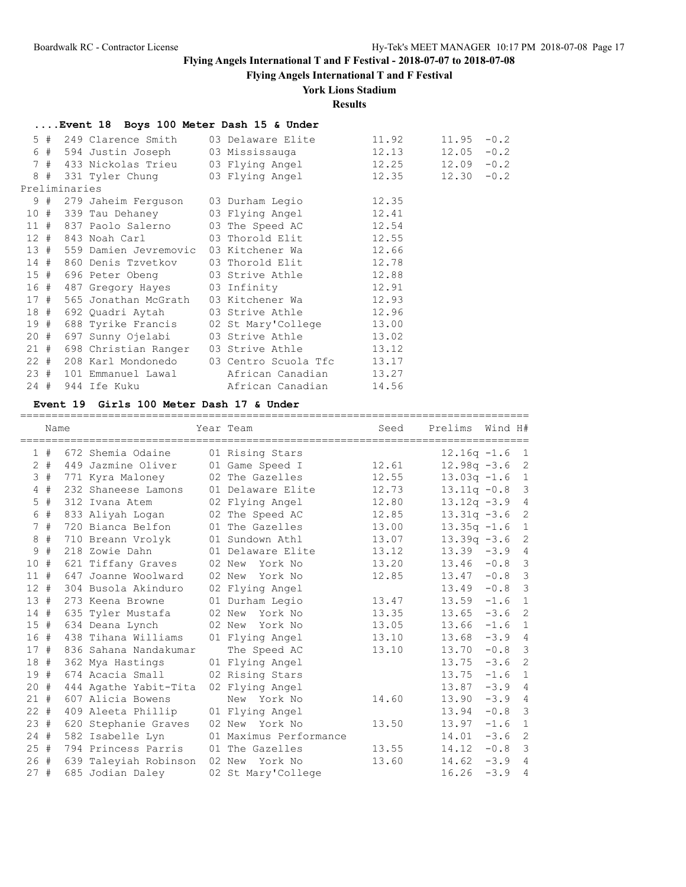**Flying Angels International T and F Festival**

### **York Lions Stadium**

### **Results**

|      |               | Event 18 Boys 100 Meter Dash 15 & Under |                                                                            |       |               |  |
|------|---------------|-----------------------------------------|----------------------------------------------------------------------------|-------|---------------|--|
|      |               |                                         | 5 # 249 Clarence Smith 03 Delaware Elite                                   | 11.92 | $11.95 - 0.2$ |  |
|      |               |                                         |                                                                            |       | $12.05 - 0.2$ |  |
|      |               |                                         |                                                                            |       | $12.09 - 0.2$ |  |
|      |               |                                         | 8 # 331 Tyler Chung              03 Flying Angel                     12.35 |       | $12.30 - 0.2$ |  |
|      | Preliminaries |                                         |                                                                            |       |               |  |
|      |               |                                         | 9 # 279 Jaheim Ferguson 03 Durham Legio 12.35                              |       |               |  |
|      |               |                                         | 10 # 339 Tau Dehaney 03 Flying Angel 12.41                                 |       |               |  |
|      |               |                                         | 11 # 837 Paolo Salerno 03 The Speed AC                                     | 12.54 |               |  |
|      |               |                                         | 12 # 843 Noah Carl 03 Thorold Elit 12.55                                   |       |               |  |
|      |               |                                         | 13 # 559 Damien Jevremovic 03 Kitchener Wa $12.66$                         |       |               |  |
|      |               |                                         | 14 # 860 Denis Tzvetkov 03 Thorold Elit                                    | 12.78 |               |  |
|      |               |                                         | 15 # 696 Peter Obeng 03 Strive Athle 12.88                                 |       |               |  |
|      |               |                                         | 16 # 487 Gregory Hayes 03 Infinity 12.91                                   |       |               |  |
|      |               |                                         | 17 # 565 Jonathan McGrath 03 Kitchener Wa 12.93                            |       |               |  |
|      |               |                                         | 18 # 692 Quadri Aytah 03 Strive Athle 12.96                                |       |               |  |
|      |               |                                         | 19 # 688 Tyrike Francis 02 St Mary'College 13.00                           |       |               |  |
|      |               |                                         | 20 # 697 Sunny Ojelabi 03 Strive Athle 13.02                               |       |               |  |
|      |               |                                         | 21 # 698 Christian Ranger 03 Strive Athle 13.12                            |       |               |  |
|      |               |                                         | 22 # 208 Karl Mondonedo 03 Centro Scuola Tfc 13.17                         |       |               |  |
|      |               |                                         | 23 # 101 Emmanuel Lawal Marican Canadian 13.27                             |       |               |  |
| 24 # |               | 944 Ife Kuku                            | African Canadian                                                           | 14.56 |               |  |

#### **Event 19 Girls 100 Meter Dash 17 & Under**

================================================================================= Name Year Team Seed Prelims Wind H# ================================================================================= 1 # 672 Shemia Odaine 01 Rising Stars 12.16q -1.6 1 2 # 449 Jazmine Oliver 01 Game Speed I 12.61 12.98q -3.6 2 3 # 771 Kyra Maloney 02 The Gazelles 12.55 13.03q -1.6 1 4 # 232 Shaneese Lamons 01 Delaware Elite 12.73 13.11q -0.8 3 5 # 312 Ivana Atem 02 Flying Angel 12.80 13.12q -3.9 4 6 # 833 Aliyah Logan 02 The Speed AC 12.85 13.31q -3.6 2 7 # 720 Bianca Belfon 01 The Gazelles 13.00 13.35q -1.6 1 8 # 710 Breann Vrolyk 01 Sundown Athl 13.07 13.39q -3.6 2 9 # 218 Zowie Dahn 01 Delaware Elite 13.12 13.39 -3.9 4 10 # 621 Tiffany Graves 02 New York No 13.20 13.46 -0.8 3 11 # 647 Joanne Woolward 02 New York No 12.85 13.47 -0.8 3 12 # 304 Busola Akinduro 02 Flying Angel 13.49 -0.8 3 13 # 273 Keena Browne 01 Durham Legio 13.47 13.59 -1.6 1 14 # 635 Tyler Mustafa 02 New York No 13.35 13.65 -3.6 2 15 # 634 Deana Lynch 02 New York No 13.05 13.66 -1.6 1 16 # 438 Tihana Williams 01 Flying Angel 13.10 13.68 -3.9 4 17 # 836 Sahana Nandakumar The Speed AC 13.10 13.70 -0.8 3 18 # 362 Mya Hastings 01 Flying Angel 13.75 -3.6 2 19 # 674 Acacia Small 02 Rising Stars 13.75 -1.6 1 20 # 444 Agathe Yabit-Tita 02 Flying Angel 13.87 -3.9 4 21 # 607 Alicia Bowens New York No 14.60 13.90 -3.9 4 22 # 409 Aleeta Phillip 01 Flying Angel 13.94 -0.8 3 23 # 620 Stephanie Graves 02 New York No 13.50 13.97 -1.6 1 24 # 582 Isabelle Lyn 01 Maximus Performance 14.01 -3.6 2 25 # 794 Princess Parris 01 The Gazelles 13.55 14.12 -0.8 3 26 # 639 Taleyiah Robinson 02 New York No 13.60 14.62 -3.9 4 27 # 685 Jodian Daley 02 St Mary'College 16.26 -3.9 4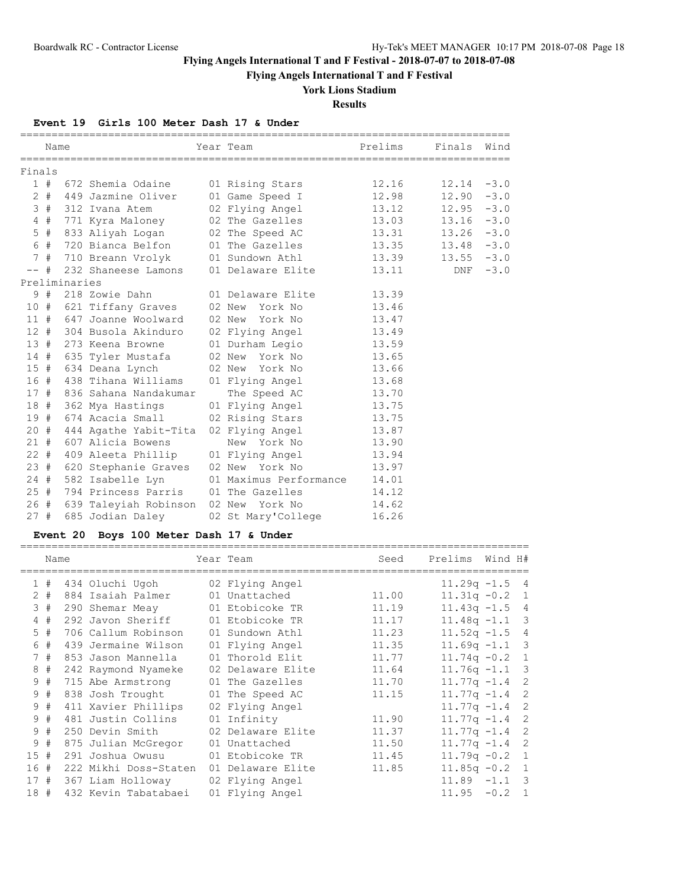**Flying Angels International T and F Festival**

# **York Lions Stadium**

**Results**

### **Event 19 Girls 100 Meter Dash 17 & Under**

|        | Name   |               |                                        | Year Team <b>Prelims</b>                   |       | Finals Wind   |        |
|--------|--------|---------------|----------------------------------------|--------------------------------------------|-------|---------------|--------|
| Finals |        |               |                                        |                                            |       |               |        |
|        |        |               | 1 # 672 Shemia Odaine 01 Rising Stars  |                                            | 12.16 | 12.14         | $-3.0$ |
|        |        |               |                                        | 2 # 449 Jazmine Oliver 01 Game Speed I     | 12.98 | 12.90         | $-3.0$ |
|        | 3#     |               | 312 Ivana Atem                         | 02 Flying Angel                            | 13.12 | $12.95 - 3.0$ |        |
|        | 4#     |               |                                        | 771 Kyra Maloney 02 The Gazelles 13.03     |       | $13.16 - 3.0$ |        |
|        | $5$ #  |               |                                        | 833 Aliyah Logan 02 The Speed AC 13.31     |       | $13.26 - 3.0$ |        |
|        | 6 #    |               | 720 Bianca Belfon                      | 01 The Gazelles                            | 13.35 | $13.48 - 3.0$ |        |
|        | 7#     |               |                                        |                                            |       | $13.55 - 3.0$ |        |
| $--$ # |        |               |                                        | 232 Shaneese Lamons 01 Delaware Elite      | 13.11 | DNF           | $-3.0$ |
|        |        | Preliminaries |                                        |                                            |       |               |        |
|        | 9#     |               |                                        | 218 Zowie Dahn           01 Delaware Elite | 13.39 |               |        |
|        |        |               | 10 # 621 Tiffany Graves 02 New York No |                                            | 13.46 |               |        |
|        | 11#    |               | 647 Joanne Woolward                    | 02 New York No                             | 13.47 |               |        |
|        | 12#    |               | 304 Busola Akinduro                    | 02 Flying Angel                            | 13.49 |               |        |
|        | 13#    |               | 273 Keena Browne                       | 01 Durham Legio                            | 13.59 |               |        |
|        |        |               |                                        | 14 # 635 Tyler Mustafa     02 New York No  | 13.65 |               |        |
|        | 15#    |               | 634 Deana Lynch                        | 02 New York No                             | 13.66 |               |        |
|        | 16#    |               | 438 Tihana Williams                    | 01 Flying Angel                            | 13.68 |               |        |
|        | 17#    |               | 836 Sahana Nandakumar                  | The Speed AC the Speed AC                  | 13.70 |               |        |
| 18#    |        |               | 362 Mya Hastings                       | 01 Flying Angel                            | 13.75 |               |        |
|        | 19 #   |               | 674 Acacia Small                       | 02 Rising Stars                            | 13.75 |               |        |
| 20#    |        |               |                                        | 444 Agathe Yabit-Tita 02 Flying Angel      | 13.87 |               |        |
| 21#    |        |               | 607 Alicia Bowens                      | New York No                                | 13.90 |               |        |
|        | $22 +$ |               |                                        | 409 Aleeta Phillip 01 Flying Angel         | 13.94 |               |        |
| 23#    |        |               |                                        | 620 Stephanie Graves 02 New York No        | 13.97 |               |        |
| 24#    |        |               |                                        | 582 Isabelle Lyn 01 Maximus Performance    | 14.01 |               |        |
|        | 25#    |               |                                        | 794 Princess Parris 01 The Gazelles        | 14.12 |               |        |
|        | 26#    |               |                                        | 639 Taleyiah Robinson  02 New  York No     | 14.62 |               |        |
| 27#    |        |               | 685 Jodian Daley                       | 02 St Mary'College                         | 16.26 |               |        |

# **Event 20 Boys 100 Meter Dash 17 & Under**

|     | Name  |                                   | Year Team         | Seed  | Prelims          | Wind H# |  |
|-----|-------|-----------------------------------|-------------------|-------|------------------|---------|--|
|     | 1#    | 434 Oluchi Uqoh                   | 02 Flying Angel   |       | $11.29q - 1.5$ 4 |         |  |
|     | $2 +$ | 884 Isaiah Palmer                 | 01 Unattached     | 11.00 | $11.31q - 0.2$ 1 |         |  |
|     | 3#    | 290 Shemar Meay 01 Etobicoke TR   |                   | 11.19 | $11.43q - 1.5$ 4 |         |  |
|     | 4#    | 292 Javon Sheriff 01 Etobicoke TR |                   | 11.17 | $11.48q - 1.1$ 3 |         |  |
|     | $5$ # | 706 Callum Robinson               | 01 Sundown Athl   | 11.23 | $11.52q - 1.5$ 4 |         |  |
|     | 6#    | 439 Jermaine Wilson               | 01 Flying Angel   | 11.35 | $11.69q - 1.1$ 3 |         |  |
|     | 7#    | 853 Jason Mannella                | 01 Thorold Elit   | 11.77 | $11.74q - 0.2$ 1 |         |  |
|     | 8#    | 242 Raymond Nyameke               | 02 Delaware Elite | 11.64 | $11.76q - 1.1$ 3 |         |  |
|     | 9#    | 715 Abe Armstrong                 | 01 The Gazelles   | 11.70 | $11.77q - 1.4$ 2 |         |  |
|     | 9#    | 838 Josh Trought                  | 01 The Speed AC   | 11.15 | $11.77q - 1.4$ 2 |         |  |
|     | 9#    | 411 Xavier Phillips               | 02 Flying Angel   |       | $11.77q - 1.4$ 2 |         |  |
|     | 9#    | 481 Justin Collins                | 01 Infinity       | 11.90 | $11.77q - 1.4$ 2 |         |  |
|     | 9#    | 250 Devin Smith                   | 02 Delaware Elite | 11.37 | $11.77q - 1.4$ 2 |         |  |
| 9   | #     | 875 Julian McGregor               | 01 Unattached     | 11.50 | $11.77q - 1.4$ 2 |         |  |
| 15# |       | 291 Joshua Owusu                  | 01 Etobicoke TR   | 11.45 | $11.79q - 0.2$ 1 |         |  |
| 16  | #     | 222 Mikhi Doss-Staten             | 01 Delaware Elite | 11.85 | $11.85q - 0.2$ 1 |         |  |
| 17# |       | 367 Liam Holloway                 | 02 Flying Angel   |       | $11.89 - 1.1$ 3  |         |  |
| 18# |       | 432 Kevin Tabatabaei              | 01 Flying Angel   |       | $11.95 - 0.2 1$  |         |  |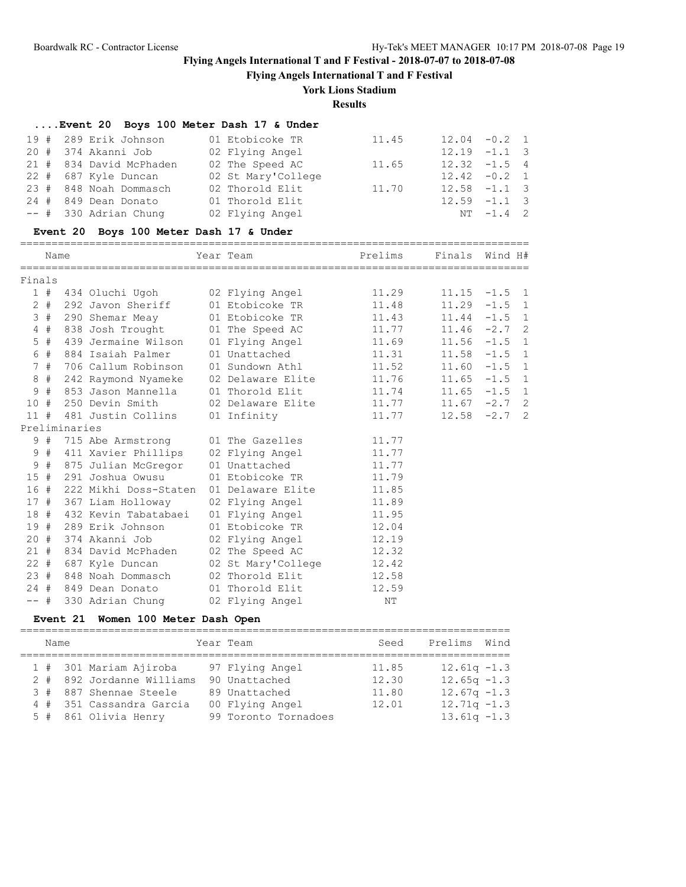**Flying Angels International T and F Festival**

## **York Lions Stadium**

**Results**

|        |       |               | Event 20 Boys 100 Meter Dash 17 & Under |                    |         |                |          |                |
|--------|-------|---------------|-----------------------------------------|--------------------|---------|----------------|----------|----------------|
| 19#    |       |               | 289 Erik Johnson                        | 01 Etobicoke TR    | 11.45   | 12.04          | $-0.2$   | $\overline{1}$ |
| $20 +$ |       |               | 374 Akanni Job                          | 02 Flying Angel    |         | 12.19          | $-1.1$ 3 |                |
| 21#    |       |               | 834 David McPhaden                      | 02 The Speed AC    | 11.65   | 12.32          | $-1.5$ 4 |                |
| $22 +$ |       |               | 687 Kyle Duncan                         | 02 St Mary'College |         | 12.42          | $-0.2$ 1 |                |
| 23 #   |       |               | 848 Noah Dommasch                       | 02 Thorold Elit    | 11.70   | 12.58          | $-1.1$ 3 |                |
| 24#    |       |               | 849 Dean Donato                         | 01 Thorold Elit    |         | 12.59          | $-1.1$ 3 |                |
| $--$ # |       |               | 330 Adrian Chung                        | 02 Flying Angel    |         | NΤ             | $-1.4$ 2 |                |
|        |       |               | Event 20 Boys 100 Meter Dash 17 & Under |                    |         |                |          |                |
|        | Name  |               |                                         | Year Team          | Prelims | Finals Wind H# |          |                |
| Finals |       |               |                                         |                    |         |                |          |                |
|        | 1#    |               | 434 Oluchi Ugoh                         | 02 Flying Angel    | 11.29   | 11.15          | $-1.5$   | $\overline{1}$ |
|        | $2 +$ |               | 292 Javon Sheriff                       | 01 Etobicoke TR    | 11.48   | 11.29          | $-1.5$ 1 |                |
|        | 3#    |               | 290 Shemar Meay                         | 01 Etobicoke TR    | 11.43   | 11.44          | $-1.5$   | $\mathbf{1}$   |
|        | 4#    |               | 838 Josh Trought                        | 01 The Speed AC    | 11.77   | $11.46 -2.7$ 2 |          |                |
|        | $5$ # |               | 439 Jermaine Wilson                     | 01 Flying Angel    | 11.69   | $11.56 - 1.5$  |          | $\overline{1}$ |
|        | 6 #   |               | 884 Isaiah Palmer                       | 01 Unattached      | 11.31   | 11.58          | $-1.5$   | $\overline{1}$ |
|        | 7#    |               | 706 Callum Robinson                     | 01 Sundown Athl    | 11.52   | 11.60          | $-1.5$   | $\overline{1}$ |
|        | 8#    |               | 242 Raymond Nyameke                     | 02 Delaware Elite  | 11.76   | 11.65          | $-1.5$   | $\overline{1}$ |
|        | 9#    |               | 853 Jason Mannella                      | 01 Thorold Elit    | 11.74   | 11.65          | $-1.5$ 1 |                |
| 10 #   |       |               | 250 Devin Smith                         | 02 Delaware Elite  | 11.77   | 11.67          | $-2.7$ 2 |                |
| 11#    |       |               | 481 Justin Collins                      | 01 Infinity        | 11.77   | 12.58          | $-2.7$ 2 |                |
|        |       | Preliminaries |                                         |                    |         |                |          |                |
|        | 9#    |               | 715 Abe Armstrong                       | 01 The Gazelles    | 11.77   |                |          |                |
|        | 9#    |               | 411 Xavier Phillips                     | 02 Flying Angel    | 11.77   |                |          |                |
|        | 9#    |               | 875 Julian McGregor                     | 01 Unattached      | 11.77   |                |          |                |
| 15#    |       |               | 291 Joshua Owusu                        | 01 Etobicoke TR    | 11.79   |                |          |                |
| 16#    |       |               | 222 Mikhi Doss-Staten                   | 01 Delaware Elite  | 11.85   |                |          |                |
| 17#    |       |               | 367 Liam Holloway                       | 02 Flying Angel    | 11.89   |                |          |                |
| 18 #   |       |               | 432 Kevin Tabatabaei                    | 01 Flying Angel    | 11.95   |                |          |                |
| 19#    |       |               | 289 Erik Johnson                        | 01 Etobicoke TR    | 12.04   |                |          |                |
| 20#    |       |               | 374 Akanni Job                          | 02 Flying Angel    | 12.19   |                |          |                |
| 21#    |       |               | 834 David McPhaden                      | 02 The Speed AC    | 12.32   |                |          |                |
| $22 +$ |       |               | 687 Kyle Duncan                         | 02 St Mary'College | 12.42   |                |          |                |
| 23#    |       |               | 848 Noah Dommasch                       | 02 Thorold Elit    | 12.58   |                |          |                |
| $24$ # |       |               | 849 Dean Donato                         | 01 Thorold Elit    | 12.59   |                |          |                |
| $--$ # |       |               | 330 Adrian Chung                        | 02 Flying Angel    | NΤ      |                |          |                |

## **Event 21 Women 100 Meter Dash Open**

| Name |  |                           | Year Team            | Seed  | Prelims Wind   |  |
|------|--|---------------------------|----------------------|-------|----------------|--|
|      |  | 1 # 301 Mariam Ajiroba    | 97 Flying Angel      | 11.85 | $12.61q - 1.3$ |  |
|      |  | 2 # 892 Jordanne Williams | 90 Unattached        | 12.30 | $12.65q - 1.3$ |  |
|      |  | 3 # 887 Shennae Steele    | 89 Unattached        | 11.80 | $12.67q - 1.3$ |  |
|      |  | 4 # 351 Cassandra Garcia  | 00 Flying Angel      | 12.01 | $12.71q - 1.3$ |  |
|      |  | 5 # 861 Olivia Henry      | 99 Toronto Tornadoes |       | $13.61q - 1.3$ |  |
|      |  |                           |                      |       |                |  |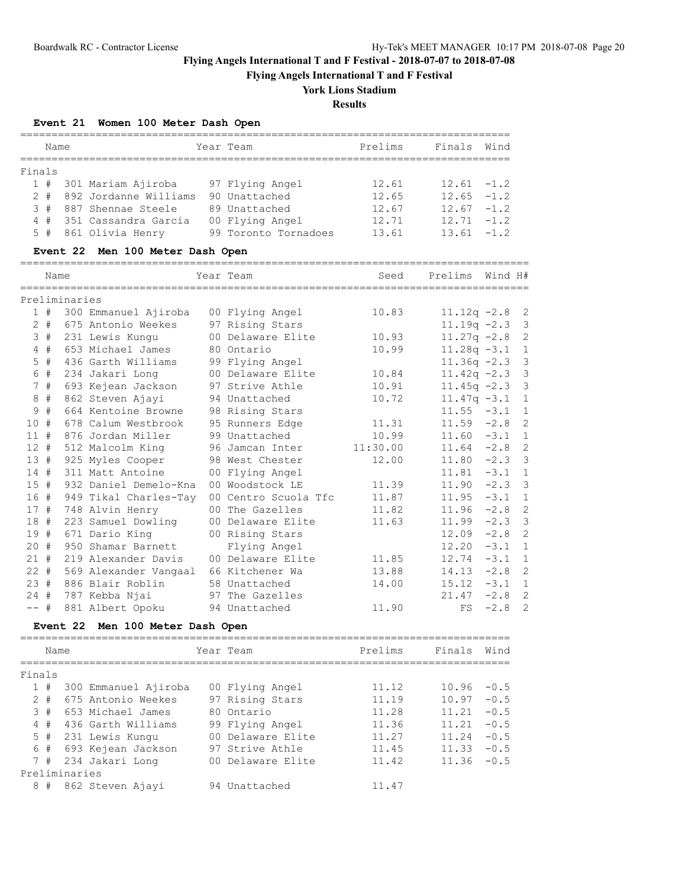**Flying Angels International T and F Festival**

# **York Lions Stadium**

**Results**

## **Event 21 Women 100 Meter Dash Open**

|        |       |               |                                  |                      |          | =============  |         |                |
|--------|-------|---------------|----------------------------------|----------------------|----------|----------------|---------|----------------|
|        | Name  |               |                                  | Year Team            | Prelims  | Finals         | Wind    |                |
|        |       |               |                                  |                      |          |                |         |                |
| Finals |       |               |                                  |                      |          |                |         |                |
|        |       |               | 1 # 301 Mariam Ajiroba           | 97 Flying Angel      | 12.61    | $12.61 - 1.2$  |         |                |
|        |       |               | 2 # 892 Jordanne Williams        | 90 Unattached        | 12.65    | $12.65 - 1.2$  |         |                |
|        |       |               | 3 # 887 Shennae Steele           | 89 Unattached        | 12.67    | $12.67 - 1.2$  |         |                |
|        | 4#    |               | 351 Cassandra Garcia             | 00 Flying Angel      | 12.71    | $12.71 - 1.2$  |         |                |
|        | $5$ # |               | 861 Olivia Henry                 | 99 Toronto Tornadoes | 13.61    | 13.61          | $-1.2$  |                |
|        |       |               | Event 22 Men 100 Meter Dash Open |                      |          |                |         |                |
|        | Name  |               |                                  | Year Team            | Seed     | Prelims        | Wind H# |                |
|        |       | Preliminaries |                                  |                      |          |                |         |                |
|        |       |               | 1 # 300 Emmanuel Ajiroba         | 00 Flying Angel      | 10.83    | $11.12q -2.8$  |         | $\overline{c}$ |
|        |       |               | 2 # 675 Antonio Weekes           | 97 Rising Stars      |          | $11.19q -2.3$  |         | 3              |
|        |       |               | 3 # 231 Lewis Kungu              | 00 Delaware Elite    | 10.93    | $11.27q -2.8$  |         | $\overline{c}$ |
|        | 4#    |               | 653 Michael James                | 80 Ontario           | 10.99    | $11.28q - 3.1$ |         | 1              |
|        | $5$ # |               | 436 Garth Williams               | 99 Flying Angel      |          | $11.36q -2.3$  |         | 3              |
|        | 6 #   |               | 234 Jakari Long                  | 00 Delaware Elite    | 10.84    | $11.42q -2.3$  |         | 3              |
|        | 7#    |               | 693 Kejean Jackson               | 97 Strive Athle      | 10.91    | $11.45q -2.3$  |         | 3              |
|        | $8 +$ |               | 862 Steven Ajayi                 | 94 Unattached        | 10.72    | $11.47q -3.1$  |         | $\mathbf{1}$   |
| 9      | #     |               | 664 Kentoine Browne              | 98 Rising Stars      |          | $11.55 - 3.1$  |         | 1              |
| 10#    |       |               | 678 Calum Westbrook              | 95 Runners Edge      | 11.31    | $11.59 -2.8$   |         | $\overline{c}$ |
| 11#    |       |               | 876 Jordan Miller                | 99 Unattached        | 10.99    | $11.60 -3.1$   |         | 1              |
| $12 +$ |       |               | 512 Malcolm King                 | 96 Jamcan Inter      | 11:30.00 | $11.64 -2.8$   |         | $\overline{c}$ |
| 13#    |       |               | 925 Myles Cooper                 | 98 West Chester      | 12.00    | $11.80 -2.3$   |         | 3              |
| $14$ # |       |               | 311 Matt Antoine                 | 00 Flying Angel      |          | $11.81 - 3.1$  |         | $\mathbf{1}$   |
| 15#    |       |               | 932 Daniel Demelo-Kna            | 00 Woodstock LE      | 11.39    | $11.90 -2.3$   |         | 3              |
| 16 #   |       |               | 949 Tikal Charles-Tay            | 00 Centro Scuola Tfc | 11.87    | 11.95          | $-3.1$  | 1              |
| 17#    |       |               | 748 Alvin Henry                  | 00 The Gazelles      | 11.82    | 11.96          | $-2.8$  | $\overline{c}$ |
| 18#    |       |               | 223 Samuel Dowling               | 00 Delaware Elite    | 11.63    | 11.99          | $-2.3$  | 3              |
| 19#    |       |               | 671 Dario King                   | 00 Rising Stars      |          | 12.09          | $-2.8$  | $\overline{c}$ |
| 20#    |       |               | 950 Shamar Barnett               | Flying Angel         |          | 12.20          | $-3.1$  | $\mathbf{1}$   |
| $21 +$ |       |               | 219 Alexander Davis              | 00 Delaware Elite    | 11.85    | 12.74          | $-3.1$  | 1              |
| $22 +$ |       |               | 569 Alexander Vangaal            | 66 Kitchener Wa      | 13.88    | 14.13          | $-2.8$  | $\overline{c}$ |
| 23#    |       |               | 886 Blair Roblin                 | 58 Unattached        | 14.00    | 15.12          | $-3.1$  | 1              |
| 24#    |       |               | 787 Kebba Njai                   | 97 The Gazelles      |          | 21.47          | $-2.8$  | $\overline{c}$ |
| $--$ # |       |               | 881 Albert Opoku                 | 94 Unattached        | 11.90    | FS             | $-2.8$  | $\overline{c}$ |
|        |       |               | Event 22 Men 100 Meter Dash Open |                      |          |                |         |                |
|        | Name  |               |                                  | Year Team            | Prelims  | Finals         | Wind    |                |
|        |       |               |                                  |                      |          |                |         |                |
| Finals |       |               |                                  |                      |          |                |         |                |
|        |       |               | 1 # 300 Emmanuel Ajiroba         | 00 Flying Angel      | 11.12    | 10.96          | $-0.5$  |                |
|        |       |               | 2 # 675 Antonio Weekes           | 97 Rising Stars      | 11.19    | 10.97          | $-0.5$  |                |
|        | 3#    |               | 653 Michael James                | 80 Ontario           | 11.28    | 11.21          | $-0.5$  |                |
|        |       |               | 4 # 436 Garth Williams           | 99 Flying Angel      | 11.36    | 11.21          | $-0.5$  |                |
|        |       |               | 5 # 231 Lewis Kungu              | 00 Delaware Elite    | 11.27    | 11.24          | $-0.5$  |                |
|        |       |               | 6 # 693 Kejean Jackson           | 97 Strive Athle      | 11.45    | 11.33          | $-0.5$  |                |
|        | 7#    |               | 234 Jakari Long                  | 00 Delaware Elite    | 11.42    | 11.36          | $-0.5$  |                |
|        |       | Preliminaries |                                  |                      |          |                |         |                |
|        | 8#    |               | 862 Steven Ajayi                 | 94 Unattached        | 11.47    |                |         |                |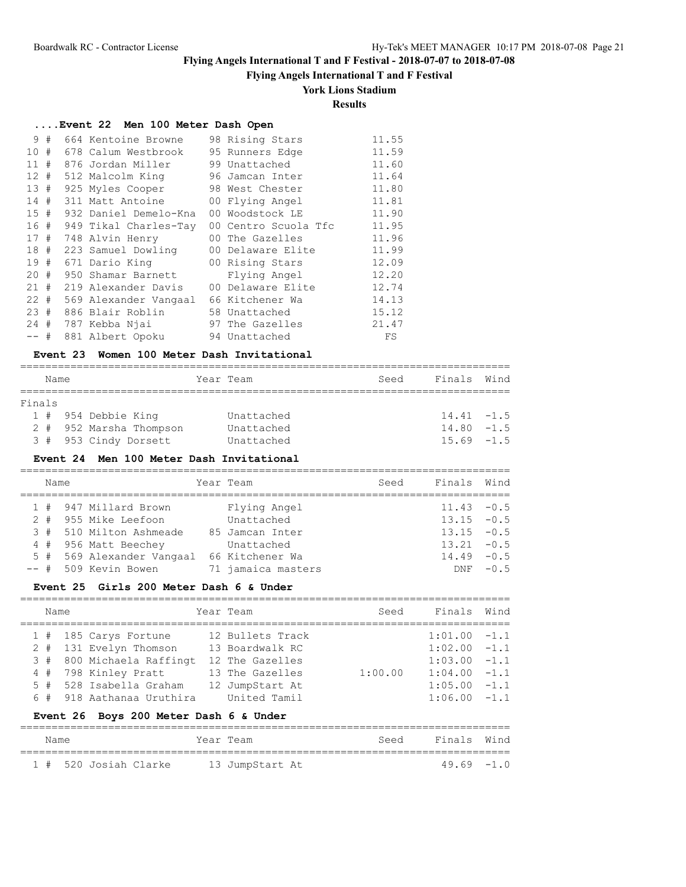## **Flying Angels International T and F Festival**

## **York Lions Stadium**

# **Results**

## **....Event 22 Men 100 Meter Dash Open**

| 9               | # | 664 Kentoine Browne     | 98 Rising Stars      | 11.55 |
|-----------------|---|-------------------------|----------------------|-------|
| 10 <sup>°</sup> | # | 678 Calum Westbrook     | 95 Runners Edge      | 11.59 |
| 11              | # | 876 Jordan Miller       | 99 Unattached        | 11.60 |
| 12#             |   | 512 Malcolm King        | 96 Jamcan Inter      | 11.64 |
| 13#             |   | 925 Myles Cooper        | 98 West Chester      | 11.80 |
| 14#             |   | 311 Matt Antoine        | 00 Flying Angel      | 11.81 |
| 15#             |   | 932 Daniel Demelo-Kna   | 00 Woodstock LE      | 11.90 |
| 16#             |   | 949 Tikal Charles-Tay   | 00 Centro Scuola Tfc | 11.95 |
| 17#             |   | 748 Alvin Henry         | 00 The Gazelles      | 11.96 |
|                 |   | 18 # 223 Samuel Dowling | 00 Delaware Elite    | 11.99 |
| 19#             |   | 671 Dario King          | 00 Rising Stars      | 12.09 |
| $20 +$          |   | 950 Shamar Barnett      | Flying Angel         | 12.20 |
| 21#             |   | 219 Alexander Davis     | 00 Delaware Elite    | 12.74 |
| $22 +$          |   | 569 Alexander Vangaal   | 66 Kitchener Wa      | 14.13 |
| 23#             |   | 886 Blair Roblin        | 58 Unattached        | 15.12 |
| 24#             |   | 787 Kebba Njai          | 97 The Gazelles      | 21.47 |
| $--$ #          |   | 881 Albert Opoku        | 94 Unattached        | FS    |

#### **Event 23 Women 100 Meter Dash Invitational**

|        | Name |                         | Year Team  | Seed | Finals Wind   |
|--------|------|-------------------------|------------|------|---------------|
|        |      |                         |            |      |               |
| Finals |      |                         |            |      |               |
|        |      | 1 # 954 Debbie King     | Unattached |      | $14.41 - 1.5$ |
|        |      | 2 # 952 Marsha Thompson | Unattached |      | $14.80 - 1.5$ |
|        |      | 3 # 953 Cindy Dorsett   | Unattached |      | $15.69 - 1.5$ |

#### **Event 24 Men 100 Meter Dash Invitational**

|       | Name |                           | Year Team          | Seed | Finals        | Wind   |
|-------|------|---------------------------|--------------------|------|---------------|--------|
|       | 1#   | 947 Millard Brown         | Flying Angel       |      | $11.43 - 0.5$ |        |
| $2 +$ |      | 955 Mike Leefoon          | Unattached         |      | $13.15 - 0.5$ |        |
|       | 3#   | 510 Milton Ashmeade       | 85 Jamcan Inter    |      | $13.15 - 0.5$ |        |
|       | 4#   | 956 Matt Beechey          | Unattached         |      | $13.21 - 0.5$ |        |
|       |      | 5 # 569 Alexander Vangaal | 66 Kitchener Wa    |      | $14.49 - 0.5$ |        |
|       |      | -- # 509 Kevin Bowen      | 71 jamaica masters |      | <b>DNF</b>    | $-0.5$ |

### **Event 25 Girls 200 Meter Dash 6 & Under**

|  | Name |  |                           |  | Year Team        | Seed    | Finals         | Wind |
|--|------|--|---------------------------|--|------------------|---------|----------------|------|
|  |      |  | 1 # 185 Carys Fortune     |  | 12 Bullets Track |         | $1:01.00 -1.1$ |      |
|  |      |  | 2 # 131 Evelyn Thomson    |  | 13 Boardwalk RC  |         | $1:02.00 -1.1$ |      |
|  |      |  | 3 # 800 Michaela Raffingt |  | 12 The Gazelles  |         | $1:03.00 -1.1$ |      |
|  |      |  | 4 # 798 Kinley Pratt      |  | 13 The Gazelles  | 1:00.00 | $1:04.00 -1.1$ |      |
|  |      |  | 5 # 528 Isabella Graham   |  | 12 JumpStart At  |         | $1:05.00 -1.1$ |      |
|  |      |  | 6 # 918 Aathanaa Uruthira |  | United Tamil     |         | $1:06.00 -1.1$ |      |

### **Event 26 Boys 200 Meter Dash 6 & Under**

| Name |                       | Year Team |                 | Seed | Finals Wind   |  |
|------|-----------------------|-----------|-----------------|------|---------------|--|
|      | 1 # 520 Josiah Clarke |           | 13 JumpStart At |      | $49.69 - 1.0$ |  |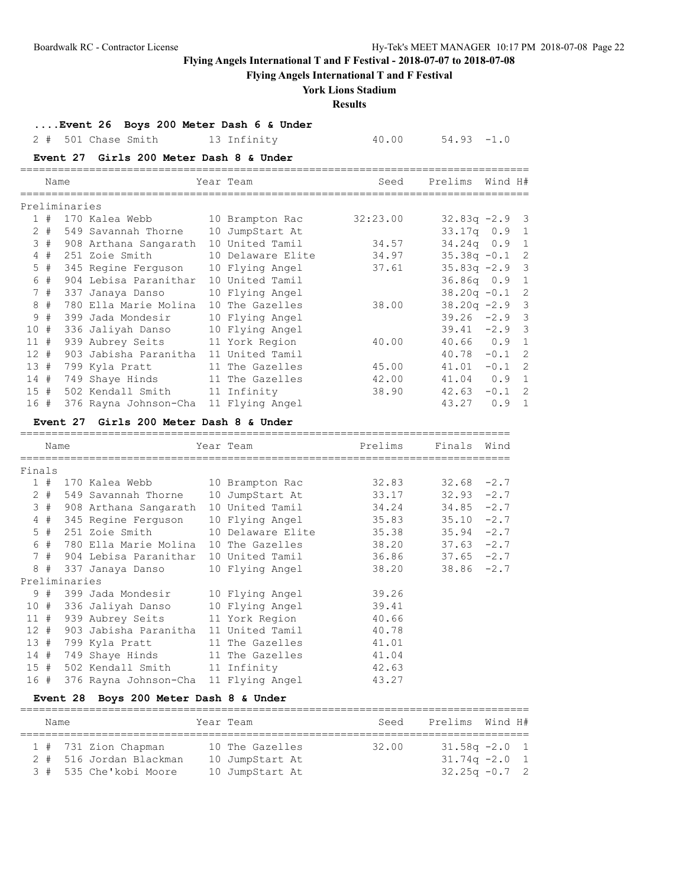**Flying Angels International T and F Festival**

# **York Lions Stadium**

**Results**

**....Event 26 Boys 200 Meter Dash 6 & Under**

2 # 501 Chase Smith 13 Infinity 40.00 54.93 -1.0

### **Event 27 Girls 200 Meter Dash 8 & Under**

|     | Name  |               |                       | Year Team         | Seed     | Prelims          | Wind H# |                |
|-----|-------|---------------|-----------------------|-------------------|----------|------------------|---------|----------------|
|     |       | Preliminaries |                       |                   |          |                  |         |                |
|     | 1#    |               | 170 Kalea Webb        | 10 Brampton Rac   | 32:23.00 | $32.83q -2.9$ 3  |         |                |
|     | $2 +$ |               | 549 Savannah Thorne   | 10 JumpStart At   |          | $33.17q$ 0.9 1   |         |                |
|     | 3#    |               | 908 Arthana Sangarath | 10 United Tamil   | 34.57    | $34.24q$ 0.9     |         | $\overline{1}$ |
|     | 4#    |               | 251 Zoie Smith        | 10 Delaware Elite | 34.97    | $35.38q -0.1$    |         | -2             |
|     | $5$ # |               | 345 Regine Ferguson   | 10 Flying Angel   | 37.61    | $35.83q -2.9$ 3  |         |                |
|     | 6#    |               | 904 Lebisa Paranithar | 10 United Tamil   |          | 36.86q 0.9 1     |         |                |
|     | 7#    |               | 337 Janaya Danso      | 10 Flying Angel   |          | $38.20q - 0.1$ 2 |         |                |
|     | 8#    |               | 780 Ella Marie Molina | 10 The Gazelles   | 38.00    | $38.20q -2.9$ 3  |         |                |
|     | 9#    |               | 399 Jada Mondesir     | 10 Flying Angel   |          | $39.26 -2.9$ 3   |         |                |
| 10# |       |               | 336 Jaliyah Danso     | 10 Flying Angel   |          | $39.41 -2.9$ 3   |         |                |
| 11# |       |               | 939 Aubrey Seits      | 11 York Region    | 40.00    | $40.66$ 0.9      |         | $\overline{1}$ |
| 12# |       |               | 903 Jabisha Paranitha | 11 United Tamil   |          | 40.78            | $-0.1$  | -2             |
| 13# |       |               | 799 Kyla Pratt        | 11 The Gazelles   | 45.00    | 41.01            | $-0.1$  | $\overline{2}$ |
| 14# |       |               | 749 Shaye Hinds       | 11 The Gazelles   | 42.00    | 41.04            | 0.9     | $\overline{1}$ |
| 15# |       |               | 502 Kendall Smith     | 11 Infinity       | 38.90    | 42.63            | $-0.1$  | $\overline{2}$ |
| 16# |       |               | 376 Rayna Johnson-Cha | 11 Flying Angel   |          | 43.27            | 0.9     | $\overline{1}$ |

### **Event 27 Girls 200 Meter Dash 8 & Under**

|        | Name  |               |                                           |  | Year Team         | Prelims | Finals        | Wind |
|--------|-------|---------------|-------------------------------------------|--|-------------------|---------|---------------|------|
|        |       |               |                                           |  |                   |         |               |      |
| Finals |       |               |                                           |  |                   |         |               |      |
|        | 1#    |               | 170 Kalea Webb 10 Brampton Rac            |  |                   | 32.83   | $32.68 - 2.7$ |      |
|        | $2 +$ |               | 549 Savannah Thorne 10 JumpStart At       |  |                   | 33.17   | $32.93 -2.7$  |      |
|        |       |               | 3 # 908 Arthana Sangarath 10 United Tamil |  |                   | 34.24   | $34.85 - 2.7$ |      |
|        | 4#    |               | 345 Regine Ferguson 10 Flying Angel 35.83 |  |                   |         | $35.10 -2.7$  |      |
|        | $5$ # |               | 251 Zoie Smith                            |  | 10 Delaware Elite | 35.38   | $35.94 -2.7$  |      |
|        | 6#    |               | 780 Ella Marie Molina 10 The Gazelles     |  |                   | 38.20   | $37.63 -2.7$  |      |
|        | 7#    |               | 904 Lebisa Paranithar 10 United Tamil     |  |                   | 36.86   | $37.65 -2.7$  |      |
| 8      | #     |               | 337 Janaya Danso       10 Flying Angel    |  |                   | 38.20   | $38.86 - 2.7$ |      |
|        |       | Preliminaries |                                           |  |                   |         |               |      |
|        | 9#    |               | 399 Jada Mondesir 10 Flying Angel         |  |                   | 39.26   |               |      |
|        | 10#   |               | 336 Jaliyah Danso                         |  | 10 Flying Angel   | 39.41   |               |      |
| 11#    |       |               | 939 Aubrey Seits 11 York Region           |  |                   | 40.66   |               |      |
| 12#    |       |               | 903 Jabisha Paranitha  11 United Tamil    |  |                   | 40.78   |               |      |
| 13#    |       |               | 799 Kyla Pratt                            |  | 11 The Gazelles   | 41.01   |               |      |
| 14#    |       |               | 749 Shaye Hinds 11 The Gazelles           |  |                   | 41.04   |               |      |
| 15#    |       |               | 502 Kendall Smith 11 Infinity             |  |                   | 42.63   |               |      |
| 16#    |       |               | 376 Rayna Johnson-Cha 11 Flying Angel     |  |                   | 43.27   |               |      |

## **Event 28 Boys 200 Meter Dash 8 & Under**

|  | Name |                         | Year Team       | Seed  | Prelims Wind H#  |  |
|--|------|-------------------------|-----------------|-------|------------------|--|
|  |      | 1 # 731 Zion Chapman    | 10 The Gazelles | 32.00 | $31.58q - 2.0$ 1 |  |
|  |      | 2 # 516 Jordan Blackman | 10 JumpStart At |       | $31.74q - 2.0$ 1 |  |
|  |      | 3 # 535 Che'kobi Moore  | 10 JumpStart At |       | $32.25q -0.7$ 2  |  |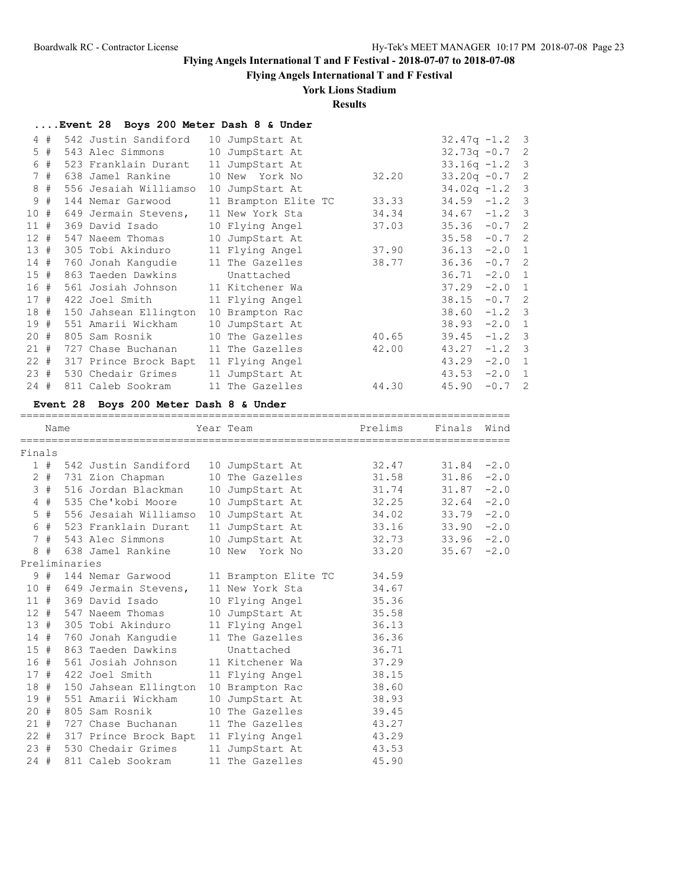**Flying Angels International T and F Festival**

### **York Lions Stadium**

**Results**

|        |       | Event 28 Boys 200 Meter Dash 8 & Under |                      |       |                  |          |                |
|--------|-------|----------------------------------------|----------------------|-------|------------------|----------|----------------|
| 4      | #     | 542 Justin Sandiford                   | 10 JumpStart At      |       | $32.47q - 1.2$ 3 |          |                |
|        | $5$ # | 543 Alec Simmons                       | 10 JumpStart At      |       | $32.73q - 0.7$ 2 |          |                |
| 6      | #     | 523 Franklain Durant                   | 11 JumpStart At      |       | $33.16q - 1.2$ 3 |          |                |
|        | 7#    | 638 Jamel Rankine                      | 10 New York No       | 32.20 | $33.20q -0.7$ 2  |          |                |
| 8      | #     | 556 Jesaiah Williamso                  | 10 JumpStart At      |       | $34.02q - 1.2$ 3 |          |                |
| 9      | #     | 144 Nemar Garwood                      | 11 Brampton Elite TC | 33.33 | $34.59 - 1.2$ 3  |          |                |
| 10#    |       | 649 Jermain Stevens,                   | 11 New York Sta      | 34.34 | $34.67 - 1.2$ 3  |          |                |
| 11#    |       | 369 David Isado                        | 10 Flying Angel      | 37.03 | $35.36 - 0.7$ 2  |          |                |
| 12#    |       | 547 Naeem Thomas                       | 10 JumpStart At      |       | 35.58            | $-0.7$ 2 |                |
| 13#    |       | 305 Tobi Akinduro                      | 11 Flying Angel      | 37.90 | $36.13 -2.0$     |          | 1              |
| 14#    |       | 760 Jonah Kanqudie                     | 11 The Gazelles      | 38.77 | 36.36            | $-0.7$ 2 |                |
| 15#    |       | 863 Taeden Dawkins                     | Unattached           |       | 36.71            | $-2.0$ 1 |                |
| 16#    |       | 561 Josiah Johnson                     | 11 Kitchener Wa      |       | 37.29            | $-2.0$   | -1             |
| 17#    |       | 422 Joel Smith                         | 11 Flying Angel      |       | 38.15            | $-0.7$ 2 |                |
| 18#    |       | 150 Jahsean Ellington                  | 10 Brampton Rac      |       | 38.60            | $-1.2$ 3 |                |
| 19#    |       | 551 Amarii Wickham                     | 10 JumpStart At      |       | 38.93            | $-2.0$   | $\overline{1}$ |
| 20#    |       | 805 Sam Rosnik                         | 10 The Gazelles      | 40.65 | 39.45            | $-1.2$ 3 |                |
| 21#    |       | 727 Chase Buchanan                     | 11 The Gazelles      | 42.00 | 43.27            | $-1.2$ 3 |                |
| $22 +$ |       | 317 Prince Brock Bapt                  | 11 Flying Angel      |       | 43.29            | $-2.0$ 1 |                |
| 23#    |       | 530 Chedair Grimes                     | 11 JumpStart At      |       | 43.53            | $-2.0$ 1 |                |
| $24 +$ |       | 811 Caleb Sookram                      | 11 The Gazelles      | 44.30 | 45.90            | $-0.7$   | 2              |

#### **Event 28 Boys 200 Meter Dash 8 & Under**

============================================================================== Name Year Team Prelims Finals Wind ============================================================================== Finals 1 # 542 Justin Sandiford 10 JumpStart At 32.47 31.84 -2.0 2 # 731 Zion Chapman 10 The Gazelles 31.58 31.86 -2.0 3 # 516 Jordan Blackman 10 JumpStart At 31.74 31.87 -2.0 4 # 535 Che'kobi Moore 10 JumpStart At 32.25 32.64 -2.0 5 # 556 Jesaiah Williamso 10 JumpStart At 34.02 33.79 -2.0 6 # 523 Franklain Durant 11 JumpStart At 33.16 33.90 -2.0 7 # 543 Alec Simmons 10 JumpStart At 32.73 33.96 -2.0 8 # 638 Jamel Rankine 10 New York No 33.20 35.67 -2.0 Preliminaries 9 # 144 Nemar Garwood 11 Brampton Elite TC 34.59 10 # 649 Jermain Stevens, 11 New York Sta 34.67 11 # 369 David Isado 10 Flying Angel 35.36 12 # 547 Naeem Thomas 10 JumpStart At 35.58 13 # 305 Tobi Akinduro 11 Flying Angel 36.13 10 # 649 Jermain Stevens, 11 New York Sta<br>
11 # 369 David Isado 10 Flying Angel 35.36<br>
12 # 547 Naeem Thomas 10 JumpStart At 35.58<br>
13 # 305 Tobi Akinduro 11 Flying Angel 36.13<br>
14 # 760 Jonah Kangudie 11 The Gazelles 36.3 15 # 863 Taeden Dawkins Unattached 36.71 16 # 561 Josiah Johnson 11 Kitchener Wa 37.29 17 # 422 Joel Smith 11 Flying Angel 38.15 18 # 150 Jahsean Ellington 10 Brampton Rac 38.60 19 # 551 Amarii Wickham 10 JumpStart At 38.93 20 # 805 Sam Rosnik 10 The Gazelles 39.45 21 # 727 Chase Buchanan 11 The Gazelles 43.27 22 # 317 Prince Brock Bapt 11 Flying Angel 43.29 23 # 530 Chedair Grimes 11 JumpStart At 43.53 24 # 811 Caleb Sookram 11 The Gazelles 45.90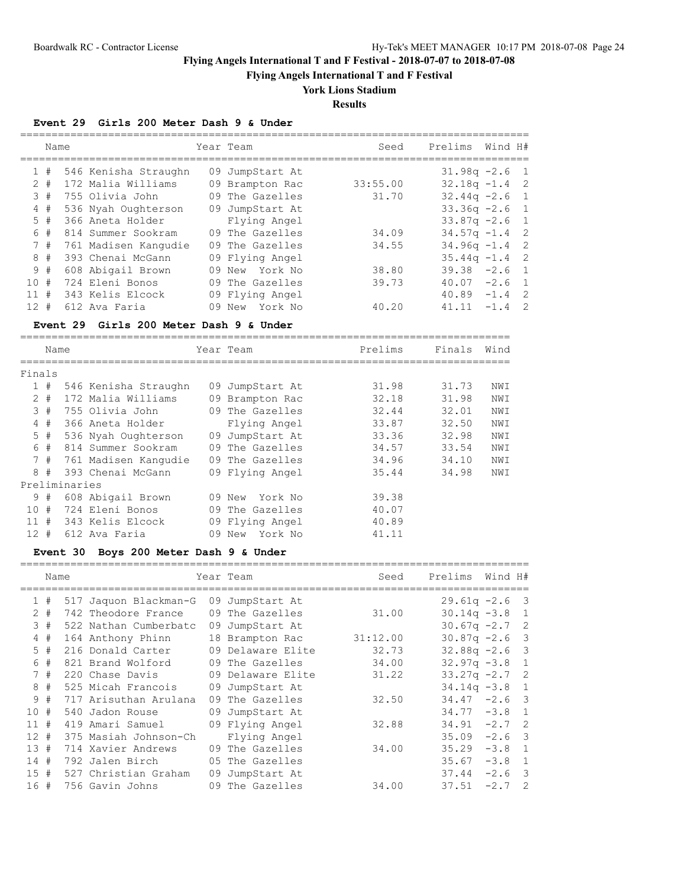**Flying Angels International T and F Festival**

## **York Lions Stadium**

**Results**

### **Event 29 Girls 200 Meter Dash 9 & Under**

|        | Name |                      | Year Team         | Seed     | Prelims          | Wind H# |                |
|--------|------|----------------------|-------------------|----------|------------------|---------|----------------|
| 1#     |      | 546 Kenisha Straughn | 09 JumpStart At   |          | $31.98q -2.6$ 1  |         |                |
| $2 +$  |      | 172 Malia Williams   | 09 Brampton Rac   | 33:55.00 | $32.18q - 1.4$ 2 |         |                |
| 3#     |      | 755 Olivia John      | 09 The Gazelles   | 31.70    | $32.44q - 2.6$ 1 |         |                |
| 4#     |      | 536 Nyah Oughterson  | 09 JumpStart At   |          | $33.36q -2.6$ 1  |         |                |
| 5#     |      | 366 Aneta Holder     | Flying Angel      |          | $33.87q - 2.6$   |         | $\overline{1}$ |
| 6 #    |      | 814 Summer Sookram   | 09 The Gazelles   | 34.09    | $34.57q - 1.4$ 2 |         |                |
| 7#     |      | 761 Madisen Kangudie | 09 The Gazelles   | 34.55    | $34.96q - 1.4$ 2 |         |                |
| 8#     |      | 393 Chenai McGann    | 09 Flying Angel   |          | $35.44q -1.4$    |         | $\overline{2}$ |
| 9#     |      | 608 Abigail Brown    | 09 New York No    | 38.80    | 39.38            | $-2.6$  | $\overline{1}$ |
| 10#    |      | 724 Eleni Bonos      | 09 The Gazelles   | 39.73    | 40.07            | $-2.6$  | $\overline{1}$ |
| 11#    |      | 343 Kelis Elcock     | 09 Flying Angel   |          | 40.89            | $-1.4$  | $\overline{2}$ |
| $12 +$ |      | 612 Ava Faria        | York No<br>09 New | 40.20    | 41.11            | $-1$ 4  | - 2            |
|        |      |                      |                   |          |                  |         |                |

## **Event 29 Girls 200 Meter Dash 9 & Under**

|        | Name   |               |                          |    | Year Team         | Prelims | Finals | Wind |  |  |  |
|--------|--------|---------------|--------------------------|----|-------------------|---------|--------|------|--|--|--|
|        | Finals |               |                          |    |                   |         |        |      |  |  |  |
|        |        |               |                          |    |                   |         |        |      |  |  |  |
|        | 1#     |               | 546 Kenisha Straughn     |    | 09 JumpStart At   | 31.98   | 31.73  | NWI  |  |  |  |
|        | $2 +$  |               | 172 Malia Williams       |    | 09 Brampton Rac   | 32.18   | 31.98  | NWI  |  |  |  |
|        | 3#     |               | 755 Olivia John          |    | 09 The Gazelles   | 32.44   | 32.01  | NWI  |  |  |  |
|        | 4#     |               | 366 Aneta Holder         |    | Flying Angel      | 33.87   | 32.50  | NWI  |  |  |  |
|        | 5#     |               | 536 Nyah Oughterson      | 09 | JumpStart At      | 33.36   | 32.98  | NWI  |  |  |  |
|        | 6#     |               | 814 Summer Sookram       |    | 09 The Gazelles   | 34.57   | 33.54  | NWI  |  |  |  |
|        |        |               | 7 # 761 Madisen Kangudie |    | 09 The Gazelles   | 34.96   | 34.10  | NWI  |  |  |  |
|        | 8#     |               | 393 Chenai McGann        |    | 09 Flying Angel   | 35.44   | 34.98  | NWI  |  |  |  |
|        |        | Preliminaries |                          |    |                   |         |        |      |  |  |  |
|        | 9#     |               | 608 Abigail Brown        |    | York No<br>09 New | 39.38   |        |      |  |  |  |
| 10#    |        |               | 724 Eleni Bonos          |    | 09 The Gazelles   | 40.07   |        |      |  |  |  |
| 11#    |        |               | 343 Kelis Elcock         |    | 09 Flying Angel   | 40.89   |        |      |  |  |  |
| $12 +$ |        |               | 612 Ava Faria            | 09 | York No<br>New    | 41.11   |        |      |  |  |  |

### **Event 30 Boys 200 Meter Dash 9 & Under**

|                 | Name  |                       |    | Year Team         | Seed     | Prelims        | Wind H# |                            |
|-----------------|-------|-----------------------|----|-------------------|----------|----------------|---------|----------------------------|
|                 | 1#    | 517 Jaquon Blackman-G |    | 09 JumpStart At   |          | $29.61q - 2.6$ |         | - 3                        |
|                 | $2 +$ | 742 Theodore France   |    | 09 The Gazelles   | 31.00    | $30.14q - 3.8$ |         | 1                          |
| 3               | #     | 522 Nathan Cumberbatc | 09 | JumpStart At      |          | $30.67q -2.7$  |         | $\overline{\phantom{0}}^2$ |
|                 | 4#    | 164 Anthony Phinn     |    | 18 Brampton Rac   | 31:12.00 | $30.87q -2.6$  |         | $\overline{\mathbf{3}}$    |
| 5.              | #     | 216 Donald Carter     |    | 09 Delaware Elite | 32.73    | $32.88q - 2.6$ |         | 3                          |
| 6               | #     | 821 Brand Wolford     |    | 09 The Gazelles   | 34.00    | $32.97q -3.8$  |         | $\mathbf{1}$               |
| 7               | #     | 220 Chase Davis       |    | 09 Delaware Elite | 31.22    | $33.27q -2.7$  |         | $\overline{2}$             |
| 8               | #     | 525 Micah Francois    |    | 09 JumpStart At   |          | $34.14q - 3.8$ |         | 1                          |
| 9               | #     | 717 Arisuthan Arulana | 09 | The Gazelles      | 32.50    | 34.47          | $-2.6$  | $\overline{\mathbf{3}}$    |
| 10              | #     | 540 Jadon Rouse       |    | 09 JumpStart At   |          | $34.77 - 3.8$  |         | 1                          |
| 11              | #     | 419 Amari Samuel      |    | 09 Flying Angel   | 32.88    | 34.91          | $-2.7$  | $\overline{\phantom{0}}^2$ |
| 12 <sup>°</sup> | #     | 375 Masiah Johnson-Ch |    | Flying Angel      |          | 35.09          | $-2.6$  | $\overline{\mathbf{3}}$    |
| 13 <sup>°</sup> | #     | 714 Xavier Andrews    |    | 09 The Gazelles   | 34.00    | 35.29          | $-3.8$  | $\mathbf{1}$               |
| 14              | #     | 792 Jalen Birch       |    | 05 The Gazelles   |          | 35.67          | $-3.8$  | $\overline{1}$             |
| 15              | #     | 527 Christian Graham  | 09 | JumpStart At      |          | 37.44          | $-2.6$  | $\overline{\mathbf{3}}$    |
| 16              | #     | 756 Gavin Johns       |    | 09 The Gazelles   | 34.00    | 37.51          | $-2.7$  | 2                          |
|                 |       |                       |    |                   |          |                |         |                            |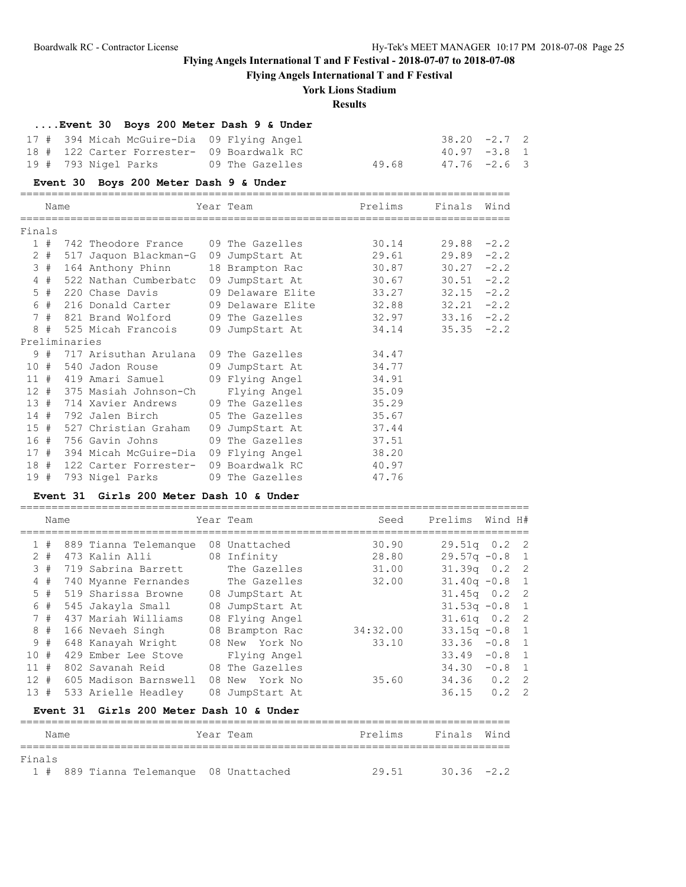**Flying Angels International T and F Festival**

### **York Lions Stadium**

### **Results**

# **....Event 30 Boys 200 Meter Dash 9 & Under**

| 17 # 394 Micah McGuire-Dia 09 Flying Angel |                 |       | $38.20 -2.7$ 2 |  |
|--------------------------------------------|-----------------|-------|----------------|--|
| 18 # 122 Carter Forrester- 09 Boardwalk RC |                 |       | $40.97 -3.8$ 1 |  |
| 19 #  793 Nigel Parks                      | 09 The Gazelles | 49.68 | 47.76 -2.6 3   |  |

### **Event 30 Boys 200 Meter Dash 9 & Under**

|        | Name |               |                                                                         | Year Team               | Prelims | Finals        | Wind   |
|--------|------|---------------|-------------------------------------------------------------------------|-------------------------|---------|---------------|--------|
|        |      |               |                                                                         |                         |         |               |        |
| Finals |      |               |                                                                         |                         |         |               |        |
|        | 1#   |               | 742 Theodore France 09 The Gazelles                                     |                         | 30.14   | 29.88         | $-2.2$ |
|        |      |               | 2 # 517 Jaquon Blackman-G 09 JumpStart At                               |                         | 29.61   | 29.89         | $-2.2$ |
|        | 3#   |               | 164 Anthony Phinn                                                       | 18 Brampton Rac         | 30.87   | $30.27 -2.2$  |        |
|        | 4#   |               | 522 Nathan Cumberbatc 09 JumpStart At 30.67                             |                         |         | 30.51         | $-2.2$ |
|        | 5#   |               | 220 Chase Davis                                                         | 09 Delaware Elite 33.27 |         | 32.15         | $-2.2$ |
|        |      |               |                                                                         |                         |         | 32.21         | $-2.2$ |
|        | 7#   |               | 821 Brand Wolford        09 The Gazelles                          32.97 |                         |         | $33.16 - 2.2$ |        |
| 8      | #    |               | 525 Micah Francois                                                      | 09 JumpStart At         | 34.14   | $35.35 -2.2$  |        |
|        |      | Preliminaries |                                                                         |                         |         |               |        |
|        | 9#   |               | 717 Arisuthan Arulana 09 The Gazelles                                   |                         | 34.47   |               |        |
| 10#    |      |               | 540 Jadon Rouse 69 JumpStart At 34.77                                   |                         |         |               |        |
| 11#    |      |               | 419 Amari Samuel (1988) 89 Flying Angel (1984.91                        |                         |         |               |        |
|        |      |               | 12 # 375 Masiah Johnson-Ch                                              | Flying Angel            | 35.09   |               |        |
| 13#    |      |               | 714 Xavier Andrews                                                      | 09 The Gazelles         | 35.29   |               |        |
|        |      |               | 14 # 792 Jalen Birch                                                    | 05 The Gazelles 35.67   |         |               |        |
| 15#    |      |               | 527 Christian Graham                                                    | 09 JumpStart At         | 37.44   |               |        |
|        | 16#  |               | 756 Gavin Johns 09 The Gazelles                                         |                         | 37.51   |               |        |
|        |      |               | 17 # 394 Micah McGuire-Dia 09 Flying Angel 38.20                        |                         |         |               |        |
| 18#    |      |               | 122 Carter Forrester-                                                   | 09 Boardwalk RC         | 40.97   |               |        |
| 19#    |      |               | 793 Nigel Parks                                                         | 09 The Gazelles         | 47.76   |               |        |
|        |      |               |                                                                         |                         |         |               |        |

# **Event 31 Girls 200 Meter Dash 10 & Under**

|          | Name  |                                          | Year Team       | Seed     | Prelims          | Wind H# |  |
|----------|-------|------------------------------------------|-----------------|----------|------------------|---------|--|
|          | 1#    | 889 Tianna Telemanque                    | 08 Unattached   | 30.90    | $29.51q$ 0.2 2   |         |  |
|          | $2 +$ | 473 Kalin Alli                           | 08 Infinity     | 28.80    | $29.57q - 0.8$ 1 |         |  |
|          | 3#    | 719 Sabrina Barrett                      | The Gazelles    | 31.00    | $31.39q$ 0.2 2   |         |  |
|          | 4#    | 740 Myanne Fernandes                     | The Gazelles    | 32.00    | $31.40q -0.8$ 1  |         |  |
|          | 5#    | 519 Sharissa Browne                      | 08 JumpStart At |          | $31.45q$ 0.2 2   |         |  |
|          | 6#    | 545 Jakayla Small                        | 08 JumpStart At |          | $31.53q -0.8$ 1  |         |  |
|          | 7#    | 437 Mariah Williams                      | 08 Flying Angel |          | $31.61q$ 0.2 2   |         |  |
|          | 8#    | 166 Nevaeh Singh                         | 08 Brampton Rac | 34:32.00 | $33.15q -0.8$ 1  |         |  |
|          | 9#    | 648 Kanayah Wright                       | 08 New York No  | 33.10    | $33.36 -0.8$ 1   |         |  |
| 10#      |       | 429 Ember Lee Stove                      | Flying Angel    |          | $33.49 - 0.8$ 1  |         |  |
| 11#      |       | 802 Savanah Reid                         | 08 The Gazelles |          | $34.30 -0.8$ 1   |         |  |
| $12 \pm$ |       | 605 Madison Barnswell                    | 08 New York No  | 35.60    | $34.36$ 0.2 2    |         |  |
|          | 13#   | 533 Arielle Headley                      | 08 JumpStart At |          | $36.15$ 0.2 2    |         |  |
|          |       | Event 31 Girls 200 Meter Dash 10 & Under |                 |          |                  |         |  |

### ============================================================================== Name **The Year Team** Prelims Finals Wind ============================================================================== Finals 1 # 889 Tianna Telemanque 08 Unattached 29.51 30.36 -2.2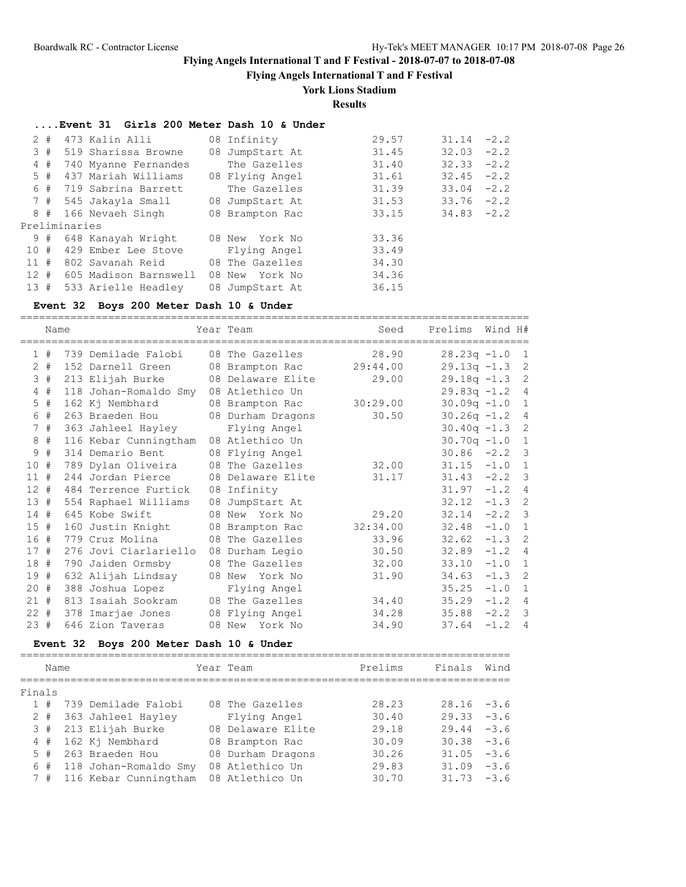**Flying Angels International T and F Festival**

# **York Lions Stadium**

**Results**

|       |    | Event 31 Girls 200 Meter Dash 10 & Under |                 |       |               |  |
|-------|----|------------------------------------------|-----------------|-------|---------------|--|
| $2 +$ |    | 473 Kalin Alli                           | 08 Infinity     | 29.57 | $31.14 -2.2$  |  |
|       | 3# | 519 Sharissa Browne                      | 08 JumpStart At | 31.45 | $32.03 - 2.2$ |  |
|       | 4# | 740 Myanne Fernandes                     | The Gazelles    | 31.40 | $32.33 -2.2$  |  |
|       | 5# | 437 Mariah Williams                      | 08 Flying Angel | 31.61 | $32.45 -2.2$  |  |
|       | 6# | 719 Sabrina Barrett                      | The Gazelles    | 31.39 | $33.04 -2.2$  |  |
|       |    | 7 # 545 Jakayla Small 08 JumpStart At    |                 | 31.53 | $33.76 - 2.2$ |  |
|       | 8# | 166 Nevaeh Singh                         | 08 Brampton Rac | 33.15 | $34.83 - 2.2$ |  |
|       |    | Preliminaries                            |                 |       |               |  |
|       | 9# | 648 Kanayah Wright                       | 08 New York No  | 33.36 |               |  |
| 10 #  |    | 429 Ember Lee Stove                      | Flying Angel    | 33.49 |               |  |
| 11#   |    | 802 Savanah Reid        08 The Gazelles  |                 | 34.30 |               |  |
| 12#   |    | 605 Madison Barnswell 08 New York No     |                 | 34.36 |               |  |
| 13#   |    | 533 Arielle Headley                      | 08 JumpStart At | 36.15 |               |  |

## **Event 32 Boys 200 Meter Dash 10 & Under**

|             | Name  |          |                                | Year Team         | Seed     | Prelims        | Wind H# |                |
|-------------|-------|----------|--------------------------------|-------------------|----------|----------------|---------|----------------|
|             | 1#    |          | 739 Demilade Falobi            | 08 The Gazelles   | 28.90    | $28.23q -1.0$  |         | $\mathbf{1}$   |
|             | $2 +$ |          | 152 Darnell Green              | 08 Brampton Rac   | 29:44.00 | $29.13q -1.3$  |         | $\overline{c}$ |
| 3           | #     |          | 213 Elijah Burke               | 08 Delaware Elite | 29.00    | $29.18q - 1.3$ |         | $\overline{c}$ |
| 4           | #     |          | 118 Johan-Romaldo Smy          | 08 Atlethico Un   |          | $29.83q -1.2$  |         | 4              |
| $\mathsf S$ | #     |          | 162 Kj Nembhard                | 08 Brampton Rac   | 30:29.00 | $30.09q -1.0$  |         | $\mathbf{1}$   |
| 6           | #     |          | 263 Braeden Hou                | 08 Durham Dragons | 30.50    | $30.26q -1.2$  |         | 4              |
|             | 7#    |          | 363 Jahleel Hayley             | Flying Angel      |          | $30.40q -1.3$  |         | $\overline{c}$ |
| 8           | #     |          | 116 Kebar Cunningtham          | 08 Atlethico Un   |          | $30.70q -1.0$  |         | $\mathbf{1}$   |
| 9           | #     |          | 314 Demario Bent               | 08 Flying Angel   |          | 30.86          | $-2.2$  | $\overline{3}$ |
| 10          | #     |          | 789 Dylan Oliveira             | 08 The Gazelles   | 32.00    | 31.15          | $-1.0$  | $\mathbf{1}$   |
| $11$ #      |       |          | 244 Jordan Pierce              | 08 Delaware Elite | 31.17    | 31.43          | $-2.2$  | 3              |
| 12          | #     |          | 484 Terrence Furtick           | 08 Infinity       |          | 31.97          | $-1.2$  | $\overline{4}$ |
| 13#         |       |          | 554 Raphael Williams           | 08 JumpStart At   |          | 32.12          | $-1.3$  | $\overline{c}$ |
| 14#         |       |          | 645 Kobe Swift                 | 08 New York No    | 29.20    | 32.14          | $-2.2$  | 3              |
| 15#         |       |          | 160 Justin Knight              | 08 Brampton Rac   | 32:34.00 | 32.48          | $-1.0$  | $\mathbf{1}$   |
| 16#         |       |          | 779 Cruz Molina                | 08 The Gazelles   | 33.96    | 32.62          | $-1.3$  | $\overline{c}$ |
| 17#         |       |          | 276 Jovi Ciarlariello          | 08 Durham Legio   | 30.50    | 32.89          | $-1.2$  | $\overline{4}$ |
| 18 #        |       |          | 790 Jaiden Ormsby              | 08 The Gazelles   | 32.00    | 33.10          | $-1.0$  | $\mathbf{1}$   |
| 19#         |       |          | 632 Alijah Lindsay             | 08 New York No    | 31.90    | 34.63          | $-1.3$  | $\overline{c}$ |
| 20#         |       |          | 388 Joshua Lopez               | Flying Angel      |          | 35.25          | $-1.0$  | $\mathbf{1}$   |
| 21#         |       |          | 813 Isaiah Sookram             | 08 The Gazelles   | 34.40    | 35.29          | $-1.2$  | $\overline{4}$ |
| $22 +$      |       |          | 378 Imarjae Jones              | 08 Flying Angel   | 34.28    | 35.88          | $-2.2$  | 3              |
| 23#         |       |          | 646 Zion Taveras               | 08 New York No    | 34.90    | 37.64          | $-1.2$  | 4              |
|             |       | Event 32 | Boys 200 Meter Dash 10 & Under |                   |          |                |         |                |
|             | Name  |          | ==========================     | Year Team         | Prelims  | Finals         | Wind    |                |
| Finals      |       |          |                                |                   |          |                |         |                |
|             | 1#    |          | 739 Demilade Falobi            | 08 The Gazelles   | 28.23    | 28.16          | $-3.6$  |                |
|             | $2$ # |          | 363 Jahleel Hayley             | Flying Angel      | 30.40    | 29.33          | $-3.6$  |                |
|             | 3#    |          | 213 Elijah Burke               | 08 Delaware Elite | 29.18    | 29.44          | $-3.6$  |                |
|             | 4#    |          | 162 Kj Nembhard                | 08 Brampton Rac   | 30.09    | 30.38          | $-3.6$  |                |
|             | $5$ # |          | 263 Braeden Hou                | 08 Durham Dragons | 30.26    | 31.05          | $-3.6$  |                |
| 6           | #     |          | 118 Johan-Romaldo Smy          | 08 Atlethico Un   | 29.83    | 31.09          | $-3.6$  |                |
|             | 7#    |          | 116 Kebar Cunningtham          | 08 Atlethico Un   | 30.70    | 31.73          | $-3.6$  |                |
|             |       |          |                                |                   |          |                |         |                |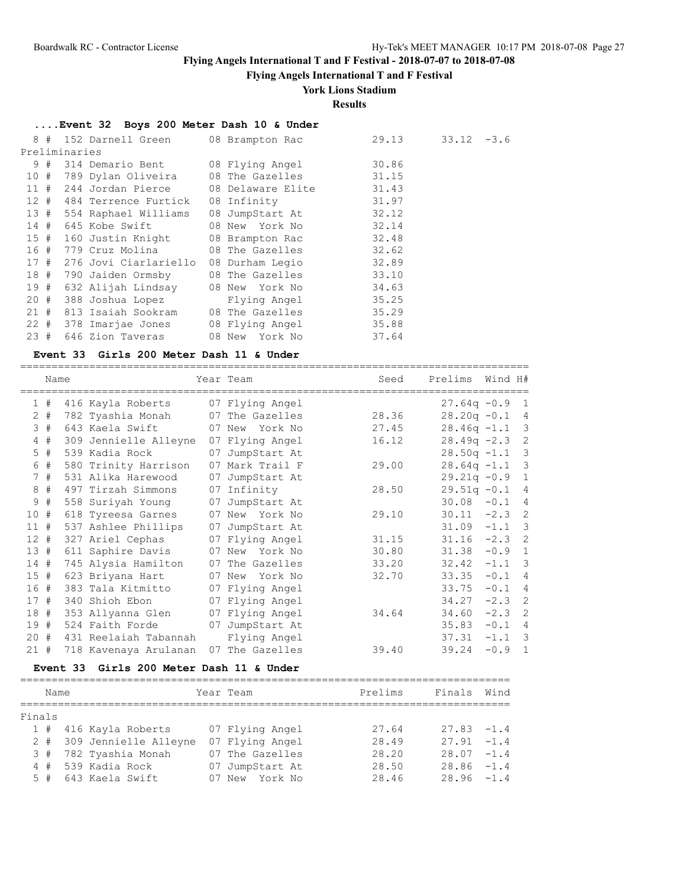=================================================================================

# **Flying Angels International T and F Festival - 2018-07-07 to 2018-07-08**

# **Flying Angels International T and F Festival**

# **York Lions Stadium**

### **Results**

| Event 32 Boys 200 Meter Dash 10 & Under |  |  |  |  |  |  |  |  |
|-----------------------------------------|--|--|--|--|--|--|--|--|
|-----------------------------------------|--|--|--|--|--|--|--|--|

|  | 8 # 152 Darnell Green 08 Brampton Rac          |                 | 29.13 | $33.12 - 3.6$ |
|--|------------------------------------------------|-----------------|-------|---------------|
|  | Preliminaries                                  |                 |       |               |
|  | 9 # 314 Demario Bent 08 Flying Angel           |                 | 30.86 |               |
|  | 10 # 789 Dylan Oliveira 08 The Gazelles 31.15  |                 |       |               |
|  | 11 # 244 Jordan Pierce 08 Delaware Elite 31.43 |                 |       |               |
|  | 12 # 484 Terrence Furtick                      | 08 Infinity     | 31.97 |               |
|  | 13 # 554 Raphael Williams                      | 08 JumpStart At | 32.12 |               |
|  | 14 # 645 Kobe Swift                            | 08 New York No  | 32.14 |               |
|  | 15 # 160 Justin Knight 08 Brampton Rac         |                 | 32.48 |               |
|  | 16 # 779 Cruz Molina                           | 08 The Gazelles | 32.62 |               |
|  | 17 # 276 Jovi Ciarlariello                     | 08 Durham Legio | 32.89 |               |
|  | 18 # 790 Jaiden Ormsby                         | 08 The Gazelles | 33.10 |               |
|  | 19 # 632 Alijah Lindsay     08 New  York No    |                 | 34.63 |               |
|  | 20 # 388 Joshua Lopez                          | Flying Angel    | 35.25 |               |
|  | 21 # 813 Isaiah Sookram     08 The Gazelles    |                 | 35.29 |               |
|  | 22 # 378 Imarjae Jones 08 Flying Angel         |                 | 35.88 |               |
|  | 23 # 646 Zion Taveras                          | 08 New York No  | 37.64 |               |

#### **Event 33 Girls 200 Meter Dash 11 & Under**

|                 | Name  |                       |    | Year Team         | Seed  | Prelims         | Wind H#  |                          |
|-----------------|-------|-----------------------|----|-------------------|-------|-----------------|----------|--------------------------|
|                 | 1#    | 416 Kayla Roberts     |    | 07 Flying Angel   |       | $27.64q - 0.9$  |          | $\overline{1}$           |
|                 | $2 +$ | 782 Tyashia Monah     |    | 07 The Gazelles   | 28.36 | $28.20q - 0.1$  |          | 4                        |
|                 | 3#    | 643 Kaela Swift       |    | 07 New<br>York No | 27.45 | $28.46q -1.1$ 3 |          |                          |
|                 | 4#    | 309 Jennielle Alleyne |    | 07 Flying Angel   | 16.12 | $28.49q -2.3$   |          | $\overline{c}$           |
|                 | $5$ # | 539 Kadia Rock        |    | 07 JumpStart At   |       | $28.50q -1.1$   |          | $\overline{3}$           |
| 6               | #     | 580 Trinity Harrison  |    | 07 Mark Trail F   | 29.00 | $28.64q -1.1$   |          | 3                        |
|                 | 7#    | 531 Alika Harewood    |    | 07 JumpStart At   |       | $29.21q - 0.9$  |          | $\mathbf{1}$             |
| 8               | #     | 497 Tirzah Simmons    |    | 07 Infinity       | 28.50 | $29.51q - 0.1$  |          | 4                        |
| 9               | #     | 558 Suriyah Young     | 07 | JumpStart At      |       | 30.08           | $-0.1$   | $\overline{4}$           |
| 10 <sub>o</sub> | #     | 618 Tyreesa Garnes    |    | 07 New York No    | 29.10 | 30.11           | $-2.3$   | 2                        |
| $11$ #          |       | 537 Ashlee Phillips   |    | 07 JumpStart At   |       | 31.09           | $-1.1$   | -3                       |
| 12#             |       | 327 Ariel Cephas      |    | 07 Flying Angel   | 31.15 | 31.16           | $-2.3$   | 2                        |
| 13#             |       | 611 Saphire Davis     |    | 07 New York No    | 30.80 | 31.38           | $-0.9$   | $\overline{1}$           |
| 14#             |       | 745 Alysia Hamilton   | 07 | The Gazelles      | 33.20 | 32.42           | $-1.1$   | $\overline{\phantom{a}}$ |
| 15#             |       | 623 Briyana Hart      |    | 07 New<br>York No | 32.70 | 33.35           | $-0.1$   | $\overline{4}$           |
| 16 #            |       | 383 Tala Kitmitto     |    | 07 Flying Angel   |       | 33.75           | $-0.1$   | $\overline{4}$           |
| 17#             |       | 340 Shioh Ebon        |    | 07 Flying Angel   |       | 34.27           | $-2.3$ 2 |                          |
| 18#             |       | 353 Allyanna Glen     |    | 07 Flying Angel   | 34.64 | 34.60           | $-2.3$ 2 |                          |
| 19#             |       | 524 Faith Forde       |    | 07 JumpStart At   |       | 35.83           | $-0.1$   | $\overline{4}$           |
| $20 +$          |       | 431 Reelaiah Tabannah |    | Flying Angel      |       | 37.31           | $-1.1$   | $\overline{\phantom{a}}$ |
| 21#             |       | 718 Kavenaya Arulanan | 07 | The Gazelles      | 39.40 | 39.24           | $-0.9$   | $\mathbf{1}$             |

#### **Event 33 Girls 200 Meter Dash 11 & Under**

| Name   |  |  |                                                                                                  | Prelims                   | Finals                                                                                                  | Wind          |  |  |  |  |
|--------|--|--|--------------------------------------------------------------------------------------------------|---------------------------|---------------------------------------------------------------------------------------------------------|---------------|--|--|--|--|
|        |  |  |                                                                                                  |                           |                                                                                                         |               |  |  |  |  |
| Finals |  |  |                                                                                                  |                           |                                                                                                         |               |  |  |  |  |
|        |  |  |                                                                                                  |                           | 27.64                                                                                                   | $27.83 - 1.4$ |  |  |  |  |
|        |  |  |                                                                                                  |                           | 28.49                                                                                                   | $27.91 - 1.4$ |  |  |  |  |
|        |  |  |                                                                                                  |                           | 28.20                                                                                                   | $28.07 - 1.4$ |  |  |  |  |
|        |  |  |                                                                                                  |                           | 28.50                                                                                                   | $28.86 - 1.4$ |  |  |  |  |
|        |  |  |                                                                                                  |                           | 28.46                                                                                                   | $28.96 - 1.4$ |  |  |  |  |
|        |  |  | 1 # 416 Kayla Roberts<br>3 # 782 Tyashia Monah<br>4 # 539 Kadia Rock<br>$5$ # $643$ Kaela Swift. | 2 # 309 Jennielle Alleyne | Year Team<br>07 Flying Angel<br>07 Flying Angel<br>07 The Gazelles<br>07 JumpStart At<br>07 New York No |               |  |  |  |  |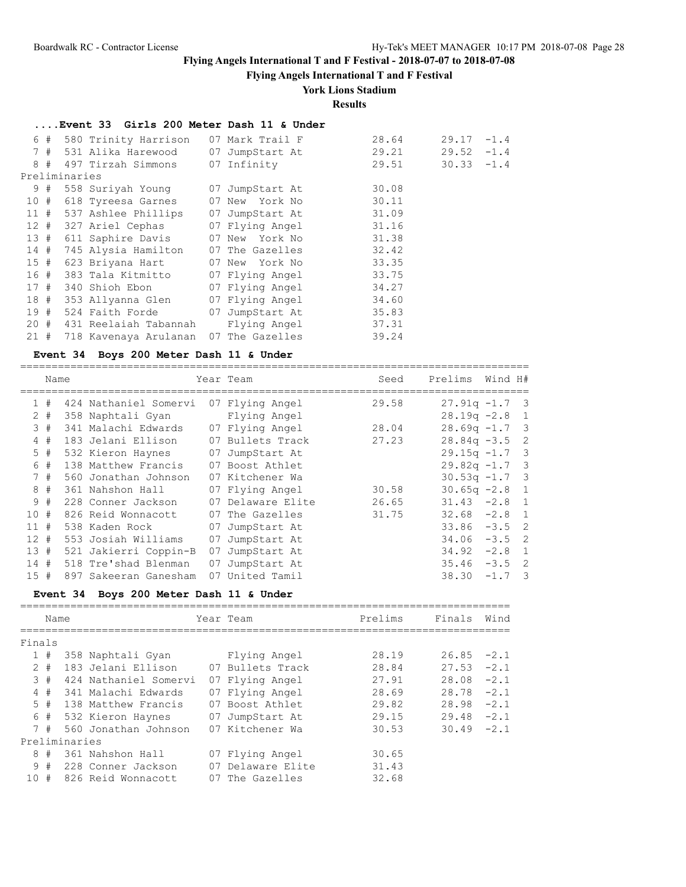**Flying Angels International T and F Festival**

# **York Lions Stadium**

**Results**

# **....Event 33 Girls 200 Meter Dash 11 & Under**

|  | 6 # 580 Trinity Harrison                     |  | 07 Mark Trail F |  | 28.64 | $29.17 - 1.4$ |  |
|--|----------------------------------------------|--|-----------------|--|-------|---------------|--|
|  | 7 # 531 Alika Harewood 07 JumpStart At       |  |                 |  | 29.21 | $29.52 -1.4$  |  |
|  | 8 # 497 Tirzah Simmons 07 Infinity           |  |                 |  | 29.51 | $30.33 -1.4$  |  |
|  | Preliminaries                                |  |                 |  |       |               |  |
|  | 9 # 558 Suriyah Young 07 JumpStart At        |  |                 |  | 30.08 |               |  |
|  | 10 # 618 Tyreesa Garnes 07 New York No       |  |                 |  | 30.11 |               |  |
|  | 11 # 537 Ashlee Phillips 07 JumpStart At     |  |                 |  | 31.09 |               |  |
|  | 12 # 327 Ariel Cephas 07 Flying Angel 31.16  |  |                 |  |       |               |  |
|  | 13 # 611 Saphire Davis 07 New York No        |  |                 |  | 31.38 |               |  |
|  | 14 # 745 Alysia Hamilton 07 The Gazelles     |  |                 |  | 32.42 |               |  |
|  | 15 # 623 Briyana Hart 07 New York No         |  |                 |  | 33.35 |               |  |
|  | 16 # 383 Tala Kitmitto 07 Flying Angel       |  |                 |  | 33.75 |               |  |
|  | 17 # 340 Shioh Ebon 07 Flying Angel          |  |                 |  | 34.27 |               |  |
|  | 18 # 353 Allyanna Glen       07 Flying Angel |  |                 |  | 34.60 |               |  |
|  | 19 # 524 Faith Forde 07 JumpStart At         |  |                 |  | 35.83 |               |  |
|  | 20 # 431 Reelaiah Tabannah Blying Angel      |  |                 |  | 37.31 |               |  |
|  | 21 # 718 Kavenaya Arulanan 07 The Gazelles   |  |                 |  | 39.24 |               |  |

## **Event 34 Boys 200 Meter Dash 11 & Under**

|              | Name  |                       |    | Year Team         | Seed  | Prelims          | Wind H# |                            |
|--------------|-------|-----------------------|----|-------------------|-------|------------------|---------|----------------------------|
| $\mathbf{1}$ | #     | 424 Nathaniel Somervi |    | 07 Flying Angel   | 29.58 | $27.91q -1.7$ 3  |         |                            |
|              | $2 +$ | 358 Naphtali Gyan     |    | Flying Angel      |       | $28.19q - 2.8$ 1 |         |                            |
|              | 3#    | 341 Malachi Edwards   |    | 07 Flying Angel   | 28.04 | $28.69q -1.7$ 3  |         |                            |
|              | 4#    | 183 Jelani Ellison    |    | 07 Bullets Track  | 27.23 | $28.84q - 3.5$ 2 |         |                            |
|              | $5$ # | 532 Kieron Haynes     |    | 07 JumpStart At   |       | $29.15q - 1.7$ 3 |         |                            |
|              | 6#    | 138 Matthew Francis   |    | 07 Boost Athlet   |       | $29.82q -1.7$ 3  |         |                            |
|              | 7#    | 560 Jonathan Johnson  |    | 07 Kitchener Wa   |       | $30.53q -1.7$ 3  |         |                            |
|              | 8#    | 361 Nahshon Hall      |    | 07 Flying Angel   | 30.58 | $30.65q -2.8$    |         | $\overline{1}$             |
|              | 9#    | 228 Conner Jackson    |    | 07 Delaware Elite | 26.65 | $31.43 -2.8$ 1   |         |                            |
| 10#          |       | 826 Reid Wonnacott    |    | 07 The Gazelles   | 31.75 | $32.68 - 2.8$    |         | $\overline{1}$             |
| 11#          |       | 538 Kaden Rock        | 07 | JumpStart At      |       | $33.86 - 3.5$    |         | $\overline{\phantom{0}}^2$ |
| $12 +$       |       | 553 Josiah Williams   | 07 | JumpStart At      |       | 34.06            | $-3.5$  | $\overline{\phantom{0}}^2$ |
| 13#          |       | 521 Jakierri Coppin-B | 07 | JumpStart At      |       | 34.92            | $-2.8$  | $\overline{1}$             |
| 14#          |       | 518 Tre'shad Blenman  | 07 | JumpStart At      |       | 35.46            | $-3.5$  | $\overline{2}$             |
| 15#          |       | 897 Sakeeran Ganesham |    | 07 United Tamil   |       | 38.30            | $-1.7$  | - 3                        |

## **Event 34 Boys 200 Meter Dash 11 & Under**

|        | Name      |               |                                        |    | Year Team                         | Prelims        | Finals        | Wind   |
|--------|-----------|---------------|----------------------------------------|----|-----------------------------------|----------------|---------------|--------|
|        |           |               |                                        |    |                                   |                |               |        |
| Finals |           |               |                                        |    |                                   |                |               |        |
|        | 1#        |               | 358 Naphtali Gyan                      |    | Flying Angel                      | 28.19          | $26.85 -2.1$  |        |
|        | $2 +$     |               | 183 Jelani Ellison                     |    | 07 Bullets Track                  | 28.84          | 27.53         | $-2.1$ |
|        | 3#        |               | 424 Nathaniel Somervi                  |    | 07 Flying Angel                   | 27.91          | $28.08 - 2.1$ |        |
|        | 4#        |               | 341 Malachi Edwards                    |    | 07 Flying Angel                   | 28.69          | 28.78         | $-2.1$ |
|        | 5#        |               | 138 Matthew Francis                    |    | 07 Boost Athlet                   | 29.82          | 28.98         | $-2.1$ |
|        | 6#        |               | 532 Kieron Haynes                      | 07 | JumpStart At                      | 29.15          | 29.48         | $-2.1$ |
|        | 7#        |               | 560 Jonathan Johnson                   |    | 07 Kitchener Wa                   | 30.53          | $30.49 -2.1$  |        |
|        |           | Preliminaries |                                        |    |                                   |                |               |        |
| 8      | $+$<br>9# |               | 361 Nahshon Hall<br>228 Conner Jackson | 07 | 07 Flying Angel<br>Delaware Elite | 30.65<br>31.43 |               |        |
| 10#    |           |               | 826 Reid Wonnacott                     | 07 | The Gazelles                      | 32.68          |               |        |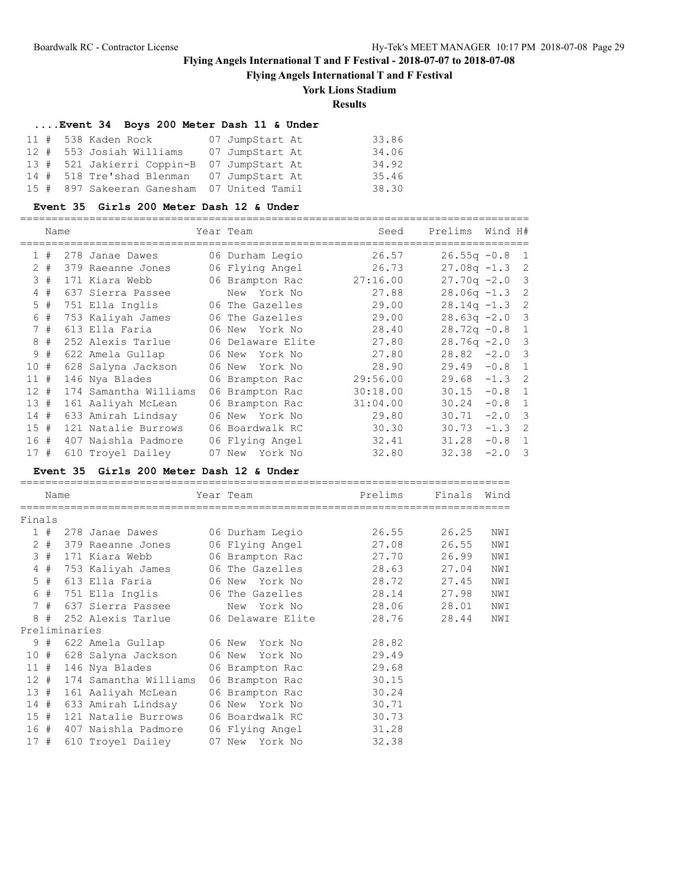**Flying Angels International T and F Festival**

# **York Lions Stadium**

**Results**

=================================================================================

### **....Event 34 Boys 200 Meter Dash 11 & Under**

| 11 # 538 Kaden Rock                        | 07 JumpStart At | 33.86 |
|--------------------------------------------|-----------------|-------|
| 12 # 553 Josiah Williams 07 JumpStart At   |                 | 34.06 |
| 13 # 521 Jakierri Coppin-B 07 JumpStart At |                 | 34.92 |
| 14 # 518 Tre'shad Blenman 07 JumpStart At  |                 | 35.46 |
| 15 # 897 Sakeeran Ganesham 07 United Tamil |                 | 38.30 |

#### **Event 35 Girls 200 Meter Dash 12 & Under**

|                      | Name |                       | Year Team         | Seed     | Prelims        | Wind H# |                            |
|----------------------|------|-----------------------|-------------------|----------|----------------|---------|----------------------------|
| $\mathbf{1}$         | #    | 278 Janae Dawes       | 06 Durham Legio   | 26.57    | $26.55q - 0.8$ |         | $\overline{1}$             |
| $\mathbf{2}^{\circ}$ | #    | 379 Raeanne Jones     | 06 Flying Angel   | 26.73    | $27.08q -1.3$  |         | -2                         |
|                      | 3#   | 171 Kiara Webb        | 06 Brampton Rac   | 27:16.00 | $27.70q - 2.0$ |         | 3                          |
|                      | 4#   | 637 Sierra Passee     | New York No       | 27.88    | $28.06q -1.3$  |         | 2                          |
|                      | 5#   | 751 Ella Inglis       | 06 The Gazelles   | 29.00    | $28.14q - 1.3$ |         | -2                         |
|                      | 6#   | 753 Kaliyah James     | 06 The Gazelles   | 29.00    | $28.63q - 2.0$ |         | $\overline{\mathbf{3}}$    |
|                      | 7#   | 613 Ella Faria        | 06 New York No    | 28.40    | $28.72q - 0.8$ |         | $\mathbf{1}$               |
| 8                    | #    | 252 Alexis Tarlue     | 06 Delaware Elite | 27.80    | $28.76q -2.0$  |         | 3                          |
| 9                    | #    | 622 Amela Gullap      | 06 New York No    | 27.80    | $28.82 - 2.0$  |         | $\overline{\phantom{a}}$   |
| 10#                  |      | 628 Salyna Jackson    | 06 New York No    | 28.90    | 29.49          | $-0.8$  | $\mathbf{1}$               |
| 11#                  |      | 146 Nya Blades        | 06 Brampton Rac   | 29:56.00 | 29.68          | $-1.3$  | $\overline{\phantom{0}}^2$ |
| $12 +$               |      | 174 Samantha Williams | 06 Brampton Rac   | 30:18.00 | 30.15          | $-0.8$  | 1                          |
| 13#                  |      | 161 Aaliyah McLean    | 06 Brampton Rac   | 31:04.00 | 30.24          | $-0.8$  | $\mathbf{1}$               |
| 14#                  |      | 633 Amirah Lindsay    | 06 New York No    | 29.80    | 30.71          | $-2.0$  | 3                          |
| 15#                  |      | 121 Natalie Burrows   | 06 Boardwalk RC   | 30.30    | 30.73          | $-1.3$  | $\overline{\phantom{0}}^2$ |
| 16#                  |      | 407 Naishla Padmore   | 06 Flying Angel   | 32.41    | 31.28          | $-0.8$  | $\mathbf{1}$               |
| 17#                  |      | 610 Troyel Dailey     | 07 New York No    | 32.80    | 32.38          | $-2.0$  | 3                          |

### **Event 35 Girls 200 Meter Dash 12 & Under**

|        | Name      |               |                                           | Year Team                               | Prelims | Finals Wind |     |
|--------|-----------|---------------|-------------------------------------------|-----------------------------------------|---------|-------------|-----|
|        |           |               |                                           |                                         |         |             |     |
| Finals |           |               |                                           |                                         |         |             |     |
|        | 1#        |               | 278 Janae Dawes 06 Durham Legio           |                                         | 26.55   | 26.25       | NWI |
|        | $2 \pm 1$ |               | 379 Raeanne Jones 06 Flying Angel         |                                         | 27.08   | 26.55       | NWI |
|        | 3#        |               | 171 Kiara Webb                            | 06 Brampton Rac                         | 27.70   | 26.99       | NWI |
|        | 4#        |               | 753 Kaliyah James                         | 06 The Gazelles                         | 28.63   | 27.04       | NWI |
|        | 5#        |               | 613 Ella Faria                            | 06 New<br>York No                       | 28.72   | 27.45       | NWI |
|        | 6 #       |               | 751 Ella Inglis                           | 06 The Gazelles                         | 28.14   | 27.98       | NWI |
|        | 7#        |               | 637 Sierra Passee                         | York No<br>New                          | 28.06   | 28.01       | NWI |
|        |           |               |                                           | 8 # 252 Alexis Tarlue 06 Delaware Elite | 28.76   | 28.44       | NWI |
|        |           | Preliminaries |                                           |                                         |         |             |     |
|        |           |               | 9 # 622 Amela Gullap       06 New York No |                                         | 28.82   |             |     |
|        |           |               | 10 # 628 Salyna Jackson                   | 06 New York No                          | 29.49   |             |     |
|        | 11#       |               |                                           | 146 Nya Blades 66 Brampton Rac          | 29.68   |             |     |
|        | 12#       |               | 174 Samantha Williams                     | 06 Brampton Rac                         | 30.15   |             |     |
| 13#    |           |               | 161 Aaliyah McLean                        | 06 Brampton Rac                         | 30.24   |             |     |
| 14#    |           |               |                                           | 633 Amirah Lindsay     06 New  York No  | 30.71   |             |     |
| 15#    |           |               | 121 Natalie Burrows 06 Boardwalk RC       |                                         | 30.73   |             |     |
|        |           |               | 16 # 407 Naishla Padmore 06 Flying Angel  |                                         | 31.28   |             |     |
| 17#    |           |               | 610 Troyel Dailey                         | 07 New York No                          | 32.38   |             |     |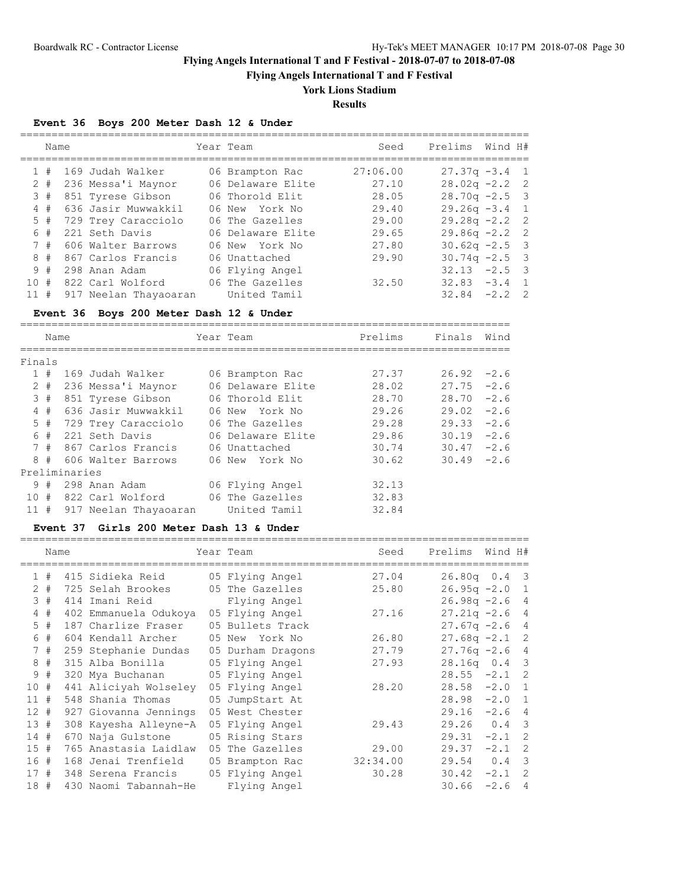**Flying Angels International T and F Festival**

# **York Lions Stadium**

**Results**

## **Event 36 Boys 200 Meter Dash 12 & Under**

|    | Name  |                       | Year Team         | Seed     | Prelims          | Wind H#  |                |
|----|-------|-----------------------|-------------------|----------|------------------|----------|----------------|
|    | #     | 169 Judah Walker      | 06 Brampton Rac   | 27:06.00 | $27.37q - 3.4$ 1 |          |                |
|    | $2 +$ | 236 Messa'i Maynor    | 06 Delaware Elite | 27.10    | $28.02q - 2.2$ 2 |          |                |
|    | 3#    | 851 Tyrese Gibson     | 06 Thorold Elit   | 28.05    | $28.70q - 2.5$ 3 |          |                |
|    | 4#    | 636 Jasir Muwwakkil   | 06 New York No    | 29.40    | $29.26q - 3.4$ 1 |          |                |
|    | $5$ # | 729 Trey Caracciolo   | 06 The Gazelles   | 29.00    | $29.28q - 2.2$ 2 |          |                |
|    | 6 #   | 221 Seth Davis        | 06 Delaware Elite | 29.65    | $29.86q -2.2$ 2  |          |                |
|    | 7#    | 606 Walter Barrows    | 06 New York No    | 27.80    | $30.62q -2.5$ 3  |          |                |
|    | 8#    | 867 Carlos Francis    | 06 Unattached     | 29.90    | $30.74q - 2.5$ 3 |          |                |
|    | 9#    | 298 Anan Adam         | 06 Flying Angel   |          | 32.13            | $-2.5$ 3 |                |
| 10 | #     | 822 Carl Wolford      | 06 The Gazelles   | 32.50    | 32.83            | $-3.4$   | $\overline{1}$ |
| 11 | #     | 917 Neelan Thayaoaran | United Tamil      |          | 32.84            | $-2.2$   | $\overline{2}$ |
|    |       |                       |                   |          |                  |          |                |

## **Event 36 Boys 200 Meter Dash 12 & Under**

==============================================================================

|        | Name  |               | Year Team             | Prelims           | Finals | Wind  |        |
|--------|-------|---------------|-----------------------|-------------------|--------|-------|--------|
| Finals |       |               |                       |                   |        |       |        |
|        | #     |               | 169 Judah Walker      | 06 Brampton Rac   | 27.37  | 26.92 | $-2.6$ |
|        | $2 +$ |               | 236 Messa'i Maynor    | 06 Delaware Elite | 28.02  | 27.75 | $-2.6$ |
|        | 3#    |               | 851 Tyrese Gibson     | 06 Thorold Elit   | 28.70  | 28.70 | $-2.6$ |
|        | 4#    |               | 636 Jasir Muwwakkil   | 06 New York No    | 29.26  | 29.02 | $-2.6$ |
| 5      | #     |               | 729 Trey Caracciolo   | 06 The Gazelles   | 29.28  | 29.33 | $-2.6$ |
|        | 6#    |               | 221 Seth Davis        | 06 Delaware Elite | 29.86  | 30.19 | $-2.6$ |
|        | 7#    |               | 867 Carlos Francis    | 06 Unattached     | 30.74  | 30.47 | $-2.6$ |
| 8      | #     |               | 606 Walter Barrows    | 06 New York No    | 30.62  | 30.49 | $-2.6$ |
|        |       | Preliminaries |                       |                   |        |       |        |
| 9      | #     |               | 298 Anan Adam         | 06 Flying Angel   | 32.13  |       |        |
| 10     | #     |               | 822 Carl Wolford      | 06 The Gazelles   | 32.83  |       |        |
| 11#    |       |               | 917 Neelan Thayaoaran | United Tamil      | 32.84  |       |        |

#### **Event 37 Girls 200 Meter Dash 13 & Under**

=================================================================================

|              | Name |                       | Year Team         | Seed     | Prelims          | Wind H#       |                            |
|--------------|------|-----------------------|-------------------|----------|------------------|---------------|----------------------------|
| $\mathbf{1}$ | #    | 415 Sidieka Reid      | 05 Flying Angel   | 27.04    | $26.80q$ 0.4     |               | $\overline{\phantom{a}}$   |
| 2            | #    | 725 Selah Brookes     | 05 The Gazelles   | 25.80    | $26.95q -2.0$ 1  |               |                            |
| 3            | #    | 414 Imani Reid        | Flying Angel      |          | $26.98q - 2.64$  |               |                            |
|              | 4#   | 402 Emmanuela Odukoya | 05 Flying Angel   | 27.16    | $27.21q -2.6$    |               | $\overline{4}$             |
|              | 5#   | 187 Charlize Fraser   | 05 Bullets Track  |          | $27.67q -2.6$    |               | $\overline{4}$             |
|              | 6#   | 604 Kendall Archer    | 05 New York No    | 26.80    | $27.68q - 2.1$ 2 |               |                            |
| $7^{\circ}$  | #    | 259 Stephanie Dundas  | 05 Durham Dragons | 27.79    | $27.76q -2.6$    |               | $\overline{4}$             |
|              | 8#   | 315 Alba Bonilla      | 05 Flying Angel   | 27.93    | 28.16q 0.4 3     |               |                            |
|              | 9#   | 320 Mya Buchanan      | 05 Flying Angel   |          | 28.55            | $-2.1$ 2      |                            |
| 10#          |      | 441 Aliciyah Wolseley | 05 Flying Angel   | 28.20    | 28.58            | $-2.0$ 1      |                            |
| 11#          |      | 548 Shania Thomas     | 05 JumpStart At   |          | 28.98            | $-2.0$        | $\overline{1}$             |
| $12 +$       |      | 927 Giovanna Jennings | 05 West Chester   |          | 29.16            | $-2.6$        | $\overline{4}$             |
| 13#          |      | 308 Kayesha Alleyne-A | 05 Flying Angel   | 29.43    | 29.26            | $0.4 \quad 3$ |                            |
| 14#          |      | 670 Naja Gulstone     | 05 Rising Stars   |          | 29.31            | $-2.1$        | -2                         |
| 15#          |      | 765 Anastasia Laidlaw | 05 The Gazelles   | 29.00    | 29.37            | $-2.1$        | - 2                        |
| 16 #         |      | 168 Jenai Trenfield   | 05 Brampton Rac   | 32:34.00 | 29.54            | 0.4           | $\overline{\mathbf{3}}$    |
| 17#          |      | 348 Serena Francis    | 05 Flying Angel   | 30.28    | 30.42            | $-2.1$        | $\overline{\phantom{0}}^2$ |
| 18#          |      | 430 Naomi Tabannah-He | Flying Angel      |          | 30.66            | $-2.6$        | $\overline{4}$             |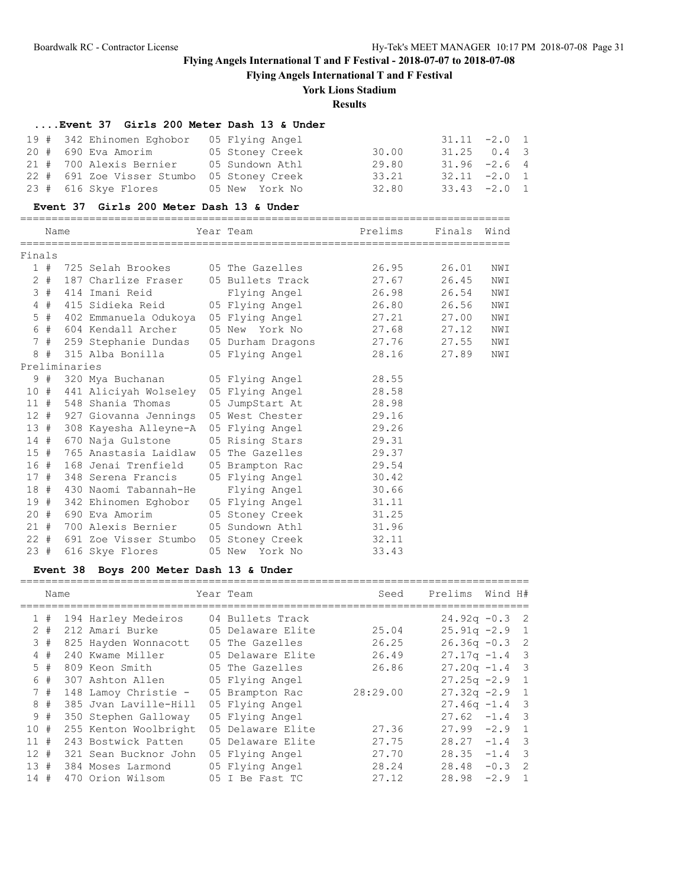**Flying Angels International T and F Festival**

# **York Lions Stadium**

### **Results**

==============================================================================

### **....Event 37 Girls 200 Meter Dash 13 & Under**

| 19 # 342 Ehinomen Eghobor 05 Flying Angel  |                 |       | $31.11 -2.0 1$ |  |
|--------------------------------------------|-----------------|-------|----------------|--|
| 20 # 690 Eva Amorim                        | 05 Stoney Creek | 30.00 | $31.25$ 0.4 3  |  |
| 21 # 700 Alexis Bernier                    | 05 Sundown Athl | 29.80 | $31.96 -2.6 4$ |  |
| 22 # 691 Zoe Visser Stumbo 05 Stoney Creek |                 | 33.21 | $32.11 -2.0 1$ |  |
| 23 # 616 Skye Flores 05 New York No        |                 | 32.80 | $33.43 -2.0$ 1 |  |

#### **Event 37 Girls 200 Meter Dash 13 & Under**

|        | Name   |               |                                                                    | Year Team and the control of the control of the control of the control of the control of the control of the co | Prelims | Finals Wind |     |
|--------|--------|---------------|--------------------------------------------------------------------|----------------------------------------------------------------------------------------------------------------|---------|-------------|-----|
| Finals |        |               |                                                                    |                                                                                                                |         |             |     |
|        |        |               | 1 # 725 Selah Brookes 05 The Gazelles                              |                                                                                                                | 26.95   | 26.01       | NWI |
|        |        |               | 2 # 187 Charlize Fraser 05 Bullets Track                           |                                                                                                                | 27.67   | 26.45       | NWI |
|        |        |               | 3 # 414 Imani Reid                                                 | Flying Angel 26.98                                                                                             |         | 26.54       | NWI |
|        |        |               |                                                                    |                                                                                                                |         | 26.56       | NWI |
|        |        |               |                                                                    |                                                                                                                |         | 27.00       | NWI |
|        | 6 #    |               | 604 Kendall Archer                                                 | 05 New York No 27.68                                                                                           |         | 27.12       | NWI |
|        |        |               |                                                                    |                                                                                                                |         | 27.55       | NWI |
|        |        |               | 8 # 315 Alba Bonilla (05 Flying Angel                              |                                                                                                                | 28.16   | 27.89       | NWI |
|        |        | Preliminaries |                                                                    |                                                                                                                |         |             |     |
|        |        |               | 9 # 320 Mya Buchanan         05 Flying Angel                 28.55 |                                                                                                                |         |             |     |
|        |        |               | 10 # 441 Aliciyah Wolseley 05 Flying Angel                         |                                                                                                                | 28.58   |             |     |
|        |        |               | 11 # 548 Shania Thomas 05 JumpStart At 28.98                       |                                                                                                                |         |             |     |
|        |        |               | 12 # 927 Giovanna Jennings 05 West Chester                         |                                                                                                                | 29.16   |             |     |
|        | 13#    |               | 308 Kayesha Alleyne-A 05 Flying Angel 29.26                        |                                                                                                                |         |             |     |
|        |        |               | 14 # 670 Naja Gulstone 05 Rising Stars 29.31                       |                                                                                                                |         |             |     |
|        |        |               | 15 # 765 Anastasia Laidlaw 05 The Gazelles 29.37                   |                                                                                                                |         |             |     |
|        | 16#    |               | 168 Jenai Trenfield                                                | 05 Brampton Rac 29.54                                                                                          |         |             |     |
|        | 17#    |               | 348 Serena Francis 05 Flying Angel 30.42                           |                                                                                                                |         |             |     |
|        |        |               | 18 # 430 Naomi Tabannah-He                                         | Flying Angel 30.66                                                                                             |         |             |     |
|        | 19#    |               | 342 Ehinomen Eghobor 05 Flying Angel                               |                                                                                                                | 31.11   |             |     |
|        |        |               | 20 # 690 Eva Amorim 05 Stoney Creek 31.25                          |                                                                                                                |         |             |     |
|        |        |               | 21 # 700 Alexis Bernier 05 Sundown Athl 31.96                      |                                                                                                                |         |             |     |
|        | $22 +$ |               | 691 Zoe Visser Stumbo 05 Stoney Creek                              |                                                                                                                | 32.11   |             |     |
| 23#    |        |               | 616 Skye Flores                                                    | 05 New York No                                                                                                 | 33.43   |             |     |

## **Event 38 Boys 200 Meter Dash 13 & Under**

|     | Name  |                       | Year Team         | Seed     | Prelims          | Wind H#  |                         |
|-----|-------|-----------------------|-------------------|----------|------------------|----------|-------------------------|
|     | 1#    | 194 Harley Medeiros   | 04 Bullets Track  |          | $24.92q - 0.3$ 2 |          |                         |
|     | $2 +$ | 212 Amari Burke       | 05 Delaware Elite | 25.04    | $25.91q - 2.9$ 1 |          |                         |
|     | 3#    | 825 Hayden Wonnacott  | 05 The Gazelles   | 26.25    | $26.36q - 0.3$ 2 |          |                         |
|     | 4#    | 240 Kwame Miller      | 05 Delaware Elite | 26.49    | $27.17q - 1.4$ 3 |          |                         |
|     | 5#    | 809 Keon Smith        | 05 The Gazelles   | 26.86    | $27.20q -1.4$ 3  |          |                         |
|     | 6 #   | 307 Ashton Allen      | 05 Flying Angel   |          | $27.25q - 2.9$ 1 |          |                         |
|     | 7#    | 148 Lamoy Christie -  | 05 Brampton Rac   | 28:29.00 | $27.32q -2.9$ 1  |          |                         |
|     | 8#    | 385 Jvan Laville-Hill | 05 Flying Angel   |          | $27.46q - 1.4$ 3 |          |                         |
|     | 9#    | 350 Stephen Galloway  | 05 Flying Angel   |          | $27.62 -1.4$ 3   |          |                         |
| 10# |       | 255 Kenton Woolbright | 05 Delaware Elite | 27.36    | 27.99            | $-2.9$ 1 |                         |
| 11# |       | 243 Bostwick Patten   | 05 Delaware Elite | 27.75    | 28.27            | $-1.4$   | $\overline{\mathbf{3}}$ |
| 12# |       | 321 Sean Bucknor John | 05 Flying Angel   | 27.70    | 28.35            | $-1.4$ 3 |                         |
| 13# |       | 384 Moses Larmond     | 05 Flying Angel   | 28.24    | 28.48            | $-0.3$   | $\overline{2}$          |
| 14# |       | 470 Orion Wilsom      | 05 I Be Fast TC   | 27.12    | 28.98            | $-2.9$   | $\overline{1}$          |
|     |       |                       |                   |          |                  |          |                         |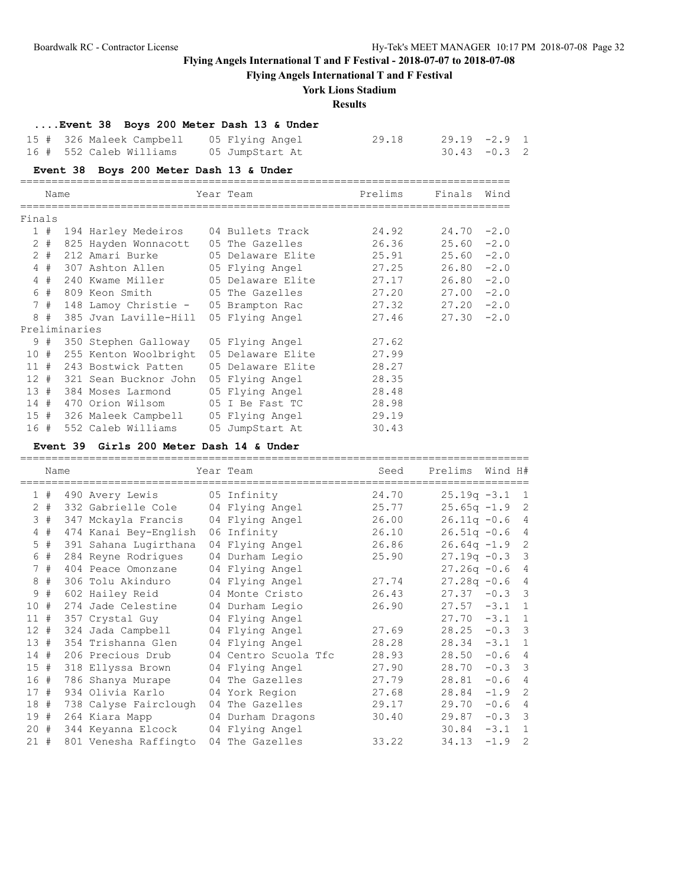=================================================================================

# **Flying Angels International T and F Festival - 2018-07-07 to 2018-07-08**

**Flying Angels International T and F Festival**

### **York Lions Stadium**

### **Results**

### **....Event 38 Boys 200 Meter Dash 13 & Under**

| 15 # 326 Maleek Campbell | 05 Flying Angel | 29.18 | 29.19 -2.9 1    |  |
|--------------------------|-----------------|-------|-----------------|--|
| 16 # 552 Caleb Williams  | 05 JumpStart At |       | $30.43 - 0.3$ 2 |  |

## **Event 38 Boys 200 Meter Dash 13 & Under**

|        | Name    |               |                                                                     | Year Team       | Prelims | Finals        | Wind   |
|--------|---------|---------------|---------------------------------------------------------------------|-----------------|---------|---------------|--------|
| Finals |         |               |                                                                     |                 |         |               |        |
|        | 1#      |               | 194 Harley Medeiros 04 Bullets Track                                |                 | 24.92   | $24.70 -2.0$  |        |
|        | $2 +$   |               | 825 Hayden Wonnacott 05 The Gazelles                                |                 | 26.36   | $25.60 - 2.0$ |        |
|        | $2 \pm$ |               | 212 Amari Burke              05 Delaware Elite                25.91 |                 |         | $25.60 - 2.0$ |        |
|        |         |               | 4 # 307 Ashton Allen 05 Flying Angel                                |                 | 27.25   | $26.80 - 2.0$ |        |
|        |         |               | 4 # 240 Kwame Miller 65 Delaware Elite                              |                 | 27.17   | 26.80         | $-2.0$ |
|        | 6 #     |               | 809 Keon Smith                             05 The Gazelles          |                 | 27.20   | 27.00         | $-2.0$ |
|        |         |               | 7 # 148 Lamoy Christie - 05 Brampton Rac 27.32                      |                 |         | $27.20 -2.0$  |        |
| 8      | #       |               | 385 Jvan Laville-Hill 05 Flying Angel                               |                 | 27.46   | $27.30 -2.0$  |        |
|        |         | Preliminaries |                                                                     |                 |         |               |        |
|        | 9#      |               | 350 Stephen Galloway 05 Flying Angel                                |                 | 27.62   |               |        |
|        |         |               | 10 # 255 Kenton Woolbright 05 Delaware Elite                        |                 | 27.99   |               |        |
|        |         |               | 11 # 243 Bostwick Patten 05 Delaware Elite                          |                 | 28.27   |               |        |
|        |         |               | 12 # 321 Sean Bucknor John 05 Flying Angel                          |                 | 28.35   |               |        |
| 13#    |         |               | 384 Moses Larmond                                                   | 05 Flying Angel | 28.48   |               |        |
|        |         |               | 14 # 470 Orion Wilsom 05 I Be Fast TC                               |                 | 28.98   |               |        |
|        |         |               | 15 # 326 Maleek Campbell 05 Flying Angel                            |                 | 29.19   |               |        |
|        |         |               | 16 # 552 Caleb Williams 05 JumpStart At                             |                 | 30.43   |               |        |
|        |         |               |                                                                     |                 |         |               |        |

#### **Event 39 Girls 200 Meter Dash 14 & Under**

|                 | Name |                       | Year Team            | Seed  | Prelims        | Wind H# |                         |
|-----------------|------|-----------------------|----------------------|-------|----------------|---------|-------------------------|
|                 | 1#   | 490 Avery Lewis       | 05 Infinity          | 24.70 | $25.19q - 3.1$ |         | -1                      |
| $\overline{2}$  | #    | 332 Gabrielle Cole    | 04 Flying Angel      | 25.77 | $25.65q -1.9$  |         | 2                       |
| 3               | #    | 347 Mckayla Francis   | 04 Flying Angel      | 26.00 | $26.11q - 0.6$ |         | 4                       |
| $\overline{4}$  | #    | 474 Kanai Bey-English | 06 Infinity          | 26.10 | $26.51q - 0.6$ |         | $\overline{4}$          |
| 5               | #    | 391 Sahana Lugirthana | 04 Flying Angel      | 26.86 | $26.64q -1.9$  |         | 2                       |
|                 | 6#   | 284 Reyne Rodriques   | 04 Durham Legio      | 25.90 | $27.19q - 0.3$ |         | 3                       |
|                 | 7#   | 404 Peace Omonzane    | 04 Flying Angel      |       | $27.26q - 0.6$ |         | 4                       |
| 8               | #    | 306 Tolu Akinduro     | 04 Flying Angel      | 27.74 | $27.28q - 0.6$ |         | $\overline{4}$          |
| 9               | #    | 602 Hailey Reid       | 04 Monte Cristo      | 26.43 | 27.37          | $-0.3$  | $\overline{\mathbf{3}}$ |
| 10 <sub>o</sub> | #    | 274 Jade Celestine    | 04 Durham Legio      | 26.90 | 27.57          | $-3.1$  | $\mathbf{1}$            |
| 11#             |      | 357 Crystal Guy       | 04 Flying Angel      |       | 27.70          | $-3.1$  | 1                       |
| $12 +$          |      | 324 Jada Campbell     | 04 Flying Angel      | 27.69 | 28.25          | $-0.3$  | $\overline{\mathbf{3}}$ |
| 13#             |      | 354 Trishanna Glen    | 04 Flying Angel      | 28.28 | 28.34          | $-3.1$  | $\overline{1}$          |
| 14#             |      | 206 Precious Drub     | 04 Centro Scuola Tfc | 28.93 | 28.50          | $-0.6$  | $\overline{4}$          |
| 15#             |      | 318 Ellyssa Brown     | 04 Flying Angel      | 27.90 | 28.70          | $-0.3$  | $\overline{\mathbf{3}}$ |
| 16 #            |      | 786 Shanya Murape     | 04 The Gazelles      | 27.79 | 28.81          | $-0.6$  | $\overline{4}$          |
| 17#             |      | 934 Olivia Karlo      | 04 York Region       | 27.68 | 28.84          | $-1.9$  | 2                       |
| 18 #            |      | 738 Calyse Fairclough | 04 The Gazelles      | 29.17 | 29.70          | $-0.6$  | $\overline{4}$          |
| 19#             |      | 264 Kiara Mapp        | 04 Durham Dragons    | 30.40 | 29.87          | $-0.3$  | $\overline{\mathbf{3}}$ |
| 20#             |      | 344 Keyanna Elcock    | 04 Flying Angel      |       | 30.84          | $-3.1$  | $\mathbf{1}$            |
| 21#             |      | 801 Venesha Raffingto | 04 The Gazelles      | 33.22 | 34.13          | $-1.9$  | 2                       |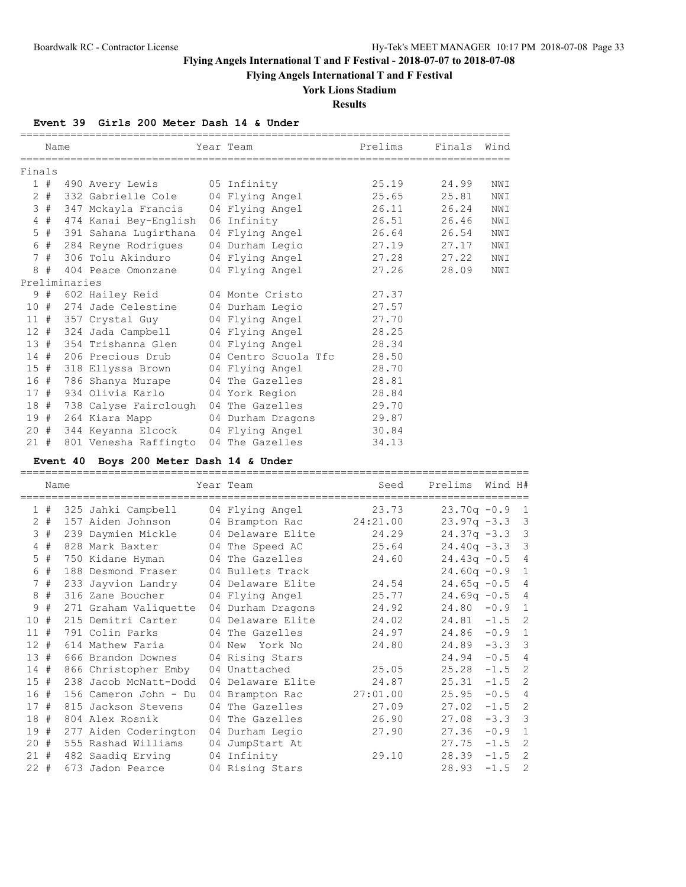**Flying Angels International T and F Festival**

## **York Lions Stadium**

**Results**

#### **Event 39 Girls 200 Meter Dash 14 & Under**

|        | Name  |               |                                 | Year Team                                                   | Prelims | Finals Wind<br>==================== |     |
|--------|-------|---------------|---------------------------------|-------------------------------------------------------------|---------|-------------------------------------|-----|
| Finals |       |               |                                 |                                                             |         |                                     |     |
|        |       |               | 1 # 490 Avery Lewis 05 Infinity |                                                             | 25.19   | 24.99                               | NWI |
|        | $2 +$ |               |                                 | 332 Gabrielle Cole 04 Flying Angel 25.65                    |         | 25.81                               | NWI |
|        | 3#    |               |                                 | 347 Mckayla Francis 04 Flying Angel 26.11                   |         | 26.24                               | NWI |
|        | $4$ # |               |                                 | 474 Kanai Bey-English 06 Infinity 26.51                     |         | 26.46                               | NWI |
|        | $5$ # |               |                                 | 391 Sahana Lugirthana 04 Flying Angel 26.64                 |         | 26.54                               | NWI |
|        |       |               |                                 | 6 # 284 Reyne Rodrigues 04 Durham Legio 27.19               |         | 27.17                               | NWI |
|        | 7#    |               |                                 |                                                             |         | 27.22                               | NWI |
| 8      | #     |               |                                 | 404 Peace Omonzane 04 Flying Angel 27.26                    |         | 28.09                               | NWI |
|        |       | Preliminaries |                                 |                                                             |         |                                     |     |
|        | 9#    |               |                                 | 602 Hailey Reid 602 Hailey Reid 602 Hailey Reid             |         |                                     |     |
|        | 10#   |               |                                 | 274 Jade Celestine 04 Durham Legio 27.57                    |         |                                     |     |
|        |       |               |                                 | 11 # 357 Crystal Guy 04 Flying Angel 27.70                  |         |                                     |     |
|        |       |               |                                 | 12 # 324 Jada Campbell 04 Flying Angel 28.25                |         |                                     |     |
|        | 13#   |               |                                 | 354 Trishanna Glen 04 Flying Angel 28.34                    |         |                                     |     |
|        |       |               |                                 | 14 # 206 Precious Drub 04 Centro Scuola Tfc 28.50           |         |                                     |     |
|        | 15#   |               |                                 | 318 Ellyssa Brown 04 Flying Angel 28.70                     |         |                                     |     |
| 16#    |       |               |                                 | 786 Shanya Murape 04 The Gazelles 28.81                     |         |                                     |     |
| 17#    |       |               |                                 | 934 Olivia Karlo         04 York Region               28.84 |         |                                     |     |
| 18 #   |       |               |                                 | 738 Calyse Fairclough 04 The Gazelles 29.70                 |         |                                     |     |
|        | 19#   |               |                                 | 264 Kiara Mapp 64 Durham Dragons 29.87                      |         |                                     |     |
|        | 20#   |               |                                 | 344 Keyanna Elcock 04 Flying Angel 30.84                    |         |                                     |     |
|        |       |               |                                 | 21 # 801 Venesha Raffingto 04 The Gazelles                  | 34.13   |                                     |     |

#### **Event 40 Boys 200 Meter Dash 14 & Under**

================================================================================= Name Year Team Seed Prelims Wind H# ================================================================================= 1 # 325 Jahki Campbell 04 Flying Angel 23.73 23.70q -0.9 1 2 # 157 Aiden Johnson 04 Brampton Rac 24:21.00 23.97q -3.3 3 3 # 239 Daymien Mickle 04 Delaware Elite 24.29 24.37q -3.3 3 4 # 828 Mark Baxter 04 The Speed AC 25.64 24.40q -3.3 3 5 # 750 Kidane Hyman 04 The Gazelles 24.60 24.43q -0.5 4 6 # 188 Desmond Fraser 04 Bullets Track 24.60q -0.9 1 7 # 233 Jayvion Landry 04 Delaware Elite 24.54 24.65q -0.5 4 8 # 316 Zane Boucher 04 Flying Angel 25.77 24.69q -0.5 4 9 # 271 Graham Valiquette 04 Durham Dragons 24.92 24.80 -0.9 1 10 # 215 Demitri Carter 04 Delaware Elite 24.02 24.81 -1.5 2 11 # 791 Colin Parks 04 The Gazelles 24.97 24.86 -0.9 1 12 # 614 Mathew Faria 04 New York No 24.80 24.89 -3.3 3 13 # 666 Brandon Downes 04 Rising Stars 24.94 -0.5 4 14 # 866 Christopher Emby 04 Unattached 25.05 25.28 -1.5 2 15 # 238 Jacob McNatt-Dodd 04 Delaware Elite 24.87 25.31 -1.5 2 16 # 156 Cameron John - Du 04 Brampton Rac 27:01.00 25.95 -0.5 4 17 # 815 Jackson Stevens 04 The Gazelles 27.09 27.02 -1.5 2 18 # 804 Alex Rosnik 04 The Gazelles 26.90 27.08 -3.3 3 19 # 277 Aiden Coderington 04 Durham Legio 27.90 27.36 -0.9 1 20 # 555 Rashad Williams 04 JumpStart At 27.75 -1.5 2 21 # 482 Saadiq Erving 04 Infinity 29.10 28.39 -1.5 2 22 # 673 Jadon Pearce 04 Rising Stars 28.93 -1.5 2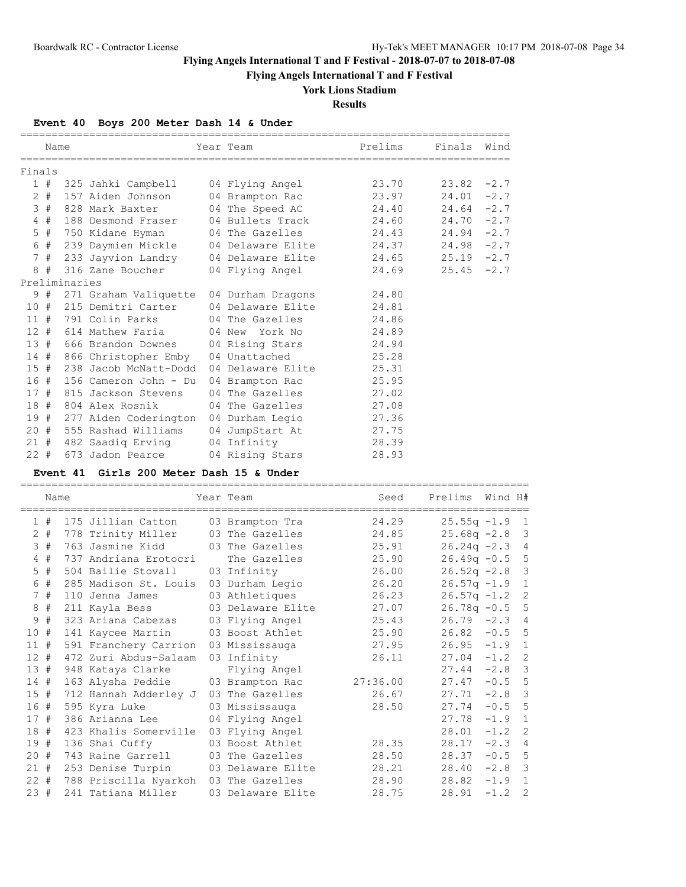**Flying Angels International T and F Festival**

# **York Lions Stadium**

**Results**

## **Event 40 Boys 200 Meter Dash 14 & Under**

|        | Name       |               |                                                                            | Year Team       | Prelims | Finals Wind   |  |
|--------|------------|---------------|----------------------------------------------------------------------------|-----------------|---------|---------------|--|
|        |            |               |                                                                            |                 |         |               |  |
| Finals |            |               |                                                                            |                 |         |               |  |
|        |            |               | 1 # 325 Jahki Campbell 04 Flying Angel 23.70                               |                 |         | $23.82 -2.7$  |  |
|        |            |               | 2 # 157 Aiden Johnson 04 Brampton Rac 23.97                                |                 |         | $24.01 -2.7$  |  |
|        |            |               | 3 # 828 Mark Baxter 04 The Speed AC 24.40                                  |                 |         | $24.64 - 2.7$ |  |
|        | $4$ #      |               | 188 Desmond Fraser 04 Bullets Track 24.60                                  |                 |         | $24.70 -2.7$  |  |
|        |            |               | 5 # 750 Kidane Hyman           04 The Gazelles                       24.43 |                 |         | $24.94 - 2.7$ |  |
|        |            |               |                                                                            |                 |         | $24.98 - 2.7$ |  |
|        |            |               | 7 # 233 Jayvion Landry 04 Delaware Elite 24.65                             |                 |         | $25.19 - 2.7$ |  |
|        | 8#         |               | 316 Zane Boucher 04 Flying Angel                                           |                 | 24.69   | $25.45 -2.7$  |  |
|        |            | Preliminaries |                                                                            |                 |         |               |  |
|        |            |               | 9 # 271 Graham Valiquette 04 Durham Dragons 24.80                          |                 |         |               |  |
|        |            |               | 10 # 215 Demitri Carter 04 Delaware Elite 24.81                            |                 |         |               |  |
|        |            |               | 11 # 791 Colin Parks 04 The Gazelles 24.86                                 |                 |         |               |  |
|        |            |               | 12 # 614 Mathew Faria 64 New York No 24.89                                 |                 |         |               |  |
|        |            |               | 13 # 666 Brandon Downes 04 Rising Stars 24.94                              |                 |         |               |  |
|        |            |               | 14 # 866 Christopher Emby 04 Unattached 25.28                              |                 |         |               |  |
|        | 15#        |               | 238 Jacob McNatt-Dodd 04 Delaware Elite 25.31                              |                 |         |               |  |
|        |            |               | 16 # 156 Cameron John - Du 04 Brampton Rac 25.95                           |                 |         |               |  |
|        |            |               | 17 # 815 Jackson Stevens                                                   | 04 The Gazelles | 27.02   |               |  |
|        |            |               | 18 # 804 Alex Rosnik 04 The Gazelles 27.08                                 |                 |         |               |  |
|        |            |               | 19 # 277 Aiden Coderington 04 Durham Legio 27.36                           |                 |         |               |  |
|        |            |               | 20 # 555 Rashad Williams 04 JumpStart At 27.75                             |                 |         |               |  |
|        |            |               | 21 # 482 Saadiq Erving 04 Infinity                                         |                 | 28.39   |               |  |
|        | $22 \pm 7$ |               | 673 Jadon Pearce 04 Rising Stars                                           |                 | 28.93   |               |  |

### **Event 41 Girls 200 Meter Dash 15 & Under**

|        | Name  |                       | Year Team         | Seed     | Prelims        | Wind H# |                |
|--------|-------|-----------------------|-------------------|----------|----------------|---------|----------------|
|        | 1#    | 175 Jillian Catton    | 03 Brampton Tra   | 24.29    | $25.55q -1.9$  |         | -1             |
|        | $2$ # | 778 Trinity Miller    | 03 The Gazelles   | 24.85    | $25.68q -2.8$  |         | 3              |
|        | 3#    | 763 Jasmine Kidd      | 03 The Gazelles   | 25.91    | $26.24q -2.3$  |         | $\overline{4}$ |
| 4      | #     | 737 Andriana Erotocri | The Gazelles      | 25.90    | $26.49q - 0.5$ |         | 5              |
|        | $5$ # | 504 Bailie Stovall    | 03 Infinity       | 26.00    | $26.52q -2.8$  |         | 3              |
|        | 6 #   | 285 Madison St. Louis | 03 Durham Legio   | 26.20    | $26.57q -1.9$  |         | $\mathbf{1}$   |
|        | 7#    | 110 Jenna James       | 03 Athletiques    | 26.23    | $26.57q -1.2$  |         | 2              |
| 8      | #     | 211 Kayla Bess        | 03 Delaware Elite | 27.07    | $26.78q - 0.5$ |         | 5              |
| 9      | #     | 323 Ariana Cabezas    | 03 Flying Angel   | 25.43    | $26.79 - 2.3$  |         | $\overline{4}$ |
| 10#    |       | 141 Kaycee Martin     | 03 Boost Athlet   | 25.90    | $26.82 - 0.5$  |         | 5              |
| 11#    |       | 591 Franchery Carrion | 03 Mississauga    | 27.95    | $26.95 -1.9$   |         | $\mathbf{1}$   |
| $12 +$ |       | 472 Zuri Abdus-Salaam | 03 Infinity       | 26.11    | 27.04          | $-1.2$  | -2             |
| 13#    |       | 948 Kataya Clarke     | Flying Angel      |          | 27.44          | $-2.8$  | 3              |
| 14#    |       | 163 Alysha Peddie     | 03 Brampton Rac   | 27:36.00 | 27.47          | $-0.5$  | 5              |
| 15#    |       | 712 Hannah Adderley J | 03 The Gazelles   | 26.67    | 27.71          | $-2.8$  | 3              |
| 16#    |       | 595 Kyra Luke         | 03 Mississauga    | 28.50    | 27.74          | $-0.5$  | 5              |
| 17#    |       | 386 Arianna Lee       | 04 Flying Angel   |          | 27.78          | $-1.9$  | $\mathbf{1}$   |
| 18     | #     | 423 Khalis Somerville | 03 Flying Angel   |          | 28.01          | $-1.2$  | 2              |
| 19#    |       | 136 Shai Cuffy        | 03 Boost Athlet   | 28.35    | 28.17          | $-2.3$  | $\overline{4}$ |
| 20#    |       | 743 Raine Garrell     | 03 The Gazelles   | 28.50    | 28.37          | $-0.5$  | -5             |
| 21#    |       | 253 Denise Turpin     | 03 Delaware Elite | 28.21    | 28.40          | $-2.8$  | 3              |
| $22 +$ |       | 788 Priscilla Nyarkoh | 03 The Gazelles   | 28.90    | 28.82          | $-1.9$  | $\mathbf{1}$   |
| 23#    |       | 241 Tatiana Miller    | 03 Delaware Elite | 28.75    | 28.91          | $-1.2$  | 2              |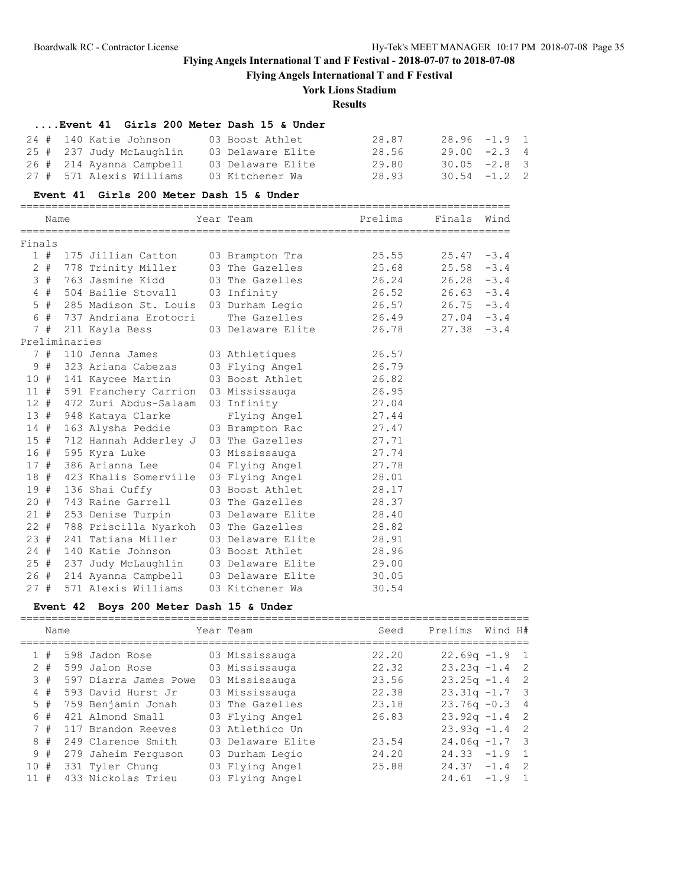**Flying Angels International T and F Festival**

# **York Lions Stadium**

### **Results**

# **....Event 41 Girls 200 Meter Dash 15 & Under** 24 # 140 Katie Johnson 03 Boost Athlet 28.87 28.96 -1.9 1 25 # 237 Judy McLaughlin 03 Delaware Elite 28.56 29.00 -2.3 4 26 # 214 Ayanna Campbell 03 Delaware Elite 29.80 30.05 -2.8 3 27 # 571 Alexis Williams 03 Kitchener Wa 28.93 30.54 -1.2 2

#### **Event 41 Girls 200 Meter Dash 15 & Under**

|        | Name |               |                                        | Year Team <b>Bream</b> Prelims                   |       | Finals        | Wind   |
|--------|------|---------------|----------------------------------------|--------------------------------------------------|-------|---------------|--------|
| Finals |      |               |                                        |                                                  |       |               |        |
|        |      |               |                                        | 1 # 175 Jillian Catton 03 Brampton Tra           | 25.55 | 25.47         | $-3.4$ |
|        |      |               | 2 # 778 Trinity Miller 03 The Gazelles |                                                  | 25.68 | 25.58         | $-3.4$ |
|        |      |               | 3 # 763 Jasmine Kidd                   | 03 The Gazelles 26.24                            |       | 26.28         | $-3.4$ |
|        |      |               | 4 # 504 Bailie Stovall 03 Infinity     |                                                  | 26.52 | $26.63 - 3.4$ |        |
|        |      |               |                                        | 5 # 285 Madison St. Louis 03 Durham Legio 26.57  |       | $26.75 - 3.4$ |        |
|        |      |               | 6 # 737 Andriana Erotocri              | The Gazelles 26.49 27.04 -3.4                    |       |               |        |
|        | 7#   |               | 211 Kayla Bess                         | 03 Delaware Elite                                | 26.78 | $27.38 - 3.4$ |        |
|        |      | Preliminaries |                                        |                                                  |       |               |        |
|        |      |               |                                        | 7 # 110 Jenna James 63 Athletiques 26.57         |       |               |        |
|        |      |               |                                        | 9 # 323 Ariana Cabezas 03 Flying Angel 26.79     |       |               |        |
|        |      |               |                                        | 10 # 141 Kaycee Martin 03 Boost Athlet 26.82     |       |               |        |
|        |      |               |                                        | 11 # 591 Franchery Carrion 03 Mississauga 26.95  |       |               |        |
|        |      |               | 12 # 472 Zuri Abdus-Salaam 03 Infinity |                                                  | 27.04 |               |        |
|        |      |               | 13 # 948 Kataya Clarke                 | Flying Angel 27.44                               |       |               |        |
|        |      |               |                                        | 14 # 163 Alysha Peddie 03 Brampton Rac 27.47     |       |               |        |
|        |      |               |                                        | 15 # 712 Hannah Adderley J 03 The Gazelles 27.71 |       |               |        |
|        |      |               | 16 # 595 Kyra Luke                     | 03 Mississauga 27.74                             |       |               |        |
|        |      |               | 17 # 386 Arianna Lee                   | 04 Flying Angel                                  | 27.78 |               |        |
|        |      |               |                                        | 18 # 423 Khalis Somerville 03 Flying Angel       | 28.01 |               |        |
|        |      |               |                                        | 19 # 136 Shai Cuffy 03 Boost Athlet              | 28.17 |               |        |
|        |      |               |                                        | 20 # 743 Raine Garrell 03 The Gazelles 28.37     |       |               |        |
|        |      |               |                                        | 21 # 253 Denise Turpin 03 Delaware Elite 28.40   |       |               |        |
|        |      |               |                                        | 22 # 788 Priscilla Nyarkoh 03 The Gazelles       | 28.82 |               |        |
|        | 23#  |               |                                        | 241 Tatiana Miller (03 Delaware Elite            | 28.91 |               |        |
|        |      |               | 24 # 140 Katie Johnson                 | 03 Boost Athlet 28.96                            |       |               |        |
|        |      |               |                                        | 25 # 237 Judy McLaughlin 03 Delaware Elite 29.00 |       |               |        |
|        |      |               |                                        | 26 # 214 Ayanna Campbell 03 Delaware Elite 30.05 |       |               |        |
| 27#    |      |               | 571 Alexis Williams                    | 03 Kitchener Wa                                  | 30.54 |               |        |

#### **Event 42 Boys 200 Meter Dash 15 & Under**

|       | Name |                       | Year Team         | Seed  | Prelims          | Wind H#  |     |
|-------|------|-----------------------|-------------------|-------|------------------|----------|-----|
|       | #    | 598 Jadon Rose        | 03 Mississauga    | 22.20 | $22.69q -1.9$ 1  |          |     |
| $2 +$ |      | 599 Jalon Rose        | 03 Mississauga    | 22.32 | $23.23q -1.4$ 2  |          |     |
|       | 3#   | 597 Diarra James Powe | 03 Mississauga    | 23.56 | $23.25q -1.4$ 2  |          |     |
|       | 4#   | 593 David Hurst Jr    | 03 Mississauga    | 22.38 | $23.31q -1.7$ 3  |          |     |
| 5#    |      | 759 Benjamin Jonah    | 03 The Gazelles   | 23.18 | $23.76q - 0.3$ 4 |          |     |
| 6#    |      | 421 Almond Small      | 03 Flying Angel   | 26.83 | $23.92q - 1.4$ 2 |          |     |
| 7#    |      | 117 Brandon Reeves    | 03 Atlethico Un   |       | $23.93q -1.4$ 2  |          |     |
| 8#    |      | 249 Clarence Smith    | 03 Delaware Elite | 23.54 | $24.06q - 1.7$ 3 |          |     |
|       | 9#   | 279 Jaheim Ferguson   | 03 Durham Legio   | 24.20 | 24.33            | $-1.9$ 1 |     |
| 10    | #    | 331 Tyler Chung       | 03 Flying Angel   | 25.88 | 24.37            | $-1.4$   | - 2 |
| 11    | #    | 433 Nickolas Trieu    | 03 Flying Angel   |       | 24.61            | $-1.9$   |     |
|       |      |                       |                   |       |                  |          |     |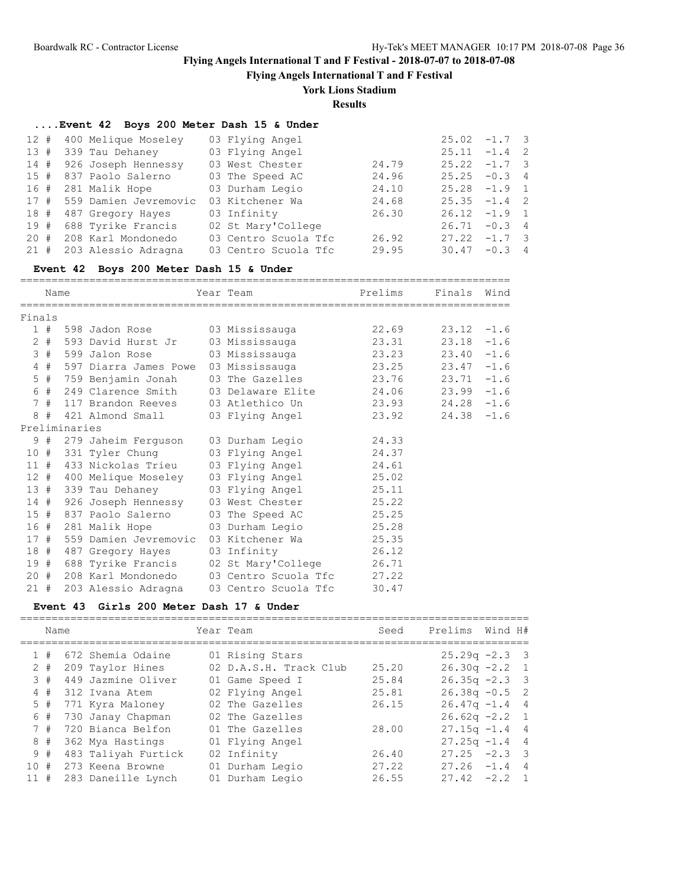**Flying Angels International T and F Festival**

### **York Lions Stadium**

**Results**

### **....Event 42 Boys 200 Meter Dash 15 & Under**

| 12 # 400 Melique Moseley   | 03 Flying Angel      |       | $25.02 -1.7$ 3  |          |  |
|----------------------------|----------------------|-------|-----------------|----------|--|
| 13 # 339 Tau Dehaney       | 03 Flying Angel      |       | $25.11 -1.4$ 2  |          |  |
| 14 # 926 Joseph Hennessy   | 03 West Chester      | 24.79 | $25.22 -1.7$ 3  |          |  |
| 15 # 837 Paolo Salerno     | 03 The Speed AC      | 24.96 | $25.25 - 0.3$ 4 |          |  |
| 16 # 281 Malik Hope        | 03 Durham Legio      | 24.10 | $25.28 -1.9$ 1  |          |  |
| 17 # 559 Damien Jevremovic | 03 Kitchener Wa      | 24.68 | $25.35 -1.4$ 2  |          |  |
| 18 # 487 Gregory Hayes     | 03 Infinity          | 26.30 | $26.12 -1.9$ 1  |          |  |
| 19 # 688 Tyrike Francis    | 02 St Mary'College   |       | $26.71 - 0.3$ 4 |          |  |
| 20 # 208 Karl Mondonedo    | 03 Centro Scuola Tfc | 26.92 | $27.22 -1.7$ 3  |          |  |
| 21 # 203 Alessio Adragna   | 03 Centro Scuola Tfc | 29.95 | 30.47           | $-0.3$ 4 |  |

#### **Event 42 Boys 200 Meter Dash 15 & Under**

============================================================================== Name Team Year Team Prelims Finals Wind

| Finals |       |               |                         |                                                                           |       |               |        |
|--------|-------|---------------|-------------------------|---------------------------------------------------------------------------|-------|---------------|--------|
|        | 1#    |               |                         |                                                                           |       | $23.12 -1.6$  |        |
|        | $2 +$ |               |                         | 593 David Hurst Jr     03 Mississauga               23.31                 |       | $23.18 - 1.6$ |        |
|        | 3#    |               |                         | 599 Jalon Rose               03 Mississauga                         23.23 |       | 23.40         | $-1.6$ |
|        | 4#    |               |                         | 597 Diarra James Powe 03 Mississauga 623.25                               |       | $23.47 -1.6$  |        |
|        | $5$ # |               | 759 Benjamin Jonah      | 03 The Gazelles 23.76                                                     |       | $23.71 - 1.6$ |        |
|        | 6 #   |               | 249 Clarence Smith      | 03 Delaware Elite 24.06                                                   |       | $23.99 - 1.6$ |        |
|        |       |               | 7 # 117 Brandon Reeves  |                                                                           |       |               |        |
|        |       |               | 8 # 421 Almond Small    | 03 Flying Angel 23.92                                                     |       | $24.38 - 1.6$ |        |
|        |       | Preliminaries |                         |                                                                           |       |               |        |
|        |       |               |                         | 9 # 279 Jaheim Ferguson 03 Durham Legio 24.33                             |       |               |        |
|        |       |               |                         | 10 # 331 Tyler Chung 03 Flying Angel 24.37                                |       |               |        |
|        |       |               |                         | 11 # 433 Nickolas Trieu 03 Flying Angel 24.61                             |       |               |        |
|        |       |               |                         | 12 # 400 Melique Moseley 03 Flying Angel 25.02                            |       |               |        |
|        |       |               |                         | 13 # 339 Tau Dehaney 03 Flying Angel 25.11                                |       |               |        |
|        |       |               |                         | 14 # 926 Joseph Hennessy 03 West Chester                                  | 25.22 |               |        |
|        |       |               |                         | 15 # 837 Paolo Salerno 03 The Speed AC 25.25                              |       |               |        |
|        |       |               |                         | 16 # 281 Malik Hope 03 Durham Legio 25.28                                 |       |               |        |
|        | 17#   |               |                         | 559 Damien Jevremovic 03 Kitchener Wa 25.35                               |       |               |        |
|        | 18#   |               |                         | 487 Gregory Hayes 03 Infinity 26.12                                       |       |               |        |
|        |       |               |                         | 19 # 688 Tyrike Francis 02 St Mary'College 26.71                          |       |               |        |
|        |       |               | 20 # 208 Karl Mondonedo | 03 Centro Scuola Tfc 27.22                                                |       |               |        |
|        | 21#   |               | 203 Alessio Adragna     | 03 Centro Scuola Tfc                                                      | 30.47 |               |        |

#### **Event 43 Girls 200 Meter Dash 17 & Under**

|                                                                      |      |                                                                                                                                                                                                                                  | Seed                                                                                                                                                                                                | Prelims                | Wind H# |                                                                                                                                                                                                 |
|----------------------------------------------------------------------|------|----------------------------------------------------------------------------------------------------------------------------------------------------------------------------------------------------------------------------------|-----------------------------------------------------------------------------------------------------------------------------------------------------------------------------------------------------|------------------------|---------|-------------------------------------------------------------------------------------------------------------------------------------------------------------------------------------------------|
|                                                                      |      |                                                                                                                                                                                                                                  |                                                                                                                                                                                                     |                        |         |                                                                                                                                                                                                 |
|                                                                      |      |                                                                                                                                                                                                                                  | 25.20                                                                                                                                                                                               |                        |         |                                                                                                                                                                                                 |
|                                                                      |      |                                                                                                                                                                                                                                  | 25.84                                                                                                                                                                                               |                        |         |                                                                                                                                                                                                 |
|                                                                      |      |                                                                                                                                                                                                                                  | 25.81                                                                                                                                                                                               |                        |         |                                                                                                                                                                                                 |
|                                                                      |      |                                                                                                                                                                                                                                  | 26.15                                                                                                                                                                                               |                        |         |                                                                                                                                                                                                 |
|                                                                      |      |                                                                                                                                                                                                                                  |                                                                                                                                                                                                     |                        |         |                                                                                                                                                                                                 |
|                                                                      |      |                                                                                                                                                                                                                                  | 28.00                                                                                                                                                                                               |                        |         |                                                                                                                                                                                                 |
|                                                                      |      |                                                                                                                                                                                                                                  |                                                                                                                                                                                                     |                        |         |                                                                                                                                                                                                 |
|                                                                      |      |                                                                                                                                                                                                                                  | 26.40                                                                                                                                                                                               |                        |         |                                                                                                                                                                                                 |
|                                                                      |      |                                                                                                                                                                                                                                  | 27.22                                                                                                                                                                                               | 27.26                  |         | $\overline{4}$                                                                                                                                                                                  |
|                                                                      |      |                                                                                                                                                                                                                                  | 26.55                                                                                                                                                                                               | 27.42                  |         |                                                                                                                                                                                                 |
| 1#<br>$2 +$<br>3#<br>4#<br>5#<br>6 #<br>7#<br>8#<br>9#<br>10#<br>11# | Name | 672 Shemia Odaine<br>209 Taylor Hines<br>449 Jazmine Oliver<br>312 Ivana Atem<br>771 Kyra Maloney<br>730 Janay Chapman<br>720 Bianca Belfon<br>362 Mya Hastings<br>483 Taliyah Furtick<br>273 Keena Browne<br>283 Daneille Lynch | Year Team<br>01 Rising Stars<br>01 Game Speed I<br>02 Flying Angel<br>02 The Gazelles<br>02 The Gazelles<br>01 The Gazelles<br>01 Flying Angel<br>02 Infinity<br>01 Durham Legio<br>01 Durham Legio | 02 D.A.S.H. Track Club |         | $25.29q -2.3$ 3<br>$26.30q -2.2$ 1<br>$26.35q - 2.3$ 3<br>$26.38q - 0.5$ 2<br>$26.47q - 1.44$<br>$26.62q -2.2$ 1<br>$27.15q - 1.44$<br>$27.25q - 1.4$ 4<br>$27.25 -2.3$ 3<br>$-1.4$<br>$-2.2$ 1 |

=================================================================================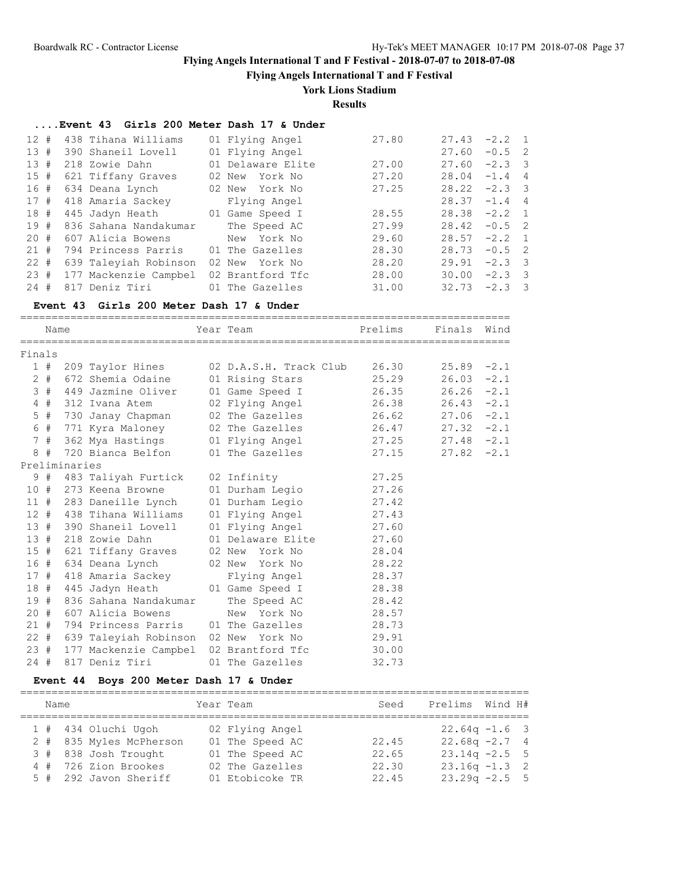**Flying Angels International T and F Festival**

## **York Lions Stadium**

**Results**

### **....Event 43 Girls 200 Meter Dash 17 & Under**

| 12#       |  | 438 Tihana Williams                 | 01 Flying Angel   | 27.80 | 27.43           | $-2.2$ 1 |  |
|-----------|--|-------------------------------------|-------------------|-------|-----------------|----------|--|
| 13#       |  | 390 Shaneil Lovell                  | 01 Flying Angel   |       | 27.60           | $-0.5$ 2 |  |
| 13#       |  | 218 Zowie Dahn                      | 01 Delaware Elite | 27.00 | 27.60           | $-2.3$ 3 |  |
| 15#       |  | 621 Tiffany Graves                  | 02 New York No    | 27.20 | 28.04           | $-1.4$ 4 |  |
| 16#       |  | 634 Deana Lynch                     | 02 New York No    | 27.25 | 28.22           | $-2.3$ 3 |  |
| 17#       |  | 418 Amaria Sackey                   | Flying Angel      |       | 28.37           | $-1.4$ 4 |  |
| 18#       |  | 445 Jadyn Heath                     | 01 Game Speed I   | 28.55 | $28.38 - 2.2$ 1 |          |  |
| 19#       |  | 836 Sahana Nandakumar               | The Speed AC      | 27.99 | 28.42           | $-0.5$ 2 |  |
| 20#       |  | 607 Alicia Bowens                   | New York No       | 29.60 | 28.57           | $-2.2$ 1 |  |
| 21#       |  | 794 Princess Parris 01 The Gazelles |                   | 28.30 | 28.73           | $-0.5$ 2 |  |
| $22 \neq$ |  | 639 Taleyiah Robinson               | 02 New York No    | 28.20 | 29.91           | $-2.3$ 3 |  |
| 23#       |  | 177 Mackenzie Campbel               | 02 Brantford Tfc  | 28.00 | 30.00           | $-2.3$ 3 |  |
| 24#       |  | 817 Deniz Tiri                      | 01 The Gazelles   | 31.00 | 32.73           | $-2.3$ 3 |  |

#### **Event 43 Girls 200 Meter Dash 17 & Under**

==============================================================================

|        | Name  |               |                                     | Year Team                                 | Prelims | Finals        | Wind   |
|--------|-------|---------------|-------------------------------------|-------------------------------------------|---------|---------------|--------|
| Finals |       |               |                                     |                                           |         |               |        |
|        | 1#    |               | 209 Taylor Hines                    | 02 D.A.S.H. Track Club                    | 26.30   | 25.89         | $-2.1$ |
|        | $2 +$ |               | 672 Shemia Odaine                   | 01 Rising Stars                           | 25.29   | 26.03         | $-2.1$ |
|        | 3#    |               | 449 Jazmine Oliver                  | 01 Game Speed I                           | 26.35   | 26.26         | $-2.1$ |
|        | 4#    |               | 312 Ivana Atem                      | 02 Flying Angel                           | 26.38   | 26.43         | $-2.1$ |
|        | $5$ # |               | 730 Janay Chapman                   | 02 The Gazelles                           | 26.62   | $27.06 - 2.1$ |        |
|        | 6 #   |               |                                     | 771 Kyra Maloney         02 The Gazelles  | 26.47   | $27.32 -2.1$  |        |
|        | 7#    |               |                                     | 362 Mya Hastings (01 Flying Angel         | 27.25   | $27.48 - 2.1$ |        |
|        |       |               |                                     | 8 # 720 Bianca Belfon 01 The Gazelles     | 27.15   | $27.82 - 2.1$ |        |
|        |       | Preliminaries |                                     |                                           |         |               |        |
|        |       |               | 9 # 483 Taliyah Furtick 02 Infinity |                                           | 27.25   |               |        |
|        | 10#   |               | 273 Keena Browne                    | 01 Durham Legio                           | 27.26   |               |        |
|        | 11#   |               | 283 Daneille Lynch                  | 01 Durham Legio                           | 27.42   |               |        |
|        |       |               | 12 # 438 Tihana Williams            | 01 Flying Angel                           | 27.43   |               |        |
|        | 13#   |               | 390 Shaneil Lovell                  | 01 Flying Angel                           | 27.60   |               |        |
|        | 13#   |               | 218 Zowie Dahn                      | 01 Delaware Elite                         | 27.60   |               |        |
|        |       |               |                                     | 15 # 621 Tiffany Graves 02 New York No    | 28.04   |               |        |
|        |       |               |                                     | 16 # 634 Deana Lynch      02 New York No  | 28.22   |               |        |
|        | 17#   |               | 418 Amaria Sackey                   | Flying Angel                              | 28.37   |               |        |
|        | 18 #  |               | 445 Jadyn Heath                     | 01 Game Speed I                           | 28.38   |               |        |
| 19#    |       |               | 836 Sahana Nandakumar               | The Speed AC                              | 28.42   |               |        |
|        | 20#   |               | 607 Alicia Bowens                   | New York No                               | 28.57   |               |        |
|        | 21#   |               |                                     | 794 Princess Parris 01 The Gazelles       | 28.73   |               |        |
|        |       |               |                                     | 22 # 639 Taleyiah Robinson 02 New York No | 29.91   |               |        |
|        | 23#   |               |                                     | 177 Mackenzie Campbel 02 Brantford Tfc    | 30.00   |               |        |
| 24#    |       |               | 817 Deniz Tiri                      | 01 The Gazelles                           | 32.73   |               |        |

## **Event 44 Boys 200 Meter Dash 17 & Under**

================================================================================= Name Team Year Team Seed Prelims Wind H# ================================================================================= 1 # 434 Oluchi Ugoh 02 Flying Angel 22.64q -1.6 3 2 # 835 Myles McPherson 01 The Speed AC 22.45 22.68q -2.7 4 3 # 838 Josh Trought 01 The Speed AC 22.65 23.14q -2.5 5 4 # 726 Zion Brookes 02 The Gazelles 22.30 23.16q -1.3 2 5 # 292 Javon Sheriff 01 Etobicoke TR 22.45 23.29q -2.5 5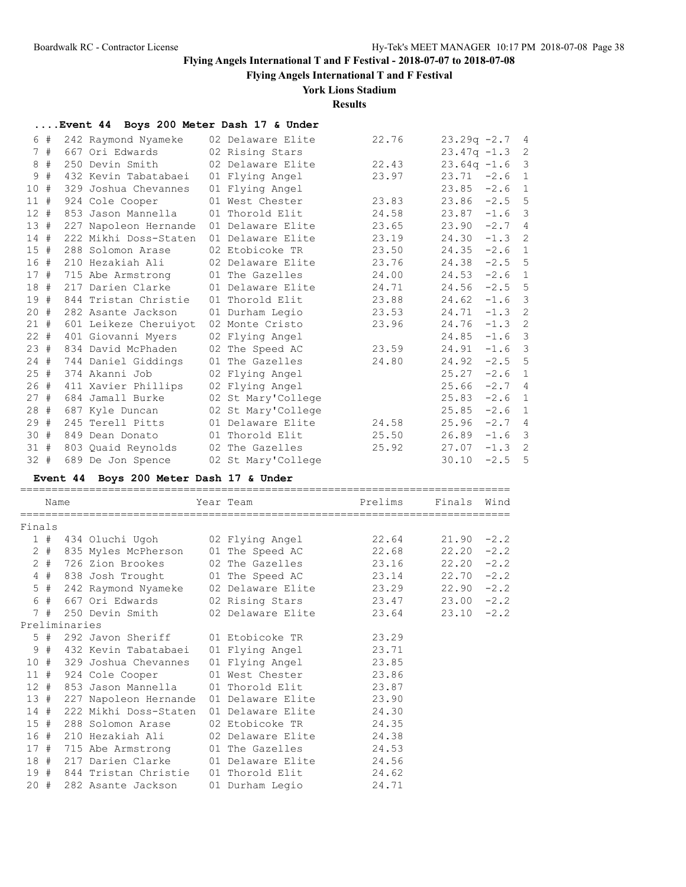**Flying Angels International T and F Festival**

## **York Lions Stadium**

**Results**

|        |       |               | Event 44 Boys 200 Meter Dash 17 & Under |                                      |                |               |        |                |
|--------|-------|---------------|-----------------------------------------|--------------------------------------|----------------|---------------|--------|----------------|
|        | 6#    |               | 242 Raymond Nyameke                     | 02 Delaware Elite                    | 22.76          | $23.29q -2.7$ |        | 4              |
|        | 7#    |               | 667 Ori Edwards                         | 02 Rising Stars                      |                | $23.47q -1.3$ |        | $\overline{c}$ |
|        | 8#    |               | 250 Devin Smith                         | 02 Delaware Elite                    | 22.43          | $23.64q -1.6$ |        | 3              |
| 9      | #     |               | 432 Kevin Tabatabaei                    | 01 Flying Angel                      | 23.97          | 23.71         | $-2.6$ | 1              |
| 10#    |       |               | 329 Joshua Chevannes                    | 01 Flying Angel                      |                | 23.85         | $-2.6$ | 1              |
| 11#    |       |               | 924 Cole Cooper                         | 01 West Chester                      | 23.83          | 23.86         | $-2.5$ | 5              |
| $12 +$ |       |               | 853 Jason Mannella                      | 01 Thorold Elit                      | 24.58          | 23.87         | $-1.6$ | 3              |
| 13#    |       |               | 227 Napoleon Hernande                   | 01 Delaware Elite                    | 23.65          | 23.90         | $-2.7$ | 4              |
| 14#    |       |               | 222 Mikhi Doss-Staten                   | 01 Delaware Elite                    | 23.19          | 24.30         | $-1.3$ | 2              |
| 15#    |       |               | 288 Solomon Arase                       | 02 Etobicoke TR                      | 23.50          | 24.35         | $-2.6$ | 1              |
| 16 #   |       |               | 210 Hezakiah Ali                        | 02 Delaware Elite                    | 23.76          | 24.38         | $-2.5$ | 5              |
| 17#    |       |               | 715 Abe Armstrong                       | 01 The Gazelles                      | 24.00          | 24.53         | $-2.6$ | $\mathbf{1}$   |
| 18#    |       |               | 217 Darien Clarke                       | 01 Delaware Elite                    | 24.71          | 24.56         | $-2.5$ | 5              |
| 19#    |       |               | 844 Tristan Christie                    | 01 Thorold Elit                      | 23.88          | 24.62         | $-1.6$ | 3              |
| 20 #   |       |               | 282 Asante Jackson                      | 01 Durham Legio                      | 23.53          | 24.71         | $-1.3$ | $\overline{c}$ |
| 21 #   |       |               | 601 Leikeze Cheruiyot                   | 02 Monte Cristo                      | 23.96          | 24.76         | $-1.3$ | $\overline{c}$ |
| $22 +$ |       |               | 401 Giovanni Myers                      | 02 Flying Angel                      |                | 24.85         | $-1.6$ | 3              |
| 23 #   |       |               | 834 David McPhaden                      | 02 The Speed AC                      | 23.59          | 24.91         | $-1.6$ | 3              |
| $24 +$ |       |               | 744 Daniel Giddings                     | 01 The Gazelles                      | 24.80          | 24.92         | $-2.5$ | 5              |
| 25#    |       |               | 374 Akanni Job                          | 02 Flying Angel                      |                | 25.27         | $-2.6$ | 1              |
| 26#    |       |               | 411 Xavier Phillips                     | 02 Flying Angel                      |                | 25.66         | $-2.7$ | 4              |
| 27 #   |       |               | 684 Jamall Burke                        | 02 St Mary'College                   |                | 25.83         | $-2.6$ | 1              |
| 28#    |       |               | 687 Kyle Duncan                         | 02 St Mary'College                   |                | 25.85         | $-2.6$ | 1              |
|        |       |               | 29 # 245 Terell Pitts                   | 01 Delaware Elite                    | 24.58          | $25.96 -2.7$  |        | $\overline{4}$ |
|        |       |               | 30 # 849 Dean Donato                    | 01 Thorold Elit                      | 25.50          | $26.89 -1.6$  |        | 3              |
| 31#    |       |               | 803 Quaid Reynolds                      | 02 The Gazelles                      | 25.92          | 27.07         | $-1.3$ | 2              |
| 32 #   |       |               | 689 De Jon Spence                       | 02 St Mary'College                   |                | 30.10         | $-2.5$ | 5              |
|        |       |               | Event 44 Boys 200 Meter Dash 17 & Under |                                      |                |               |        |                |
|        |       |               |                                         |                                      |                |               |        |                |
|        | Name  |               |                                         | Year Team                            | Prelims        | Finals        | Wind   |                |
|        |       |               |                                         |                                      |                |               |        |                |
| Finals |       |               |                                         |                                      |                |               |        |                |
|        |       |               | 1 # 434 Oluchi Ugoh                     | 02 Flying Angel                      | 22.64          | 21.90         | $-2.2$ |                |
|        | $2 +$ |               | 835 Myles McPherson                     | 01 The Speed AC                      | 22.68          | 22.20         | $-2.2$ |                |
|        | $2 +$ |               | 726 Zion Brookes                        | 02 The Gazelles                      | 23.16          | 22.20         | $-2.2$ |                |
|        | $4$ # |               | 838 Josh Trought                        | 01 The Speed AC                      | 23.14          | 22.70         | $-2.2$ |                |
|        | $5$ # |               | 242 Raymond Nyameke                     | 02 Delaware Elite                    | 23.29          | 22.90         | $-2.2$ |                |
|        | 6 #   |               | 667 Ori Edwards                         | 02 Rising Stars                      | 23.47          | 23.00         | $-2.2$ |                |
|        | 7#    |               | 250 Devin Smith                         | 02 Delaware Elite                    | 23.64          | 23.10         | $-2.2$ |                |
|        |       | Preliminaries |                                         |                                      |                |               |        |                |
|        | $5$ # |               | 292 Javon Sheriff                       | 01 Etobicoke TR                      | 23.29          |               |        |                |
|        | 9#    |               | 432 Kevin Tabatabaei                    | 01 Flying Angel                      | 23.71          |               |        |                |
| 10#    |       |               | 329 Joshua Chevannes                    | 01 Flying Angel                      | 23.85          |               |        |                |
| 11#    |       |               | 924 Cole Cooper                         | 01 West Chester                      | 23.86          |               |        |                |
| 12#    |       |               | 853 Jason Mannella                      | 01 Thorold Elit                      | 23.87          |               |        |                |
| 13#    |       |               | 227 Napoleon Hernande                   | 01 Delaware Elite                    | 23.90          |               |        |                |
| $14$ # |       |               | 222 Mikhi Doss-Staten                   | 01 Delaware Elite                    | 24.30          |               |        |                |
| $15$ # |       |               | 288 Solomon Arase                       | 02 Etobicoke TR                      | 24.35          |               |        |                |
| 16 #   |       |               | 210 Hezakiah Ali                        |                                      |                |               |        |                |
| 17#    |       |               | 715 Abe Armstrong                       | 02 Delaware Elite<br>01 The Gazelles | 24.38<br>24.53 |               |        |                |

 18 # 217 Darien Clarke 01 Delaware Elite 24.56 19 # 844 Tristan Christie 01 Thorold Elit 24.62 20 # 282 Asante Jackson 01 Durham Legio 24.71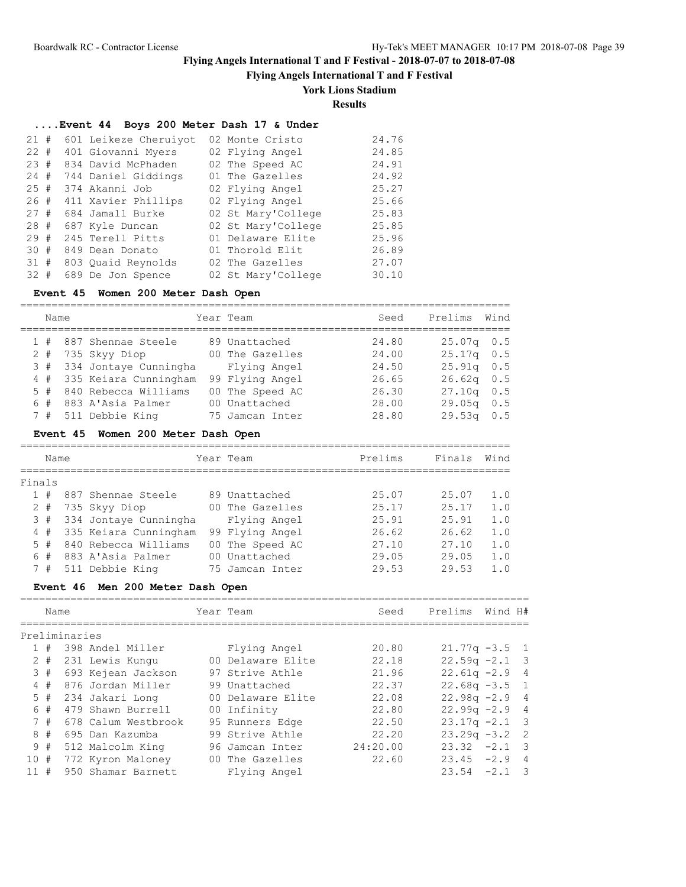**Flying Angels International T and F Festival**

# **York Lions Stadium**

**Results**

## **....Event 44 Boys 200 Meter Dash 17 & Under**

| 21#    | 601 Leikeze Cheruiyot | 02 Monte Cristo    | 24.76 |
|--------|-----------------------|--------------------|-------|
| $22 +$ | 401 Giovanni Myers    | 02 Flying Angel    | 24.85 |
| 23#    | 834 David McPhaden    | 02 The Speed AC    | 24.91 |
| 24#    | 744 Daniel Giddings   | 01 The Gazelles    | 24.92 |
| 25#    | 374 Akanni Job        | 02 Flying Angel    | 25.27 |
| 26#    | 411 Xavier Phillips   | 02 Flying Angel    | 25.66 |
| 27#    | 684 Jamall Burke      | 02 St Mary'College | 25.83 |
| 28#    | 687 Kyle Duncan       | 02 St Mary'College | 25.85 |
| 29#    | 245 Terell Pitts      | 01 Delaware Elite  | 25.96 |
| 30#    | 849 Dean Donato       | 01 Thorold Elit    | 26.89 |
| 31#    | 803 Ouaid Reynolds    | 02 The Gazelles    | 27.07 |
| $32 +$ | 689 De Jon Spence     | 02 St Mary'College | 30.10 |

## **Event 45 Women 200 Meter Dash Open**

| Name  |                       | Year Team       | Seed  | Prelims      | Wind |
|-------|-----------------------|-----------------|-------|--------------|------|
| 1#    | 887 Shennae Steele    | 89 Unattached   | 24.80 | $25.07q$ 0.5 |      |
| $2 +$ | 735 Skyy Diop         | 00 The Gazelles | 24.00 | $25.17q$ 0.5 |      |
| 3#    | 334 Jontaye Cunningha | Flying Angel    | 24.50 | $25.91q$ 0.5 |      |
| 4#    | 335 Keiara Cunningham | 99 Flying Angel | 26.65 | $26.62q$ 0.5 |      |
| 5#    | 840 Rebecca Williams  | 00 The Speed AC | 26.30 | $27.10q$ 0.5 |      |
| 6#    | 883 A'Asia Palmer     | 00 Unattached   | 28.00 | $29.05q$ 0.5 |      |
| 7#    | 511 Debbie King       | 75 Jamcan Inter | 28.80 | $29.53q$ 0.5 |      |

## **Event 45 Women 200 Meter Dash Open**

|        | Name |  |                       |     | Year Team       | Prelims | Finals | Wind |
|--------|------|--|-----------------------|-----|-----------------|---------|--------|------|
| Finals |      |  |                       |     |                 |         |        |      |
|        | #    |  | 887 Shennae Steele    |     | 89 Unattached   | 25.07   | 25.07  | 1.0  |
| 2      | #    |  | 735 Skyy Diop         | O O | The Gazelles    | 25.17   | 25.17  | 1.0  |
|        | 3#   |  | 334 Jontaye Cunningha |     | Flying Angel    | 25.91   | 25.91  | 1.0  |
| 4      | #    |  | 335 Keiara Cunningham |     | 99 Flying Angel | 26.62   | 26.62  | 1.0  |
|        | 5#   |  | 840 Rebecca Williams  |     | 00 The Speed AC | 27.10   | 27.10  | 1.0  |
| 6      | #    |  | 883 A'Asia Palmer     | n n | Unattached      | 29.05   | 29.05  | 1.0  |
|        | 7#   |  | 511 Debbie King       | 75  | Jamcan Inter    | 29.53   | 29.53  | 1.0  |

## **Event 46 Men 200 Meter Dash Open**

|     | Name  |               |                     | Year Team         | Seed     | Prelims          | Wind H# |                         |
|-----|-------|---------------|---------------------|-------------------|----------|------------------|---------|-------------------------|
|     |       | Preliminaries |                     |                   |          |                  |         |                         |
|     |       |               |                     |                   |          |                  |         |                         |
|     | #     |               | 398 Andel Miller    | Flying Angel      | 20.80    | $21.77q - 3.5$ 1 |         |                         |
|     | $2 +$ |               | 231 Lewis Kungu     | 00 Delaware Elite | 22.18    | $22.59q -2.1$ 3  |         |                         |
|     | 3#    |               | 693 Kejean Jackson  | 97 Strive Athle   | 21.96    | $22.61q - 2.9$ 4 |         |                         |
|     | 4#    |               | 876 Jordan Miller   | 99 Unattached     | 22.37    | $22.68q - 3.5$ 1 |         |                         |
|     | $5$ # |               | 234 Jakari Long     | 00 Delaware Elite | 22.08    | $22.98q - 2.9$   |         | $\overline{4}$          |
|     | 6#    |               | 479 Shawn Burrell   | 00 Infinity       | 22.80    | $22.99q -2.9$ 4  |         |                         |
|     | 7#    |               | 678 Calum Westbrook | 95 Runners Edge   | 22.50    | $23.17q - 2.1$ 3 |         |                         |
|     | 8#    |               | 695 Dan Kazumba     | 99 Strive Athle   | 22.20    | $23.29q -3.2$ 2  |         |                         |
|     | 9#    |               | 512 Malcolm King    | 96 Jamcan Inter   | 24:20.00 | 23.32            | $-2.1$  | $\overline{\mathbf{3}}$ |
| 10# |       |               | 772 Kyron Maloney   | 00 The Gazelles   | 22.60    | $23.45 -2.9$     |         | $\overline{4}$          |
| 11# |       |               | 950 Shamar Barnett  | Flying Angel      |          | 23.54            | $-2.1$  | $\overline{\mathbf{3}}$ |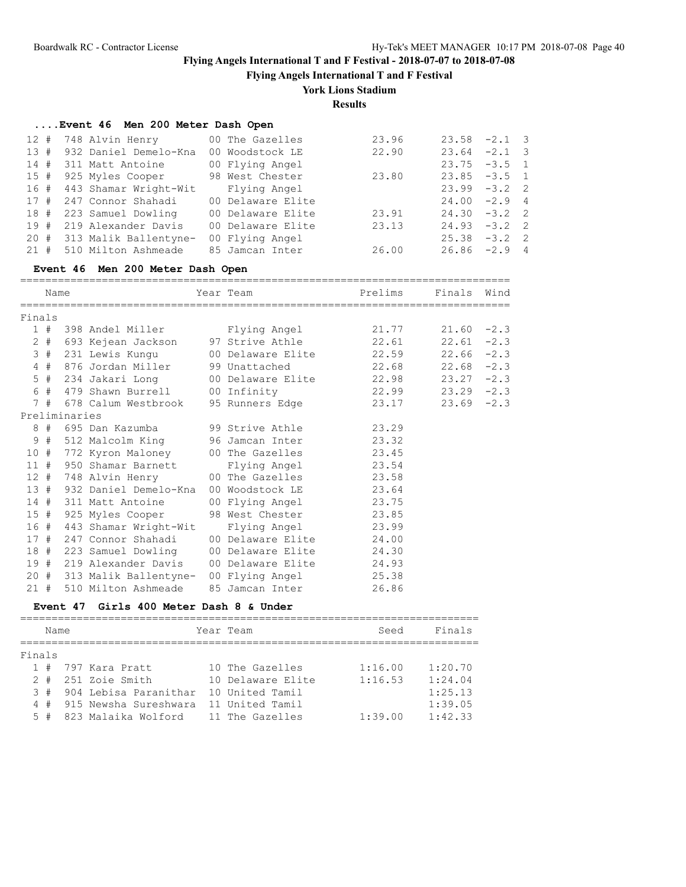**Flying Angels International T and F Festival**

### **York Lions Stadium**

**Results**

### **....Event 46 Men 200 Meter Dash Open**

| 12 # 748 Alvin Henry                  | 00 The Gazelles   | 23.96 | $23.58 - 2.1$ 3 |  |
|---------------------------------------|-------------------|-------|-----------------|--|
| 13 # 932 Daniel Demelo-Kna            | 00 Woodstock LE   | 22.90 | $23.64 -2.1$ 3  |  |
| 14 # 311 Matt Antoine                 | 00 Flying Angel   |       | $23.75 - 3.5$ 1 |  |
| 15 # 925 Myles Cooper 98 West Chester |                   | 23.80 | $23.85 - 3.5 1$ |  |
| 16 # 443 Shamar Wright-Wit            | Flying Angel      |       | $23.99 - 3.2$ 2 |  |
| 17 # 247 Connor Shahadi               | 00 Delaware Elite |       | $24.00 -2.9$ 4  |  |
| 18 # 223 Samuel Dowling               | 00 Delaware Elite | 23.91 | $24.30 -3.2$ 2  |  |
| 19 # 219 Alexander Davis              | 00 Delaware Elite | 23.13 | $24.93 - 3.2$ 2 |  |
| 20 # 313 Malik Ballentyne-            | 00 Flying Angel   |       | $25.38 - 3.2$ 2 |  |
| 21 # 510 Milton Ashmeade              | 85 Jamcan Inter   | 26.00 | $26.86 - 2.9$ 4 |  |

#### **Event 46 Men 200 Meter Dash Open**

============================================================================== Name Year Team Prelims Finals Wind ============================================================================== Finals 1 # 398 Andel Miller Flying Angel 21.77 21.60 -2.3 2 # 693 Kejean Jackson 97 Strive Athle 22.61 22.61 -2.3 3 # 231 Lewis Kungu 00 Delaware Elite 22.59 22.66 -2.3 4 # 876 Jordan Miller 99 Unattached 22.68 22.68 -2.3 5 # 234 Jakari Long 00 Delaware Elite 22.98 23.27 -2.3 6 # 479 Shawn Burrell 00 Infinity 22.99 23.29 -2.3 7 # 678 Calum Westbrook 95 Runners Edge 23.17 23.69 -2.3 Preliminaries 8 # 695 Dan Kazumba 99 Strive Athle 23.29 9 # 512 Malcolm King 96 Jamcan Inter 23.32 10 # 772 Kyron Maloney 00 The Gazelles 23.45 11 # 950 Shamar Barnett Flying Angel 23.54 12 # 748 Alvin Henry 00 The Gazelles 23.58 13 # 932 Daniel Demelo-Kna 00 Woodstock LE 23.64 14 # 311 Matt Antoine 00 Flying Angel 23.75 15 # 925 Myles Cooper 98 West Chester 23.85 16 # 443 Shamar Wright-Wit Flying Angel 23.99 17 # 247 Connor Shahadi 00 Delaware Elite 24.00 18 # 223 Samuel Dowling 00 Delaware Elite 24.30 19 # 219 Alexander Davis 00 Delaware Elite 24.93 20 # 313 Malik Ballentyne- 00 Flying Angel 25.38 21 # 510 Milton Ashmeade 85 Jamcan Inter 26.86

#### **Event 47 Girls 400 Meter Dash 8 & Under**

|        | Name   |                         | Year Team         | Seed    | Finals  |
|--------|--------|-------------------------|-------------------|---------|---------|
| Finals |        |                         |                   |         |         |
|        |        |                         |                   |         |         |
|        |        | 1 # 797 Kara Pratt      | 10 The Gazelles   | 1:16.00 | 1:20.70 |
| $2 \#$ |        | 251 Zoie Smith          | 10 Delaware Elite | 1:16.53 | 1:24.04 |
|        | $3 \#$ | 904 Lebisa Paranithar   | 10 United Tamil   |         | 1:25.13 |
|        | 4#     | 915 Newsha Sureshwara   | 11 United Tamil   |         | 1:39.05 |
|        |        | 5 # 823 Malaika Wolford | 11 The Gazelles   | 1:39.00 | 1:42.33 |
|        |        |                         |                   |         |         |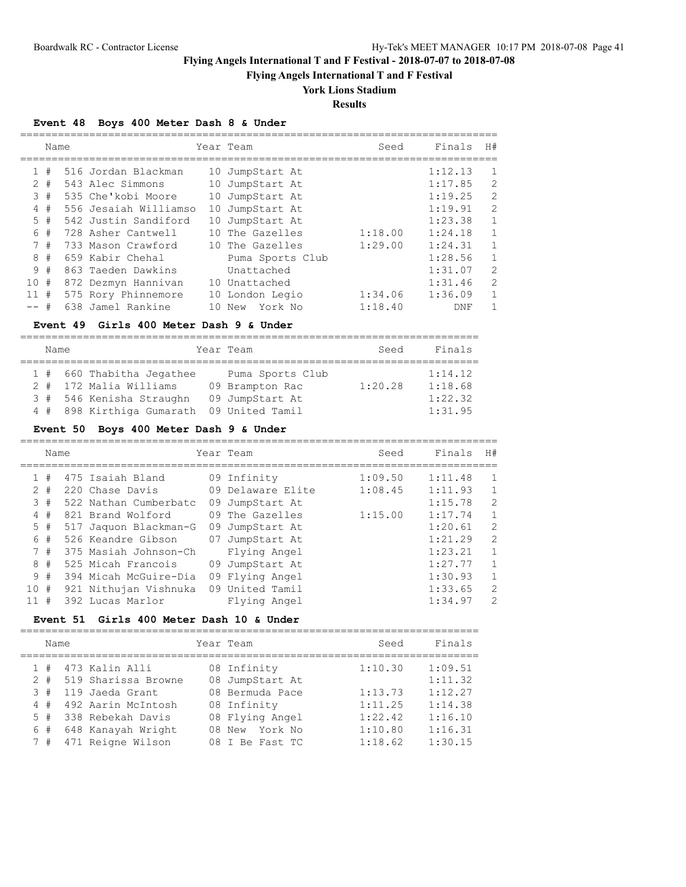**Flying Angels International T and F Festival**

# **York Lions Stadium**

# **Results**

## **Event 48 Boys 400 Meter Dash 8 & Under**

|              | Name  |                       |     | Year Team        | Seed    | Finals  | H#           |
|--------------|-------|-----------------------|-----|------------------|---------|---------|--------------|
|              |       |                       |     |                  |         |         |              |
| $\mathbf{1}$ | #     | 516 Jordan Blackman   |     | 10 JumpStart At  |         | 1:12.13 | $\mathbf{1}$ |
|              | $2 +$ | 543 Alec Simmons      | 10  | JumpStart At     |         | 1:17.85 | 2            |
|              | 3#    | 535 Che'kobi Moore    |     | 10 JumpStart At  |         | 1:19.25 | 2            |
| 4            | #     | 556 Jesaiah Williamso | 10  | JumpStart At     |         | 1:19.91 | 2            |
|              | 5#    | 542 Justin Sandiford  | 10  | JumpStart At     |         | 1:23.38 | $\mathbf{1}$ |
| 6            | #     | 728 Asher Cantwell    | 1 O | The Gazelles     | 1:18.00 | 1:24.18 | $\mathbf{1}$ |
|              | 7#    | 733 Mason Crawford    |     | 10 The Gazelles  | 1:29.00 | 1:24.31 | $\mathbf{1}$ |
| 8            | #     | 659 Kabir Chehal      |     | Puma Sports Club |         | 1:28.56 | $\mathbf{1}$ |
|              | 9#    | 863 Taeden Dawkins    |     | Unattached       |         | 1:31.07 | 2            |
| 10#          |       | 872 Dezmyn Hannivan   |     | 10 Unattached    |         | 1:31.46 | 2            |
| 11           | #     | 575 Rory Phinnemore   |     | 10 London Legio  | 1:34.06 | 1:36.09 | $\mathbf{1}$ |
| $--$ #       |       | 638 Jamel Rankine     | 10  | New York No      | 1:18.40 | DNF     | 1            |

### **Event 49 Girls 400 Meter Dash 9 & Under**

| Name |                           | Year Team        | Seed    | Finals  |
|------|---------------------------|------------------|---------|---------|
|      |                           |                  |         |         |
|      | 1 # 660 Thabitha Jegathee | Puma Sports Club |         | 1:14.12 |
|      | 2 # 172 Malia Williams    | 09 Brampton Rac  | 1:20.28 | 1:18.68 |
|      | 3 # 546 Kenisha Straughn  | 09 JumpStart At  |         | 1:22.32 |
|      | 4 # 898 Kirthiga Gumarath | 09 United Tamil  |         | 1:31.95 |

## **Event 50 Boys 400 Meter Dash 9 & Under**

|              |       | Name |                       |    | Year Team         | Seed    | Finals  | H#             |
|--------------|-------|------|-----------------------|----|-------------------|---------|---------|----------------|
| $\mathbf{1}$ | #     |      | 475 Isaiah Bland      |    | 09 Infinity       | 1:09.50 | 1:11.48 | 1              |
|              | $2 +$ |      | 220 Chase Davis       |    | 09 Delaware Elite | 1:08.45 | 1:11.93 | 1              |
|              | 3#    |      | 522 Nathan Cumberbatc | 09 | JumpStart At      |         | 1:15.78 | $\overline{2}$ |
|              | 4#    |      | 821 Brand Wolford     |    | 09 The Gazelles   | 1:15.00 | 1:17.74 | 1              |
|              | $5$ # |      | 517 Jaquon Blackman-G | 09 | JumpStart At      |         | 1:20.61 | 2              |
|              | 6#    |      | 526 Keandre Gibson    |    | 07 JumpStart At   |         | 1:21.29 | $\overline{2}$ |
|              | 7#    |      | 375 Masiah Johnson-Ch |    | Flying Angel      |         | 1:23.21 | $\mathbf{1}$   |
|              | 8#    |      | 525 Micah Francois    |    | 09 JumpStart At   |         | 1:27.77 | 1              |
|              | 9#    |      | 394 Micah McGuire-Dia |    | 09 Flying Angel   |         | 1:30.93 | $\mathbf{1}$   |
|              | 10#   |      | 921 Nithujan Vishnuka |    | 09 United Tamil   |         | 1:33.65 | $\overline{2}$ |
|              | 11#   |      | 392 Lucas Marlor      |    | Flying Angel      |         | 1:34.97 | $\mathcal{L}$  |

## **Event 51 Girls 400 Meter Dash 10 & Under**

| Name   |                        | Year Team       | Seed    | Finals  |
|--------|------------------------|-----------------|---------|---------|
|        | $1$ # $473$ Kalin Alli | 08 Infinity     | 1:10.30 | 1:09.51 |
| $2 +$  | 519 Sharissa Browne    | 08 JumpStart At |         | 1:11.32 |
| $3 \#$ | 119 Jaeda Grant        | 08 Bermuda Pace | 1:13.73 | 1:12.27 |
| 4#     | 492 Aarin McIntosh     | 08 Infinity     | 1:11.25 | 1:14.38 |
| 5#     | 338 Rebekah Davis      | 08 Flying Angel | 1:22.42 | 1:16.10 |
|        | 6 # 648 Kanayah Wright | 08 New York No  | 1:10.80 | 1:16.31 |
| 7#     | 471 Reigne Wilson      | 08 I Be Fast TC | 1:18.62 | 1:30.15 |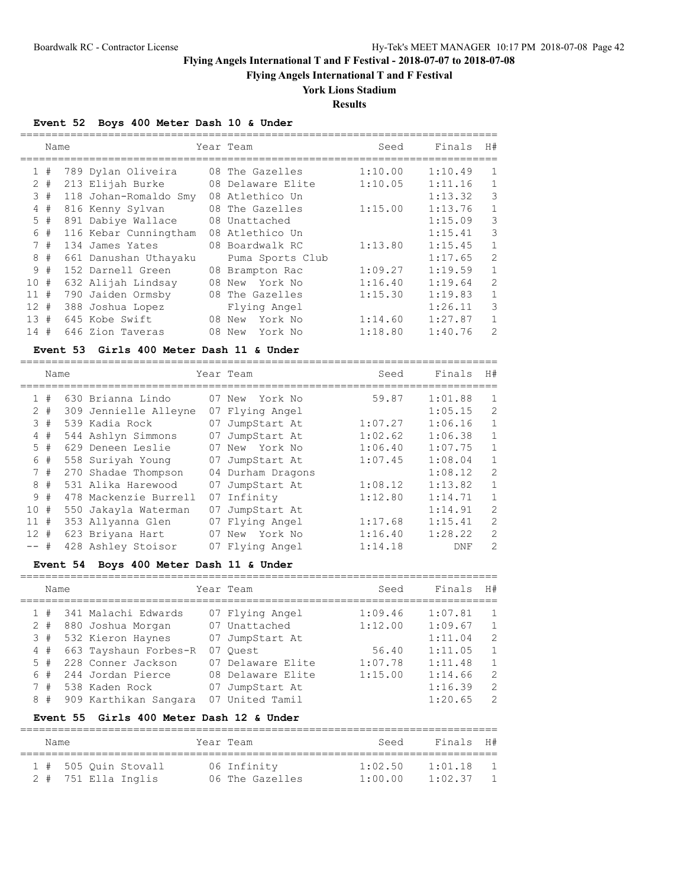**Flying Angels International T and F Festival**

# **York Lions Stadium**

**Results**

============================================================================

## **Event 52 Boys 400 Meter Dash 10 & Under**

|              | Name |  |                       |    | Year Team         | Seed    | Finals  | H#           |  |  |  |
|--------------|------|--|-----------------------|----|-------------------|---------|---------|--------------|--|--|--|
| $\mathbf{1}$ | #    |  | 789 Dylan Oliveira    |    | 08 The Gazelles   | 1:10.00 | 1:10.49 | $\mathbf{1}$ |  |  |  |
| $\mathbf{2}$ | #    |  | 213 Elijah Burke      |    | 08 Delaware Elite | 1:10.05 | 1:11.16 | $\mathbf{1}$ |  |  |  |
|              | 3#   |  | 118 Johan-Romaldo Smy |    | 08 Atlethico Un   |         | 1:13.32 | 3            |  |  |  |
|              | 4#   |  | 816 Kenny Sylvan      |    | 08 The Gazelles   | 1:15.00 | 1:13.76 | $\mathbf{1}$ |  |  |  |
|              | 5#   |  | 891 Dabiye Wallace    |    | 08 Unattached     |         | 1:15.09 | 3            |  |  |  |
| 6            | #    |  | 116 Kebar Cunningtham |    | 08 Atlethico Un   |         | 1:15.41 | 3            |  |  |  |
|              | 7#   |  | 134 James Yates       |    | 08 Boardwalk RC   | 1:13.80 | 1:15.45 | $\mathbf{1}$ |  |  |  |
| 8            | #    |  | 661 Danushan Uthayaku |    | Puma Sports Club  |         | 1:17.65 | 2            |  |  |  |
|              | 9#   |  | 152 Darnell Green     |    | 08 Brampton Rac   | 1:09.27 | 1:19.59 | $\mathbf{1}$ |  |  |  |
| 10           | #    |  | 632 Alijah Lindsay    | 08 | New York No       | 1:16.40 | 1:19.64 | 2            |  |  |  |
| 11           | #    |  | 790 Jaiden Ormsby     |    | 08 The Gazelles   | 1:15.30 | 1:19.83 | $\mathbf{1}$ |  |  |  |
| 12#          |      |  | 388 Joshua Lopez      |    | Flying Angel      |         | 1:26.11 | 3            |  |  |  |
| 13#          |      |  | 645 Kobe Swift        |    | York No<br>08 New | 1:14.60 | 1:27.87 | $\mathbf{1}$ |  |  |  |
| 14#          |      |  | 646 Zion Taveras      | 08 | New<br>York No    | 1:18.80 | 1:40.76 | 2            |  |  |  |

## **Event 53 Girls 400 Meter Dash 11 & Under**

|              | Name  |  |                       |    | Year Team         | Seed    | Finals  | H#             |
|--------------|-------|--|-----------------------|----|-------------------|---------|---------|----------------|
| $\mathbf{1}$ | #     |  | 630 Brianna Lindo     |    | 07 New York No    | 59.87   | 1:01.88 | $\mathbf{1}$   |
|              | $2 +$ |  | 309 Jennielle Alleyne |    | 07 Flying Angel   |         | 1:05.15 | $\overline{2}$ |
|              | 3#    |  | 539 Kadia Rock        | 07 | JumpStart At      | 1:07.27 | 1:06.16 | $\mathbf{1}$   |
|              | 4#    |  | 544 Ashlyn Simmons    | 07 | JumpStart At      | 1:02.62 | 1:06.38 | $\mathbf{1}$   |
|              | 5#    |  | 629 Deneen Leslie     |    | 07 New York No    | 1:06.40 | 1:07.75 | $\mathbf{1}$   |
| 6            | #     |  | 558 Suriyah Young     | 07 | JumpStart At      | 1:07.45 | 1:08.04 | $\mathbf{1}$   |
|              | 7#    |  | 270 Shadae Thompson   |    | 04 Durham Dragons |         | 1:08.12 | $\overline{2}$ |
|              | 8#    |  | 531 Alika Harewood    | 07 | JumpStart At      | 1:08.12 | 1:13.82 | $\mathbf{1}$   |
|              | 9#    |  | 478 Mackenzie Burrell | 07 | Infinity          | 1:12.80 | 1:14.71 | $\mathbf{1}$   |
| 10#          |       |  | 550 Jakayla Waterman  | 07 | JumpStart At      |         | 1:14.91 | $\overline{2}$ |
| 11           | #     |  | 353 Allyanna Glen     |    | 07 Flying Angel   | 1:17.68 | 1:15.41 | $\overline{2}$ |
| $12 +$       |       |  | 623 Briyana Hart      |    | 07 New York No    | 1:16.40 | 1:28.22 | $\overline{2}$ |
| -- #         |       |  | 428 Ashley Stoisor    |    | 07 Flying Angel   | 1:14.18 | DNF     | 2              |

### **Event 54 Boys 400 Meter Dash 11 & Under**

| Name  |  |                       |  | Year Team         | Seed    | Finals  | H#             |  |
|-------|--|-----------------------|--|-------------------|---------|---------|----------------|--|
| 1#    |  | 341 Malachi Edwards   |  | 07 Flying Angel   | 1:09.46 | 1:07.81 | $\overline{1}$ |  |
| $2 +$ |  | 880 Joshua Morgan     |  | 07 Unattached     | 1:12.00 | 1:09.67 | $\overline{1}$ |  |
| 3#    |  | 532 Kieron Haynes     |  | 07 JumpStart At   |         | 1:11.04 | $\overline{2}$ |  |
| 4#    |  | 663 Tayshaun Forbes-R |  | 07 Ouest          | 56.40   | 1:11.05 | $\overline{1}$ |  |
| 5#    |  | 228 Conner Jackson    |  | 07 Delaware Elite | 1:07.78 | 1:11.48 | $\mathbf{1}$   |  |
| 6#    |  | 244 Jordan Pierce     |  | 08 Delaware Elite | 1:15.00 | 1:14.66 | 2              |  |
| 7#    |  | 538 Kaden Rock        |  | 07 JumpStart At   |         | 1:16.39 | 2              |  |
| 8#    |  | 909 Karthikan Sangara |  | 07 United Tamil   |         | 1:20.65 | 2              |  |

#### **Event 55 Girls 400 Meter Dash 12 & Under**

| Name |  |                         | Year Team       | Seed    | Finals H# |  |
|------|--|-------------------------|-----------------|---------|-----------|--|
|      |  | 1 # 505 Ouin Stovall    | 06 Infinity     | 1:02.50 | 1:01.18   |  |
|      |  | $2$ # $751$ Ella Inglis | 06 The Gazelles | 1:00.00 | 1:02.37   |  |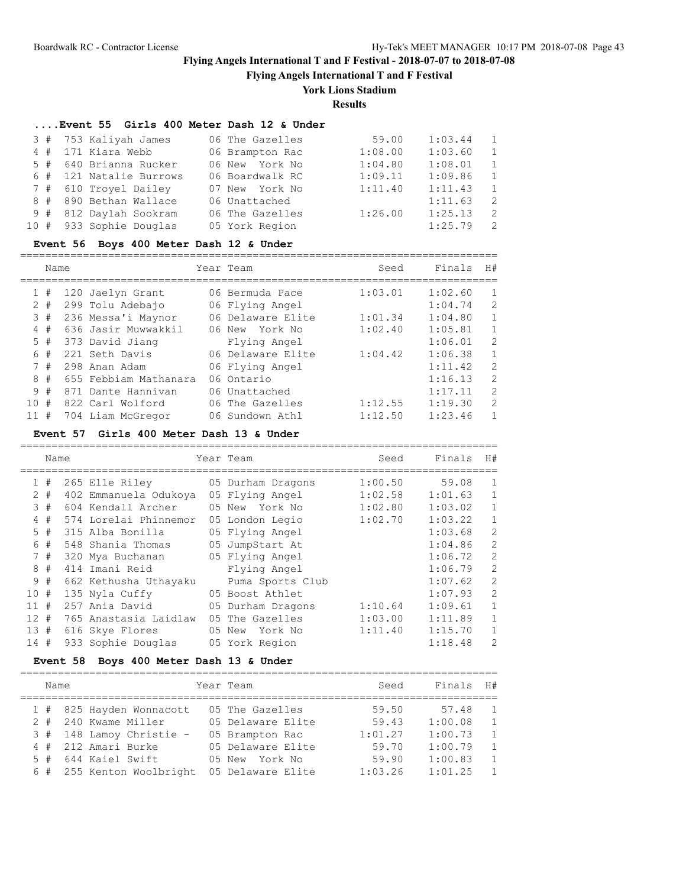**Flying Angels International T and F Festival**

# **York Lions Stadium**

**Results**

### **....Event 55 Girls 400 Meter Dash 12 & Under**

|  | 3 # 753 Kaliyah James   |  | 06 The Gazelles | 59.00   | 1:03.44 | $\overline{1}$ |
|--|-------------------------|--|-----------------|---------|---------|----------------|
|  | 4 # 171 Kiara Webb      |  | 06 Brampton Rac | 1:08.00 | 1:03.60 | $\overline{1}$ |
|  | 5 # 640 Brianna Rucker  |  | 06 New York No  | 1:04.80 | 1:08.01 | $\overline{1}$ |
|  | 6 # 121 Natalie Burrows |  | 06 Boardwalk RC | 1:09.11 | 1:09.86 | $\overline{1}$ |
|  | 7 # 610 Trovel Dailey   |  | 07 New York No  | 1:11.40 | 1:11.43 | $\overline{1}$ |
|  | 8 # 890 Bethan Wallace  |  | 06 Unattached   |         | 1:11.63 | $\overline{2}$ |
|  | 9 # 812 Daylah Sookram  |  | 06 The Gazelles | 1:26.00 | 1:25.13 | $\overline{2}$ |
|  | 10 # 933 Sophie Douglas |  | 05 York Region  |         | 1:25.79 | $\overline{2}$ |
|  |                         |  |                 |         |         |                |

#### **Event 56 Boys 400 Meter Dash 12 & Under**

============================================================================ Name  $Year$  Team Seed Finals H# ============================================================================ 1 # 120 Jaelyn Grant 06 Bermuda Pace 1:03.01 1:02.60 1 2 # 299 Tolu Adebajo 06 Flying Angel 1:04.74 2 3 # 236 Messa'i Maynor 06 Delaware Elite 1:01.34 1:04.80 1 4 # 636 Jasir Muwwakkil 06 New York No 1:02.40 1:05.81 1

|  |  | 5 # 373 David Jiang                  | Flying Angel      |         | $1:06.01$ 2 |                          |
|--|--|--------------------------------------|-------------------|---------|-------------|--------------------------|
|  |  | 6 # 221 Seth Davis                   | 06 Delaware Elite | 1:04.42 | 1:06.38     | $\overline{\phantom{0}}$ |
|  |  | 7 # 298 Anan Adam                    | 06 Flying Angel   |         | 1:11.42     | $\overline{2}$           |
|  |  | 8 # 655 Febbiam Mathanara 06 Ontario |                   |         | 1:16.13     | $\overline{2}$           |
|  |  | 9 # 871 Dante Hannivan 06 Unattached |                   |         | 1:17.11     | $\overline{2}$           |
|  |  | 10 # 822 Carl Wolford                | 06 The Gazelles   | 1:12.55 | 1:19.30     | $\overline{2}$           |
|  |  | 11 # 704 Liam McGregor               | 06 Sundown Athl   | 1:12.50 | $1:23.46$ 1 |                          |

#### **Event 57 Girls 400 Meter Dash 13 & Under**

|     | Name  |  |                       |  | Year Team         | Seed    | Finals  | H#             |  |  |
|-----|-------|--|-----------------------|--|-------------------|---------|---------|----------------|--|--|
|     | 1#    |  | 265 Elle Riley        |  | 05 Durham Dragons | 1:00.50 | 59.08   | 1              |  |  |
|     | $2 +$ |  | 402 Emmanuela Odukoya |  | 05 Flying Angel   | 1:02.58 | 1:01.63 | $\mathbf{1}$   |  |  |
|     | 3#    |  | 604 Kendall Archer    |  | 05 New York No    | 1:02.80 | 1:03.02 | $\mathbf{1}$   |  |  |
|     | 4#    |  | 574 Lorelai Phinnemor |  | 05 London Legio   | 1:02.70 | 1:03.22 | $\mathbf 1$    |  |  |
|     | $5$ # |  | 315 Alba Bonilla      |  | 05 Flying Angel   |         | 1:03.68 | $\overline{c}$ |  |  |
|     | 6 #   |  | 548 Shania Thomas     |  | 05 JumpStart At   |         | 1:04.86 | $\overline{c}$ |  |  |
|     | 7#    |  | 320 Mya Buchanan      |  | 05 Flying Angel   |         | 1:06.72 | $\overline{c}$ |  |  |
|     | 8#    |  | 414 Imani Reid        |  | Flying Angel      |         | 1:06.79 | $\overline{2}$ |  |  |
|     | 9#    |  | 662 Kethusha Uthayaku |  | Puma Sports Club  |         | 1:07.62 | $\overline{c}$ |  |  |
| 10# |       |  | 135 Nyla Cuffy        |  | 05 Boost Athlet   |         | 1:07.93 | $\overline{c}$ |  |  |
| 11# |       |  | 257 Ania David        |  | 05 Durham Dragons | 1:10.64 | 1:09.61 | $\mathbf{1}$   |  |  |
| 12# |       |  | 765 Anastasia Laidlaw |  | 05 The Gazelles   | 1:03.00 | 1:11.89 | $\mathbf{1}$   |  |  |
| 13# |       |  | 616 Skye Flores       |  | 05 New<br>York No | 1:11.40 | 1:15.70 | $\mathbf 1$    |  |  |
| 14# |       |  | 933 Sophie Douglas    |  | 05 York Region    |         | 1:18.48 | $\overline{2}$ |  |  |

### **Event 58 Boys 400 Meter Dash 13 & Under**

| Name |                           | Year Team         | Seed    | Finals  | H#             |
|------|---------------------------|-------------------|---------|---------|----------------|
|      | 1 # 825 Hayden Wonnacott  | 05 The Gazelles   | 59.50   | 57.48   | $\overline{1}$ |
|      | 2 # 240 Kwame Miller      | 05 Delaware Elite | 59.43   | 1:00.08 | $\overline{1}$ |
|      | 3 # 148 Lamoy Christie -  | 05 Brampton Rac   | 1:01.27 | 1:00.73 | $\overline{1}$ |
|      | 4 # 212 Amari Burke       | 05 Delaware Elite | 59.70   | 1:00.79 | $\overline{1}$ |
|      | 5 # 644 Kaiel Swift       | 05 New York No    | 59.90   | 1:00.83 | $\overline{1}$ |
|      | 6 # 255 Kenton Woolbright | 05 Delaware Elite | 1:03.26 | 1:01.25 | $\overline{1}$ |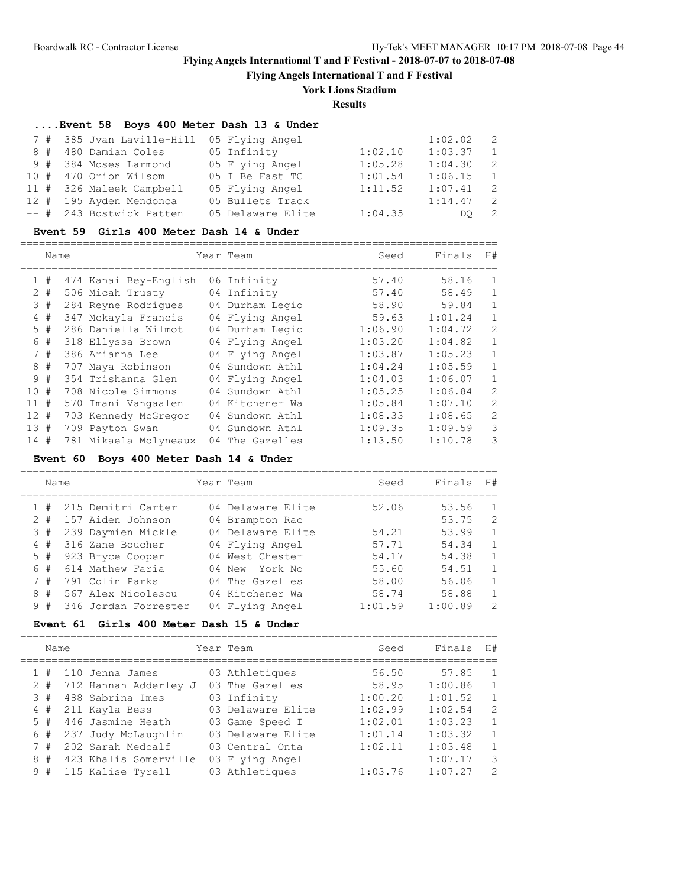**Flying Angels International T and F Festival**

# **York Lions Stadium**

**Results**

| Event 58 Boys 400 Meter Dash 13 & Under |                                           |                   |         |         |                |  |  |  |  |  |
|-----------------------------------------|-------------------------------------------|-------------------|---------|---------|----------------|--|--|--|--|--|
|                                         | 7 # 385 Jvan Laville-Hill 05 Flying Angel |                   |         | 1:02.02 | $\overline{2}$ |  |  |  |  |  |
|                                         | 8 # 480 Damian Coles                      | 05 Infinity       | 1:02.10 | 1:03.37 | $\overline{1}$ |  |  |  |  |  |
|                                         | 9 # 384 Moses Larmond                     | 05 Flying Angel   | 1:05.28 | 1:04.30 | $\overline{2}$ |  |  |  |  |  |
|                                         | 10 # 470 Orion Wilsom                     | 05 I Be Fast TC   | 1:01.54 | 1:06.15 | $\overline{1}$ |  |  |  |  |  |
|                                         | 11 # 326 Maleek Campbell                  | 05 Flying Angel   | 1:11.52 | 1:07.41 | $\overline{2}$ |  |  |  |  |  |
|                                         | 12 # 195 Ayden Mendonca                   | 05 Bullets Track  |         | 1:14.47 | $\overline{2}$ |  |  |  |  |  |
|                                         | -- # 243 Bostwick Patten                  | 05 Delaware Elite | 1:04.35 | DO.     | -2             |  |  |  |  |  |

### **Event 59 Girls 400 Meter Dash 14 & Under**

============================================================================

|                 | Name |                       | Year Team       | Seed    | Finals  | H#             |
|-----------------|------|-----------------------|-----------------|---------|---------|----------------|
|                 | 1#   | 474 Kanai Bey-English | 06 Infinity     | 57.40   | 58.16   | $\mathbf{1}$   |
| 2               | #    | 506 Micah Trusty      | 04 Infinity     | 57.40   | 58.49   | $\mathbf{1}$   |
|                 | 3#   | 284 Reyne Rodriques   | 04 Durham Legio | 58.90   | 59.84   | $\mathbf{1}$   |
| 4               | #    | 347 Mckayla Francis   | 04 Flying Angel | 59.63   | 1:01.24 | $\mathbf{1}$   |
| 5.              | #    | 286 Daniella Wilmot   | 04 Durham Legio | 1:06.90 | 1:04.72 | 2              |
| 6               | #    | 318 Ellyssa Brown     | 04 Flying Angel | 1:03.20 | 1:04.82 | $\mathbf{1}$   |
|                 | 7#   | 386 Arianna Lee       | 04 Flying Angel | 1:03.87 | 1:05.23 | $\mathbf{1}$   |
|                 | 8#   | 707 Maya Robinson     | 04 Sundown Athl | 1:04.24 | 1:05.59 | $\mathbf{1}$   |
| 9               | #    | 354 Trishanna Glen    | 04 Flying Angel | 1:04.03 | 1:06.07 | $\mathbf{1}$   |
| 10 <sup>°</sup> | #    | 708 Nicole Simmons    | 04 Sundown Athl | 1:05.25 | 1:06.84 | $\overline{2}$ |
| 11              | #    | 570 Imani Vangaalen   | 04 Kitchener Wa | 1:05.84 | 1:07.10 | $\overline{2}$ |
| 12 <sup>°</sup> | #    | 703 Kennedy McGregor  | 04 Sundown Athl | 1:08.33 | 1:08.65 | $\overline{2}$ |
| 13#             |      | 709 Payton Swan       | 04 Sundown Athl | 1:09.35 | 1:09.59 | 3              |
| 14              | #    | 781 Mikaela Molyneaux | 04 The Gazelles | 1:13.50 | 1:10.78 | 3              |

### **Event 60 Boys 400 Meter Dash 14 & Under**

============================================================================

| Name  |  |                      | Year Team         | Seed    | Finals  | H#           |
|-------|--|----------------------|-------------------|---------|---------|--------------|
| 1#    |  | 215 Demitri Carter   | 04 Delaware Elite | 52.06   | 53.56   | -1           |
| $2 +$ |  | 157 Aiden Johnson    | 04 Brampton Rac   |         | 53.75   | -2           |
| 3#    |  | 239 Daymien Mickle   | 04 Delaware Elite | 54.21   | 53.99   | 1            |
| 4#    |  | 316 Zane Boucher     | 04 Flying Angel   | 57.71   | 54.34   | $\mathbf{1}$ |
| $5$ # |  | 923 Bryce Cooper     | 04 West Chester   | 54.17   | 54.38   | 1            |
| 6#    |  | 614 Mathew Faria     | 04 New York No    | 55.60   | 54.51   | $\mathbf{1}$ |
| 7#    |  | 791 Colin Parks      | 04 The Gazelles   | 58.00   | 56.06   | 1            |
| 8#    |  | 567 Alex Nicolescu   | 04 Kitchener Wa   | 58.74   | 58.88   | 1            |
| 9#    |  | 346 Jordan Forrester | 04 Flying Angel   | 1:01.59 | 1:00.89 | 2            |

### **Event 61 Girls 400 Meter Dash 15 & Under**

| Name  |                       | Year Team         | Seed    | Finals  | H#             |
|-------|-----------------------|-------------------|---------|---------|----------------|
| #     | 110 Jenna James       | 03 Athletiques    | 56.50   | 57.85   | $\mathbf{1}$   |
| $2 +$ | 712 Hannah Adderley J | 03 The Gazelles   | 58.95   | 1:00.86 | $\mathbf{1}$   |
| 3#    | 488 Sabrina Imes      | 03 Infinity       | 1:00.20 | 1:01.52 | $\mathbf{1}$   |
| 4#    | 211 Kayla Bess        | 03 Delaware Elite | 1:02.99 | 1:02.54 | $\overline{2}$ |
| 5#    | 446 Jasmine Heath     | 03 Game Speed I   | 1:02.01 | 1:03.23 | $\mathbf{1}$   |
| 6 #   | 237 Judy McLaughlin   | 03 Delaware Elite | 1:01.14 | 1:03.32 | $\mathbf{1}$   |
| 7#    | 202 Sarah Medcalf     | 03 Central Onta   | 1:02.11 | 1:03.48 | $\mathbf{1}$   |
| 8#    | 423 Khalis Somerville | 03 Flying Angel   |         | 1:07.17 | 3              |
| 9#    | 115 Kalise Tyrell     | 03 Athletiques    | 1:03.76 | 1:07.27 | $\mathcal{P}$  |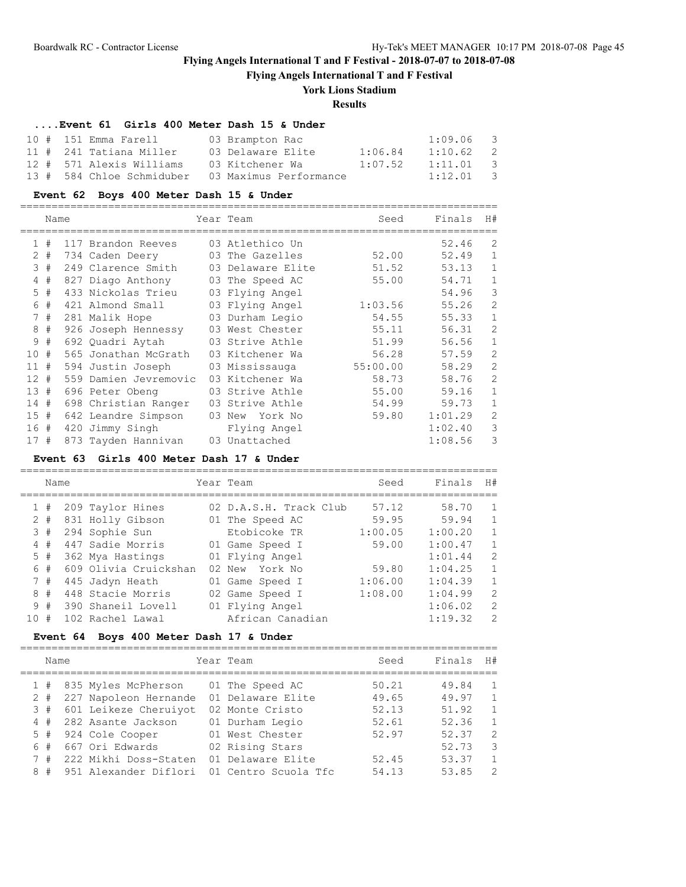**Flying Angels International T and F Festival**

# **York Lions Stadium**

## **Results**

## **....Event 61 Girls 400 Meter Dash 15 & Under**

| 10 # 151 Emma Farell     | 03 Brampton Rac                                  |         | $1:09.06$ 3 |  |
|--------------------------|--------------------------------------------------|---------|-------------|--|
| 11 # 241 Tatiana Miller  | 03 Delaware Elite                                | 1:06.84 | $1:10.62$ 2 |  |
| 12 # 571 Alexis Williams | 03 Kitchener Wa                                  | 1:07.52 | $1:11.01$ 3 |  |
|                          | 13 # 584 Chloe Schmiduber 03 Maximus Performance |         | $1:12.01$ 3 |  |

## **Event 62 Boys 400 Meter Dash 15 & Under**

|                 | Name  |                       | Year Team         | Seed     | Finals  | H#           |
|-----------------|-------|-----------------------|-------------------|----------|---------|--------------|
|                 | 1#    | 117 Brandon Reeves    | 03 Atlethico Un   |          | 52.46   | 2            |
|                 | $2 +$ | 734 Caden Deery       | 03 The Gazelles   | 52.00    | 52.49   | $\mathbf 1$  |
|                 | 3#    | 249 Clarence Smith    | 03 Delaware Elite | 51.52    | 53.13   | $\mathbf{1}$ |
| 4               | #     | 827 Diago Anthony     | 03 The Speed AC   | 55.00    | 54.71   | $\mathbf{1}$ |
|                 | $5$ # | 433 Nickolas Trieu    | 03 Flying Angel   |          | 54.96   | 3            |
| 6               | #     | 421 Almond Small      | 03 Flying Angel   | 1:03.56  | 55.26   | 2            |
|                 | 7#    | 281 Malik Hope        | 03 Durham Legio   | 54.55    | 55.33   | $\mathbf{1}$ |
|                 | 8#    | 926 Joseph Hennessy   | 03 West Chester   | 55.11    | 56.31   | 2            |
| 9               | #     | 692 Quadri Aytah      | 03 Strive Athle   | 51.99    | 56.56   | $\mathbf{1}$ |
| 10 <sup>°</sup> | #     | 565 Jonathan McGrath  | 03 Kitchener Wa   | 56.28    | 57.59   | 2            |
| 11#             |       | 594 Justin Joseph     | 03 Mississauga    | 55:00.00 | 58.29   | 2            |
| $12 +$          |       | 559 Damien Jevremovic | 03 Kitchener Wa   | 58.73    | 58.76   | 2            |
| 13#             |       | 696 Peter Obeng       | 03 Strive Athle   | 55.00    | 59.16   | $\mathbf{1}$ |
| 14#             |       | 698 Christian Ranger  | 03 Strive Athle   | 54.99    | 59.73   | $\mathbf{1}$ |
| 15#             |       | 642 Leandre Simpson   | 03 New York No    | 59.80    | 1:01.29 | 2            |
| 16#             |       | 420 Jimmy Singh       | Flying Angel      |          | 1:02.40 | 3            |
| 17#             |       | 873 Tayden Hannivan   | 03 Unattached     |          | 1:08.56 | 3            |
|                 |       |                       |                   |          |         |              |

#### **Event 63 Girls 400 Meter Dash 17 & Under**

============================================================================

|       | Name |                       | Year Team              | Seed    | Finals  | H#            |
|-------|------|-----------------------|------------------------|---------|---------|---------------|
|       | #    | 209 Taylor Hines      | 02 D.A.S.H. Track Club | 57.12   | 58.70   | $\mathbf{1}$  |
| $2 +$ |      | 831 Holly Gibson      | 01 The Speed AC        | 59.95   | 59.94   | 1             |
| 3#    |      | 294 Sophie Sun        | Etobicoke TR           | 1:00.05 | 1:00.20 | $\mathbf{1}$  |
| 4#    |      | 447 Sadie Morris      | 01 Game Speed I        | 59.00   | 1:00.47 | $\mathbf{1}$  |
| 5#    |      | 362 Mya Hastings      | 01 Flying Angel        |         | 1:01.44 | 2             |
|       | 6#   | 609 Olivia Cruickshan | 02 New York No         | 59.80   | 1:04.25 | $\mathbf{1}$  |
| 7#    |      | 445 Jadyn Heath       | 01 Game Speed I        | 1:06.00 | 1:04.39 | 1             |
| 8#    |      | 448 Stacie Morris     | 02 Game Speed I        | 1:08.00 | 1:04.99 | $\mathcal{L}$ |
| 9#    |      | 390 Shaneil Lovell    | 01 Flying Angel        |         | 1:06.02 | 2             |
| 10#   |      | 102 Rachel Lawal      | African Canadian       |         | 1:19.32 | $\mathcal{L}$ |
|       |      |                       |                        |         |         |               |

## **Event 64 Boys 400 Meter Dash 17 & Under**

|       | Name |                         | Year Team            | Seed  | Finals | H #           |
|-------|------|-------------------------|----------------------|-------|--------|---------------|
|       |      | 1 # 835 Myles McPherson | 01 The Speed AC      | 50.21 | 49.84  | $\mathbf{1}$  |
| $2 +$ |      | 227 Napoleon Hernande   | 01 Delaware Elite    | 49.65 | 49.97  | $\mathbf{1}$  |
| 3#    |      | 601 Leikeze Cheruiyot   | 02 Monte Cristo      | 52.13 | 51.92  | $\mathbf{1}$  |
| 4#    |      | 282 Asante Jackson      | 01 Durham Legio      | 52.61 | 52.36  | $\mathbf{1}$  |
| 5#    |      | 924 Cole Cooper         | 01 West Chester      | 52.97 | 52.37  | $\mathcal{L}$ |
| 6#    |      | 667 Ori Edwards         | 02 Rising Stars      |       | 52.73  | 3             |
| 7#    |      | 222 Mikhi Doss-Staten   | 01 Delaware Elite    | 52.45 | 53.37  | $\mathbf{1}$  |
| 8#    |      | 951 Alexander Diflori   | 01 Centro Scuola Tfc | 54.13 | 53.85  | $\mathcal{L}$ |
|       |      |                         |                      |       |        |               |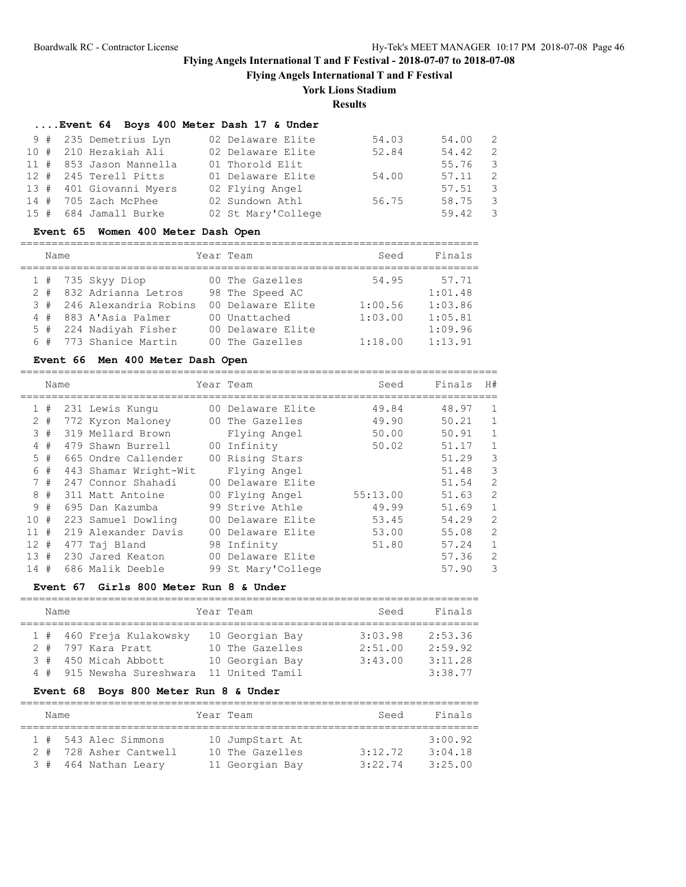**Flying Angels International T and F Festival**

## **York Lions Stadium**

**Results**

## **....Event 64 Boys 400 Meter Dash 17 & Under**

| 9 # 235 Demetrius Lyn   | 02 Delaware Elite  | 54.03 | 54.00 2         |                         |
|-------------------------|--------------------|-------|-----------------|-------------------------|
| 10 # 210 Hezakiah Ali   | 02 Delaware Elite  | 52.84 | 54.42           | $\overline{2}$          |
| 11 # 853 Jason Mannella | 01 Thorold Elit    |       | 55.76 3         |                         |
| 12 # 245 Terell Pitts   | 01 Delaware Elite  | 54.00 | $57.11$ 2       |                         |
| 13 # 401 Giovanni Myers | 02 Flying Angel    |       | $57.51$ 3       |                         |
| 14 # 705 Zach McPhee    | 02 Sundown Athl    | 56.75 | 58.75           | $\overline{\mathbf{3}}$ |
| 15 # 684 Jamall Burke   | 02 St Mary'College |       | $59.42 \quad 3$ |                         |

## **Event 65 Women 400 Meter Dash Open**

=========================================================================

| Name |  | Year Team                 | Seed              | Finals  |         |
|------|--|---------------------------|-------------------|---------|---------|
|      |  | $1$ # 735 Skyy Diop       | 00 The Gazelles   | 54.95   | 57.71   |
|      |  | 2 # 832 Adrianna Letros   | 98 The Speed AC   |         | 1:01.48 |
|      |  | 3 # 246 Alexandria Robins | 00 Delaware Elite | 1:00.56 | 1:03.86 |
|      |  | 4 # 883 A'Asia Palmer     | 00 Unattached     | 1:03.00 | 1:05.81 |
|      |  | 5 # 224 Nadiyah Fisher    | 00 Delaware Elite |         | 1:09.96 |
|      |  | 6 # 773 Shanice Martin    | 00 The Gazelles   | 1:18.00 | 1:13.91 |

## **Event 66 Men 400 Meter Dash Open**

|                | Name  |                       | Year Team          | Seed     | Finals | H#           |
|----------------|-------|-----------------------|--------------------|----------|--------|--------------|
| $\mathbf{1}$   | #     | 231 Lewis Kungu       | 00 Delaware Elite  | 49.84    | 48.97  | 1            |
|                | $2 +$ | 772 Kyron Maloney     | 00 The Gazelles    | 49.90    | 50.21  | $\mathbf{1}$ |
|                | 3#    | 319 Mellard Brown     | Flying Angel       | 50.00    | 50.91  | $\mathbf{1}$ |
| $\overline{4}$ | #     | 479 Shawn Burrell     | 00 Infinity        | 50.02    | 51.17  | $\mathbf{1}$ |
|                | 5#    | 665 Ondre Callender   | 00 Rising Stars    |          | 51.29  | 3            |
|                | 6#    | 443 Shamar Wright-Wit | Flying Angel       |          | 51.48  | 3            |
|                | 7#    | 247 Connor Shahadi    | 00 Delaware Elite  |          | 51.54  | 2            |
| 8              | #     | 311 Matt Antoine      | 00 Flying Angel    | 55:13.00 | 51.63  | 2            |
|                | 9#    | 695 Dan Kazumba       | 99 Strive Athle    | 49.99    | 51.69  | $\mathbf{1}$ |
| 10             | #     | 223 Samuel Dowling    | 00 Delaware Elite  | 53.45    | 54.29  | 2            |
| $11 \pm$       |       | 219 Alexander Davis   | 00 Delaware Elite  | 53.00    | 55.08  | 2            |
| $12 +$         |       | 477 Taj Bland         | 98 Infinity        | 51.80    | 57.24  | 1            |
| 13#            |       | 230 Jared Keaton      | 00 Delaware Elite  |          | 57.36  | 2            |
| 14#            |       | 686 Malik Deeble      | 99 St Mary'College |          | 57.90  | 3            |

## **Event 67 Girls 800 Meter Run 8 & Under**

| Name |  |                           |  | Year Team       | Seed    | Finals  |  |  |  |  |
|------|--|---------------------------|--|-----------------|---------|---------|--|--|--|--|
|      |  |                           |  |                 |         |         |  |  |  |  |
|      |  | 1 # 460 Freja Kulakowsky  |  | 10 Georgian Bay | 3:03.98 | 2:53.36 |  |  |  |  |
|      |  | 2 # 797 Kara Pratt        |  | 10 The Gazelles | 2:51.00 | 2:59.92 |  |  |  |  |
| 3#   |  | 450 Micah Abbott          |  | 10 Georgian Bay | 3:43.00 | 3:11.28 |  |  |  |  |
|      |  | 4 # 915 Newsha Sureshwara |  | 11 United Tamil |         | 3:38.77 |  |  |  |  |

## **Event 68 Boys 800 Meter Run 8 & Under**

|  | Name |                        | Year Team       | Seed    | Finals  |
|--|------|------------------------|-----------------|---------|---------|
|  |      | 1 # 543 Alec Simmons   | 10 JumpStart At |         | 3:00.92 |
|  |      | 2 # 728 Asher Cantwell | 10 The Gazelles | 3:12.72 | 3:04.18 |
|  |      | 3 # 464 Nathan Leary   | 11 Georgian Bay | 3:22.74 | 3:25.00 |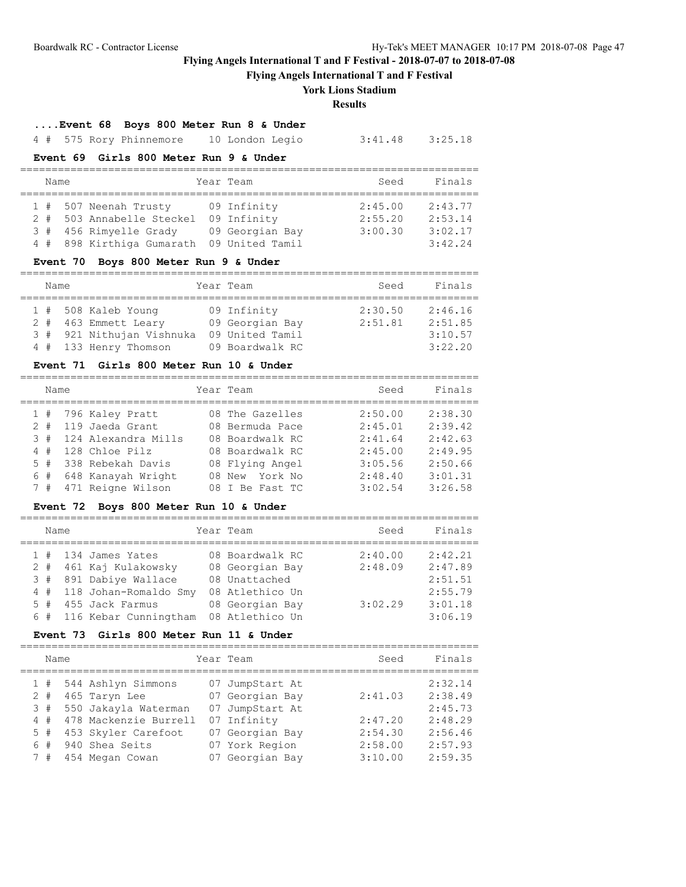**Flying Angels International T and F Festival**

## **York Lions Stadium**

**Results**

## **....Event 68 Boys 800 Meter Run 8 & Under**

4 # 575 Rory Phinnemore 10 London Legio 3:41.48 3:25.18

## **Event 69 Girls 800 Meter Run 9 & Under**

| Name |  |                           |  | Year Team       | Seed    | Finals  |  |  |  |  |
|------|--|---------------------------|--|-----------------|---------|---------|--|--|--|--|
|      |  |                           |  |                 |         |         |  |  |  |  |
|      |  | 1 # 507 Neenah Trusty     |  | 09 Infinity     | 2:45.00 | 2:43.77 |  |  |  |  |
|      |  | 2 # 503 Annabelle Steckel |  | 09 Infinity     | 2:55.20 | 2:53.14 |  |  |  |  |
|      |  | 3 # 456 Rimyelle Grady    |  | 09 Georgian Bay | 3:00.30 | 3:02.17 |  |  |  |  |
|      |  | 4 # 898 Kirthiga Gumarath |  | 09 United Tamil |         | 3:42.24 |  |  |  |  |

#### **Event 70 Boys 800 Meter Run 9 & Under**

=========================================================================

| Name |  |                                                                                                   | Year Team                                                            | Seed               | Finals                                   |
|------|--|---------------------------------------------------------------------------------------------------|----------------------------------------------------------------------|--------------------|------------------------------------------|
|      |  | 1 # 508 Kaleb Young<br>2 # 463 Emmett Leary<br>3 # 921 Nithujan Vishnuka<br>4 # 133 Henry Thomson | 09 Infinity<br>09 Georgian Bay<br>09 United Tamil<br>09 Boardwalk RC | 2:30.50<br>2:51.81 | 2:46.16<br>2:51.85<br>3:10.57<br>3:22.20 |

## **Event 71 Girls 800 Meter Run 10 & Under**

| Name |  |                         | Year Team       | Seed    | Finals  |
|------|--|-------------------------|-----------------|---------|---------|
|      |  | $1$ # 796 Kaley Pratt   | 08 The Gazelles | 2:50.00 | 2:38.30 |
|      |  | 2 # 119 Jaeda Grant     | 08 Bermuda Pace | 2:45.01 | 2:39.42 |
|      |  | 3 # 124 Alexandra Mills | 08 Boardwalk RC | 2:41.64 | 2:42.63 |
|      |  | $4$ # 128 Chloe Pilz    | 08 Boardwalk RC | 2:45.00 | 2:49.95 |
|      |  | 5 # 338 Rebekah Davis   | 08 Flying Angel | 3:05.56 | 2:50.66 |
|      |  | 6 # 648 Kanayah Wright  | 08 New York No  | 2:48.40 | 3:01.31 |
|      |  | 7 # 471 Reigne Wilson   | 08 I Be Fast TC | 3:02.54 | 3:26.58 |

=========================================================================

## **Event 72 Boys 800 Meter Run 10 & Under**

| Name |  |                           | Year Team       | Seed    | Finals  |
|------|--|---------------------------|-----------------|---------|---------|
|      |  | $1$ # 134 James Yates     | 08 Boardwalk RC | 2:40.00 | 2:42.21 |
|      |  | 2 # 461 Kaj Kulakowsky    | 08 Georgian Bay | 2:48.09 | 2:47.89 |
|      |  | 3 # 891 Dabiye Wallace    | 08 Unattached   |         | 2:51.51 |
|      |  | 4 # 118 Johan-Romaldo Smy | 08 Atlethico Un |         | 2:55.79 |
|      |  | 5 # 455 Jack Farmus       | 08 Georgian Bay | 3:02.29 | 3:01.18 |
|      |  | 6 # 116 Kebar Cunningtham | 08 Atlethico Un |         | 3:06.19 |

## **Event 73 Girls 800 Meter Run 11 & Under**

| Name  |  |                        | Year Team       | Seed    | Finals  |
|-------|--|------------------------|-----------------|---------|---------|
|       |  | 1 # 544 Ashlyn Simmons | 07 JumpStart At |         | 2:32.14 |
| $2 +$ |  | 465 Taryn Lee          | 07 Georgian Bay | 2:41.03 | 2:38.49 |
| 3#    |  | 550 Jakayla Waterman   | 07 JumpStart At |         | 2:45.73 |
| 4#    |  | 478 Mackenzie Burrell  | 07 Infinity     | 2:47.20 | 2:48.29 |
| 5#    |  | 453 Skyler Carefoot    | 07 Georgian Bay | 2:54.30 | 2:56.46 |
| 6#    |  | 940 Shea Seits         | 07 York Region  | 2:58.00 | 2:57.93 |
| 7#    |  | 454 Megan Cowan        | 07 Georgian Bay | 3:10.00 | 2:59.35 |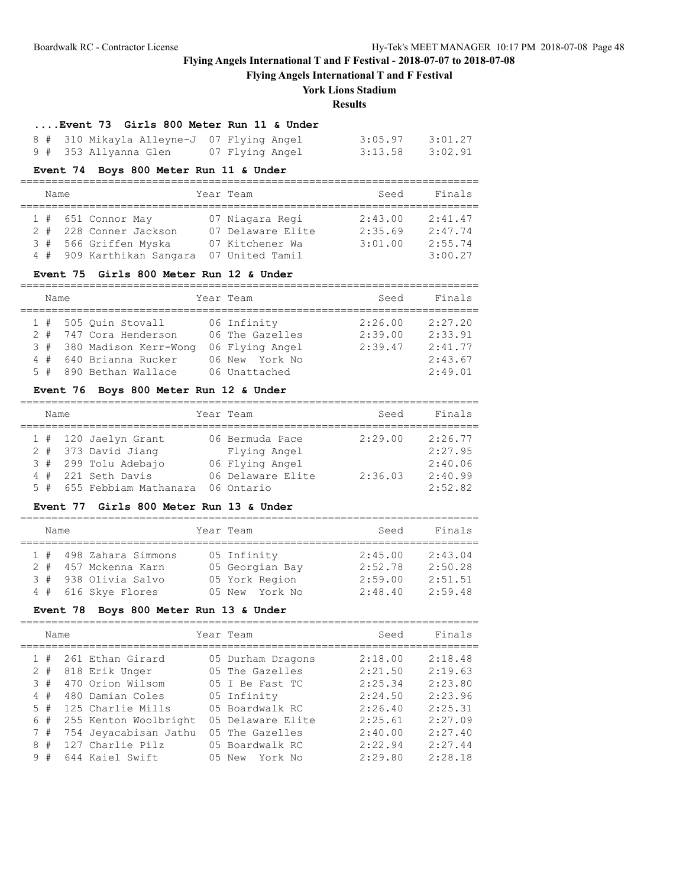**Flying Angels International T and F Festival**

## **York Lions Stadium**

### **Results**

=========================================================================

=========================================================================

## **....Event 73 Girls 800 Meter Run 11 & Under**

| 8 # 310 Mikayla Alleyne-J 07 Flying Angel |                 | $3:05.97$ $3:01.27$ |  |
|-------------------------------------------|-----------------|---------------------|--|
| 9 #  353 Allyanna Glen                    | 07 Flying Angel | $3:13.58$ $3:02.91$ |  |

## **Event 74 Boys 800 Meter Run 11 & Under**

| Name |  |                           | Year Team         | Seed    | Finals  |
|------|--|---------------------------|-------------------|---------|---------|
|      |  |                           |                   |         |         |
|      |  | $1$ # 651 Connor May      | 07 Niagara Regi   | 2:43.00 | 2:41.47 |
|      |  | 2 # 228 Conner Jackson    | 07 Delaware Elite | 2:35.69 | 2:47.74 |
|      |  | 3 # 566 Griffen Myska     | 07 Kitchener Wa   | 3:01.00 | 2:55.74 |
|      |  | 4 # 909 Karthikan Sangara | 07 United Tamil   |         | 3:00.27 |

### **Event 75 Girls 800 Meter Run 12 & Under**

| Name |  |                           | Year Team |                 | Seed    | Finals  |
|------|--|---------------------------|-----------|-----------------|---------|---------|
|      |  |                           |           |                 |         |         |
|      |  | 1 # 505 Quin Stovall      |           | 06 Infinity     | 2:26.00 | 2:27.20 |
|      |  | 2 # 747 Cora Henderson    |           | 06 The Gazelles | 2:39.00 | 2:33.91 |
|      |  | 3 # 380 Madison Kerr-Wong |           | 06 Flying Angel | 2:39.47 | 2:41.77 |
|      |  | 4 # 640 Brianna Rucker    |           | 06 New York No  |         | 2:43.67 |
|      |  | 5 # 890 Bethan Wallace    |           | 06 Unattached   |         | 2:49.01 |

## **Event 76 Boys 800 Meter Run 12 & Under**

| Name |  |                           | Year Team         | Seed    | Finals  |
|------|--|---------------------------|-------------------|---------|---------|
|      |  | 1 # 120 Jaelyn Grant      | 06 Bermuda Pace   | 2:29.00 | 2:26.77 |
|      |  | 2 # 373 David Jiang       | Flying Angel      |         | 2:27.95 |
|      |  | 3 # 299 Tolu Adebajo      | 06 Flying Angel   |         | 2:40.06 |
|      |  | 4 # 221 Seth Davis        | 06 Delaware Elite | 2:36.03 | 2:40.99 |
|      |  | 5 # 655 Febbiam Mathanara | 06 Ontario        |         | 2:52.82 |

## **Event 77 Girls 800 Meter Run 13 & Under**

| Name |  |                        | Year Team       | Seed    | Finals  |
|------|--|------------------------|-----------------|---------|---------|
|      |  | 1 # 498 Zahara Simmons | 05 Infinity     | 2:45.00 | 2:43.04 |
|      |  | 2 # 457 Mckenna Karn   | 05 Georgian Bay | 2:52.78 | 2:50.28 |
|      |  | 3 # 938 Olivia Salvo   | 05 York Region  | 2:59.00 | 2:51.51 |
|      |  | 4 # 616 Skye Flores    | 05 New York No  | 2:48.40 | 2:59.48 |

## **Event 78 Boys 800 Meter Run 13 & Under**

|             | Name |  |                       | Year Team         | Seed    | Finals  |
|-------------|------|--|-----------------------|-------------------|---------|---------|
|             | #    |  | 261 Ethan Girard      | 05 Durham Dragons | 2:18.00 | 2:18.48 |
| 2           | #    |  | 818 Erik Unger        | 05 The Gazelles   | 2:21.50 | 2:19.63 |
| 3           | #    |  | 470 Orion Wilsom      | 05 I Be Fast TC   | 2:25.34 | 2:23.80 |
| 4           | #    |  | 480 Damian Coles      | 05 Infinity       | 2:24.50 | 2:23.96 |
| $5^{\circ}$ | #    |  | 125 Charlie Mills     | 05 Boardwalk RC   | 2:26.40 | 2:25.31 |
| 6           | #    |  | 255 Kenton Woolbright | 05 Delaware Elite | 2:25.61 | 2:27.09 |
| 7           | #    |  | 754 Jeyacabisan Jathu | 05 The Gazelles   | 2:40.00 | 2:27.40 |
| 8           | #    |  | 127 Charlie Pilz      | 05 Boardwalk RC   | 2:22.94 | 2:27.44 |
| 9           | #    |  | 644 Kaiel Swift       | 05 New York No    | 2:29.80 | 2:28.18 |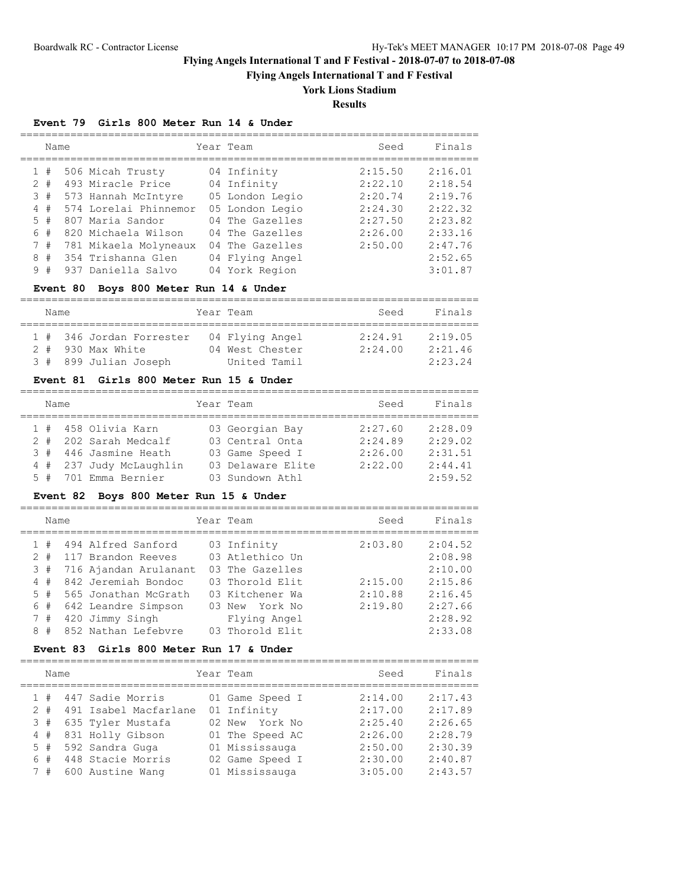**Flying Angels International T and F Festival**

# **York Lions Stadium**

**Results**

## **Event 79 Girls 800 Meter Run 14 & Under**

|   | Name  |  |                       | Year Team       | Seed    | Finals  |
|---|-------|--|-----------------------|-----------------|---------|---------|
|   | 1#    |  | 506 Micah Trusty      | 04 Infinity     | 2:15.50 | 2:16.01 |
|   | $2 +$ |  | 493 Miracle Price     | 04 Infinity     | 2:22.10 | 2:18.54 |
|   | 3#    |  | 573 Hannah McIntyre   | 05 London Legio | 2:20.74 | 2:19.76 |
|   | 4#    |  | 574 Lorelai Phinnemor | 05 London Legio | 2:24.30 | 2:22.32 |
|   | 5#    |  | 807 Maria Sandor      | 04 The Gazelles | 2:27.50 | 2:23.82 |
|   | 6#    |  | 820 Michaela Wilson   | 04 The Gazelles | 2:26.00 | 2:33.16 |
|   | 7#    |  | 781 Mikaela Molyneaux | 04 The Gazelles | 2:50.00 | 2:47.76 |
|   | 8#    |  | 354 Trishanna Glen    | 04 Flying Angel |         | 2:52.65 |
| 9 | #     |  | 937 Daniella Salvo    | 04 York Region  |         | 3:01.87 |

## **Event 80 Boys 800 Meter Run 14 & Under**

| Name |                          | Year Team       | Seed    | Finals  |
|------|--------------------------|-----------------|---------|---------|
|      |                          |                 |         |         |
|      | 1 # 346 Jordan Forrester | 04 Flying Angel | 2:24.91 | 2:19.05 |
|      | 2 # 930 Max White        | 04 West Chester | 2:24.00 | 2:21.46 |
|      | 3 # 899 Julian Joseph    | United Tamil    |         | 2:23.24 |

### **Event 81 Girls 800 Meter Run 15 & Under**

| Name |  |                         | Year Team |                   | Seed    | Finals  |
|------|--|-------------------------|-----------|-------------------|---------|---------|
|      |  |                         |           |                   |         |         |
|      |  | 1 # 458 Olivia Karn     |           | 03 Georgian Bay   | 2:27.60 | 2:28.09 |
|      |  | 2 # 202 Sarah Medcalf   |           | 03 Central Onta   | 2:24.89 | 2:29.02 |
|      |  | 3 # 446 Jasmine Heath   |           | 03 Game Speed I   | 2:26.00 | 2:31.51 |
|      |  | 4 # 237 Judy McLaughlin |           | 03 Delaware Elite | 2:22.00 | 2:44.41 |
|      |  | 5 # 701 Emma Bernier    |           | 03 Sundown Athl   |         | 2:59.52 |

### **Event 82 Boys 800 Meter Run 15 & Under**

=========================================================================

|                | Name |                       | Year Team       | Seed    | Finals  |
|----------------|------|-----------------------|-----------------|---------|---------|
|                |      |                       |                 |         |         |
|                | #    | 494 Alfred Sanford    | 03 Infinity     | 2:03.80 | 2:04.52 |
| $\mathcal{L}$  | #    | 117 Brandon Reeves    | 03 Atlethico Un |         | 2:08.98 |
| 3              | #    | 716 Ajandan Arulanant | 03 The Gazelles |         | 2:10.00 |
| $\overline{4}$ | #    | 842 Jeremiah Bondoc   | 03 Thorold Elit | 2:15.00 | 2:15.86 |
|                | 5#   | 565 Jonathan McGrath  | 03 Kitchener Wa | 2:10.88 | 2:16.45 |
|                | 6#   | 642 Leandre Simpson   | 03 New York No  | 2:19.80 | 2:27.66 |
| 7              | #    | 420 Jimmy Singh       | Flying Angel    |         | 2:28.92 |
| 8              | #    | 852 Nathan Lefebvre   | 03 Thorold Elit |         | 2:33.08 |

#### **Event 83 Girls 800 Meter Run 17 & Under**

=========================================================================

| Name  |                       | Year Team       | Seed    | Finals  |
|-------|-----------------------|-----------------|---------|---------|
| 1#    | 447 Sadie Morris      | 01 Game Speed I | 2:14.00 | 2:17.43 |
| $2 +$ | 491 Isabel Macfarlane | 01 Infinity     | 2:17.00 | 2:17.89 |
| 3#    | 635 Tyler Mustafa     | 02 New York No  | 2:25.40 | 2:26.65 |
| 4#    | 831 Holly Gibson      | 01 The Speed AC | 2:26.00 | 2:28.79 |
| 5#    | 592 Sandra Guga       | 01 Mississauga  | 2:50.00 | 2:30.39 |
| 6#    | 448 Stacie Morris     | 02 Game Speed I | 2:30.00 | 2:40.87 |
| 7#    | 600 Austine Wang      | 01 Mississauga  | 3:05.00 | 2:43.57 |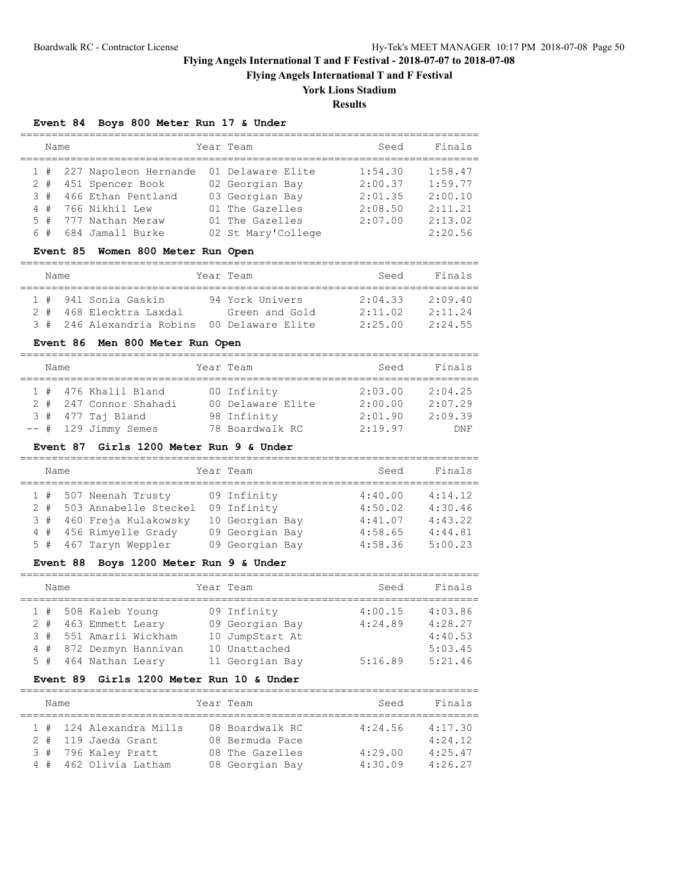**Flying Angels International T and F Festival**

# **York Lions Stadium**

**Results**

## **Event 84 Boys 800 Meter Run 17 & Under**

| Name  |                           | Year Team          | Seed    | Finals  |
|-------|---------------------------|--------------------|---------|---------|
|       | 1 # 227 Napoleon Hernande | 01 Delaware Elite  | 1:54.30 | 1:58.47 |
|       | 2 # 451 Spencer Book      | 02 Georgian Bay    | 2:00.37 | 1:59.77 |
|       | 3 # 466 Ethan Pentland    | 03 Georgian Bay    | 2:01.35 | 2:00.10 |
|       | 4 # 766 Nikhil Lew        | 01 The Gazelles    | 2:08.50 | 2:11.21 |
| $5 +$ | 777 Nathan Meraw          | 01 The Gazelles    | 2:07.00 | 2:13.02 |
|       | 6 # 684 Jamall Burke      | 02 St Mary'College |         | 2:20.56 |

### **Event 85 Women 800 Meter Run Open**

| Name |  |  |                           | Year Team |                   |         | Finals  |
|------|--|--|---------------------------|-----------|-------------------|---------|---------|
|      |  |  |                           |           |                   |         |         |
|      |  |  | 1 # 941 Sonia Gaskin      |           | 94 York Univers   | 2:04.33 | 2:09.40 |
|      |  |  | 2 # 468 Elecktra Laxdal   |           | Green and Gold    | 2:11.02 | 2:11.24 |
|      |  |  | 3 # 246 Alexandria Robins |           | 00 Delaware Elite | 2:25.00 | 2:24.55 |

## **Event 86 Men 800 Meter Run Open**

| Name |                        | Year Team         | Seed    | Finals  |
|------|------------------------|-------------------|---------|---------|
|      |                        |                   |         |         |
|      | 1 # 476 Khalil Bland   | 00 Infinity       | 2:03.00 | 2:04.25 |
|      | 2 # 247 Connor Shahadi | 00 Delaware Elite | 2:00.00 | 2:07.29 |
|      | $3$ # $477$ Taj Bland  | 98 Infinity       | 2:01.90 | 2:09.39 |
|      | $--$ # 129 Jimmy Semes | 78 Boardwalk RC   | 2:19.97 | DNF     |

### **Event 87 Girls 1200 Meter Run 9 & Under**

| Name  |                        | Year Team       | Seed    | Finals  |
|-------|------------------------|-----------------|---------|---------|
|       | 1 # 507 Neenah Trusty  | 09 Infinity     | 4:40.00 | 4:14.12 |
| $2 +$ | 503 Annabelle Steckel  | 09 Infinity     | 4:50.02 | 4:30.46 |
| 3#    | 460 Freja Kulakowsky   | 10 Georgian Bay | 4:41.07 | 4:43.22 |
|       | 4 # 456 Rimyelle Grady | 09 Georgian Bay | 4:58.65 | 4:44.81 |
|       | 5 # 467 Taryn Weppler  | 09 Georgian Bay | 4:58.36 | 5:00.23 |

## **Event 88 Boys 1200 Meter Run 9 & Under**

| Name |                                                                                                                          | Year Team |                                                                                       | Seed                          | Finals                                              |
|------|--------------------------------------------------------------------------------------------------------------------------|-----------|---------------------------------------------------------------------------------------|-------------------------------|-----------------------------------------------------|
|      | 1 # 508 Kaleb Young<br>2 # 463 Emmett Leary<br>3 # 551 Amarii Wickham<br>4 # 872 Dezmyn Hannivan<br>5 # 464 Nathan Leary |           | 09 Infinity<br>09 Georgian Bay<br>10 JumpStart At<br>10 Unattached<br>11 Georgian Bay | 4:00.15<br>4:24.89<br>5:16.89 | 4:03.86<br>4:28.27<br>4:40.53<br>5:03.45<br>5:21.46 |

### **Event 89 Girls 1200 Meter Run 10 & Under**

| Name   |                         | Year Team |                 | Seed    | Finals  |
|--------|-------------------------|-----------|-----------------|---------|---------|
|        |                         |           |                 |         |         |
|        | 1 # 124 Alexandra Mills |           | 08 Boardwalk RC | 4:24.56 | 4:17.30 |
| $2 +$  | 119 Jaeda Grant         |           | 08 Bermuda Pace |         | 4:24.12 |
|        | 3 # 796 Kaley Pratt     |           | 08 The Gazelles | 4:29.00 | 4:25.47 |
| $4 \#$ | 462 Olivia Latham       |           | 08 Georgian Bay | 4:30.09 | 4:26.27 |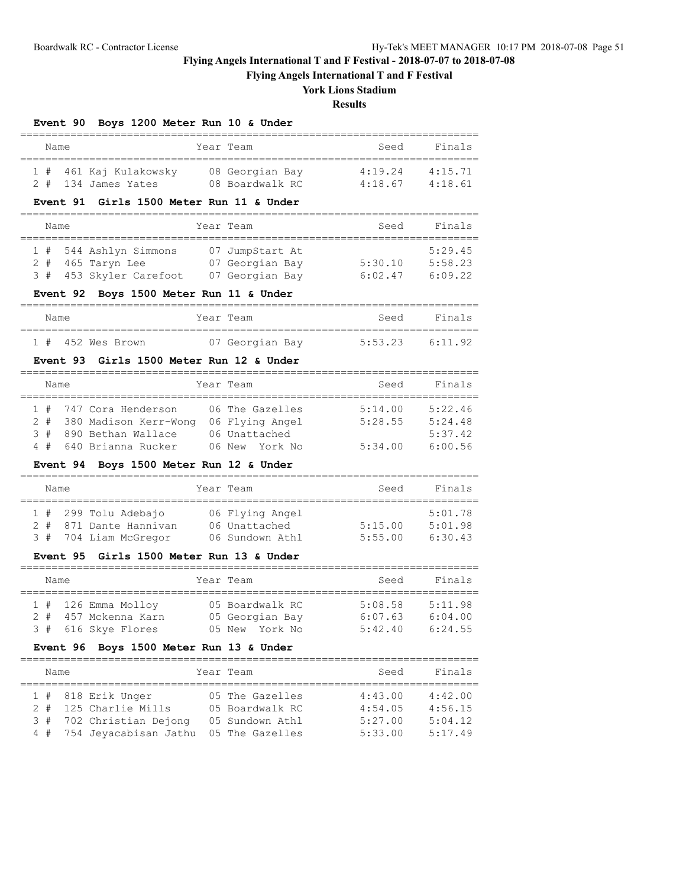**Flying Angels International T and F Festival**

# **York Lions Stadium**

**Results**

=========================================================================

# **Event 90 Boys 1200 Meter Run 10 & Under**

| Name |                        | Year Team       | Seed    | Finals  |
|------|------------------------|-----------------|---------|---------|
|      | 1 # 461 Kaj Kulakowsky | 08 Georgian Bay | 4:19.24 | 4:15.71 |
|      | 2 # 134 James Yates    | 08 Boardwalk RC | 4:18.67 | 4:18.61 |

## **Event 91 Girls 1500 Meter Run 11 & Under**

| Name |  |                         | Year Team       | Seed    | Finals  |
|------|--|-------------------------|-----------------|---------|---------|
|      |  |                         |                 |         |         |
|      |  | 1 # 544 Ashlyn Simmons  | 07 JumpStart At |         | 5:29.45 |
|      |  | $2$ # 465 Taryn Lee     | 07 Georgian Bay | 5:30.10 | 5:58.23 |
|      |  | 3 # 453 Skyler Carefoot | 07 Georgian Bay | 6:02.47 | 6:09.22 |

## **Event 92 Boys 1500 Meter Run 11 & Under**

| Name |  |                   | Year Team       |  | Seed | Finals              |  |
|------|--|-------------------|-----------------|--|------|---------------------|--|
|      |  |                   |                 |  |      |                     |  |
|      |  | 1 # 452 Wes Brown | 07 Georgian Bay |  |      | $5:53.23$ $6:11.92$ |  |

### **Event 93 Girls 1500 Meter Run 12 & Under**

| Name |  |                           |  | Year Team       | Seed    | Finals  |
|------|--|---------------------------|--|-----------------|---------|---------|
|      |  | 1 # 747 Cora Henderson    |  | 06 The Gazelles | 5:14.00 | 5:22.46 |
|      |  | 2 # 380 Madison Kerr-Wong |  | 06 Flying Angel | 5:28.55 | 5:24.48 |
|      |  | 3 # 890 Bethan Wallace    |  | 06 Unattached   |         | 5:37.42 |
|      |  | 4 # 640 Brianna Rucker    |  | 06 New York No  | 5:34.00 | 6:00.56 |

### **Event 94 Boys 1500 Meter Run 12 & Under**

|  | Name |                        | Year Team |                 | Seed    | Finals  |
|--|------|------------------------|-----------|-----------------|---------|---------|
|  |      |                        |           |                 |         |         |
|  |      | $1$ # 299 Tolu Adebajo |           | 06 Flying Angel |         | 5:01.78 |
|  |      | 2 # 871 Dante Hannivan |           | 06 Unattached   | 5:15.00 | 5:01.98 |
|  |      | 3 # 704 Liam McGregor  |           | 06 Sundown Athl | 5:55.00 | 6:30.43 |

### **Event 95 Girls 1500 Meter Run 13 & Under**

|  | Name                    | Year Team       | Seed    | Finals  |
|--|-------------------------|-----------------|---------|---------|
|  |                         |                 |         |         |
|  | $1$ # $126$ Emma Molloy | 05 Boardwalk RC | 5:08.58 | 5:11.98 |
|  | 2 # 457 Mckenna Karn    | 05 Georgian Bay | 6:07.63 | 6:04.00 |
|  | 3 # 616 Skye Flores     | 05 New York No  | 5:42.40 | 6:24.55 |

### **Event 96 Boys 1500 Meter Run 13 & Under**

| Name |  |  |                          | Year Team       | Seed    | Finals  |
|------|--|--|--------------------------|-----------------|---------|---------|
|      |  |  |                          |                 |         |         |
|      |  |  | $1$ # 818 Erik Unger     | 05 The Gazelles | 4:43.00 | 4:42.00 |
|      |  |  | 2 # 125 Charlie Mills    | 05 Boardwalk RC | 4:54.05 | 4:56.15 |
|      |  |  | 3 # 702 Christian Dejong | 05 Sundown Athl | 5:27.00 | 5:04.12 |

4 # 754 Jeyacabisan Jathu 05 The Gazelles 5:33.00 5:17.49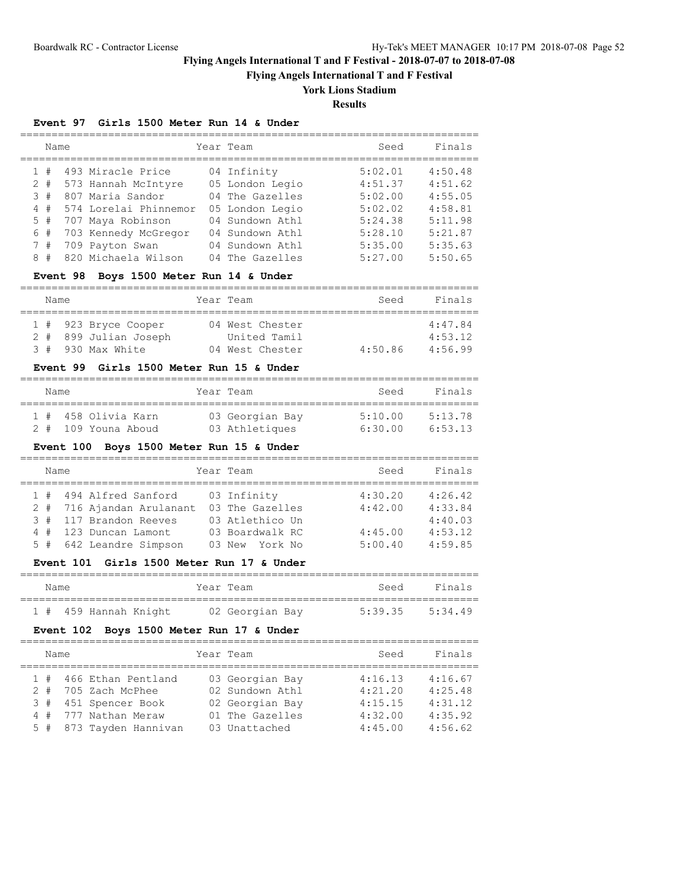**Flying Angels International T and F Festival**

# **York Lions Stadium**

**Results**

## **Event 97 Girls 1500 Meter Run 14 & Under**

|   | Name |  |                       | Year Team       | Seed    | Finals  |
|---|------|--|-----------------------|-----------------|---------|---------|
|   | 1#   |  | 493 Miracle Price     | 04 Infinity     | 5:02.01 | 4:50.48 |
|   | 2#   |  | 573 Hannah McIntyre   | 05 London Legio | 4:51.37 | 4:51.62 |
|   | 3#   |  | 807 Maria Sandor      | 04 The Gazelles | 5:02.00 | 4:55.05 |
|   | 4#   |  | 574 Lorelai Phinnemor | 05 London Legio | 5:02.02 | 4:58.81 |
|   | 5#   |  | 707 Maya Robinson     | 04 Sundown Athl | 5:24.38 | 5:11.98 |
|   | 6#   |  | 703 Kennedy McGregor  | 04 Sundown Athl | 5:28.10 | 5:21.87 |
|   | 7#   |  | 709 Payton Swan       | 04 Sundown Athl | 5:35.00 | 5:35.63 |
| 8 | #    |  | 820 Michaela Wilson   | 04 The Gazelles | 5:27.00 | 5:50.65 |

## **Event 98 Boys 1500 Meter Run 14 & Under**

| Name |                       | Year Team       | Seed    | Finals  |
|------|-----------------------|-----------------|---------|---------|
|      |                       |                 |         |         |
|      | 1 # 923 Bryce Cooper  | 04 West Chester |         | 4:47.84 |
|      | 2 # 899 Julian Joseph | United Tamil    |         | 4:53.12 |
|      | 3 # 930 Max White     | 04 West Chester | 4:50.86 | 4:56.99 |

## **Event 99 Girls 1500 Meter Run 15 & Under**

| Name    |                 | Year Team       | Seed    | Finals  |
|---------|-----------------|-----------------|---------|---------|
| $1 \pm$ | 458 Olivia Karn | 03 Georgian Bay | 5:10.00 | 5:13.78 |
| 2#      | 109 Youna Aboud | 03 Athletiques  | 6:30.00 | 6:53.13 |

## **Event 100 Boys 1500 Meter Run 15 & Under**

| Name |                           | Year Team       | Seed    | Finals  |
|------|---------------------------|-----------------|---------|---------|
|      | 1 # 494 Alfred Sanford    | 03 Infinity     | 4:30.20 | 4:26.42 |
|      | 2 # 716 Ajandan Arulanant | 03 The Gazelles | 4:42.00 | 4:33.84 |
|      | 3 # 117 Brandon Reeves    | 03 Atlethico Un |         | 4:40.03 |
|      | 4 # 123 Duncan Lamont     | 03 Boardwalk RC | 4:45.00 | 4:53.12 |
|      | 5 # 642 Leandre Simpson   | 03 New York No  | 5:00.40 | 4:59.85 |

### **Event 101 Girls 1500 Meter Run 17 & Under**

| Name |                       |  | Year Team       |  | Seed    | Finals  |
|------|-----------------------|--|-----------------|--|---------|---------|
|      | 1 # 459 Hannah Knight |  | 02 Georgian Bay |  | 5:39.35 | 5:34.49 |

## **Event 102 Boys 1500 Meter Run 17 & Under**

| Name  |                         | Year Team       | Seed    | Finals  |
|-------|-------------------------|-----------------|---------|---------|
| 1#    | 466 Ethan Pentland      | 03 Georgian Bay | 4:16.13 | 4:16.67 |
| $2 +$ | 705 Zach McPhee         | 02 Sundown Athl | 4:21.20 | 4:25.48 |
|       | 3 # 451 Spencer Book    | 02 Georgian Bay | 4:15.15 | 4:31.12 |
|       | 4 # 777 Nathan Meraw    | 01 The Gazelles | 4:32.00 | 4:35.92 |
|       | 5 # 873 Tayden Hannivan | 03 Unattached   | 4:45.00 | 4:56.62 |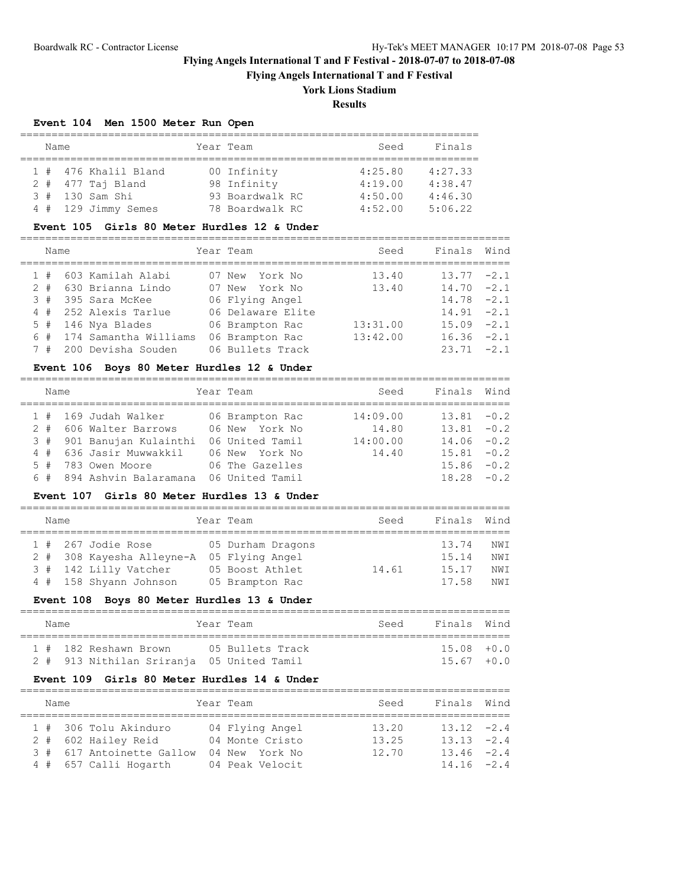**Flying Angels International T and F Festival**

## **York Lions Stadium**

**Results**

## **Event 104 Men 1500 Meter Run Open**

| Name |    |  |                       | Year Team       | Seed    | Finals  |
|------|----|--|-----------------------|-----------------|---------|---------|
|      |    |  |                       |                 |         |         |
|      |    |  | 1 # 476 Khalil Bland  | 00 Infinity     | 4:25.80 | 4:27.33 |
|      |    |  | $2$ # $477$ Taj Bland | 98 Infinity     | 4:19.00 | 4:38.47 |
|      | 3# |  | 130 Sam Shi           | 93 Boardwalk RC | 4:50.00 | 4:46.30 |
|      |    |  | 4 # 129 Jimmy Semes   | 78 Boardwalk RC | 4:52.00 | 5:06.22 |

## **Event 105 Girls 80 Meter Hurdles 12 & Under**

| Name  |                       | Year Team         | Seed     | Finals        | Wind |
|-------|-----------------------|-------------------|----------|---------------|------|
| 1#    | 603 Kamilah Alabi     | 07 New York No    | 13.40    | $13.77 - 2.1$ |      |
| $2 +$ | 630 Brianna Lindo     | 07 New York No    | 13.40    | $14.70 - 2.1$ |      |
| 3#    | 395 Sara McKee        | 06 Flying Angel   |          | $14.78 - 2.1$ |      |
|       | 4 # 252 Alexis Tarlue | 06 Delaware Elite |          | $14.91 - 2.1$ |      |
|       | $5$ # 146 Nya Blades  | 06 Brampton Rac   | 13:31.00 | $15.09 - 2.1$ |      |
| 6#    | 174 Samantha Williams | 06 Brampton Rac   | 13:42.00 | $16.36 -2.1$  |      |
| 7#    | 200 Devisha Souden    | 06 Bullets Track  |          | $23.71 -2.1$  |      |

## **Event 106 Boys 80 Meter Hurdles 12 & Under**

| Name  |                           | Year Team       | Seed     | Finals        | Wind |
|-------|---------------------------|-----------------|----------|---------------|------|
|       | 1 # 169 Judah Walker      | 06 Brampton Rac | 14:09.00 | $13.81 - 0.2$ |      |
| $2 +$ | 606 Walter Barrows        | 06 New York No  | 14.80    | $13.81 - 0.2$ |      |
|       | 3 # 901 Banujan Kulainthi | 06 United Tamil | 14:00.00 | $14.06 - 0.2$ |      |
| 4#    | 636 Jasir Muwwakkil       | 06 New York No  | 14,40    | $15.81 - 0.2$ |      |
| $5 +$ | 783 Owen Moore            | 06 The Gazelles |          | $15.86 - 0.2$ |      |
| 6#    | 894 Ashvin Balaramana     | 06 United Tamil |          | $18.28 - 0.2$ |      |

### **Event 107 Girls 80 Meter Hurdles 13 & Under**

|  | Name |                           | Year Team         | Seed  | Finals Wind |      |
|--|------|---------------------------|-------------------|-------|-------------|------|
|  |      |                           |                   |       |             |      |
|  |      | $1$ # 267 Jodie Rose      | 05 Durham Dragons |       | 13.74       | NWI  |
|  |      | 2 # 308 Kayesha Alleyne-A | 05 Flying Angel   |       | 15.14       | NWI  |
|  |      | 3 # 142 Lilly Vatcher     | 05 Boost Athlet   | 14.61 | 15.17       | NW T |
|  |      | 4 # 158 Shyann Johnson    | 05 Brampton Rac   |       | 17.58       | NW T |

### **Event 108 Boys 80 Meter Hurdles 13 & Under**

| Name |  |                                           |  | Year Team        | Seed | Finals Wind   |  |  |  |  |  |  |
|------|--|-------------------------------------------|--|------------------|------|---------------|--|--|--|--|--|--|
|      |  | 1 # 182 Reshawn Brown                     |  | 05 Bullets Track |      | $15.08 + 0.0$ |  |  |  |  |  |  |
|      |  | 2 # 913 Nithilan Sriranja 05 United Tamil |  |                  |      | $15.67 + 0.0$ |  |  |  |  |  |  |

### **Event 109 Girls 80 Meter Hurdles 14 & Under**

| Name |                           | Year Team       | Seed  | Finals Wind   |  |
|------|---------------------------|-----------------|-------|---------------|--|
|      | 1 # 306 Tolu Akinduro     | 04 Flying Angel | 13.20 | $13.12 -2.4$  |  |
|      | 2 # 602 Hailey Reid       | 04 Monte Cristo | 13.25 | $13.13 -2.4$  |  |
|      | 3 # 617 Antoinette Gallow | 04 New York No  | 12.70 | $13.46 - 2.4$ |  |
|      | 4 # 657 Calli Hogarth     | 04 Peak Velocit |       | $14.16 - 2.4$ |  |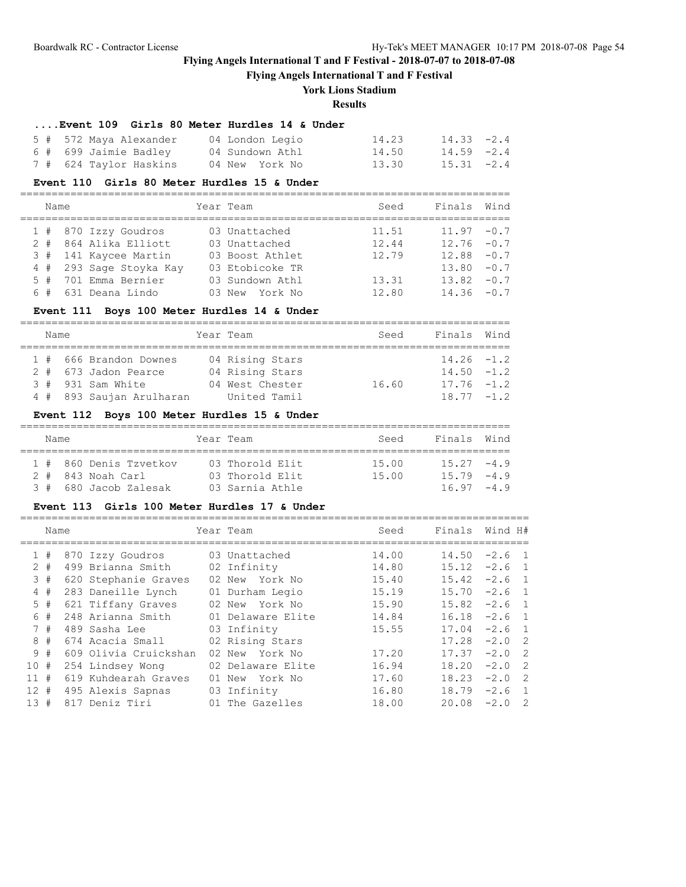**Flying Angels International T and F Festival**

# **York Lions Stadium**

### **Results**

### **....Event 109 Girls 80 Meter Hurdles 14 & Under**

| 5 # 572 Maya Alexander | 04 London Legio | 14.23 | $14.33 - 2.4$ |
|------------------------|-----------------|-------|---------------|
| 6 # 699 Jaimie Badley  | 04 Sundown Athl | 14.50 | 14.59 -2.4    |
| 7 # 624 Taylor Haskins | 04 New York No  | 13.30 | $15.31 -2.4$  |

#### **Event 110 Girls 80 Meter Hurdles 15 & Under**

| Name |                         |  | Year Team       | Seed  | Finals Wind   |  |
|------|-------------------------|--|-----------------|-------|---------------|--|
|      | 1 # 870 Izzy Goudros    |  | 03 Unattached   | 11.51 | $11.97 - 0.7$ |  |
|      | 2 # 864 Alika Elliott   |  | 03 Unattached   | 12.44 | $12.76 - 0.7$ |  |
|      | 3 # 141 Kaycee Martin   |  | 03 Boost Athlet | 12.79 | $12.88 - 0.7$ |  |
|      | 4 # 293 Sage Stoyka Kay |  | 03 Etobicoke TR |       | $13.80 - 0.7$ |  |
|      | 5 # 701 Emma Bernier    |  | 03 Sundown Athl | 13.31 | $13.82 - 0.7$ |  |

6 # 631 Deana Lindo 03 New York No 12.80 14.36 -0.7

==============================================================================

### **Event 111 Boys 100 Meter Hurdles 14 & Under**

| Name |  |                          |  | Year Team       | Seed  | Finals Wind   |  |  |  |  |  |  |
|------|--|--------------------------|--|-----------------|-------|---------------|--|--|--|--|--|--|
|      |  |                          |  |                 |       |               |  |  |  |  |  |  |
|      |  | 1 # 666 Brandon Downes   |  | 04 Rising Stars |       | $14.26 - 1.2$ |  |  |  |  |  |  |
|      |  | 2 # 673 Jadon Pearce     |  | 04 Rising Stars |       | $14.50 - 1.2$ |  |  |  |  |  |  |
|      |  | 3 # 931 Sam White        |  | 04 West Chester | 16.60 | $17.76 - 1.2$ |  |  |  |  |  |  |
|      |  | 4 # 893 Saujan Arulharan |  | United Tamil    |       | $18.77 - 1.2$ |  |  |  |  |  |  |

## **Event 112 Boys 100 Meter Hurdles 15 & Under**

| Name |  |  |                        |  | Year Team       | Seed  | Finals Wind |               |  |  |  |  |  |
|------|--|--|------------------------|--|-----------------|-------|-------------|---------------|--|--|--|--|--|
|      |  |  |                        |  |                 |       |             |               |  |  |  |  |  |
|      |  |  | 1 # 860 Denis Tzvetkov |  | 03 Thorold Elit | 15.00 |             | $15.27 - 4.9$ |  |  |  |  |  |
|      |  |  | 2 # 843 Noah Carl      |  | 03 Thorold Elit | 15.00 |             | $15.79 - 4.9$ |  |  |  |  |  |
|      |  |  | 3 # 680 Jacob Zalesak  |  | 03 Sarnia Athle |       |             | $16.97 - 4.9$ |  |  |  |  |  |

## **Event 113 Girls 100 Meter Hurdles 17 & Under**

|     | Name  |                       | Year Team         | Seed  | Finals | Wind H#                              |  |
|-----|-------|-----------------------|-------------------|-------|--------|--------------------------------------|--|
|     | 1#    | 870 Izzy Goudros      | 03 Unattached     | 14.00 | 14.50  | $-2.6$ 1                             |  |
|     | $2 +$ | 499 Brianna Smith     | 02 Infinity       | 14.80 | 15.12  | $-2.6$ 1                             |  |
|     | 3#    | 620 Stephanie Graves  | 02 New York No    | 15.40 | 15.42  | $-2.6$ 1                             |  |
|     | 4#    | 283 Daneille Lynch    | 01 Durham Legio   | 15.19 | 15.70  | $-2.6$ 1                             |  |
|     | $5$ # | 621 Tiffany Graves    | 02 New York No    | 15.90 | 15.82  | $-2.6$ 1                             |  |
|     | 6 #   | 248 Arianna Smith     | 01 Delaware Elite | 14.84 | 16.18  | $-2.6$ 1                             |  |
|     | 7#    | 489 Sasha Lee         | 03 Infinity       | 15.55 | 17.04  | $-2.6$ 1                             |  |
|     | 8#    | 674 Acacia Small      | 02 Rising Stars   |       | 17.28  | $-2.0$ 2                             |  |
|     | 9#    | 609 Olivia Cruickshan | 02 New York No    | 17.20 | 17.37  | $-2.0$ 2                             |  |
| 10# |       | 254 Lindsey Wong      | 02 Delaware Elite | 16.94 | 18.20  | $-2.0$ 2                             |  |
| 11# |       | 619 Kuhdearah Graves  | 01 New York No    | 17.60 | 18.23  | $\overline{\phantom{0}}^2$<br>$-2.0$ |  |
| 12# |       | 495 Alexis Sapnas     | 03 Infinity       | 16.80 | 18.79  | $-2.6$ 1                             |  |
| 13# |       | 817 Deniz Tiri        | 01 The Gazelles   | 18.00 | 20.08  | $-2.0$<br>$\overline{2}$             |  |
|     |       |                       |                   |       |        |                                      |  |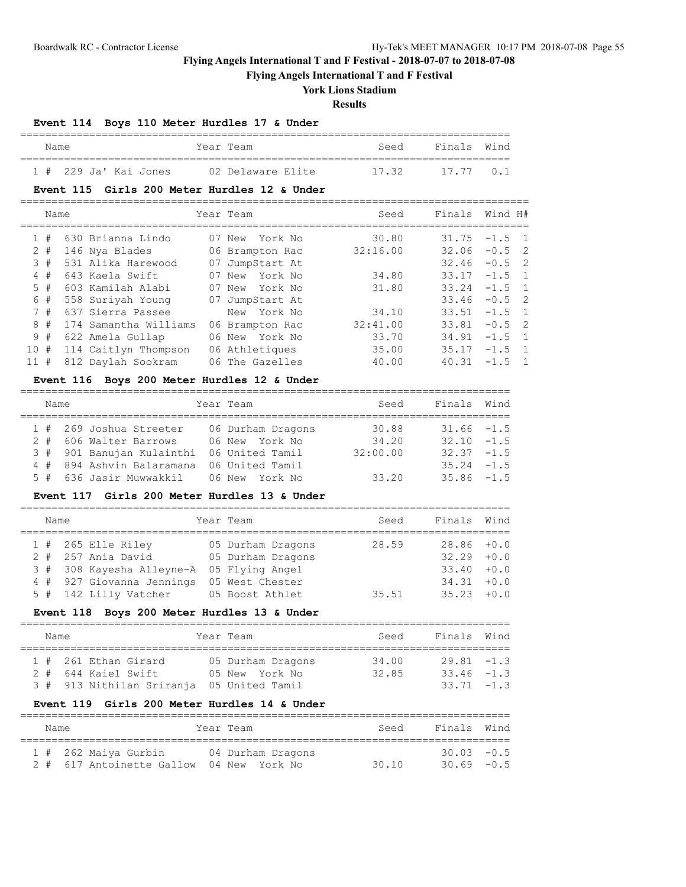**Flying Angels International T and F Festival**

# **York Lions Stadium**

**Results**

## **Event 114 Boys 110 Meter Hurdles 17 & Under**

| Name |  |                         | Year Team         |  | Seed  | Finals Wind |  |
|------|--|-------------------------|-------------------|--|-------|-------------|--|
|      |  | $1$ # 229 Ja' Kai Jones | 02 Delaware Elite |  | 17.32 | 17.77 0.1   |  |

### **Event 115 Girls 200 Meter Hurdles 12 & Under**

|    | Name  |                       |    | Year Team |                 | Seed     | Finals | Wind H#  |  |
|----|-------|-----------------------|----|-----------|-----------------|----------|--------|----------|--|
|    | 1#    | 630 Brianna Lindo     |    |           | 07 New York No  | 30.80    | 31.75  | $-1.5$ 1 |  |
|    | $2 +$ | 146 Nya Blades        |    |           | 06 Brampton Rac | 32:16.00 | 32.06  | $-0.5$ 2 |  |
|    | 3#    | 531 Alika Harewood    | 07 |           | JumpStart At    |          | 32.46  | $-0.5$ 2 |  |
|    | 4#    | 643 Kaela Swift       |    | 07 New    | York No         | 34.80    | 33.17  | $-1.5$ 1 |  |
|    | 5#    | 603 Kamilah Alabi     |    |           | 07 New York No  | 31.80    | 33.24  | $-1.5$ 1 |  |
|    | 6 #   | 558 Suriyah Young     |    |           | 07 JumpStart At |          | 33.46  | $-0.5$ 2 |  |
|    | 7#    | 637 Sierra Passee     |    |           | New York No     | 34.10    | 33.51  | $-1.5$ 1 |  |
|    | $8 +$ | 174 Samantha Williams |    |           | 06 Brampton Rac | 32:41.00 | 33.81  | $-0.5$ 2 |  |
|    | 9#    | 622 Amela Gullap      |    |           | 06 New York No  | 33.70    | 34.91  | $-1.5$ 1 |  |
| 10 | #     | 114 Caitlyn Thompson  |    |           | 06 Athletiques  | 35.00    | 35.17  | $-1.5$ 1 |  |
| 11 | #     | 812 Daylah Sookram    |    |           | 06 The Gazelles | 40.00    | 40.31  | $-1.5$ 1 |  |
|    |       |                       |    |           |                 |          |        |          |  |

## **Event 116 Boys 200 Meter Hurdles 12 & Under**

| Name |                                           | Year Team         | Seed     | Finals Wind   |  |
|------|-------------------------------------------|-------------------|----------|---------------|--|
|      | 1 # 269 Joshua Streeter                   | 06 Durham Dragons | 30.88    | $31.66 - 1.5$ |  |
|      | 2 # 606 Walter Barrows                    | 06 New York No    | 34.20    | $32.10 - 1.5$ |  |
|      | 3 # 901 Banujan Kulainthi 06 United Tamil |                   | 32:00.00 | $32.37 - 1.5$ |  |
|      | 4 # 894 Ashvin Balaramana                 | 06 United Tamil   |          | $35.24 -1.5$  |  |
|      | 5 # 636 Jasir Muwwakkil 06 New York No    |                   | 33.20    | $35.86 - 1.5$ |  |

### **Event 117 Girls 200 Meter Hurdles 13 & Under**

| Name |                                           | Year Team         | Seed  | Finals Wind   |  |
|------|-------------------------------------------|-------------------|-------|---------------|--|
|      | $1$ # 265 Elle Riley                      | 05 Durham Dragons | 28.59 | $28.86 + 0.0$ |  |
|      | $2$ # $257$ Ania David                    | 05 Durham Dragons |       | $32.29 + 0.0$ |  |
|      | 3 # 308 Kayesha Alleyne-A 05 Flying Angel |                   |       | $33.40 + 0.0$ |  |
|      | 4 # 927 Giovanna Jennings                 | 05 West Chester   |       | $34.31 + 0.0$ |  |
|      | 5 # 142 Lilly Vatcher                     | 05 Boost Athlet   | 35.51 | $35.23 + 0.0$ |  |

## **Event 118 Boys 200 Meter Hurdles 13 & Under**

| Name |  |                                           |  | Year Team         | Seed  | Finals Wind   |  |  |  |  |  |  |
|------|--|-------------------------------------------|--|-------------------|-------|---------------|--|--|--|--|--|--|
|      |  | 1 # 261 Ethan Girard                      |  | 05 Durham Dragons | 34.00 | $29.81 - 1.3$ |  |  |  |  |  |  |
|      |  | 2 # 644 Kaiel Swift                       |  | 05 New York No    | 32.85 | $33.46 - 1.3$ |  |  |  |  |  |  |
|      |  | 3 # 913 Nithilan Sriranja 05 United Tamil |  |                   |       | $33.71 - 1.3$ |  |  |  |  |  |  |

## **Event 119 Girls 200 Meter Hurdles 14 & Under**

| Name |                                          | Year Team         | Seed | Finals Wind   |  |
|------|------------------------------------------|-------------------|------|---------------|--|
|      | 1 # 262 Maiya Gurbin                     | 04 Durham Dragons |      | $30.03 - 0.5$ |  |
|      | 2 # 617 Antoinette Gallow 04 New York No |                   | 3010 | $30.69 - 0.5$ |  |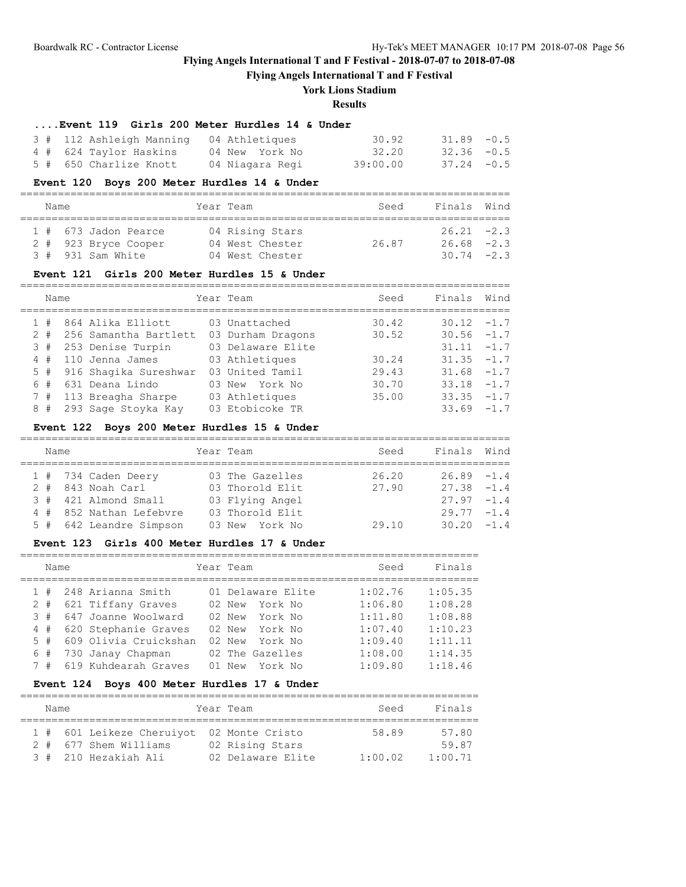**Flying Angels International T and F Festival**

## **York Lions Stadium**

**Results**

### **....Event 119 Girls 200 Meter Hurdles 14 & Under**

| 3 # 112 Ashleigh Manning 04 Athletiques |                 | 30.92    | $31.89 - 0.5$ |
|-----------------------------------------|-----------------|----------|---------------|
| 4 # 624 Taylor Haskins 04 New York No   |                 | 32.20    | $32.36 - 0.5$ |
| 5 # 650 Charlize Knott                  | 04 Niagara Regi | 39:00.00 | $37.24 -0.5$  |

### **Event 120 Boys 200 Meter Hurdles 14 & Under**

| Name |                          | Year Team       | Seed  | Finals Wind   |  |
|------|--------------------------|-----------------|-------|---------------|--|
|      | $1$ # $673$ Jadon Pearce | 04 Rising Stars |       | $26.21 -2.3$  |  |
|      | 2 # 923 Bryce Cooper     | 04 West Chester | 26.87 | $26.68 - 2.3$ |  |
|      | $3 * 931$ Sam White      | 04 West Chester |       | $30.74 -2.3$  |  |

### **Event 121 Girls 200 Meter Hurdles 15 & Under**

|       | Name |                           | Year Team         | Seed  | Finals        | Wind |
|-------|------|---------------------------|-------------------|-------|---------------|------|
| 1#    |      | 864 Alika Elliott         | 03 Unattached     | 30.42 | $30.12 - 1.7$ |      |
| $2 +$ |      | 256 Samantha Bartlett     | 03 Durham Dragons | 30.52 | $30.56 -1.7$  |      |
| 3#    |      | 253 Denise Turpin         | 03 Delaware Elite |       | $31.11 - 1.7$ |      |
| 4#    |      | 110 Jenna James           | 03 Athletiques    | 30.24 | $31.35 - 1.7$ |      |
|       |      | 5 # 916 Shaqika Sureshwar | 03 United Tamil   | 29.43 | $31.68 - 1.7$ |      |
| 6#    |      | 631 Deana Lindo           | 03 New York No    | 30.70 | $33.18 - 1.7$ |      |
| 7#    |      | 113 Breagha Sharpe        | 03 Athletiques    | 35.00 | $33.35 - 1.7$ |      |
| 8#    |      | 293 Sage Stoyka Kay       | 03 Etobicoke TR   |       | $33.69 - 1.7$ |      |
|       |      |                           |                   |       |               |      |

## **Event 122 Boys 200 Meter Hurdles 15 & Under**

| Name |                         | Year Team       | Seed  | Finals Wind   |  |
|------|-------------------------|-----------------|-------|---------------|--|
|      | $1$ # 734 Caden Deery   | 03 The Gazelles | 26.20 | $26.89 - 1.4$ |  |
|      | 2 # 843 Noah Carl       | 03 Thorold Elit | 27.90 | $27.38 - 1.4$ |  |
|      | 3 # 421 Almond Small    | 03 Flying Angel |       | $27.97 - 1.4$ |  |
|      | 4 # 852 Nathan Lefebyre | 03 Thorold Elit |       | $29.77 - 1.4$ |  |
|      | 5 # 642 Leandre Simpson | 03 New York No  | 29.10 | $30.20 - 1.4$ |  |
|      |                         |                 |       |               |  |

## **Event 123 Girls 400 Meter Hurdles 17 & Under**

|                | Name |                       |    | Year Team         | Seed    | Finals  |
|----------------|------|-----------------------|----|-------------------|---------|---------|
|                | #    | 248 Arianna Smith     |    | 01 Delaware Elite | 1:02.76 | 1:05.35 |
| 2              | #    | 621 Tiffany Graves    |    | York No<br>02 New | 1:06.80 | 1:08.28 |
| 3              | #    | 647 Joanne Woolward   |    | 02 New York No    | 1:11.80 | 1:08.88 |
| $\overline{4}$ | #    | 620 Stephanie Graves  |    | 02 New York No    | 1:07.40 | 1:10.23 |
|                | 5#   | 609 Olivia Cruickshan |    | 02 New York No    | 1:09.40 | 1:11.11 |
|                | 6#   | 730 Janay Chapman     |    | 02 The Gazelles   | 1:08.00 | 1:14.35 |
|                | 7#   | 619 Kuhdearah Graves  | 01 | New York No       | 1:09.80 | 1:18.46 |

## **Event 124 Boys 400 Meter Hurdles 17 & Under**

| Name |  |  | Year Team                 |  | Seed              | Finals  |         |  |  |  |  |  |  |
|------|--|--|---------------------------|--|-------------------|---------|---------|--|--|--|--|--|--|
|      |  |  |                           |  |                   |         |         |  |  |  |  |  |  |
|      |  |  | 1 # 601 Leikeze Cheruiyot |  | 02 Monte Cristo   | 58.89   | 57.80   |  |  |  |  |  |  |
|      |  |  | 2 # 677 Shem Williams     |  | 02 Rising Stars   |         | 59.87   |  |  |  |  |  |  |
|      |  |  | 3 # 210 Hezakiah Ali      |  | 02 Delaware Elite | 1:00.02 | 1:00.71 |  |  |  |  |  |  |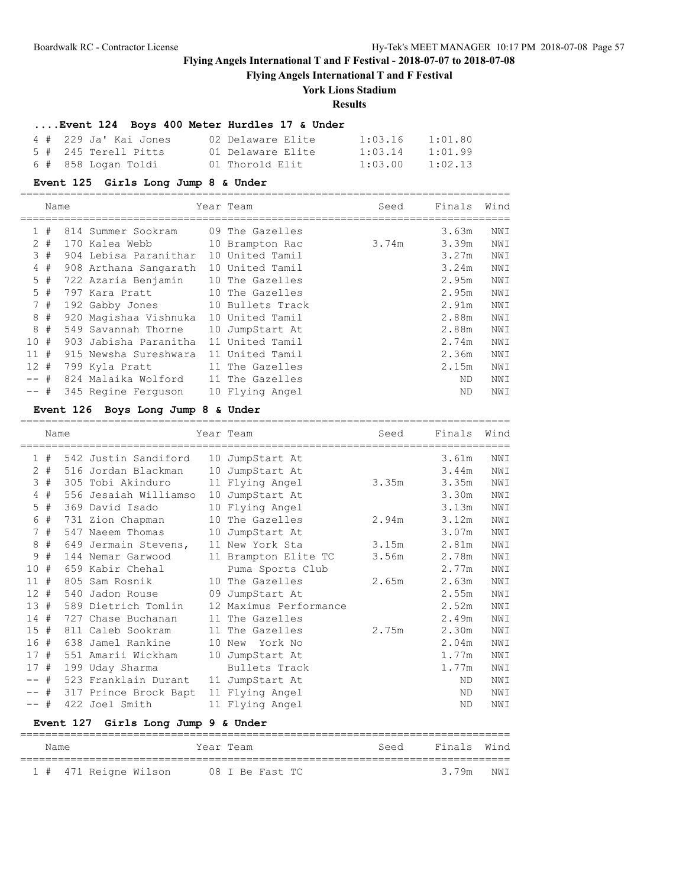**Flying Angels International T and F Festival**

# **York Lions Stadium**

## **Results**

## **....Event 124 Boys 400 Meter Hurdles 17 & Under**

| 4 # 229 Ja' Kai Jones | 02 Delaware Elite | 1:03.16 | 1:01.80 |
|-----------------------|-------------------|---------|---------|
| 5 # 245 Terell Pitts  | 01 Delaware Elite | 1:03.14 | 1:01.99 |
| 6 # 858 Loqan Toldi   | 01 Thorold Elit   | 1:03.00 | 1:02.13 |

#### **Event 125 Girls Long Jump 8 & Under**

==============================================================================

|        | Name  |                                  | Year Team       | Seed  | Finals    | Wind |
|--------|-------|----------------------------------|-----------------|-------|-----------|------|
|        | 1#    | 814 Summer Sookram               | 09 The Gazelles |       | 3.63m     | NWI  |
|        | $2 +$ | 170 Kalea Webb                   | 10 Brampton Rac | 3.74m | 3.39m     | NWI  |
|        | 3#    | 904 Lebisa Paranithar            | 10 United Tamil |       | 3.27m     | NWI  |
|        | 4#    | 908 Arthana Sangarath            | 10 United Tamil |       | 3.24m     | NWI  |
|        | $5$ # | 722 Azaria Benjamin              | 10 The Gazelles |       | 2.95m     | NWI  |
|        | 5#    | 797 Kara Pratt                   | 10 The Gazelles |       | 2.95m     | NWI  |
|        | 7#    | 192 Gabby Jones 10 Bullets Track |                 |       | 2.91m     | NWI  |
|        | 8#    | 920 Maqishaa Vishnuka            | 10 United Tamil |       | 2.88m     | NWI  |
|        | 8#    | 549 Savannah Thorne              | 10 JumpStart At |       | 2.88m     | NWI  |
| 10#    |       | 903 Jabisha Paranitha            | 11 United Tamil |       | 2.74m     | NWI  |
| 11#    |       | 915 Newsha Sureshwara            | 11 United Tamil |       | 2.36m     | NWI  |
| 12#    |       | 799 Kyla Pratt                   | 11 The Gazelles |       | 2.15m     | NWI  |
| -- #   |       | 824 Malaika Wolford              | 11 The Gazelles |       | ND        | NWI  |
| $--$ # |       | 345 Regine Ferguson              | 10 Flying Angel |       | <b>ND</b> | NWI  |

#### **Event 126 Boys Long Jump 8 & Under**

==============================================================================

|                                     | Name  |  |                                 |  | Year Team              | Seed  | Finals | Wind |  |  |
|-------------------------------------|-------|--|---------------------------------|--|------------------------|-------|--------|------|--|--|
|                                     | 1#    |  | 542 Justin Sandiford            |  | 10 JumpStart At        |       | 3.61m  | NWI  |  |  |
| $\overline{2}$                      | #     |  | 516 Jordan Blackman             |  | 10 JumpStart At        |       | 3.44m  | NWI  |  |  |
| 3                                   | #     |  | 305 Tobi Akinduro               |  | 11 Flying Angel        | 3.35m | 3.35m  | NWI  |  |  |
|                                     | $4$ # |  | 556 Jesaiah Williamso           |  | 10 JumpStart At        |       | 3.30m  | NWI  |  |  |
| 5                                   | #     |  | 369 David Isado                 |  | 10 Flying Angel        |       | 3.13m  | NWI  |  |  |
| 6                                   | #     |  | 731 Zion Chapman                |  | 10 The Gazelles        | 2.94m | 3.12m  | NWI  |  |  |
|                                     | 7#    |  | 547 Naeem Thomas                |  | 10 JumpStart At        |       | 3.07m  | NWI  |  |  |
| 8                                   | #     |  | 649 Jermain Stevens,            |  | 11 New York Sta        | 3.15m | 2.81m  | NWI  |  |  |
| 9                                   | #     |  | 144 Nemar Garwood               |  | 11 Brampton Elite TC   | 3.56m | 2.78m  | NWI  |  |  |
| 10#                                 |       |  | 659 Kabir Chehal                |  | Puma Sports Club       |       | 2.77m  | NWI  |  |  |
| 11#                                 |       |  | 805 Sam Rosnik                  |  | 10 The Gazelles        | 2.65m | 2.63m  | NWI  |  |  |
| 12#                                 |       |  | 540 Jadon Rouse 09 JumpStart At |  |                        |       | 2.55m  | NWI  |  |  |
| 13#                                 |       |  | 589 Dietrich Tomlin             |  | 12 Maximus Performance |       | 2.52m  | NWI  |  |  |
| 14#                                 |       |  | 727 Chase Buchanan              |  | 11 The Gazelles        |       | 2.49m  | NWI  |  |  |
| 15#                                 |       |  | 811 Caleb Sookram               |  | 11 The Gazelles        | 2.75m | 2.30m  | NWI  |  |  |
| 16#                                 |       |  | 638 Jamel Rankine               |  | 10 New York No         |       | 2.04m  | NWI  |  |  |
| 17#                                 |       |  | 551 Amarii Wickham              |  | 10 JumpStart At        |       | 1.77m  | NWI  |  |  |
| 17#                                 |       |  | 199 Uday Sharma                 |  | Bullets Track          |       | 1.77m  | NWI  |  |  |
| $--$ #                              |       |  | 523 Franklain Durant            |  | 11 JumpStart At        |       | ND.    | NWI  |  |  |
| $--$ #                              |       |  | 317 Prince Brock Bapt           |  | 11 Flying Angel        |       | ND.    | NWI  |  |  |
| $--$ #                              |       |  | 422 Joel Smith                  |  | 11 Flying Angel        |       | ND.    | NWI  |  |  |
| Event 127 Girls Long Jump 9 & Under |       |  |                                 |  |                        |       |        |      |  |  |

## ============================================================================== Name **Seed** Finals Mind ============================================================================== 1 # 471 Reigne Wilson 08 I Be Fast TC 3.79m NWI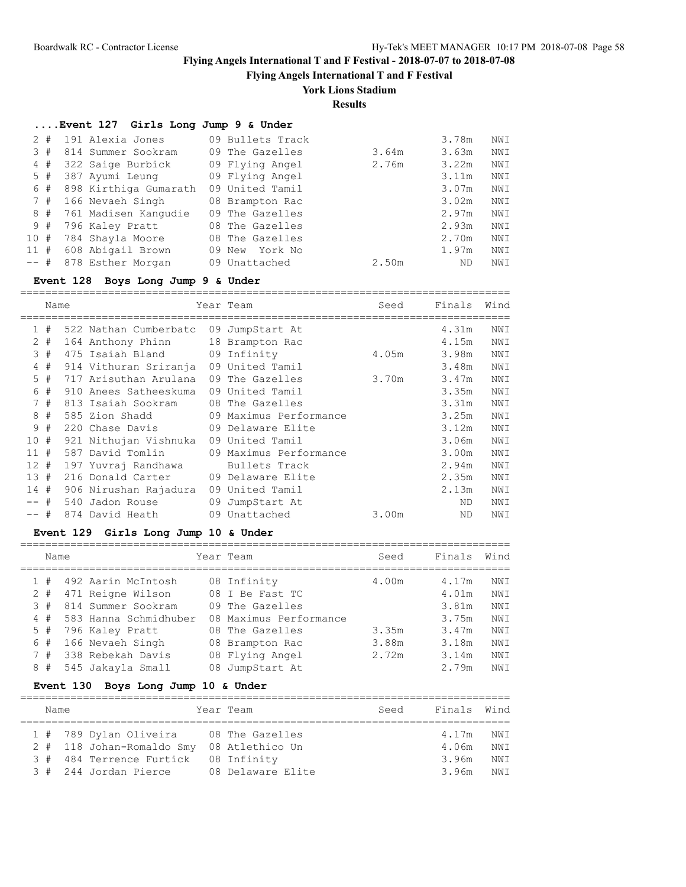**Flying Angels International T and F Festival**

# **York Lions Stadium**

**Results**

## **....Event 127 Girls Long Jump 9 & Under**

| 2       | #  | 191 Alexia Jones      | 09 Bullets Track  |       | 3.78m | NWI |
|---------|----|-----------------------|-------------------|-------|-------|-----|
|         | 3# | 814 Summer Sookram    | 09 The Gazelles   | 3.64m | 3.63m | NWI |
|         | 4# | 322 Saige Burbick     | 09 Flying Angel   | 2.76m | 3.22m | NWI |
|         | 5# | 387 Ayumi Leung       | 09 Flying Angel   |       | 3.11m | NWI |
|         | 6# | 898 Kirthiga Gumarath | 09 United Tamil   |       | 3.07m | NWI |
|         | 7# | 166 Nevaeh Singh      | 08 Brampton Rac   |       | 3.02m | NWI |
|         | 8# | 761 Madisen Kangudie  | 09 The Gazelles   |       | 2.97m | NWI |
|         | 9# | 796 Kaley Pratt       | 08 The Gazelles   |       | 2.93m | NWI |
| 10#     |    | 784 Shayla Moore      | 08 The Gazelles   |       | 2.70m | NWI |
| 11#     |    | 608 Abigail Brown     | York No<br>09 New |       | 1.97m | NWI |
| $---$ # |    | 878 Esther Morgan     | 09 Unattached     | 2.50m | ND    | NWI |

## **Event 128 Boys Long Jump 9 & Under**

|              | Name |                       | Year Team              | Seed  | Finals | Wind |
|--------------|------|-----------------------|------------------------|-------|--------|------|
| $\mathbf{1}$ | #    | 522 Nathan Cumberbatc | 09 JumpStart At        |       | 4.31m  | NWI  |
| $\mathbf{2}$ | #    | 164 Anthony Phinn     | 18 Brampton Rac        |       | 4.15m  | NWI  |
| 3            | #    | 475 Isaiah Bland      | 09 Infinity            | 4.05m | 3.98m  | NWI  |
| 4            | #    | 914 Vithuran Sriranja | 09 United Tamil        |       | 3.48m  | NWI  |
| 5            | #    | 717 Arisuthan Arulana | 09 The Gazelles        | 3.70m | 3.47m  | NWI  |
| 6            | #    | 910 Anees Satheeskuma | 09 United Tamil        |       | 3.35m  | NWI  |
| 7            | #    | 813 Isaiah Sookram    | 08 The Gazelles        |       | 3.31m  | NWI  |
| 8            | #    | 585 Zion Shadd        | 09 Maximus Performance |       | 3.25m  | NWI  |
| 9            | #    | 220 Chase Davis       | 09 Delaware Elite      |       | 3.12m  | NWI  |
| 10           | #    | 921 Nithujan Vishnuka | 09 United Tamil        |       | 3.06m  | NWI  |
| 11           | #    | 587 David Tomlin      | 09 Maximus Performance |       | 3.00m  | NWI  |
| 12           | #    | 197 Yuvraj Randhawa   | Bullets Track          |       | 2.94m  | NWI  |
| 13           | #    | 216 Donald Carter     | 09 Delaware Elite      |       | 2.35m  | NWI  |
| 14#          |      | 906 Nirushan Rajadura | 09 United Tamil        |       | 2.13m  | NWI  |
|              | $+$  | 540 Jadon Rouse       | 09 JumpStart At        |       | ND.    | NWI  |
| -- #         |      | 874 David Heath       | 09 Unattached          | 3.00m | ND.    | NWI  |

## **Event 129 Girls Long Jump 10 & Under**

|   | Name |                       | Year Team              | Seed  | Finals | Wind |
|---|------|-----------------------|------------------------|-------|--------|------|
|   | #    | 492 Aarin McIntosh    | 08 Infinity            | 4.00m | 4.17m  | NWI  |
|   | #    | 471 Reigne Wilson     | 08 I Be Fast TC        |       | 4.01m  | NWI  |
| 3 | #    | 814 Summer Sookram    | 09 The Gazelles        |       | 3.81m  | NWI  |
|   | 4#   | 583 Hanna Schmidhuber | 08 Maximus Performance |       | 3.75m  | NWI  |
|   | 5#   | 796 Kaley Pratt       | 08 The Gazelles        | 3.35m | 3.47m  | NWI  |
| 6 | #    | 166 Nevaeh Singh      | 08 Brampton Rac        | 3.88m | 3.18m  | NWI  |
|   | 7#   | 338 Rebekah Davis     | 08 Flying Angel        | 2.72m | 3.14m  | NWI  |
| 8 | #    | 545 Jakayla Small     | 08 JumpStart At        |       | 2.79m  | NWI  |

## **Event 130 Boys Long Jump 10 & Under**

|  | Name |                           | Year Team         | Seed | Finals Wind |      |
|--|------|---------------------------|-------------------|------|-------------|------|
|  |      |                           |                   |      |             |      |
|  |      | 1 # 789 Dylan Oliveira    | 08 The Gazelles   |      | 4.17m       | NW T |
|  |      | 2 # 118 Johan-Romaldo Smy | 08 Atlethico Un   |      | 4.06m       | NW T |
|  |      | 3 # 484 Terrence Furtick  | 08 Infinity       |      | 3.96m       | NW T |
|  |      | 3 # 244 Jordan Pierce     | 08 Delaware Elite |      | 3.96m       | NW T |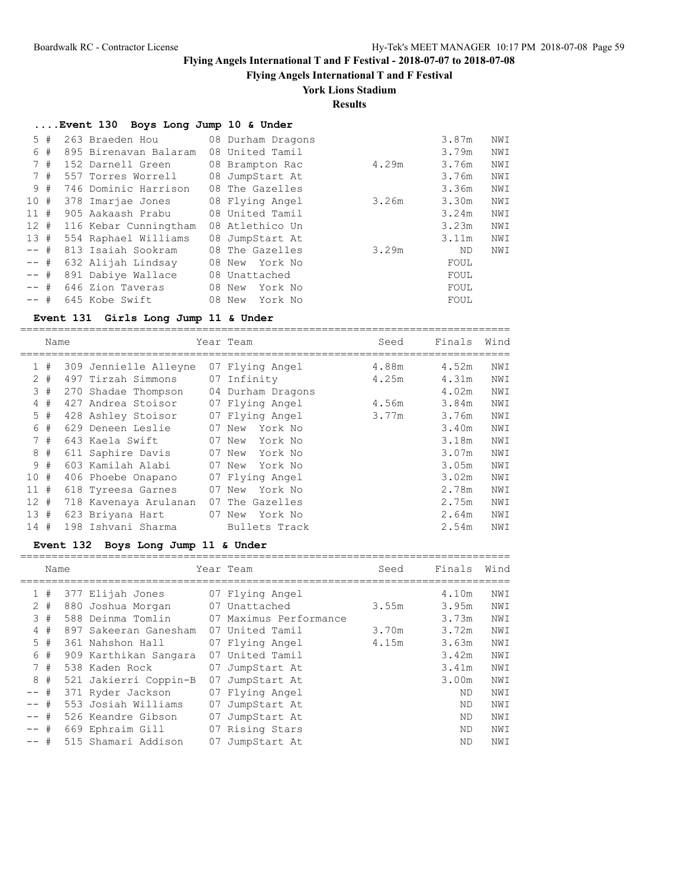**Flying Angels International T and F Festival**

## **York Lions Stadium**

**Results**

|        | Event 130 Boys Long Jump 10 & Under |                   |       |       |     |
|--------|-------------------------------------|-------------------|-------|-------|-----|
| 5#     | 263 Braeden Hou                     | 08 Durham Dragons |       | 3.87m | NWI |
| 6 #    | 895 Birenavan Balaram               | 08 United Tamil   |       | 3.79m | NWI |
| 7#     | 152 Darnell Green                   | 08 Brampton Rac   | 4.29m | 3.76m | NWI |
| 7#     | 557 Torres Worrell                  | 08 JumpStart At   |       | 3.76m | NWI |
| 9#     | 746 Dominic Harrison                | 08 The Gazelles   |       | 3.36m | NWI |
| 10#    | 378 Imarjae Jones                   | 08 Flying Angel   | 3.26m | 3.30m | NWI |
| 11#    | 905 Aakaash Prabu                   | 08 United Tamil   |       | 3.24m | NWI |
| 12#    | 116 Kebar Cunningtham               | 08 Atlethico Un   |       | 3.23m | NWI |
| 13#    | 554 Raphael Williams                | 08 JumpStart At   |       | 3.11m | NWI |
| $--$ # | 813 Isaiah Sookram                  | 08 The Gazelles   | 3.29m | ND.   | NWI |
| $--$ # | 632 Alijah Lindsay                  | 08 New York No    |       | FOUL  |     |
| $--$ # | 891 Dabiye Wallace                  | 08 Unattached     |       | FOUL  |     |
| $--$ # | 646 Zion Taveras                    | 08 New<br>York No |       | FOUL  |     |
| $--$ # | 645 Kobe Swift                      | 08 New<br>York No |       | FOUL  |     |

### **Event 131 Girls Long Jump 11 & Under**

============================================================================== Name Year Team Seed Finals Wind ============================================================================== 1 # 309 Jennielle Alleyne 07 Flying Angel 4.88m 4.52m NWI 2 # 497 Tirzah Simmons 07 Infinity 4.25m 4.31m NWI 3 # 270 Shadae Thompson 04 Durham Dragons 4.02m NWI 4 # 427 Andrea Stoisor 07 Flying Angel 4.56m 3.84m NWI 5 # 428 Ashley Stoisor 07 Flying Angel 3.77m 3.76m NWI 6 # 629 Deneen Leslie 07 New York No 3.40m NWI 7 # 643 Kaela Swift 07 New York No 3.18m NWI 8 # 611 Saphire Davis 07 New York No 3.07m NWI 9 # 603 Kamilah Alabi 07 New York No 3.05m NWI 10 # 406 Phoebe Onapano 07 Flying Angel 3.02m NWI 11 # 618 Tyreesa Garnes 07 New York No 2.78m NWI 12 # 718 Kavenaya Arulanan 07 The Gazelles 2.75m NWI 13 # 623 Briyana Hart 07 New York No 2.64m NWI 14 # 198 Ishvani Sharma Bullets Track 2.54m NWI

### **Event 132 Boys Long Jump 11 & Under**

|              | Name  |                       |    | Year Team              | Seed  | Finals | Wind |
|--------------|-------|-----------------------|----|------------------------|-------|--------|------|
| $\mathbf{1}$ | #     | 377 Elijah Jones      |    | 07 Flying Angel        |       | 4.10m  | NWI  |
|              | $2 +$ | 880 Joshua Morgan     |    | 07 Unattached          | 3.55m | 3.95m  | NWI  |
|              | 3#    | 588 Deinma Tomlin     |    | 07 Maximus Performance |       | 3.73m  | NWI  |
|              | 4#    | 897 Sakeeran Ganesham |    | 07 United Tamil        | 3.70m | 3.72m  | NWI  |
|              | 5#    | 361 Nahshon Hall      |    | 07 Flying Angel        | 4.15m | 3.63m  | NWI  |
| 6            | #     | 909 Karthikan Sangara |    | 07 United Tamil        |       | 3.42m  | NWI  |
|              | 7#    | 538 Kaden Rock        |    | 07 JumpStart At        |       | 3.41m  | NWI  |
| 8            | #     | 521 Jakierri Coppin-B |    | 07 JumpStart At        |       | 3.00m  | NWI  |
| $--$ #       |       | 371 Ryder Jackson     |    | 07 Flying Angel        |       | ND.    | NWI  |
| $--$ #       |       | 553 Josiah Williams   | 07 | JumpStart At           |       | ND.    | NWI  |
| $--$ #       |       | 526 Keandre Gibson    |    | 07 JumpStart At        |       | ND.    | NWI  |
| $--$ #       |       | 669 Ephraim Gill      |    | 07 Rising Stars        |       | ND.    | NWI  |
| $--$ #       |       | 515 Shamari Addison   | 07 | JumpStart At           |       | ND     | NWI  |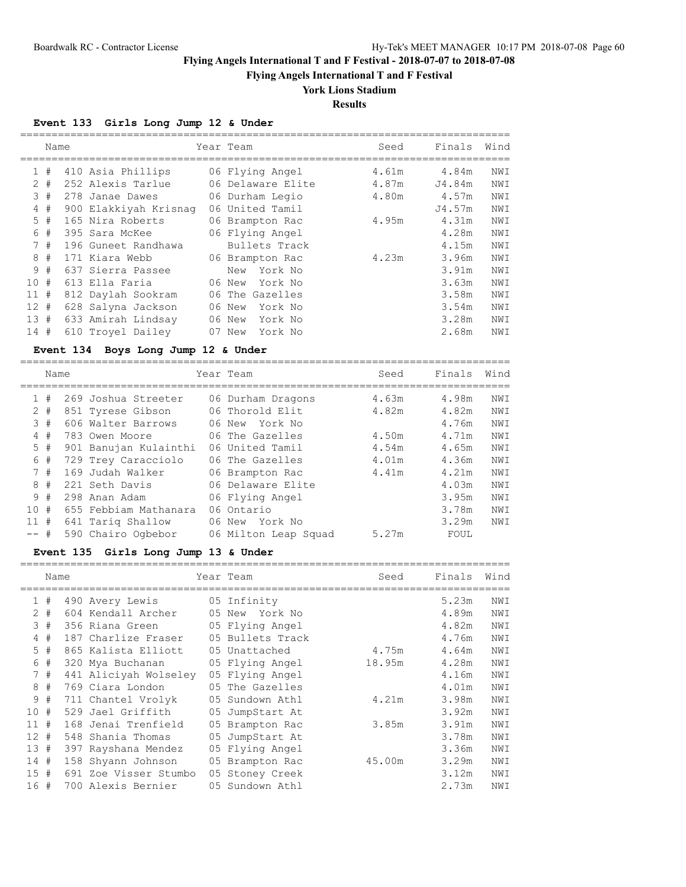**Flying Angels International T and F Festival**

# **York Lions Stadium**

**Results**

## **Event 133 Girls Long Jump 12 & Under**

|        | Name  |           |                                         | Year Team            | Seed   | Finals | Wind           |
|--------|-------|-----------|-----------------------------------------|----------------------|--------|--------|----------------|
|        |       |           |                                         |                      |        |        |                |
|        | 1#    |           | 410 Asia Phillips                       | 06 Flying Angel      | 4.61m  | 4.84m  | NWI            |
| 2      | #     |           | 252 Alexis Tarlue                       | 06 Delaware Elite    | 4.87m  | J4.84m | NWI            |
| 3      | #     |           | 278 Janae Dawes                         | 06 Durham Legio      | 4.80m  | 4.57m  | NWI            |
|        | $4$ # |           | 900 Elakkiyah Krisnag                   | 06 United Tamil      |        | J4.57m | NWI            |
| 5      | #     |           | 165 Nira Roberts                        | 06 Brampton Rac      | 4.95m  | 4.31m  | NWI            |
| 6      | #     |           | 395 Sara McKee                          | 06 Flying Angel      |        | 4.28m  | NWI            |
|        | 7#    |           | 196 Guneet Randhawa                     | Bullets Track        |        | 4.15m  | NWI            |
| 8      | #     |           | 171 Kiara Webb                          | 06 Brampton Rac      | 4.23m  | 3.96m  | NWI            |
| 9      | #     |           | 637 Sierra Passee                       | New York No          |        | 3.91m  | NWI            |
| 10     | #     |           | 613 Ella Faria                          | 06 New<br>York No    |        | 3.63m  | NWI            |
| $11$ # |       |           | 812 Daylah Sookram                      | 06 The Gazelles      |        | 3.58m  | NWI            |
| 12#    |       |           | 628 Salyna Jackson                      | 06 New<br>York No    |        | 3.54m  | NWI            |
| 13#    |       |           | 633 Amirah Lindsay                      | 06 New<br>York No    |        | 3.28m  | NWI            |
| 14#    |       |           | 610 Troyel Dailey                       | 07 New<br>York No    |        | 2.68m  | NWI            |
|        |       |           | Event 134 Boys Long Jump 12 & Under     |                      |        |        |                |
|        |       |           |                                         |                      |        |        |                |
|        | Name  |           |                                         | Year Team            | Seed   | Finals | Wind           |
|        | 1#    |           | 269 Joshua Streeter                     | 06 Durham Dragons    | 4.63m  | 4.98m  | NWI            |
|        | $2$ # |           | 851 Tyrese Gibson                       | 06 Thorold Elit      | 4.82m  | 4.82m  | NWI            |
|        | 3#    |           | 606 Walter Barrows                      | 06 New York No       |        | 4.76m  | NWI            |
|        | 4#    |           | 783 Owen Moore                          | 06 The Gazelles      | 4.50m  | 4.71m  | NWI            |
| 5      | #     |           | 901 Banujan Kulainthi                   | 06 United Tamil      | 4.54m  | 4.65m  | NWI            |
| 6      | #     |           | 729 Trey Caracciolo                     | 06 The Gazelles      | 4.01m  | 4.36m  | NWI            |
|        | 7#    |           | 169 Judah Walker                        | 06 Brampton Rac      | 4.41m  | 4.21m  | NWI            |
| 8      | $\#$  |           | 221 Seth Davis                          | 06 Delaware Elite    |        | 4.03m  | NWI            |
| 9      | #     |           | 298 Anan Adam                           | 06 Flying Angel      |        | 3.95m  | NWI            |
| 10     | #     |           | 655 Febbiam Mathanara                   | 06 Ontario           |        | 3.78m  | NWI            |
| $11$ # |       |           |                                         |                      |        | 3.29m  | NWI            |
|        | #     |           | 641 Tariq Shallow<br>590 Chairo Ogbebor | 06 New York No       | 5.27m  |        |                |
|        |       |           |                                         | 06 Milton Leap Squad |        | FOUL   |                |
|        |       | Event 135 | Girls Long Jump 13 & Under              |                      |        |        |                |
|        | Name  |           |                                         | Year Team            | Seed   | Finals | Wind           |
|        |       |           |                                         |                      |        |        |                |
|        | 1#    |           | 490 Avery Lewis                         | 05 Infinity          |        | 5.23m  | NWI            |
|        | $2 +$ |           | 604 Kendall Archer                      | 05 New<br>York No    |        | 4.89m  | NWI            |
|        | 3#    |           | 356 Riana Green                         | 05 Flying Angel      |        | 4.82m  | NWI            |
|        | $4$ # |           | 187 Charlize Fraser                     | 05 Bullets Track     |        | 4.76m  | NWI            |
| 5      | #     |           | 865 Kalista Elliott                     | 05 Unattached        | 4.75m  | 4.64m  | NWI            |
| 6      | #     |           | 320 Mya Buchanan                        | 05 Flying Angel      | 18.95m | 4.28m  | NWI            |
|        | 7#    |           | 441 Aliciyah Wolseley                   | 05 Flying Angel      |        | 4.16m  | NWI            |
| 8      | #     |           | 769 Ciara London                        | 05 The Gazelles      |        | 4.01m  | NWI            |
| 9      | #     |           | 711 Chantel Vrolyk                      | 05 Sundown Athl      | 4.21m  | 3.98m  | NWI            |
| 10 #   |       |           | 529 Jael Griffith                       | 05 JumpStart At      |        | 3.92m  | NWI            |
| $11$ # |       |           | 168 Jenai Trenfield                     | 05 Brampton Rac      | 3.85m  | 3.91m  | NWI            |
| $12 +$ |       |           | 548 Shania Thomas                       | 05 JumpStart At      |        | 3.78m  | NWI            |
| 13 #   |       |           | 397 Rayshana Mendez                     | 05 Flying Angel      |        | 3.36m  | NWI            |
| 14 #   |       |           | 158 Shyann Johnson                      | 05 Brampton Rac      | 45.00m | 3.29m  | $\texttt{NWI}$ |
| $15$ # |       |           | 691 Zoe Visser Stumbo                   | 05 Stoney Creek      |        | 3.12m  | NWI            |
| 16 #   |       |           | 700 Alexis Bernier                      | 05 Sundown Athl      |        | 2.73m  | NWI            |
|        |       |           |                                         |                      |        |        |                |

==============================================================================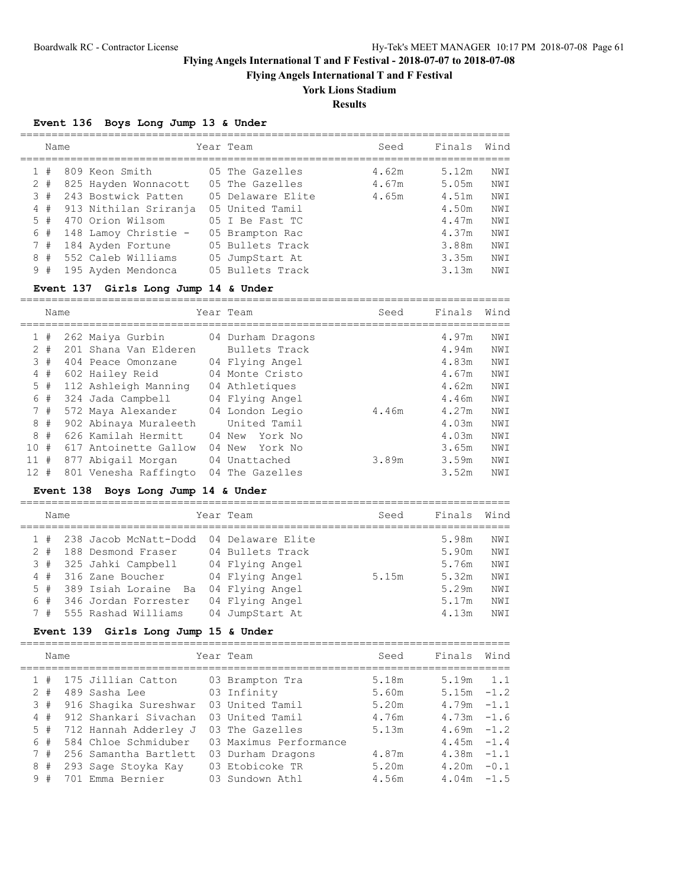**Flying Angels International T and F Festival**

## **York Lions Stadium**

**Results**

==============================================================================

## **Event 136 Boys Long Jump 13 & Under**

|   | Name  |                       |     | Year Team         | Seed  | Finals | Wind |
|---|-------|-----------------------|-----|-------------------|-------|--------|------|
|   | #     | 809 Keon Smith        |     | 05 The Gazelles   | 4.62m | 5.12m  | NWI  |
|   | $2 +$ | 825 Hayden Wonnacott  |     | 05 The Gazelles   | 4.67m | 5.05m  | NWI  |
|   | 3#    | 243 Bostwick Patten   |     | 05 Delaware Elite | 4.65m | 4.51m  | NWI  |
| 4 | #     | 913 Nithilan Sriranja |     | 05 United Tamil   |       | 4.50m  | NWI  |
|   | 5#    | 470 Orion Wilsom      |     | 05 I Be Fast TC   |       | 4.47m  | NWI  |
|   | 6#    | 148 Lamoy Christie -  |     | 05 Brampton Rac   |       | 4.37m  | NWI  |
|   | 7#    | 184 Ayden Fortune     |     | 05 Bullets Track  |       | 3.88m  | NWI  |
| 8 | #     | 552 Caleb Williams    |     | 05 JumpStart At   |       | 3.35m  | NWI  |
|   | 9#    | 195 Ayden Mendonca    | 0.5 | Bullets Track     |       | 3.13m  | NWI  |

## **Event 137 Girls Long Jump 14 & Under**

|                 | Name  |                       |    | Year Team         | Seed  | Finals | Wind |
|-----------------|-------|-----------------------|----|-------------------|-------|--------|------|
| 1               | #     | 262 Maiya Gurbin      |    | 04 Durham Dragons |       | 4.97m  | NWI  |
| 2               | #     | 201 Shana Van Elderen |    | Bullets Track     |       | 4.94m  | NWI  |
|                 | 3#    | 404 Peace Omonzane    |    | 04 Flying Angel   |       | 4.83m  | NWI  |
| 4               | #     | 602 Hailey Reid       |    | 04 Monte Cristo   |       | 4.67m  | NWI  |
|                 | $5$ # | 112 Ashleigh Manning  |    | 04 Athletiques    |       | 4.62m  | NWI  |
| 6               | #     | 324 Jada Campbell     |    | 04 Flying Angel   |       | 4.46m  | NWI  |
|                 | 7#    | 572 Maya Alexander    |    | 04 London Legio   | 4.46m | 4.27m  | NWI  |
|                 | 8#    | 902 Abinaya Muraleeth |    | United Tamil      |       | 4.03m  | NWI  |
| 8               | #     | 626 Kamilah Hermitt   |    | York No<br>04 New |       | 4.03m  | NWI  |
| 10              | #     | 617 Antoinette Gallow |    | 04 New<br>York No |       | 3.65m  | NWI  |
| 11              | #     | 877 Abigail Morgan    |    | 04 Unattached     | 3.89m | 3.59m  | NWI  |
| 12 <sup>2</sup> | #     | 801 Venesha Raffingto | 04 | The Gazelles      |       | 3.52m  | NWI  |

## **Event 138 Boys Long Jump 14 & Under**

|                                           |      |                                                                                                                                                              | Seed                                                                                                                                              | Finals | Wind |
|-------------------------------------------|------|--------------------------------------------------------------------------------------------------------------------------------------------------------------|---------------------------------------------------------------------------------------------------------------------------------------------------|--------|------|
|                                           |      |                                                                                                                                                              |                                                                                                                                                   | 5.98m  | NWI  |
|                                           |      |                                                                                                                                                              |                                                                                                                                                   | 5.90m  | NWI  |
|                                           |      |                                                                                                                                                              |                                                                                                                                                   | 5.76m  | NWI  |
|                                           |      |                                                                                                                                                              | 5.15m                                                                                                                                             | 5.32m  | NWI  |
|                                           |      |                                                                                                                                                              |                                                                                                                                                   | 5.29m  | NWI  |
|                                           |      |                                                                                                                                                              |                                                                                                                                                   | 5.17m  | NWI  |
|                                           |      |                                                                                                                                                              |                                                                                                                                                   | 4.13m  | NWI  |
| 1#<br>$2 +$<br>3#<br>4#<br>5#<br>6#<br>7# | Name | 238 Jacob McNatt-Dodd<br>188 Desmond Fraser<br>325 Jahki Campbell<br>316 Zane Boucher<br>389 Isiah Loraine Ba<br>346 Jordan Forrester<br>555 Rashad Williams | Year Team<br>04 Delaware Elite<br>04 Bullets Track<br>04 Flying Angel<br>04 Flying Angel<br>04 Flying Angel<br>04 Flying Angel<br>04 JumpStart At |        |      |

## **Event 139 Girls Long Jump 15 & Under**

|       | Name |                       | Year Team              | Seed  | Finals        | Wind |
|-------|------|-----------------------|------------------------|-------|---------------|------|
|       | #    | 175 Jillian Catton    | 03 Brampton Tra        | 5.18m | 5.19m         | 1.1  |
| $2 +$ |      | 489 Sasha Lee         | 03 Infinity            | 5.60m | $5.15m - 1.2$ |      |
| 3#    |      | 916 Shaqika Sureshwar | 03 United Tamil        | 5.20m | $4.79m - 1.1$ |      |
| 4#    |      | 912 Shankari Siyachan | 03 United Tamil        | 4.76m | $4.73m - 1.6$ |      |
| 5#    |      | 712 Hannah Adderley J | 03 The Gazelles        | 5.13m | $4.69m - 1.2$ |      |
| 6#    |      | 584 Chloe Schmiduber  | 03 Maximus Performance |       | $4.45m - 1.4$ |      |
| 7#    |      | 256 Samantha Bartlett | 03 Durham Dragons      | 4.87m | $4.38m - 1.1$ |      |
| 8     | #    | 293 Sage Stoyka Kay   | 03 Etobicoke TR        | 5.20m | $4.20m - 0.1$ |      |
| 9#    |      | 701 Emma Bernier      | 03 Sundown Athl        | 4.56m | $4.04m - 1.5$ |      |
|       |      |                       |                        |       |               |      |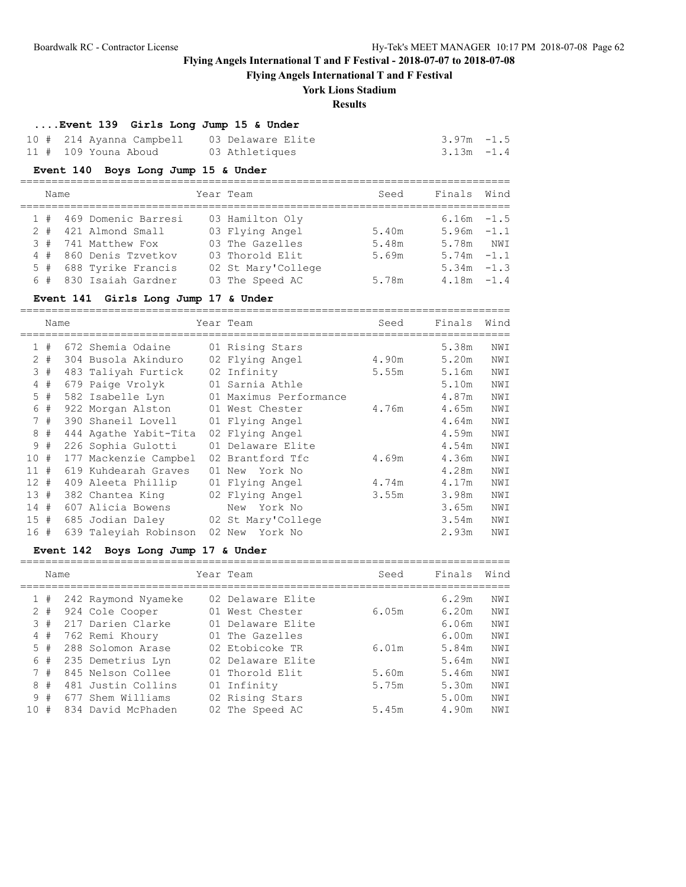**Flying Angels International T and F Festival**

## **York Lions Stadium**

## **Results**

==============================================================================

### **....Event 139 Girls Long Jump 15 & Under**

| 10 # 214 Ayanna Campbell 03 Delaware Elite |                | $3.97m - 1.5$ |
|--------------------------------------------|----------------|---------------|
| 11 # 109 Youna Aboud                       | 03 Athletiques | $3.13m - 1.4$ |

#### **Event 140 Boys Long Jump 15 & Under**

| Name |                         | Year Team          | Seed  | Finals Wind   |  |
|------|-------------------------|--------------------|-------|---------------|--|
|      | 1 # 469 Domenic Barresi | 03 Hamilton Oly    |       | $6.16m - 1.5$ |  |
| 2#   | 421 Almond Small        | 03 Flying Angel    | 5.40m | $5.96m - 1.1$ |  |
|      | 3 # 741 Matthew Fox     | 03 The Gazelles    | 5.48m | 5.78m NWI     |  |
|      | 4 # 860 Denis Tzvetkov  | 03 Thorold Elit    | 5.69m | $5.74m - 1.1$ |  |
|      | 5 # 688 Tyrike Francis  | 02 St Mary'College |       | $5.34m - 1.3$ |  |
|      | 6 # 830 Isaiah Gardner  | 03 The Speed AC    | 5.78m | $4.18m - 1.4$ |  |

#### **Event 141 Girls Long Jump 17 & Under**

============================================================================== Name Seed Finals Wind ============================================================================== 1 # 672 Shemia Odaine 01 Rising Stars 5.38m NWI 2 # 304 Busola Akinduro 02 Flying Angel 4.90m 5.20m NWI 3 # 483 Taliyah Furtick 02 Infinity 5.55m 5.16m NWI 4 # 679 Paige Vrolyk 01 Sarnia Athle 5.10m NWI 5 # 582 Isabelle Lyn 01 Maximus Performance 4.87m NWI 6 # 922 Morgan Alston 01 West Chester 4.76m 4.65m NWI 7 # 390 Shaneil Lovell 01 Flying Angel 4.64m NWI 8 # 444 Agathe Yabit-Tita 02 Flying Angel 4.59m NWI 9 # 226 Sophia Gulotti 01 Delaware Elite 4.54m NWI 10 # 177 Mackenzie Campbel 02 Brantford Tfc 4.69m 4.36m NWI 11 # 619 Kuhdearah Graves 01 New York No 4.28m NWI 12 # 409 Aleeta Phillip 01 Flying Angel 4.74m 4.17m NWI 13 # 382 Chantea King 02 Flying Angel 3.55m 3.98m NWI 14 # 607 Alicia Bowens New York No 3.65m NWI 15 # 685 Jodian Daley 02 St Mary'College 3.54m NWI 16 # 639 Taleyiah Robinson 02 New York No 2.93m NWI

### **Event 142 Boys Long Jump 17 & Under**

|     | Name  |                     | Year Team         | Seed  | Finals | Wind |
|-----|-------|---------------------|-------------------|-------|--------|------|
|     | #     | 242 Raymond Nyameke | 02 Delaware Elite |       | 6.29m  | NWI  |
|     | $2 +$ | 924 Cole Cooper     | 01 West Chester   | 6.05m | 6.20m  | NWI  |
| 3.  | #     | 217 Darien Clarke   | 01 Delaware Elite |       | 6.06m  | NWI  |
| 4   | #     | 762 Remi Khoury     | 01 The Gazelles   |       | 6.00m  | NWI  |
| 5.  | #     | 288 Solomon Arase   | 02 Etobicoke TR   | 6.01m | 5.84m  | NWI  |
| 6   | #     | 235 Demetrius Lyn   | 02 Delaware Elite |       | 5.64m  | NWI  |
|     | 7#    | 845 Nelson Collee   | 01 Thorold Elit   | 5.60m | 5.46m  | NWI  |
| 8   | #     | 481 Justin Collins  | 01 Infinity       | 5.75m | 5.30m  | NWI  |
|     | 9#    | 677 Shem Williams   | 02 Rising Stars   |       | 5.00m  | NWI  |
| 1 O | #     | 834 David McPhaden  | 02 The Speed AC   | 5.45m | 4.90m  | NWI  |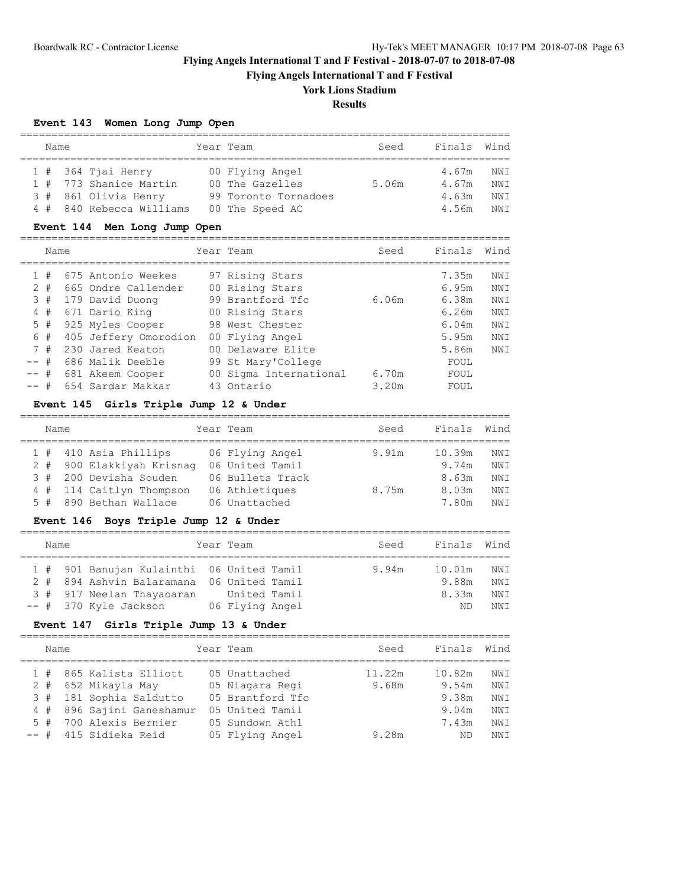**Flying Angels International T and F Festival**

## **York Lions Stadium**

**Results**

## **Event 143 Women Long Jump Open**

| Name |  |                          |  | Year Team            | Seed  | Finals Wind |      |  |  |  |
|------|--|--------------------------|--|----------------------|-------|-------------|------|--|--|--|
|      |  |                          |  |                      |       |             |      |  |  |  |
|      |  | $1$ # 364 Tjai Henry     |  | 00 Flying Angel      |       | 4.67m       | NWI  |  |  |  |
|      |  | 1 # 773 Shanice Martin   |  | 00 The Gazelles      | 5.06m | 4.67m       | NW T |  |  |  |
|      |  | 3 # 861 Olivia Henry     |  | 99 Toronto Tornadoes |       | 4.63m       | NWI  |  |  |  |
|      |  | 4 # 840 Rebecca Williams |  | 00 The Speed AC      |       | 4.56m       | NW T |  |  |  |

## **Event 144 Men Long Jump Open**

|        | Name  |                       | Year Team              | Seed  | Finals | Wind |
|--------|-------|-----------------------|------------------------|-------|--------|------|
|        |       |                       |                        |       |        |      |
|        | #     | 675 Antonio Weekes    | 97 Rising Stars        |       | 7.35m  | NWI  |
|        | $2 +$ | 665 Ondre Callender   | 00 Rising Stars        |       | 6.95m  | NWI  |
|        | 3#    | 179 David Duong       | 99 Brantford Tfc       | 6.06m | 6.38m  | NWI  |
| 4      | #     | 671 Dario King        | 00 Rising Stars        |       | 6.26m  | NWI  |
|        | 5#    | 925 Myles Cooper      | 98 West Chester        |       | 6.04m  | NWI  |
|        | 6#    | 405 Jeffery Omorodion | 00 Flying Angel        |       | 5.95m  | NWI  |
|        | 7#    | 230 Jared Keaton      | 00 Delaware Elite      |       | 5.86m  | NWI  |
| $--$ # |       | 686 Malik Deeble      | 99 St Mary'College     |       | FOUL   |      |
| $--$ # |       | 681 Akeem Cooper      | 00 Sigma International | 6.70m | FOUL   |      |
| -- #   |       | 654 Sardar Makkar     | 43 Ontario             | 3.20m | FOUL   |      |

## **Event 145 Girls Triple Jump 12 & Under**

| Name   |                           | Year Team        | Seed  | Finals | Wind |
|--------|---------------------------|------------------|-------|--------|------|
|        |                           |                  |       |        |      |
|        | 1 # 410 Asia Phillips     | 06 Flying Angel  | 9.91m | 10.39m | NWI  |
|        | 2 # 900 Elakkiyah Krisnaq | 06 United Tamil  |       | 9.74m  | NWI  |
| 3#     | 200 Devisha Souden        | 06 Bullets Track |       | 8.63m  | NWI  |
|        | 4 # 114 Caitlyn Thompson  | 06 Athletiques   | 8.75m | 8.03m  | NWI  |
| $5 \#$ | 890 Bethan Wallace        | 06 Unattached    |       | 7 80m  | NW T |

## **Event 146 Boys Triple Jump 12 & Under**

| Name |  |                                           |  | Year Team       |  | Seed  | Finals Wind |     |  |  |
|------|--|-------------------------------------------|--|-----------------|--|-------|-------------|-----|--|--|
|      |  |                                           |  |                 |  |       |             |     |  |  |
|      |  | 1 # 901 Banujan Kulainthi 06 United Tamil |  |                 |  | 9.94m | 10.01m      | NWI |  |  |
|      |  | 2 # 894 Ashvin Balaramana 06 United Tamil |  |                 |  |       | 9.88m       | NWI |  |  |
|      |  | 3 # 917 Neelan Thayaoaran                 |  | United Tamil    |  |       | 8.33m       | NWI |  |  |
|      |  | -- # 370 Kyle Jackson                     |  | 06 Flying Angel |  |       | ND          | NWT |  |  |

## **Event 147 Girls Triple Jump 13 & Under**

| Name |                           | Year Team        | Seed   | Finals | Wind            |
|------|---------------------------|------------------|--------|--------|-----------------|
|      | 1 # 865 Kalista Elliott   | 05 Unattached    | 11.22m | 10.82m | NWI             |
|      | 2 # 652 Mikayla May       | 05 Niagara Regi  | 9.68m  | 9.54m  | NWI             |
|      | 3 # 181 Sophia Saldutto   | 05 Brantford Tfc |        | 9.38m  | NWI             |
|      | 4 # 896 Sajini Ganeshamur | 05 United Tamil  |        | 9.04m  | NW <sub>T</sub> |
| 5#   | 700 Alexis Bernier        | 05 Sundown Athl  |        | 7.43m  | NWI             |
|      | -- # 415 Sidieka Reid     | 05 Flying Angel  | 9.28m  | ND     | NW T            |
|      |                           |                  |        |        |                 |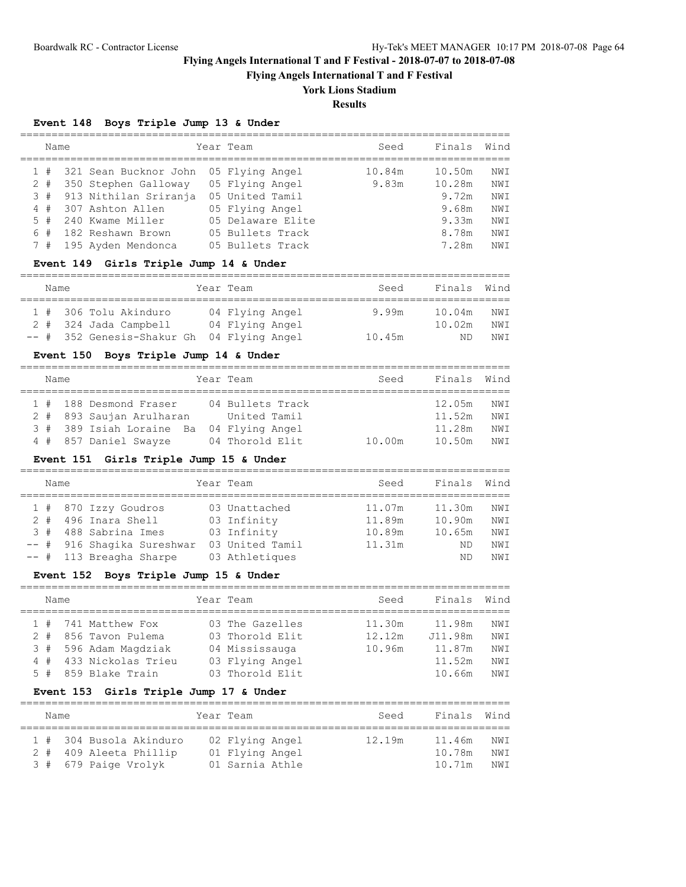**Flying Angels International T and F Festival**

## **York Lions Stadium**

**Results**

## **Event 148 Boys Triple Jump 13 & Under**

| Name |                                           | Year Team        |                   | Seed   | Finals | Wind            |
|------|-------------------------------------------|------------------|-------------------|--------|--------|-----------------|
|      | 1 # 321 Sean Bucknor John 05 Flying Angel |                  |                   | 10.84m | 10.50m | NWI             |
| 2#   | 350 Stephen Galloway                      | 05 Flying Angel  |                   | 9.83m  | 10.28m | NW T            |
|      | 3 # 913 Nithilan Sriranja                 | 05 United Tamil  |                   |        | 9.72m  | NW T            |
|      | 4 # 307 Ashton Allen                      | 05 Flying Angel  |                   |        | 9.68m  | NWI             |
| 5#   | 240 Kwame Miller                          |                  | 05 Delaware Elite |        | 9.33m  | NWI             |
| 6#   | 182 Reshawn Brown                         | 05 Bullets Track |                   |        | 8.78m  | NW T            |
|      | 7 # 195 Ayden Mendonca                    | 05 Bullets Track |                   |        | 7.28m  | NW <sub>T</sub> |
|      |                                           |                  |                   |        |        |                 |

## **Event 149 Girls Triple Jump 14 & Under**

| Name  |                                            | Year Team |                                    | Seed   | Finals Wind      |            |
|-------|--------------------------------------------|-----------|------------------------------------|--------|------------------|------------|
| $2 +$ | 1 # 306 Tolu Akinduro<br>324 Jada Campbell |           | 04 Flying Angel<br>04 Flying Angel | 9.99m  | 10.04m<br>10.02m | NWI<br>NWI |
|       | -- # 352 Genesis-Shakur Gh                 |           | 04 Flying Angel                    | 10.45m | ND               | NWT        |

## **Event 150 Boys Triple Jump 14 & Under**

| Name |  |                                          | Year Team |                  | Seed   | Finals Wind |      |  |  |  |
|------|--|------------------------------------------|-----------|------------------|--------|-------------|------|--|--|--|
|      |  |                                          |           |                  |        |             |      |  |  |  |
|      |  | 1 # 188 Desmond Fraser                   |           | 04 Bullets Track |        | 12.05m      | NWI  |  |  |  |
|      |  | 2 # 893 Saujan Arulharan                 |           | United Tamil     |        | 11.52m      | NW T |  |  |  |
|      |  | 3 # 389 Isiah Loraine Ba 04 Flying Angel |           |                  |        | 11.28m      | NW T |  |  |  |
|      |  | 4 # 857 Daniel Swayze                    |           | 04 Thorold Elit  | 10.00m | 10.50m      | NWT  |  |  |  |

## **Event 151 Girls Triple Jump 15 & Under**

| Name  |                            | Year Team       | Seed   | Finals | Wind |
|-------|----------------------------|-----------------|--------|--------|------|
|       | 1 # 870 Izzy Goudros       | 03 Unattached   | 11.07m | 11.30m | NWI  |
| $2 +$ | 496 Inara Shell            | 03 Infinity     | 11.89m | 10.90m | NWI  |
| 3#    | 488 Sabrina Imes           | 03 Infinity     | 10.89m | 10.65m | NWI  |
|       | -- # 916 Shaqika Sureshwar | 03 United Tamil | 11.31m | ND     | NWI  |
|       | $--$ # 113 Breagha Sharpe  | 03 Athletiques  |        | ND     | NWI  |

## **Event 152 Boys Triple Jump 15 & Under**

| Name |                        | Year Team       | Seed   | Finals  | Wind |
|------|------------------------|-----------------|--------|---------|------|
|      | 1 # 741 Matthew Fox    | 03 The Gazelles | 11.30m | 11.98m  | NWI  |
|      | 2 # 856 Tavon Pulema   | 03 Thorold Elit | 12.12m | J11.98m | NWI  |
|      | 3 # 596 Adam Magdziak  | 04 Mississauga  | 10.96m | 11.87m  | NW T |
|      | 4 # 433 Nickolas Trieu | 03 Flying Angel |        | 11.52m  | NWI  |
|      | 5 # 859 Blake Train    | 03 Thorold Elit |        | 10.66m  | NW T |
|      |                        |                 |        |         |      |

## **Event 153 Girls Triple Jump 17 & Under**

|  | Name |                         | Year Team       | Seed   | Finals Wind |      |
|--|------|-------------------------|-----------------|--------|-------------|------|
|  |      |                         |                 |        |             |      |
|  |      | 1 # 304 Busola Akinduro | 02 Flying Angel | 12.19m | 11.46m      | NWI  |
|  |      | 2 # 409 Aleeta Phillip  | 01 Flying Angel |        | 10.78m      | NWI  |
|  |      | 3 # 679 Paige Vrolyk    | 01 Sarnia Athle |        | 10.71m      | NW T |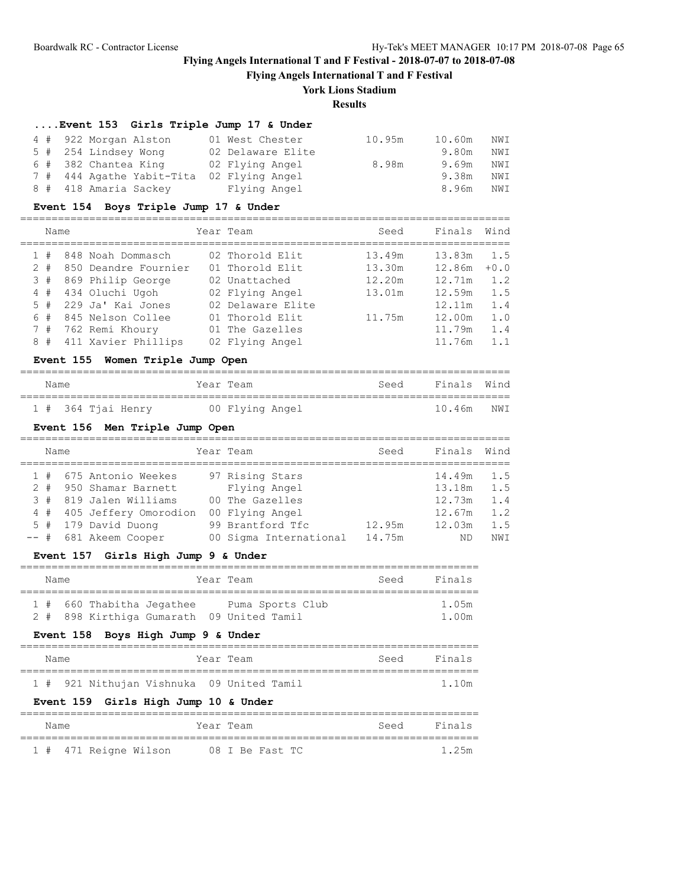**Flying Angels International T and F Festival**

## **York Lions Stadium**

## **Results**

==============================================================================

## **....Event 153 Girls Triple Jump 17 & Under**

| 4 # 922 Morgan Alston                     | 01 West Chester   | 10.95m | 10.60m | NWI |
|-------------------------------------------|-------------------|--------|--------|-----|
| 5 # 254 Lindsey Wong                      | 02 Delaware Elite |        | 9.80m  | NWI |
| 6 # 382 Chantea King                      | 02 Flying Angel   | 8.98m  | 9.69m  | NWI |
| 7 # 444 Agathe Yabit-Tita 02 Flying Angel |                   |        | 9.38m  | NWI |
| 8 # 418 Amaria Sackey                     | Flying Angel      |        | 8.96m  | NWI |

## **Event 154 Boys Triple Jump 17 & Under**

|        | Name |                      | Year Team         | Seed   | Finals | Wind   |
|--------|------|----------------------|-------------------|--------|--------|--------|
| $_{+}$ |      | 848 Noah Dommasch    | 02 Thorold Elit   | 13.49m | 13.83m | 1.5    |
| $2 +$  |      | 850 Deandre Fournier | 01 Thorold Elit   | 13.30m | 12.86m | $+0.0$ |
| 3#     |      | 869 Philip George    | 02 Unattached     | 12.20m | 12.71m | 1.2    |
| 4#     |      | 434 Oluchi Ugoh      | 02 Flying Angel   | 13.01m | 12.59m | 1.5    |
| 5#     |      | 229 Ja' Kai Jones    | 02 Delaware Elite |        | 12.11m | 1.4    |
| 6#     |      | 845 Nelson Collee    | 01 Thorold Elit   | 11.75m | 12.00m | 1.0    |
| 7#     |      | 762 Remi Khoury      | 01 The Gazelles   |        | 11.79m | 1.4    |
| 8#     |      | 411 Xavier Phillips  | 02 Flying Angel   |        | 11.76m | 1.1    |

### **Event 155 Women Triple Jump Open**

## ============================================================================== Name **Seed** Finals Mind ==============================================================================

|  | 1 # 364 Tjai Henry | 00 Flying Angel | 10.46m NWI |
|--|--------------------|-----------------|------------|
|--|--------------------|-----------------|------------|

### **Event 156 Men Triple Jump Open**

|       | Name |                        | Year Team              | Seed   | Finals Wind |     |
|-------|------|------------------------|------------------------|--------|-------------|-----|
|       |      | 1 # 675 Antonio Weekes | 97 Rising Stars        |        | 14.49m      | 1.5 |
| $2 +$ |      | 950 Shamar Barnett     | Flying Angel           |        | 13.18m      | 1.5 |
| 3#    |      | 819 Jalen Williams     | 00 The Gazelles        |        | 12.73m      | 1.4 |
| 4#    |      | 405 Jeffery Omorodion  | 00 Flying Angel        |        | 12.67m      | 1.2 |
|       |      | 5 # 179 David Duong    | 99 Brantford Tfc       | 12.95m | 12.03m      | 1.5 |
|       |      | -- # 681 Akeem Cooper  | 00 Sigma International | 14.75m | ND          | NWI |

## **Event 157 Girls High Jump 9 & Under**

|  | Name |                           |  | Year Team                                 | Seed | Finals |
|--|------|---------------------------|--|-------------------------------------------|------|--------|
|  |      |                           |  |                                           |      |        |
|  |      | 1 # 660 Thabitha Jegathee |  | Puma Sports Club                          |      | 1.05m  |
|  |      |                           |  | 2 # 898 Kirthiga Gumarath 09 United Tamil |      | 1.00m  |

### **Event 158 Boys High Jump 9 & Under**

| Name | Year Team                                 | Finals<br>Seed |
|------|-------------------------------------------|----------------|
|      | 1 # 921 Nithujan Vishnuka 09 United Tamil | 1.10m          |
|      | Event 159 Girls High Jump 10 & Under      |                |

| Name |  |                       | Year Team |  |                 |  | Seed |  | Finals |
|------|--|-----------------------|-----------|--|-----------------|--|------|--|--------|
|      |  |                       |           |  |                 |  |      |  |        |
|      |  | 1 # 471 Reigne Wilson |           |  | 08 I Be Fast TC |  |      |  | 1.25m  |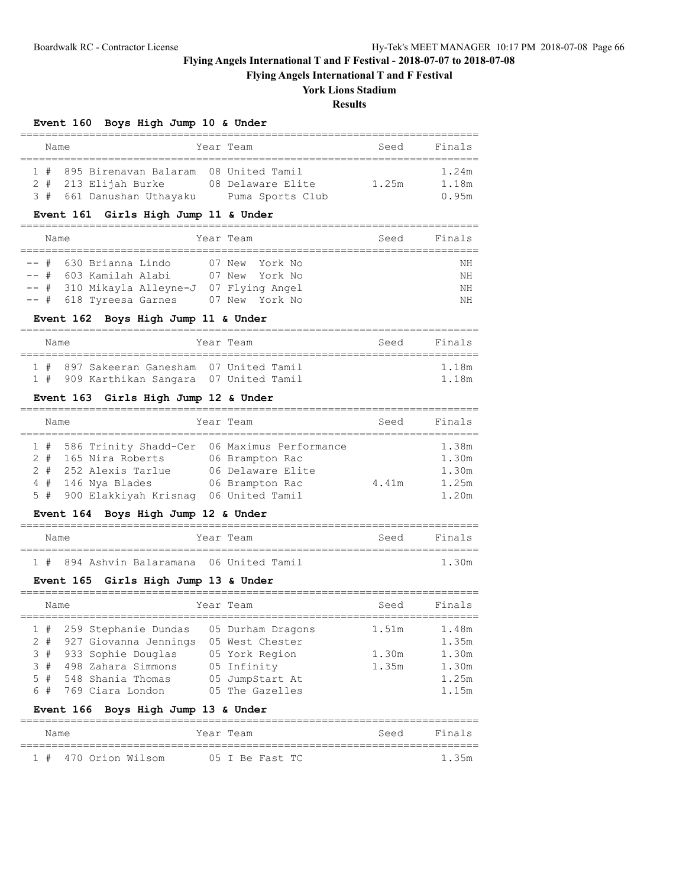**Flying Angels International T and F Festival**

## **York Lions Stadium**

**Results**

## **Event 160 Boys High Jump 10 & Under**

|  | Name |                                           |  | Year Team         | Seed  | Finals |  |  |  |  |  |
|--|------|-------------------------------------------|--|-------------------|-------|--------|--|--|--|--|--|
|  |      |                                           |  |                   |       |        |  |  |  |  |  |
|  |      | 1 # 895 Birenavan Balaram 08 United Tamil |  |                   |       | 1.24m  |  |  |  |  |  |
|  |      | 2 # 213 Elijah Burke                      |  | 08 Delaware Elite | 1.25m | 1.18m  |  |  |  |  |  |
|  |      | 3 # 661 Danushan Uthayaku                 |  | Puma Sports Club  |       | 0.95m  |  |  |  |  |  |

## **Event 161 Girls High Jump 11 & Under**

| Name |  |                         |                                            | Year Team |                |  | Seed | Finals |
|------|--|-------------------------|--------------------------------------------|-----------|----------------|--|------|--------|
|      |  |                         |                                            |           |                |  |      |        |
|      |  | -- # 630 Brianna Lindo  |                                            |           | 07 New York No |  |      | NΗ     |
|      |  | -- # 603 Kamilah Alabi  |                                            |           | 07 New York No |  |      | NΗ     |
|      |  |                         | -- # 310 Mikayla Alleyne-J 07 Flying Angel |           |                |  |      | ΝH     |
|      |  | -- # 618 Tyreesa Garnes |                                            |           | 07 New York No |  |      | ΝH     |

## **Event 162 Boys High Jump 11 & Under**

| Name |                                           | Year Team |  | Seed | Finals |
|------|-------------------------------------------|-----------|--|------|--------|
|      | 1 # 897 Sakeeran Ganesham 07 United Tamil |           |  |      | 1.18m  |
|      | 1 # 909 Karthikan Sangara 07 United Tamil |           |  |      | 1 1 Rm |

## **Event 163 Girls High Jump 12 & Under**

| Name |  |                           | Year Team              | Seed  | Finals |
|------|--|---------------------------|------------------------|-------|--------|
|      |  |                           |                        |       |        |
|      |  | 1 # 586 Trinity Shadd-Cer | 06 Maximus Performance |       | 1.38m  |
|      |  | 2 # 165 Nira Roberts      | 06 Brampton Rac        |       | 1.30m  |
|      |  | 2 # 252 Alexis Tarlue     | 06 Delaware Elite      |       | 1.30m  |
|      |  | $4$ # 146 Nya Blades      | 06 Brampton Rac        | 4.41m | 1.25m  |
|      |  | 5 # 900 Elakkiyah Krisnaq | 06 United Tamil        |       | 1.20m  |

## **Event 164 Boys High Jump 12 & Under**

| Name |  |                                           | Year Team |  | Seed | Finals |
|------|--|-------------------------------------------|-----------|--|------|--------|
|      |  |                                           |           |  |      |        |
|      |  | 1 # 894 Ashvin Balaramana 06 United Tamil |           |  |      | 1.30m  |

## **Event 165 Girls High Jump 13 & Under**

| Name |  |                           |  | Year Team         | Seed  | Finals |  |  |  |
|------|--|---------------------------|--|-------------------|-------|--------|--|--|--|
|      |  | 1 # 259 Stephanie Dundas  |  | 05 Durham Dragons | 1.51m | 1.48m  |  |  |  |
|      |  | 2 # 927 Giovanna Jennings |  | 05 West Chester   |       | 1.35m  |  |  |  |
|      |  | 3 # 933 Sophie Douglas    |  | 05 York Region    | 1.30m | 1.30m  |  |  |  |
|      |  | 3 # 498 Zahara Simmons    |  | 05 Infinity       | 1.35m | 1.30m  |  |  |  |
| 5#   |  | 548 Shania Thomas         |  | 05 JumpStart At   |       | 1.25m  |  |  |  |
| 6#   |  | 769 Ciara London          |  | 05 The Gazelles   |       | 1.15m  |  |  |  |

## **Event 166 Boys High Jump 13 & Under**

| Name |  |                      | Year Team |  |                 |  | Seed | Finals |
|------|--|----------------------|-----------|--|-----------------|--|------|--------|
|      |  | 1 # 470 Orion Wilsom |           |  | 05 I Be Fast TC |  |      | 1.35m  |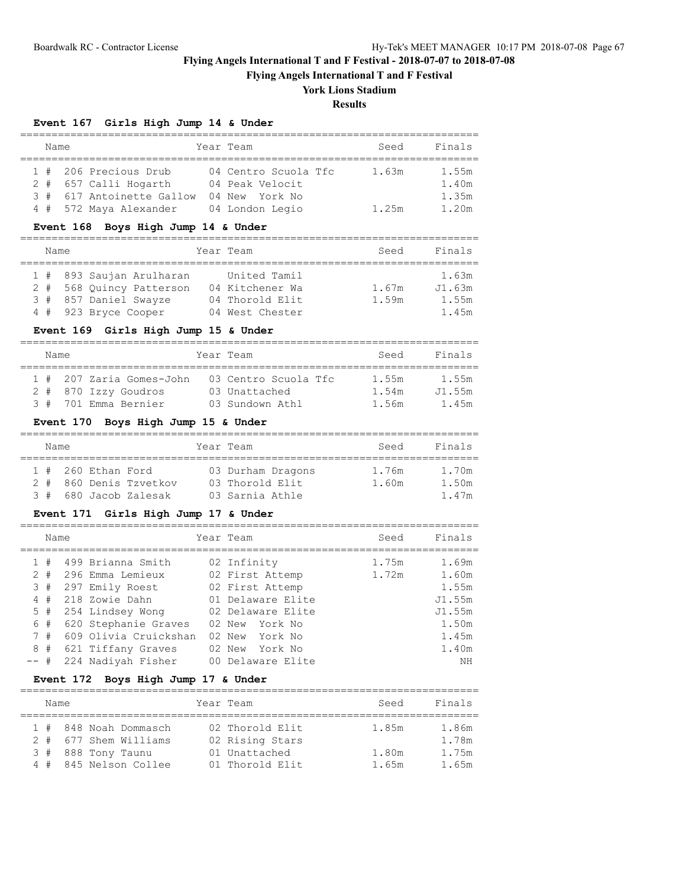**Flying Angels International T and F Festival**

## **York Lions Stadium**

**Results**

## **Event 167 Girls High Jump 14 & Under**

| Name |  |                           |  | Year Team            | Seed  | Finals |  |  |  |  |
|------|--|---------------------------|--|----------------------|-------|--------|--|--|--|--|
|      |  |                           |  |                      |       |        |  |  |  |  |
|      |  | 1 # 206 Precious Drub     |  | 04 Centro Scuola Tfc | 1.63m | 1.55m  |  |  |  |  |
|      |  | 2 # 657 Calli Hogarth     |  | 04 Peak Velocit      |       | 1.40m  |  |  |  |  |
|      |  | 3 # 617 Antoinette Gallow |  | 04 New York No       |       | 1.35m  |  |  |  |  |
|      |  | 4 # 572 Maya Alexander    |  | 04 London Legio      | 1.25m | 1.20m  |  |  |  |  |

## **Event 168 Boys High Jump 14 & Under**

|  | Name |                          |  | Year Team       | Seed  | Finals |  |  |  |  |
|--|------|--------------------------|--|-----------------|-------|--------|--|--|--|--|
|  |      |                          |  |                 |       |        |  |  |  |  |
|  |      | 1 # 893 Saujan Arulharan |  | United Tamil    |       | 1.63m  |  |  |  |  |
|  |      | 2 # 568 Quincy Patterson |  | 04 Kitchener Wa | 1.67m | J1.63m |  |  |  |  |
|  |      | 3 # 857 Daniel Swayze    |  | 04 Thorold Elit | 1.59m | 1.55m  |  |  |  |  |
|  |      | 4 # 923 Bryce Cooper     |  | 04 West Chester |       | 1.45m  |  |  |  |  |

## **Event 169 Girls High Jump 15 & Under**

|  | Name |                          |  | Year Team            |  | Seed  | Finals |  |  |  |  |
|--|------|--------------------------|--|----------------------|--|-------|--------|--|--|--|--|
|  |      |                          |  |                      |  |       |        |  |  |  |  |
|  |      | 1 # 207 Zaria Gomes-John |  | 03 Centro Scuola Tfc |  | 1.55m | 1.55m  |  |  |  |  |
|  |      | 2 # 870 Izzy Goudros     |  | 03 Unattached        |  | 1.54m | J1.55m |  |  |  |  |
|  |      | 3 # 701 Emma Bernier     |  | 03 Sundown Athl      |  | 1.56m | 1.45m  |  |  |  |  |

### **Event 170 Boys High Jump 15 & Under**

|  | Name |                      |                        |  | Year Team         | Seed  | Finals |  |  |  |  |
|--|------|----------------------|------------------------|--|-------------------|-------|--------|--|--|--|--|
|  |      | $1$ # 260 Ethan Ford |                        |  | 03 Durham Dragons | 1.76m | 1.70m  |  |  |  |  |
|  |      |                      | 2 # 860 Denis Tzvetkov |  | 03 Thorold Elit   | 1.60m | 1.50m  |  |  |  |  |
|  |      |                      | 3 # 680 Jacob Zalesak  |  | 03 Sarnia Athle   |       | 1.47m  |  |  |  |  |

=========================================================================

### **Event 171 Girls High Jump 17 & Under**

|      | Name                          |  |                                                                                                |     | Year Team                                                                                   | Seed           | Finals                                      |
|------|-------------------------------|--|------------------------------------------------------------------------------------------------|-----|---------------------------------------------------------------------------------------------|----------------|---------------------------------------------|
|      | 1#<br>$2 +$<br>3#<br>4#<br>5# |  | 499 Brianna Smith<br>296 Emma Lemieux<br>297 Emily Roest<br>218 Zowie Dahn<br>254 Lindsey Wong |     | 02 Infinity<br>02 First Attemp<br>02 First Attemp<br>01 Delaware Elite<br>02 Delaware Elite | 1.75m<br>1.72m | 1.69m<br>1.60m<br>1.55m<br>J1.55m<br>J1.55m |
| -- # | 6#<br>7#<br>8#                |  | 620 Stephanie Graves<br>609 Olivia Cruickshan<br>621 Tiffany Graves<br>224 Nadiyah Fisher      | OO. | 02 New York No<br>02 New York No<br>02 New York No<br>Delaware Elite                        |                | 1.50m<br>1.45m<br>1.40m<br>ΝH               |

## **Event 172 Boys High Jump 17 & Under**

| Name |                       | Year Team       | Seed  | Finals |
|------|-----------------------|-----------------|-------|--------|
|      |                       |                 |       |        |
|      | 1 # 848 Noah Dommasch | 02 Thorold Elit | 1.85m | 1.86m  |
|      | 2 # 677 Shem Williams | 02 Rising Stars |       | 1.78m  |
|      | 3 # 888 Tony Taunu    | 01 Unattached   | 1.80m | 1.75m  |
|      | 4 # 845 Nelson Collee | 01 Thorold Elit | 1.65m | 1.65m  |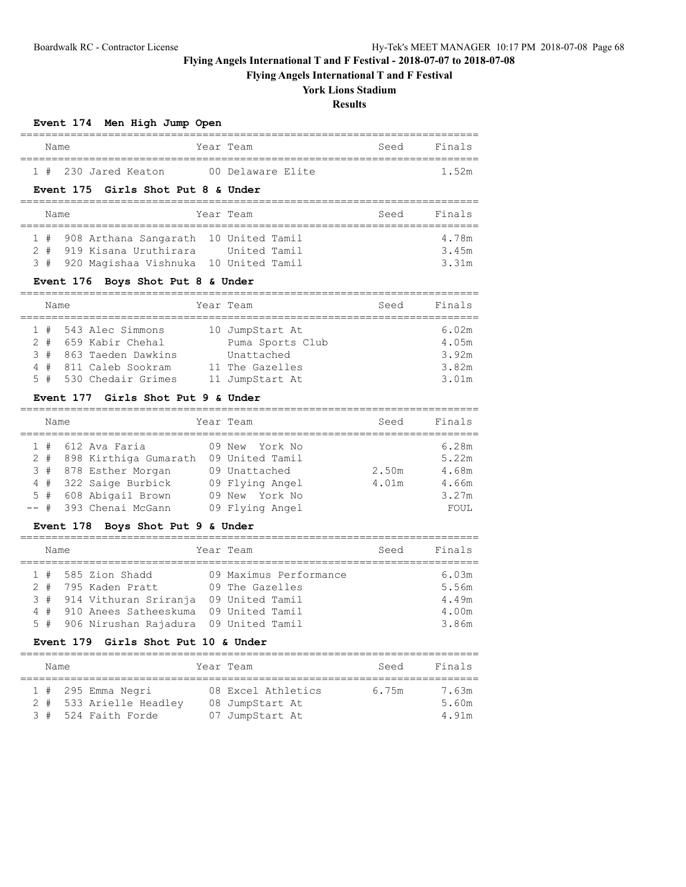**Flying Angels International T and F Festival**

# **York Lions Stadium**

## **Results**

## **Event 174 Men High Jump Open**

| Name |  |                      | Year Team         |  | Seed | Finals |
|------|--|----------------------|-------------------|--|------|--------|
|      |  |                      |                   |  |      |        |
|      |  | 1 # 230 Jared Keaton | 00 Delaware Elite |  |      | 1.52m  |

#### **Event 175 Girls Shot Put 8 & Under**

|  | Name |  |                                                                                     |  | Year Team |  | Seed | Finals         |  |  |
|--|------|--|-------------------------------------------------------------------------------------|--|-----------|--|------|----------------|--|--|
|  |      |  | 1 # 908 Arthana Sangarath 10 United Tamil<br>2 # 919 Kisana Uruthirara United Tamil |  |           |  |      | 4.78m<br>3.45m |  |  |
|  |      |  | 3 # 920 Magishaa Vishnuka 10 United Tamil                                           |  |           |  |      | 3.31m          |  |  |

## **Event 176 Boys Shot Put 8 & Under**

| Name |  |                        |  | Year Team        | Seed | Finals |
|------|--|------------------------|--|------------------|------|--------|
|      |  | 1 # 543 Alec Simmons   |  | 10 JumpStart At  |      | 6.02m  |
|      |  | 2 # 659 Kabir Chehal   |  | Puma Sports Club |      | 4.05m  |
|      |  | 3 # 863 Taeden Dawkins |  | Unattached       |      | 3.92m  |
|      |  | 4 # 811 Caleb Sookram  |  | 11 The Gazelles  |      | 3.82m  |
|      |  | 5 # 530 Chedair Grimes |  | 11 JumpStart At  |      | 3.01m  |

## **Event 177 Girls Shot Put 9 & Under**

| Name |  |                           | Year Team       | Seed  | Finals |
|------|--|---------------------------|-----------------|-------|--------|
|      |  | $1$ # $612$ Ava Faria     | 09 New York No  |       | 6.28m  |
|      |  | 2 # 898 Kirthiga Gumarath | 09 United Tamil |       | 5.22m  |
|      |  | 3 # 878 Esther Morgan     | 09 Unattached   | 2.50m | 4.68m  |
|      |  | 4 # 322 Saige Burbick     | 09 Flying Angel | 4.01m | 4.66m  |
|      |  | 5 # 608 Abigail Brown     | 09 New York No  |       | 3.27m  |
|      |  | -- # 393 Chenai McGann    | 09 Flying Angel |       | FOUL   |

## **Event 178 Boys Shot Put 9 & Under**

| Name |                                                                          | Year Team                                                    | Seed | Finals                  |
|------|--------------------------------------------------------------------------|--------------------------------------------------------------|------|-------------------------|
|      | $1$ # 585 Zion Shadd<br>2 # 795 Kaden Pratt<br>3 # 914 Vithuran Sriranja | 09 Maximus Performance<br>09 The Gazelles<br>09 United Tamil |      | 6.03m<br>5.56m<br>4.49m |
|      | 4 # 910 Anees Satheeskuma<br>5 # 906 Nirushan Rajadura 09 United Tamil   | 09 United Tamil                                              |      | 4.00m<br>3.86m          |

### **Event 179 Girls Shot Put 10 & Under**

| Name |                                                                        | Year Team                                                | Seed  | Finals                  |
|------|------------------------------------------------------------------------|----------------------------------------------------------|-------|-------------------------|
|      | $1$ # 295 Emma Negri<br>2 # 533 Arielle Headley<br>3 # 524 Faith Forde | 08 Excel Athletics<br>08 JumpStart At<br>07 JumpStart At | 6.75m | 7.63m<br>5.60m<br>4.91m |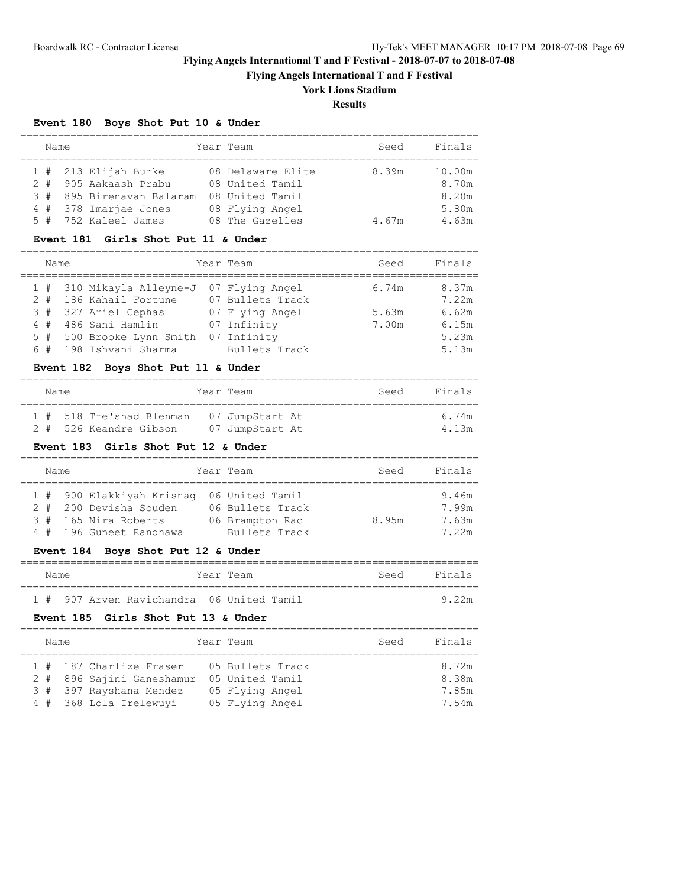**Flying Angels International T and F Festival**

## **York Lions Stadium**

**Results**

=========================================================================

## **Event 180 Boys Shot Put 10 & Under**

| Name |                           | Year Team         | Seed  | Finals |
|------|---------------------------|-------------------|-------|--------|
|      |                           |                   |       |        |
|      | $1$ # 213 Elijah Burke    | 08 Delaware Elite | 8.39m | 10.00m |
|      | 2 # 905 Aakaash Prabu     | 08 United Tamil   |       | 8.70m  |
|      | 3 # 895 Birenavan Balaram | 08 United Tamil   |       | 8.20m  |
|      | 4 # 378 Imarjae Jones     | 08 Flying Angel   |       | 5.80m  |
|      | 5 # 752 Kaleel James      | 08 The Gazelles   | 4.67m | 4.63m  |

### **Event 181 Girls Shot Put 11 & Under**

| Name                                      |  | Year Team |       | Seed Finals |
|-------------------------------------------|--|-----------|-------|-------------|
| 1 # 310 Mikayla Alleyne-J 07 Flying Angel |  |           | 6.74m | 8.37m       |

|  |                                                                       |                                                                                                                                         | 7.22m                                                      |
|--|-----------------------------------------------------------------------|-----------------------------------------------------------------------------------------------------------------------------------------|------------------------------------------------------------|
|  |                                                                       | 5.63m                                                                                                                                   | 6.62m                                                      |
|  |                                                                       | 7.00m                                                                                                                                   | 6.15m                                                      |
|  |                                                                       |                                                                                                                                         | 5.23m                                                      |
|  |                                                                       |                                                                                                                                         | 5.13m                                                      |
|  | 2 # 186 Kahail Fortune<br>3 # 327 Ariel Cephas<br>4 # 486 Sani Hamlin | 07 Bullets Track<br>07 Flying Angel<br>07 Infinity<br>5 # 500 Brooke Lynn Smith 07 Infinity<br>6 # 198 Ishvani Sharma     Bullets Track | T & SIG WIVGYLG UTTEVILE OF AN ETATING UNICT<br>∪ . 7 ∃III |

## **Event 182 Boys Shot Put 11 & Under**

| Name |                                          | Year Team |                 |  | Seed | Finals  |
|------|------------------------------------------|-----------|-----------------|--|------|---------|
|      | 1 # 518 Tre'shad Blenman 07 JumpStart At |           |                 |  |      | 6.74m   |
|      | 2 # 526 Keandre Gibson                   |           | 07 JumpStart At |  |      | 4 1 3 m |

#### **Event 183 Girls Shot Put 12 & Under**

| Name |  |                                           |  | Year Team        | Seed  | Finals |  |  |  |  |
|------|--|-------------------------------------------|--|------------------|-------|--------|--|--|--|--|
|      |  |                                           |  |                  |       |        |  |  |  |  |
|      |  | 1 # 900 Elakkiyah Krisnaq 06 United Tamil |  |                  |       | 9.46m  |  |  |  |  |
|      |  | 2 # 200 Devisha Souden                    |  | 06 Bullets Track |       | 7.99m  |  |  |  |  |
|      |  | 3 # 165 Nira Roberts                      |  | 06 Brampton Rac  | 8.95m | 7.63m  |  |  |  |  |
|      |  | 4 # 196 Guneet Randhawa                   |  | Bullets Track    |       | 7.22m  |  |  |  |  |

## **Event 184 Boys Shot Put 12 & Under**

| Name |  |                                           | Year Team |  | Seed | Finals |
|------|--|-------------------------------------------|-----------|--|------|--------|
|      |  |                                           |           |  |      |        |
|      |  | 1 # 907 Arven Ravichandra 06 United Tamil |           |  |      | 9 22m  |

### **Event 185 Girls Shot Put 13 & Under**

| Name |                                                                                                           | Year Team                                                                 | Seed | Finals                           |
|------|-----------------------------------------------------------------------------------------------------------|---------------------------------------------------------------------------|------|----------------------------------|
|      | 1 # 187 Charlize Fraser<br>2 # 896 Sajini Ganeshamur<br>3 # 397 Rayshana Mendez<br>4 # 368 Lola Irelewuyi | 05 Bullets Track<br>05 United Tamil<br>05 Flying Angel<br>05 Flying Angel |      | 8.72m<br>8.38m<br>7.85m<br>7.54m |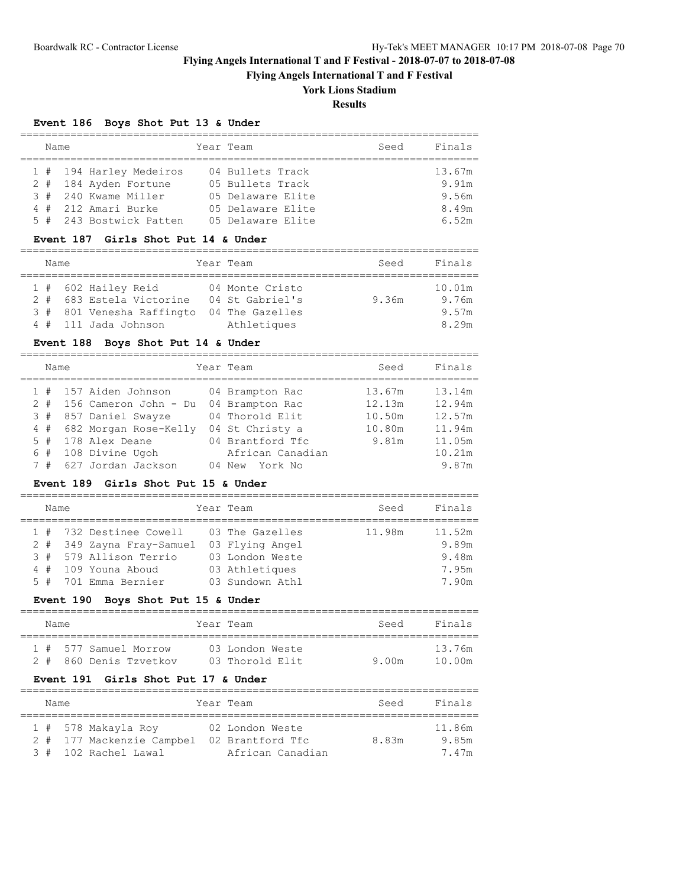**Flying Angels International T and F Festival**

# **York Lions Stadium**

**Results**

## **Event 186 Boys Shot Put 13 & Under**

| Name |                         | Year Team         | Seed | Finals |
|------|-------------------------|-------------------|------|--------|
|      |                         |                   |      |        |
|      | 1 # 194 Harley Medeiros | 04 Bullets Track  |      | 13.67m |
|      | 2 # 184 Ayden Fortune   | 05 Bullets Track  |      | 9.91m  |
|      | 3 # 240 Kwame Miller    | 05 Delaware Elite |      | 9.56m  |
|      | 4 # 212 Amari Burke     | 05 Delaware Elite |      | 8.49m  |
|      | 5 # 243 Bostwick Patten | 05 Delaware Elite |      | 6.52m  |

### **Event 187 Girls Shot Put 14 & Under**

| Name |                           | Year Team       | Seed  | Finals |
|------|---------------------------|-----------------|-------|--------|
|      |                           |                 |       |        |
|      | 1 # 602 Hailey Reid       | 04 Monte Cristo |       | 10.01m |
|      | 2 # 683 Estela Victorine  | 04 St Gabriel's | 9.36m | 9.76m  |
|      | 3 # 801 Venesha Raffingto | 04 The Gazelles |       | 9.57m  |
|      | 4 # 111 Jada Johnson      | Athletiques     |       | 8.29m  |

## **Event 188 Boys Shot Put 14 & Under**

| Name  |                       | Year Team        | Seed   | Finals |
|-------|-----------------------|------------------|--------|--------|
|       | 1 # 157 Aiden Johnson | 04 Brampton Rac  | 13.67m | 13.14m |
| $2 +$ | 156 Cameron John - Du | 04 Brampton Rac  | 12.13m | 12.94m |
| 3#    | 857 Daniel Swayze     | 04 Thorold Elit  | 10.50m | 12.57m |
| 4#    | 682 Morgan Rose-Kelly | 04 St Christy a  | 10.80m | 11.94m |
| 5#    | 178 Alex Deane        | 04 Brantford Tfc | 9.81m  | 11.05m |
| 6#    | 108 Divine Ugoh       | African Canadian |        | 10.21m |
| #     | 627 Jordan Jackson    | 04 New York No   |        | 9.87m  |

## **Event 189 Girls Shot Put 15 & Under**

| Name |  |                           |  | Year Team       | Seed   | Finals |  |  |  |  |
|------|--|---------------------------|--|-----------------|--------|--------|--|--|--|--|
|      |  |                           |  |                 |        |        |  |  |  |  |
|      |  | 1 # 732 Destinee Cowell   |  | 03 The Gazelles | 11.98m | 11.52m |  |  |  |  |
|      |  | 2 # 349 Zayna Fray-Samuel |  | 03 Flying Angel |        | 9.89m  |  |  |  |  |
|      |  | 3 # 579 Allison Terrio    |  | 03 London Weste |        | 9.48m  |  |  |  |  |
|      |  | 4 # 109 Youna Aboud       |  | 03 Athletiques  |        | 7.95m  |  |  |  |  |
|      |  | 5 # 701 Emma Bernier      |  | 03 Sundown Athl |        | 7.90m  |  |  |  |  |

### **Event 190 Boys Shot Put 15 & Under**

| Name |  |                       | Year Team |                 | Seed  | Finals |  |  |  |  |
|------|--|-----------------------|-----------|-----------------|-------|--------|--|--|--|--|
|      |  |                       |           |                 |       |        |  |  |  |  |
|      |  | 1 # 577 Samuel Morrow |           | 03 London Weste |       | 13.76m |  |  |  |  |
| 2#   |  | 860 Denis Tzvetkov    |           | 03 Thorold Elit | 9.00m | 10.00m |  |  |  |  |

## **Event 191 Girls Shot Put 17 & Under**

| Name |  |  |                                                  | Year Team |                                     | Seed  | Finals          |  |  |  |  |
|------|--|--|--------------------------------------------------|-----------|-------------------------------------|-------|-----------------|--|--|--|--|
|      |  |  | 1 # 578 Makayla Roy<br>2 # 177 Mackenzie Campbel |           | 02 London Weste<br>02 Brantford Tfc | 8.83m | 11.86m<br>9.85m |  |  |  |  |
|      |  |  | 3 # 102 Rachel Lawal                             |           | African Canadian                    |       | 7.47m           |  |  |  |  |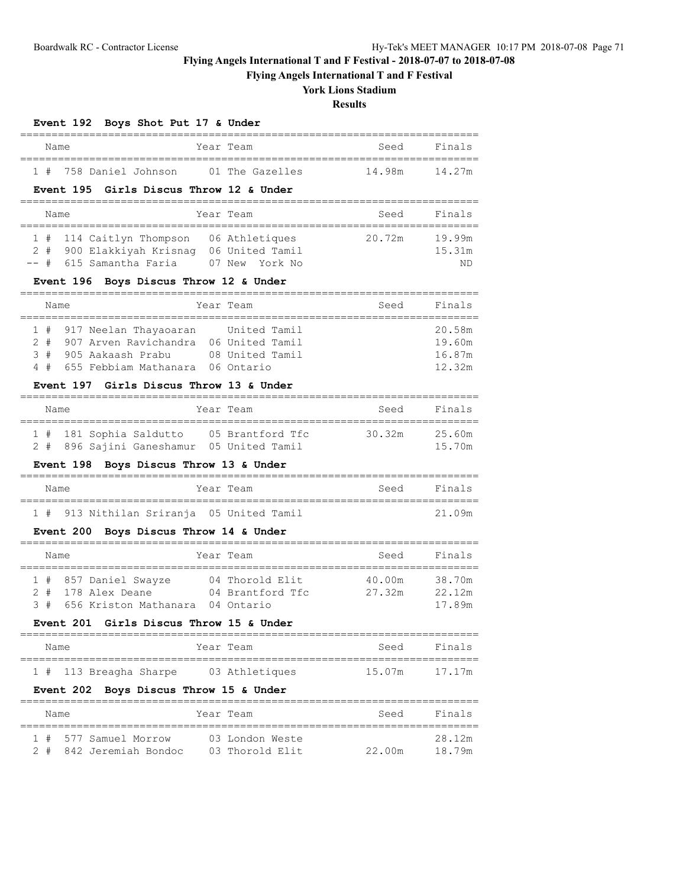**Flying Angels International T and F Festival**

## **York Lions Stadium**

## **Results**

## **Event 192 Boys Shot Put 17 & Under**

| Name |  |  | Year Team              | Seed            | Finals |        |
|------|--|--|------------------------|-----------------|--------|--------|
|      |  |  | 1 # 758 Daniel Johnson | 01 The Gazelles | 14.98m | 14 27m |

### **Event 195 Girls Discus Throw 12 & Under**

| Name |  |  |  |                                                                                                                 |  | Year Team      | Seed   | Finals                 |  |  |
|------|--|--|--|-----------------------------------------------------------------------------------------------------------------|--|----------------|--------|------------------------|--|--|
|      |  |  |  | 1 # 114 Caitlyn Thompson 06 Athletiques<br>2 # 900 Elakkiyah Krisnaq 06 United Tamil<br>-- # 615 Samantha Faria |  | 07 New York No | 20.72m | 19.99m<br>15.31m<br>ND |  |  |

## **Event 196 Boys Discus Throw 12 & Under**

| Name |  |                                           |  | Year Team       | Seed | Finals |  |  |  |  |
|------|--|-------------------------------------------|--|-----------------|------|--------|--|--|--|--|
|      |  |                                           |  |                 |      |        |  |  |  |  |
|      |  | 1 # 917 Neelan Thayaoaran                 |  | United Tamil    |      | 20.58m |  |  |  |  |
|      |  | 2 # 907 Arven Ravichandra 06 United Tamil |  |                 |      | 19.60m |  |  |  |  |
|      |  | 3 # 905 Aakaash Prabu                     |  | 08 United Tamil |      | 16.87m |  |  |  |  |
|      |  | 4 # 655 Febbiam Mathanara 06 Ontario      |  |                 |      | 12.32m |  |  |  |  |

### **Event 197 Girls Discus Throw 13 & Under**

| Name |  |  |                         |  | Year Team                                 | Seed   | Finals |  |  |  |
|------|--|--|-------------------------|--|-------------------------------------------|--------|--------|--|--|--|
|      |  |  | 1 # 181 Sophia Saldutto |  | 05 Brantford Tfc                          | 30.32m | 25.60m |  |  |  |
|      |  |  |                         |  | 2 # 896 Sajini Ganeshamur 05 United Tamil |        | 15.70m |  |  |  |

### **Event 198 Boys Discus Throw 13 & Under**

| Name |  |                                           | Year Team |  | Seed | Finals |
|------|--|-------------------------------------------|-----------|--|------|--------|
|      |  |                                           |           |  |      |        |
|      |  | 1 # 913 Nithilan Sriranja 05 United Tamil |           |  |      | 21.09m |

### **Event 200 Boys Discus Throw 14 & Under**

|  | Name |                           |  | Year Team        | Seed   | Finals |  |  |  |  |
|--|------|---------------------------|--|------------------|--------|--------|--|--|--|--|
|  |      |                           |  |                  |        |        |  |  |  |  |
|  |      | 1 # 857 Daniel Swayze     |  | 04 Thorold Elit  | 40.00m | 38.70m |  |  |  |  |
|  |      | 2 # 178 Alex Deane        |  | 04 Brantford Tfc | 27.32m | 22.12m |  |  |  |  |
|  |      | 3 # 656 Kriston Mathanara |  | 04 Ontario       |        | 17.89m |  |  |  |  |

## **Event 201 Girls Discus Throw 15 & Under**

| Name |                        |  | Year Team      | Seed | Finals        |
|------|------------------------|--|----------------|------|---------------|
|      |                        |  |                |      |               |
|      | 1 # 113 Breagha Sharpe |  | 03 Athletiques |      | 15.07m 17.17m |

## **Event 202 Boys Discus Throw 15 & Under**

| Name |  |                         |  | Year Team       | Seed   | Finals |  |  |  |
|------|--|-------------------------|--|-----------------|--------|--------|--|--|--|
|      |  | 1 # 577 Samuel Morrow   |  | 03 London Weste |        | 28.12m |  |  |  |
|      |  | 2 # 842 Jeremiah Bondoc |  | 03 Thorold Elit | 22.00m | 18.79m |  |  |  |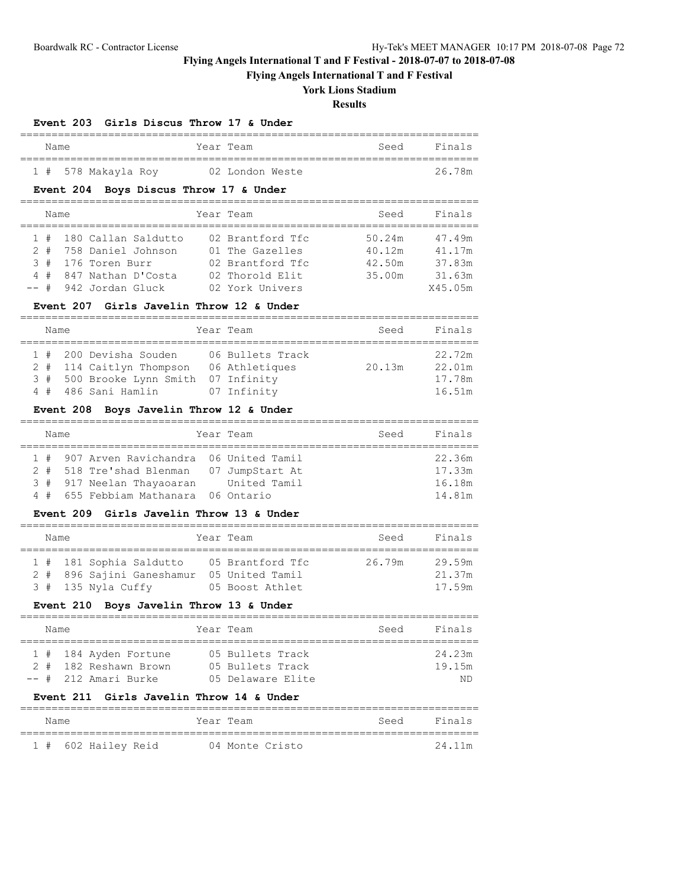**Flying Angels International T and F Festival**

# **York Lions Stadium**

# **Results**

## **Event 203 Girls Discus Throw 17 & Under**

| Name |                     | Year Team       | Seed | Finals |
|------|---------------------|-----------------|------|--------|
|      | 1 # 578 Makayla Roy | 02 London Weste |      | 26.78m |

## **Event 204 Boys Discus Throw 17 & Under**

|  | Name   |  |                         | Year Team |                  | Seed   | Finals  |  |  |
|--|--------|--|-------------------------|-----------|------------------|--------|---------|--|--|
|  |        |  |                         |           |                  |        |         |  |  |
|  |        |  | 1 # 180 Callan Saldutto |           | 02 Brantford Tfc | 50.24m | 47.49m  |  |  |
|  |        |  | 2 # 758 Daniel Johnson  |           | 01 The Gazelles  | 40.12m | 41.17m  |  |  |
|  |        |  |                         |           |                  |        |         |  |  |
|  |        |  | 3 # 176 Toren Burr      |           | 02 Brantford Tfc | 42.50m | 37.83m  |  |  |
|  | $4 \#$ |  | 847 Nathan D'Costa      |           | 02 Thorold Elit  | 35.00m | 31.63m  |  |  |
|  |        |  |                         |           |                  |        |         |  |  |
|  |        |  | -- # 942 Jordan Gluck   |           | 02 York Univers  |        | X45.05m |  |  |

## **Event 207 Girls Javelin Throw 12 & Under**

| Name |  |  |  |                                       |  | Year Team        | Seed   | Finals |  |
|------|--|--|--|---------------------------------------|--|------------------|--------|--------|--|
|      |  |  |  |                                       |  |                  |        |        |  |
|      |  |  |  | 1 # 200 Devisha Souden                |  | 06 Bullets Track |        | 22.72m |  |
|      |  |  |  | 2 # 114 Caitlyn Thompson              |  | 06 Athletiques   | 20.13m | 22.01m |  |
|      |  |  |  | 3 # 500 Brooke Lynn Smith 07 Infinity |  |                  |        | 17.78m |  |

4 # 486 Sani Hamlin 07 Infinity 16.51m

### **Event 208 Boys Javelin Throw 12 & Under**

|  | Name |  |                                                                                                                                                            |  | Year Team    | Seed | Finals                               |  |  |
|--|------|--|------------------------------------------------------------------------------------------------------------------------------------------------------------|--|--------------|------|--------------------------------------|--|--|
|  |      |  | 1 # 907 Arven Ravichandra 06 United Tamil<br>2 # 518 Tre'shad Blenman 07 JumpStart At<br>3 # 917 Neelan Thayaoaran<br>4 # 655 Febbiam Mathanara 06 Ontario |  | United Tamil |      | 22.36m<br>17.33m<br>16.18m<br>14.81m |  |  |

#### **Event 209 Girls Javelin Throw 13 & Under**

| Name |  |  |                           |  | Year Team        | Seed   | Finals |  |  |
|------|--|--|---------------------------|--|------------------|--------|--------|--|--|
|      |  |  |                           |  |                  |        |        |  |  |
|      |  |  | 1 # 181 Sophia Saldutto   |  | 05 Brantford Tfc | 26.79m | 29.59m |  |  |
|      |  |  | 2 # 896 Sajini Ganeshamur |  | 05 United Tamil  |        | 21.37m |  |  |
|      |  |  | 3 # 135 Nyla Cuffy        |  | 05 Boost Athlet  |        | 17.59m |  |  |

### **Event 210 Boys Javelin Throw 13 & Under**

|  | Name |  |                                                                          |  | Year Team                                                 | Seed | Finals                 |  |  |
|--|------|--|--------------------------------------------------------------------------|--|-----------------------------------------------------------|------|------------------------|--|--|
|  |      |  | 1 # 184 Ayden Fortune<br>2 # 182 Reshawn Brown<br>$--$ # 212 Amari Burke |  | 05 Bullets Track<br>05 Bullets Track<br>05 Delaware Elite |      | 24.23m<br>19.15m<br>ND |  |  |

### **Event 211 Girls Javelin Throw 14 & Under**

| Name |                     |  | Year Team |                 | Seed | Finals |
|------|---------------------|--|-----------|-----------------|------|--------|
|      | 1 # 602 Hailey Reid |  |           | 04 Monte Cristo |      | 24.11m |

=========================================================================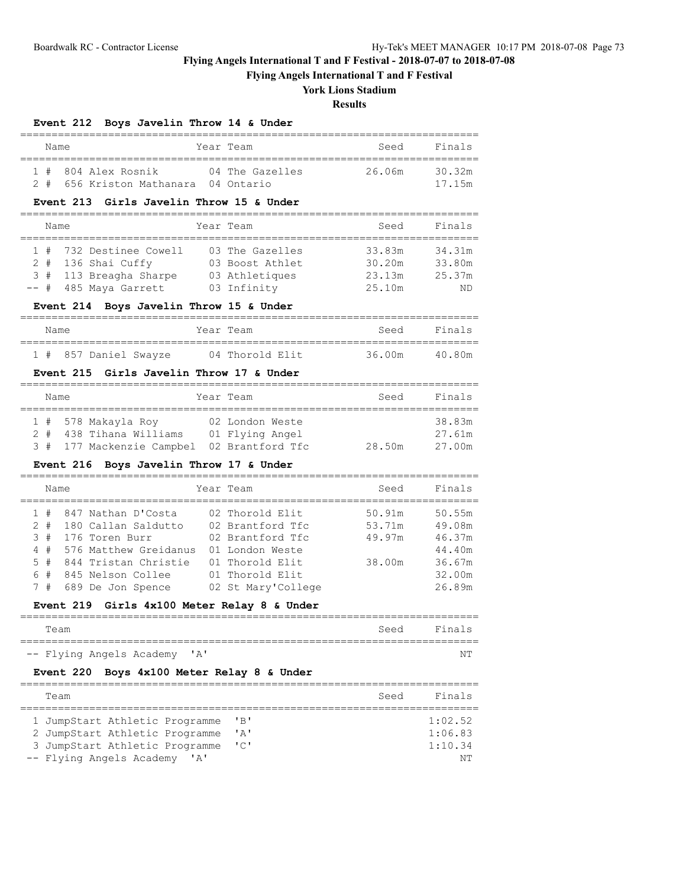**Flying Angels International T and F Festival**

# **York Lions Stadium**

## **Results**

## **Event 212 Boys Javelin Throw 14 & Under**

| Name |                                      | Year Team       | Seed   | Finals |
|------|--------------------------------------|-----------------|--------|--------|
|      | 1 # 804 Alex Rosnik                  | 04 The Gazelles | 26.06m | 30 32m |
|      | 2 # 656 Kriston Mathanara 04 Ontario |                 |        | 17.15m |

#### **Event 213 Girls Javelin Throw 15 & Under**

| Name |                         | Year Team       | Seed   | Finals |
|------|-------------------------|-----------------|--------|--------|
|      | 1 # 732 Destinee Cowell | 03 The Gazelles | 33.83m | 34.31m |
|      | $2$ # 136 Shai Cuffy    | 03 Boost Athlet | 30.20m | 33.80m |
|      | 3 # 113 Breagha Sharpe  | 03 Athletiques  | 23.13m | 25.37m |
|      | -- # 485 Maya Garrett   | 03 Infinity     | 25.10m | ND     |

### **Event 214 Boys Javelin Throw 15 & Under**

| Name |                       | Year Team |                 |  | Seed   | Finals |
|------|-----------------------|-----------|-----------------|--|--------|--------|
|      | 1 # 857 Daniel Swayze |           | 04 Thorold Elit |  | 36.00m | 40.80m |

### **Event 215 Girls Javelin Throw 17 & Under**

|  | Name |                                            | Year Team       | Seed   | Finals |
|--|------|--------------------------------------------|-----------------|--------|--------|
|  |      |                                            |                 |        |        |
|  |      | 1 # 578 Makayla Roy                        | 02 London Weste |        | 38.83m |
|  |      | 2 # 438 Tihana Williams                    | 01 Flying Angel |        | 27.61m |
|  |      | 3 # 177 Mackenzie Campbel 02 Brantford Tfc |                 | 28.50m | 27.00m |

### **Event 216 Boys Javelin Throw 17 & Under**

| Name  |                       | Year Team          | Seed   | Finals |
|-------|-----------------------|--------------------|--------|--------|
| 1#    | 847 Nathan D'Costa    | 02 Thorold Elit    | 50.91m | 50.55m |
| $2 +$ | 180 Callan Saldutto   | 02 Brantford Tfc   | 53.71m | 49.08m |
| 3#    | 176 Toren Burr        | 02 Brantford Tfc   | 49.97m | 46.37m |
| 4#    | 576 Matthew Greidanus | 01 London Weste    |        | 44.40m |
| $5 +$ | 844 Tristan Christie  | 01 Thorold Elit    | 38.00m | 36.67m |
| 6#    | 845 Nelson Collee     | 01 Thorold Elit    |        | 32.00m |
| 7#    | 689 De Jon Spence     | 02 St Mary'College |        | 26.89m |
|       |                       |                    |        |        |

#### **Event 219 Girls 4x100 Meter Relay 8 & Under**

| Team                         |  | Seed Finals |
|------------------------------|--|-------------|
| -- Flying Angels Academy 'A' |  | NΤ          |

### **Event 220 Boys 4x100 Meter Relay 8 & Under**

| Team                                     |               | Seed | Finals  |
|------------------------------------------|---------------|------|---------|
|                                          |               |      |         |
| 1 JumpStart Athletic Programme           | "B"           |      | 1:02.52 |
| 2 JumpStart Athletic Programme           | ' A'          |      | 1:06.83 |
| 3 JumpStart Athletic Programme           | $\mathsf{TC}$ |      | 1:10.34 |
| -- Flying Angels Academy<br>$\mathsf{A}$ |               |      | NΤ      |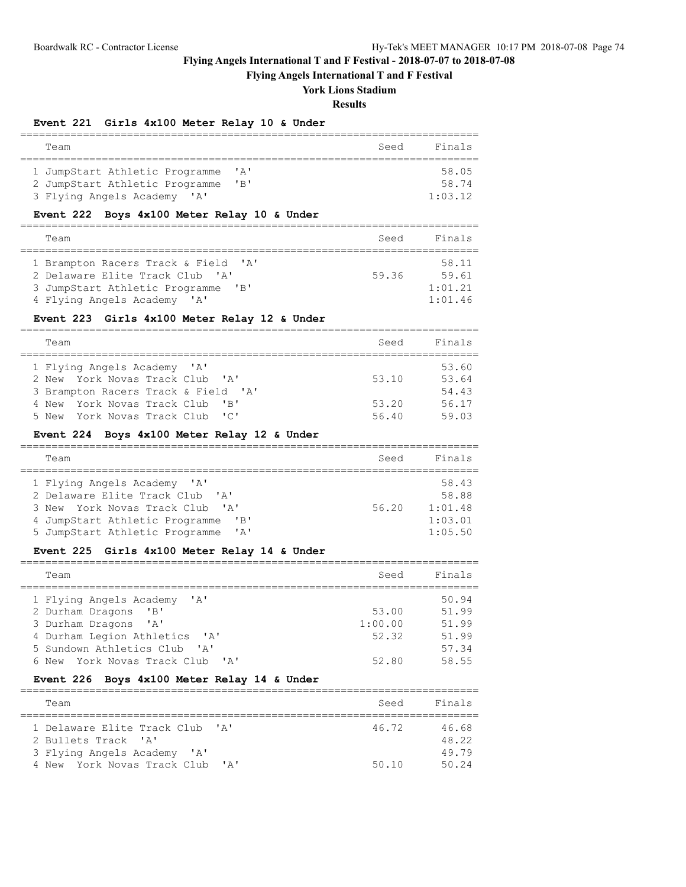### **Flying Angels International T and F Festival**

## **York Lions Stadium**

#### **Results**

### **Event 221 Girls 4x100 Meter Relay 10 & Under**

| Team                           | Finals<br>Seed                     |
|--------------------------------|------------------------------------|
|                                |                                    |
| 1 JumpStart Athletic Programme | 58.05<br>$^{\prime}$ A $^{\prime}$ |
| 2 JumpStart Athletic Programme | 58.74<br>$'$ B $'$                 |
| 3 Flying Angels Academy 'A'    | 1:03.12                            |

### **Event 222 Boys 4x100 Meter Relay 10 & Under**

| Team                                                         | Seed  | Finals  |
|--------------------------------------------------------------|-------|---------|
| 1 Brampton Racers Track & Field 'A'                          |       | 58.11   |
| 2 Delaware Elite Track Club 'A'                              | 59.36 | 59.61   |
| 3 JumpStart Athletic Programme<br>$^{\prime}$ R <sup>1</sup> |       | 1:01.21 |
| 4 Flying Angels Academy 'A'                                  |       | 1:01.46 |

#### **Event 223 Girls 4x100 Meter Relay 12 & Under**

========================================================================= Team Seed Finals ========================================================================= 1 Flying Angels Academy 'A' 53.60<br>
2 New York Novas Track Club 'A' 53.10 53.64<br>
54.43 2 New York Novas Track Club 'A' 53.10 53.64 3 Brampton Racers Track & Field 'A' 54.43 4 New York Novas Track Club 'B' 53.20 56.17 4 New York Novas Track Club 'B' 53.20 56.17<br>5 New York Novas Track Club 'C' 56.40 59.03

#### **Event 224 Boys 4x100 Meter Relay 12 & Under**

| Team                            |                                              | Seed  | Finals  |
|---------------------------------|----------------------------------------------|-------|---------|
| 1 Flying Angels Academy 'A'     |                                              |       | 58.43   |
| 2 Delaware Elite Track Club 'A' |                                              |       | 58.88   |
| 3 New York Novas Track Club 'A' |                                              | 56.20 | 1:01.48 |
| 4 JumpStart Athletic Programme  | $^{\prime}$ B <sup><math>\prime</math></sup> |       | 1:03.01 |
| 5 JumpStart Athletic Programme  | ' A'                                         |       | 1:05.50 |

### **Event 225 Girls 4x100 Meter Relay 14 & Under**

| Team                                                             | Seed    | Finals |
|------------------------------------------------------------------|---------|--------|
| 1 Flying Angels Academy<br>$\mathsf{A}$                          |         | 50.94  |
| 2 Durham Dragons<br>$^{\prime}$ B <sup><math>\prime</math></sup> | 53.00   | 51.99  |
| 3 Durham Dragons 'A'                                             | 1:00.00 | 51.99  |
| 4 Durham Legion Athletics 'A'                                    | 52.32   | 51.99  |
| 5 Sundown Athletics Club<br>$\mathsf{I} \wedge \mathsf{I}$       |         | 57.34  |
| 6 New York Novas Track Club 'A'                                  | 52.80   | 58.55  |

#### **Event 226 Boys 4x100 Meter Relay 14 & Under**

| Team                                                          | Seed  | Finals |
|---------------------------------------------------------------|-------|--------|
| 1 Delaware Elite Track Club 'A'                               | 46.72 | 46.68  |
| 2 Bullets Track 'A'                                           |       | 48.22  |
| 3 Flying Angels Academy 'A'                                   |       | 49 79  |
| 4 New York Novas Track Club<br>$\mathsf{I} \wedge \mathsf{I}$ | 50.10 | 50.24  |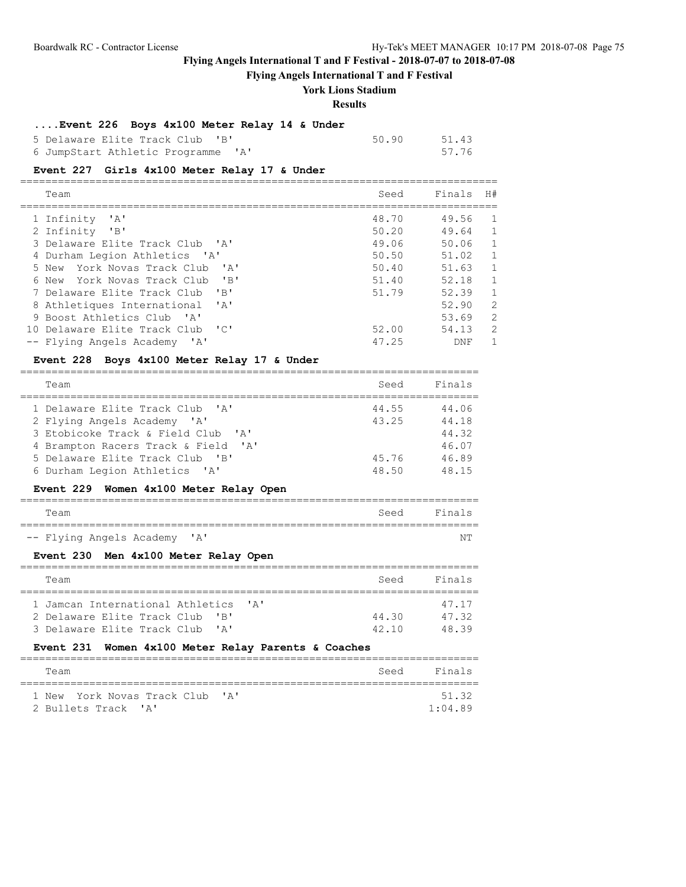## **Flying Angels International T and F Festival**

## **York Lions Stadium**

#### **Results**

### **....Event 226 Boys 4x100 Meter Relay 14 & Under**

| 5 Delaware Elite Track Club 'B'    | 50.90 | 51.43 |
|------------------------------------|-------|-------|
| 6 JumpStart Athletic Programme 'A' |       | 57.76 |

## **Event 227 Girls 4x100 Meter Relay 17 & Under**

| Team                                                                     | Seed  | Finals | H#             |
|--------------------------------------------------------------------------|-------|--------|----------------|
| 1 Infinity<br>$^{\prime}$ A $^{\prime}$                                  | 48.70 | 49.56  | 1.             |
| 2 Infinity<br>"B"                                                        | 50.20 | 49.64  | $\mathbf{1}$   |
| 3 Delaware Elite Track Club 'A'                                          | 49.06 | 50.06  | 1              |
| 4 Durham Legion Athletics 'A'                                            | 50.50 | 51.02  | 1              |
| $\mathsf{I}$ $\mathsf{A}$ $\mathsf{I}$<br>York Novas Track Club<br>5 New | 50.40 | 51.63  | 1              |
| $'$ B $'$<br>6 New York Novas Track Club                                 | 51.40 | 52.18  | 1              |
| $'$ B $'$<br>7 Delaware Elite Track Club                                 | 51.79 | 52.39  | 1              |
| $\mathsf{I} \wedge \mathsf{I}$<br>8 Athletiques International            |       | 52.90  | $\overline{2}$ |
| 9 Boost Athletics Club 'A'                                               |       | 53.69  | $\overline{2}$ |
| ا ن ا<br>10 Delaware Elite Track Club                                    | 52.00 | 54.13  | $\overline{2}$ |
| $\mathsf{A}$<br>-- Flying Angels Academy                                 | 47.25 | DNF    | 1.             |

# **Event 228 Boys 4x100 Meter Relay 17 & Under**

| Team                                                         | Seed  | Finals |
|--------------------------------------------------------------|-------|--------|
| 1 Delaware Elite Track Club 'A'                              | 44.55 | 44.06  |
| 2 Flying Angels Academy 'A'                                  | 43.25 | 44.18  |
| 3 Etobicoke Track & Field Club 'A'                           |       | 44.32  |
| $^{\prime}$ A $^{\prime}$<br>4 Brampton Racers Track & Field |       | 46.07  |
| 5 Delaware Elite Track Club 'B'                              | 45.76 | 46.89  |
| 6 Durham Legion Athletics 'A'                                | 48.50 | 48.15  |

## **Event 229 Women 4x100 Meter Relay Open**

| Team |                              |  |  | Seed Finals |
|------|------------------------------|--|--|-------------|
|      |                              |  |  |             |
|      | -- Flying Angels Academy 'A' |  |  | NΤ          |

## **Event 230 Men 4x100 Meter Relay Open**

|  | Team                                                        | Seed  | Finals |  |  |
|--|-------------------------------------------------------------|-------|--------|--|--|
|  |                                                             |       |        |  |  |
|  | 1 Jamcan International Athletics<br>$\mathsf{I} \mathsf{A}$ |       | 47 17  |  |  |
|  | 2 Delaware Elite Track Club<br>$\mathsf{R}$                 | 44.30 | 4732   |  |  |
|  | 3 Delaware Elite Track Club 'A'                             | 42 10 | 4839   |  |  |

### **Event 231 Women 4x100 Meter Relay Parents & Coaches**

| Team                            | Seed | Finals  |
|---------------------------------|------|---------|
|                                 |      |         |
| 1 New York Novas Track Club 'A' |      | 51.32   |
| 2 Bullets Track 'A'             |      | 1:04.89 |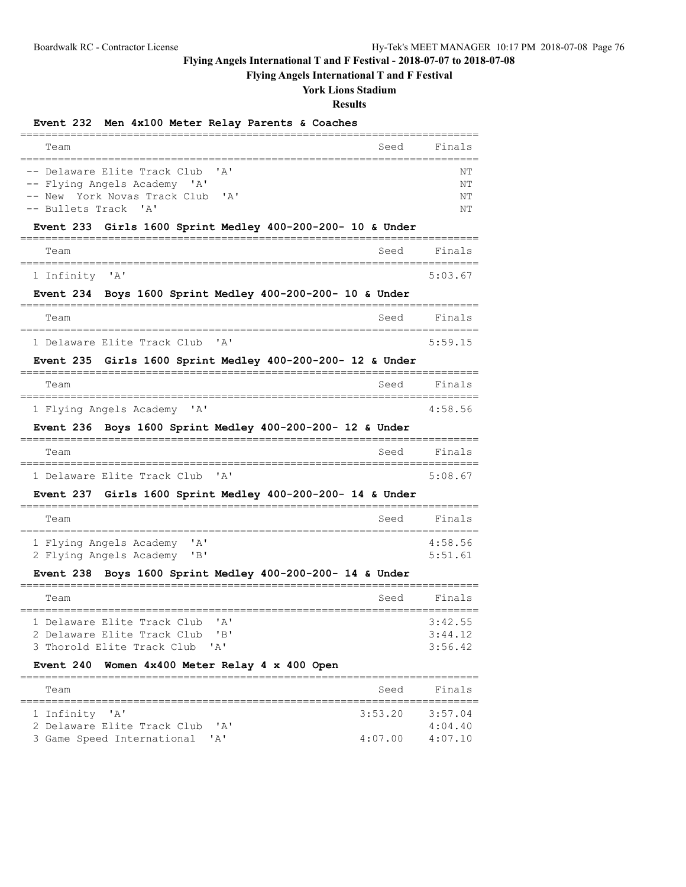3 Game Speed International 'A'

# **Flying Angels International T and F Festival - 2018-07-07 to 2018-07-08**

## **Flying Angels International T and F Festival**

### **York Lions Stadium**

#### **Results**

## **Event 232 Men 4x100 Meter Relay Parents & Coaches**

=========================================================================

| Team                                                                                                                                                            | Seed    | Finals               |
|-----------------------------------------------------------------------------------------------------------------------------------------------------------------|---------|----------------------|
| -- Delaware Elite Track Club<br>' A '<br>-- Flying Angels Academy 'A'<br>-- New York Novas Track Club<br>' A '<br>$^{\prime}$ A $^{\prime}$<br>-- Bullets Track |         | NΤ<br>NΤ<br>NΤ<br>NΤ |
| Girls $1600$ Sprint Medley $400-200-200-10$ & Under<br><b>Event 233</b>                                                                                         |         |                      |
| Team<br>:=========                                                                                                                                              | Seed    | Finals               |
| ' A '<br>1 Infinity                                                                                                                                             |         | 5:03.67              |
| <b>Event 234</b><br>Boys 1600 Sprint Medley 400-200-200- 10 & Under                                                                                             |         |                      |
| Team<br>---------                                                                                                                                               | Seed    | Finals<br>=========  |
| 1 Delaware Elite Track Club<br>' A'                                                                                                                             |         | 5:59.15              |
| Girls 1600 Sprint Medley $400-200-200-12$ & Under<br><b>Event 235</b>                                                                                           |         |                      |
| Team                                                                                                                                                            | Seed    | Finals               |
| 1 Flying Angels Academy<br>$^{\prime}$ A $^{\prime}$                                                                                                            |         | =========<br>4:58.56 |
| Event 236 Boys 1600 Sprint Medley 400-200-200- 12 & Under                                                                                                       |         |                      |
| Team                                                                                                                                                            | Seed    | Finals               |
| 1 Delaware Elite Track Club<br>'A'                                                                                                                              |         | 5:08.67              |
| Girls 1600 Sprint Medley 400-200-200- 14 & Under<br>Event 237                                                                                                   |         |                      |
| Team                                                                                                                                                            | Seed    | Finals               |
| ' A'<br>1 Flying Angels Academy                                                                                                                                 |         | 4:58.56              |
| "B"<br>2 Flying Angels Academy                                                                                                                                  |         | 5:51.61              |
| Event 238 Boys 1600 Sprint Medley 400-200-200- 14 & Under                                                                                                       |         |                      |
| Team                                                                                                                                                            | Seed    | Finals               |
| ' A'<br>1 Delaware Elite Track Club                                                                                                                             |         | 3:42.55              |
| 2 Delaware Elite Track Club<br>"B"<br>Thorold Elite Track Club<br>$\mathbf{A}$                                                                                  |         | 3:44.12<br>3:56.42   |
| Women 4x400 Meter Relay 4 x 400 Open<br><b>Event 240</b>                                                                                                        |         |                      |
| Team                                                                                                                                                            | Seed    | Finals               |
| ' A '<br>1 Infinity                                                                                                                                             | 3:53.20 | 3:57.04              |
| 2 Delaware Elite Track Club<br>' A'<br>3 Game Speed International<br>'A'                                                                                        | 4:07.00 | 4:04.40<br>4:07.10   |